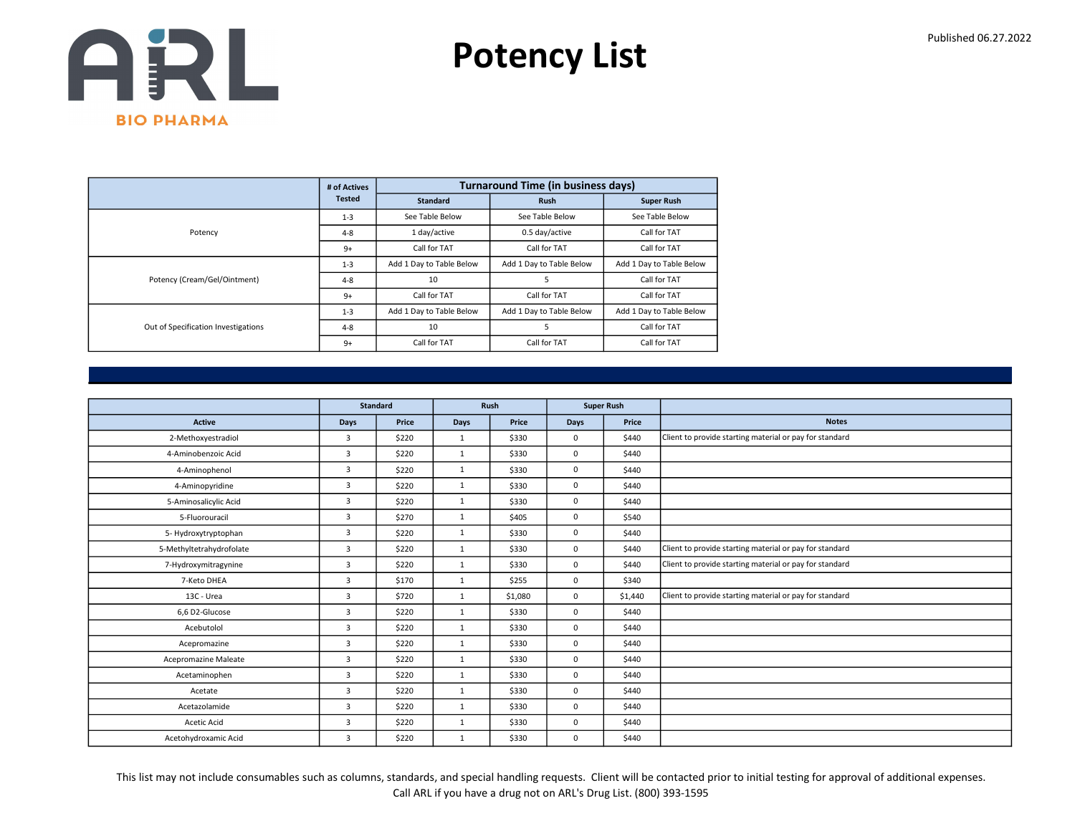

|                                     | # of Actives  |                          | <b>Turnaround Time (in business days)</b> |                          |
|-------------------------------------|---------------|--------------------------|-------------------------------------------|--------------------------|
|                                     | <b>Tested</b> | <b>Standard</b>          | <b>Rush</b>                               | <b>Super Rush</b>        |
|                                     | $1 - 3$       | See Table Below          | See Table Below                           | See Table Below          |
| Potency                             | $4 - 8$       | 1 day/active             | 0.5 day/active                            | Call for TAT             |
|                                     | $9+$          | Call for TAT             | Call for TAT                              | Call for TAT             |
|                                     | $1 - 3$       | Add 1 Day to Table Below | Add 1 Day to Table Below                  | Add 1 Day to Table Below |
| Potency (Cream/Gel/Ointment)        | $4 - 8$       | 10                       | 5                                         | Call for TAT             |
|                                     | $9+$          | Call for TAT             | Call for TAT                              | Call for TAT             |
|                                     | $1 - 3$       | Add 1 Day to Table Below | Add 1 Day to Table Below                  | Add 1 Day to Table Below |
| Out of Specification Investigations | $4 - 8$       | 10                       |                                           | Call for TAT             |
|                                     | $9+$          | Call for TAT             | Call for TAT                              | Call for TAT             |

|                          |                | <b>Standard</b> |              | Rush    |             | <b>Super Rush</b> |                                                         |
|--------------------------|----------------|-----------------|--------------|---------|-------------|-------------------|---------------------------------------------------------|
| Active                   | <b>Days</b>    | Price           | <b>Days</b>  | Price   | <b>Days</b> | Price             | <b>Notes</b>                                            |
| 2-Methoxyestradiol       | 3              | \$220           | 1            | \$330   | $\mathbf 0$ | \$440             | Client to provide starting material or pay for standard |
| 4-Aminobenzoic Acid      | $\overline{3}$ | \$220           | $\mathbf{1}$ | \$330   | $\mathbf 0$ | \$440             |                                                         |
| 4-Aminophenol            | 3              | \$220           | $\mathbf{1}$ | \$330   | $\mathbf 0$ | \$440             |                                                         |
| 4-Aminopyridine          | $\overline{3}$ | \$220           | 1            | \$330   | $\mathbf 0$ | \$440             |                                                         |
| 5-Aminosalicylic Acid    | $\overline{3}$ | \$220           | $\mathbf{1}$ | \$330   | $\mathbf 0$ | \$440             |                                                         |
| 5-Fluorouracil           | 3              | \$270           | $\mathbf{1}$ | \$405   | $\mathbf 0$ | \$540             |                                                         |
| 5- Hydroxytryptophan     | $\overline{3}$ | \$220           | $\mathbf{1}$ | \$330   | $\mathbf 0$ | \$440             |                                                         |
| 5-Methyltetrahydrofolate | $\overline{3}$ | \$220           | $\mathbf{1}$ | \$330   | $\mathbf 0$ | \$440             | Client to provide starting material or pay for standard |
| 7-Hydroxymitragynine     | $\overline{3}$ | \$220           | $\mathbf{1}$ | \$330   | $\mathbf 0$ | \$440             | Client to provide starting material or pay for standard |
| 7-Keto DHEA              | $\overline{3}$ | \$170           | $\mathbf{1}$ | \$255   | $\mathbf 0$ | \$340             |                                                         |
| 13C - Urea               | $\overline{3}$ | \$720           | $\mathbf{1}$ | \$1,080 | $\mathbf 0$ | \$1,440           | Client to provide starting material or pay for standard |
| 6,6 D2-Glucose           | 3              | \$220           | $\mathbf{1}$ | \$330   | $\mathbf 0$ | \$440             |                                                         |
| Acebutolol               | $\overline{3}$ | \$220           | $\mathbf{1}$ | \$330   | $\mathbf 0$ | \$440             |                                                         |
| Acepromazine             | $\overline{3}$ | \$220           | $\mathbf{1}$ | \$330   | $\mathbf 0$ | \$440             |                                                         |
| Acepromazine Maleate     | 3              | \$220           | $\mathbf{1}$ | \$330   | $\mathbf 0$ | \$440             |                                                         |
| Acetaminophen            | 3              | \$220           | $\mathbf{1}$ | \$330   | $\mathbf 0$ | \$440             |                                                         |
| Acetate                  | 3              | \$220           | $\mathbf{1}$ | \$330   | $\Omega$    | \$440             |                                                         |
| Acetazolamide            | 3              | \$220           | $\mathbf{1}$ | \$330   | $\mathbf 0$ | \$440             |                                                         |
| Acetic Acid              | 3              | \$220           | $\mathbf{1}$ | \$330   | $\mathbf 0$ | \$440             |                                                         |
| Acetohydroxamic Acid     | 3              | \$220           | $\mathbf{1}$ | \$330   | 0           | \$440             |                                                         |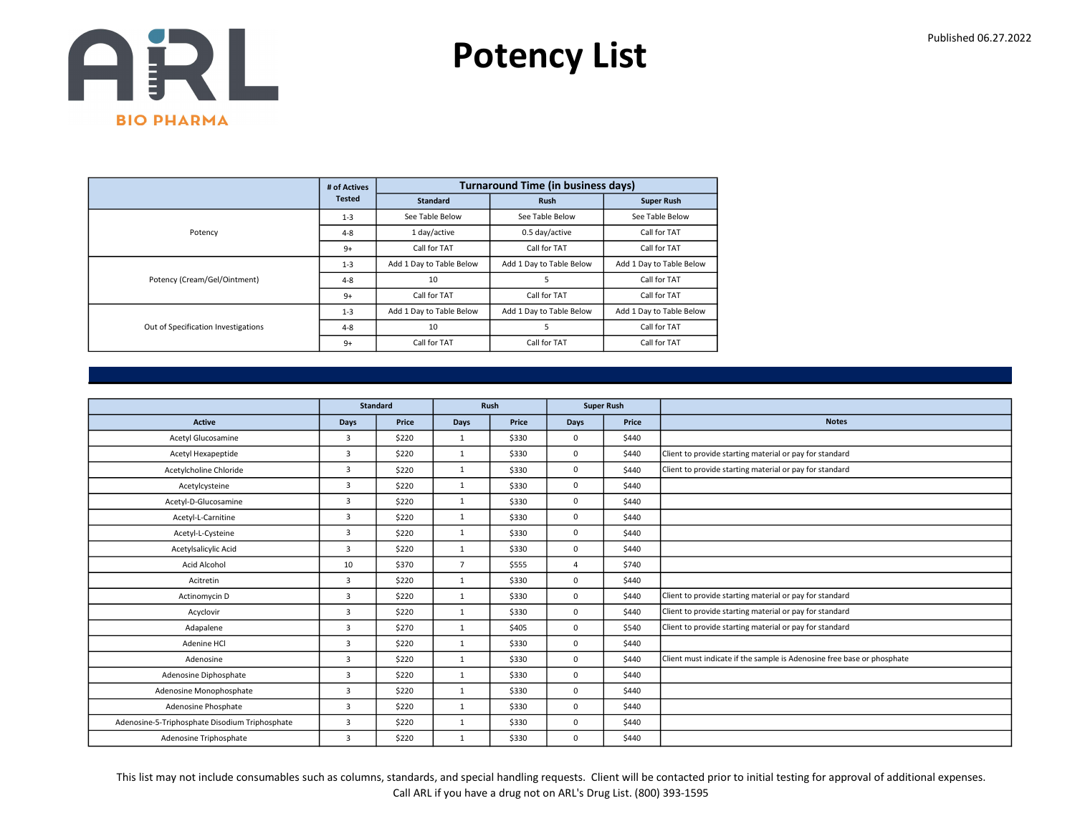

|                                     | # of Actives  |                          | <b>Turnaround Time (in business days)</b> |                          |
|-------------------------------------|---------------|--------------------------|-------------------------------------------|--------------------------|
|                                     | <b>Tested</b> | <b>Standard</b>          | <b>Rush</b>                               | <b>Super Rush</b>        |
|                                     | $1 - 3$       | See Table Below          | See Table Below                           | See Table Below          |
| Potency                             | $4 - 8$       | 1 day/active             | 0.5 day/active                            | Call for TAT             |
|                                     | $9+$          | Call for TAT             | Call for TAT                              | Call for TAT             |
|                                     | $1 - 3$       | Add 1 Day to Table Below | Add 1 Day to Table Below                  | Add 1 Day to Table Below |
| Potency (Cream/Gel/Ointment)        | $4 - 8$       | 10                       | 5                                         | Call for TAT             |
|                                     | $9+$          | Call for TAT             | Call for TAT                              | Call for TAT             |
|                                     | $1 - 3$       | Add 1 Day to Table Below | Add 1 Day to Table Below                  | Add 1 Day to Table Below |
| Out of Specification Investigations | $4 - 8$       | 10                       | 5                                         | Call for TAT             |
|                                     | $9+$          | Call for TAT             | Call for TAT                              | Call for TAT             |

|                                                |                | <b>Standard</b> |                | Rush  | <b>Super Rush</b> |       |                                                                        |
|------------------------------------------------|----------------|-----------------|----------------|-------|-------------------|-------|------------------------------------------------------------------------|
| <b>Active</b>                                  | <b>Days</b>    | Price           | <b>Days</b>    | Price | Days              | Price | <b>Notes</b>                                                           |
| Acetyl Glucosamine                             | 3              | \$220           | $\mathbf{1}$   | \$330 | 0                 | \$440 |                                                                        |
| Acetyl Hexapeptide                             | 3              | \$220           | $\mathbf{1}$   | \$330 | 0                 | \$440 | Client to provide starting material or pay for standard                |
| Acetylcholine Chloride                         | $\overline{3}$ | \$220           | $\mathbf{1}$   | \$330 | 0                 | \$440 | Client to provide starting material or pay for standard                |
| Acetylcysteine                                 | 3              | \$220           | $\mathbf{1}$   | \$330 | 0                 | \$440 |                                                                        |
| Acetyl-D-Glucosamine                           | 3              | \$220           | $\mathbf{1}$   | \$330 | 0                 | \$440 |                                                                        |
| Acetyl-L-Carnitine                             | 3              | \$220           | $\mathbf{1}$   | \$330 | 0                 | \$440 |                                                                        |
| Acetyl-L-Cysteine                              | $\overline{3}$ | \$220           | 1              | \$330 | 0                 | \$440 |                                                                        |
| Acetylsalicylic Acid                           | $\overline{3}$ | \$220           | $\mathbf{1}$   | \$330 | 0                 | \$440 |                                                                        |
| Acid Alcohol                                   | 10             | \$370           | $\overline{7}$ | \$555 | $\overline{4}$    | \$740 |                                                                        |
| Acitretin                                      | 3              | \$220           | $\mathbf{1}$   | \$330 | 0                 | \$440 |                                                                        |
| Actinomycin D                                  | 3              | \$220           | $\mathbf{1}$   | \$330 | 0                 | \$440 | Client to provide starting material or pay for standard                |
| Acyclovir                                      | $\overline{3}$ | \$220           | $\mathbf{1}$   | \$330 | 0                 | \$440 | Client to provide starting material or pay for standard                |
| Adapalene                                      | 3              | \$270           | $\mathbf{1}$   | \$405 | 0                 | \$540 | Client to provide starting material or pay for standard                |
| Adenine HCl                                    | $\overline{3}$ | \$220           | $\mathbf{1}$   | \$330 | 0                 | \$440 |                                                                        |
| Adenosine                                      | 3              | \$220           | $\mathbf{1}$   | \$330 | 0                 | \$440 | Client must indicate if the sample is Adenosine free base or phosphate |
| Adenosine Diphosphate                          | 3              | \$220           | $\mathbf{1}$   | \$330 | 0                 | \$440 |                                                                        |
| Adenosine Monophosphate                        | 3              | \$220           | $\mathbf{1}$   | \$330 | 0                 | \$440 |                                                                        |
| Adenosine Phosphate                            | $\overline{3}$ | \$220           | $\mathbf{1}$   | \$330 | 0                 | \$440 |                                                                        |
| Adenosine-5-Triphosphate Disodium Triphosphate | 3              | \$220           | $\mathbf{1}$   | \$330 | 0                 | \$440 |                                                                        |
| Adenosine Triphosphate                         | 3              | \$220           | $\mathbf{1}$   | \$330 | 0                 | \$440 |                                                                        |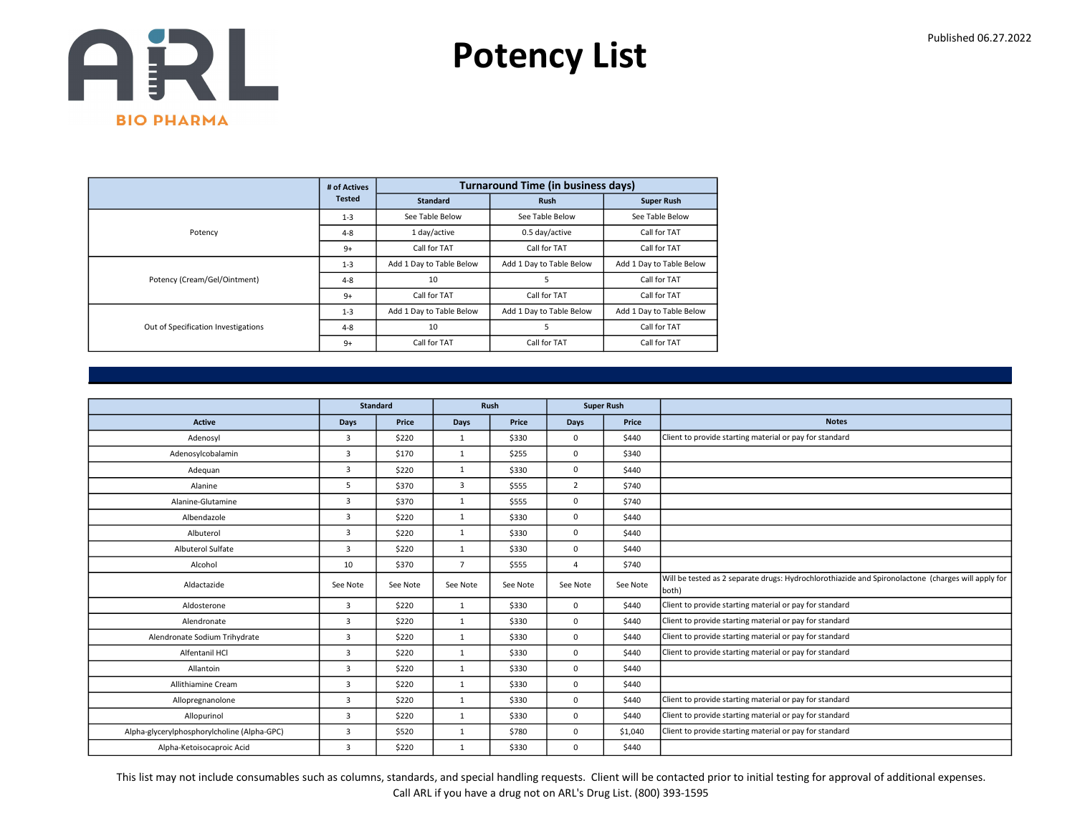

|                                     | # of Actives  |                          | <b>Turnaround Time (in business days)</b> |                          |
|-------------------------------------|---------------|--------------------------|-------------------------------------------|--------------------------|
|                                     | <b>Tested</b> | <b>Standard</b>          | <b>Rush</b>                               | <b>Super Rush</b>        |
|                                     | $1 - 3$       | See Table Below          | See Table Below                           | See Table Below          |
| Potency                             | $4 - 8$       | 1 day/active             | 0.5 day/active                            | Call for TAT             |
|                                     | $9+$          | Call for TAT             | Call for TAT                              | Call for TAT             |
|                                     | $1 - 3$       | Add 1 Day to Table Below | Add 1 Day to Table Below                  | Add 1 Day to Table Below |
| Potency (Cream/Gel/Ointment)        | $4 - 8$       | 10                       | 5                                         | Call for TAT             |
|                                     | $9+$          | Call for TAT             | Call for TAT                              | Call for TAT             |
|                                     | $1 - 3$       | Add 1 Day to Table Below | Add 1 Day to Table Below                  | Add 1 Day to Table Below |
| Out of Specification Investigations | $4 - 8$       | 10                       | 5                                         | Call for TAT             |
|                                     | $9+$          | Call for TAT             | Call for TAT                              | Call for TAT             |

|                                             |                | <b>Standard</b> |                | Rush     |                | <b>Super Rush</b> |                                                                                                             |
|---------------------------------------------|----------------|-----------------|----------------|----------|----------------|-------------------|-------------------------------------------------------------------------------------------------------------|
| <b>Active</b>                               | <b>Days</b>    | Price           | <b>Days</b>    | Price    | <b>Days</b>    | Price             | <b>Notes</b>                                                                                                |
| Adenosyl                                    | 3              | \$220           | 1              | \$330    | $\mathbf 0$    | \$440             | Client to provide starting material or pay for standard                                                     |
| Adenosylcobalamin                           | 3              | \$170           | 1              | \$255    | $\mathbf 0$    | \$340             |                                                                                                             |
| Adequan                                     | 3              | \$220           | 1              | \$330    | $\mathbf 0$    | \$440             |                                                                                                             |
| Alanine                                     | 5              | \$370           | 3              | \$555    | $\overline{2}$ | \$740             |                                                                                                             |
| Alanine-Glutamine                           | 3              | \$370           | $\mathbf{1}$   | \$555    | 0              | \$740             |                                                                                                             |
| Albendazole                                 | 3              | \$220           | 1              | \$330    | $\mathbf 0$    | \$440             |                                                                                                             |
| Albuterol                                   | 3              | \$220           | 1              | \$330    | $\mathbf 0$    | \$440             |                                                                                                             |
| Albuterol Sulfate                           | 3              | \$220           | $\mathbf{1}$   | \$330    | $\mathbf 0$    | \$440             |                                                                                                             |
| Alcohol                                     | 10             | \$370           | $\overline{7}$ | \$555    | $\overline{a}$ | \$740             |                                                                                                             |
| Aldactazide                                 | See Note       | See Note        | See Note       | See Note | See Note       | See Note          | Will be tested as 2 separate drugs: Hydrochlorothiazide and Spironolactone (charges will apply for<br>both) |
| Aldosterone                                 | 3              | \$220           | 1              | \$330    | $\mathbf{0}$   | \$440             | Client to provide starting material or pay for standard                                                     |
| Alendronate                                 | $\overline{3}$ | \$220           | $\mathbf{1}$   | \$330    | $\mathbf 0$    | \$440             | Client to provide starting material or pay for standard                                                     |
| Alendronate Sodium Trihydrate               | 3              | \$220           | 1              | \$330    | 0              | \$440             | Client to provide starting material or pay for standard                                                     |
| Alfentanil HCI                              | 3              | \$220           | $\mathbf{1}$   | \$330    | $\mathbf 0$    | \$440             | Client to provide starting material or pay for standard                                                     |
| Allantoin                                   | 3              | \$220           | 1              | \$330    | $\mathbf 0$    | \$440             |                                                                                                             |
| Allithiamine Cream                          | 3              | \$220           | $\mathbf{1}$   | \$330    | $\mathbf 0$    | \$440             |                                                                                                             |
| Allopregnanolone                            | 3              | \$220           | 1              | \$330    | $\mathbf 0$    | \$440             | Client to provide starting material or pay for standard                                                     |
| Allopurinol                                 | 3              | \$220           | 1              | \$330    | $\mathbf 0$    | \$440             | Client to provide starting material or pay for standard                                                     |
| Alpha-glycerylphosphorylcholine (Alpha-GPC) | 3              | \$520           | 1              | \$780    | $\mathbf 0$    | \$1,040           | Client to provide starting material or pay for standard                                                     |
| Alpha-Ketoisocaproic Acid                   | 3              | \$220           | $\mathbf{1}$   | \$330    | $\mathbf 0$    | \$440             |                                                                                                             |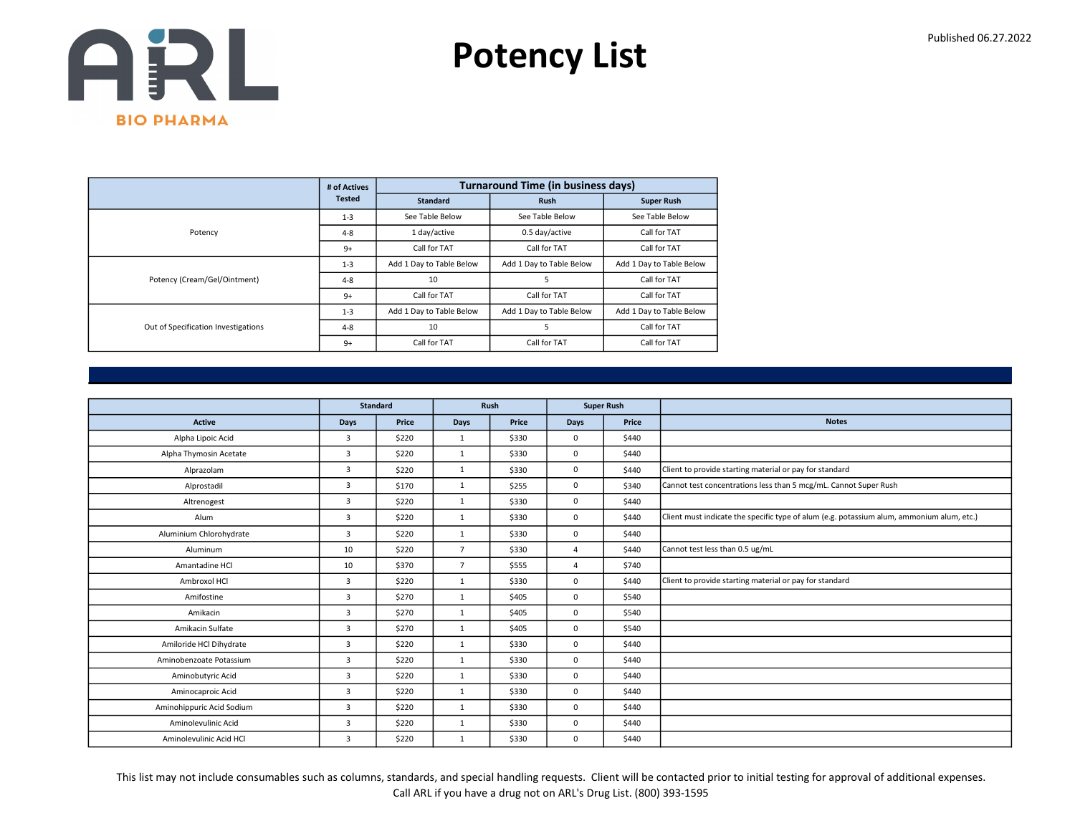

|                                     | # of Actives  |                          | <b>Turnaround Time (in business days)</b> |                          |
|-------------------------------------|---------------|--------------------------|-------------------------------------------|--------------------------|
|                                     | <b>Tested</b> | <b>Standard</b>          | <b>Rush</b>                               | <b>Super Rush</b>        |
|                                     | $1 - 3$       | See Table Below          | See Table Below                           | See Table Below          |
| Potency                             | $4 - 8$       | 1 day/active             | 0.5 day/active                            | Call for TAT             |
|                                     | $9+$          | Call for TAT             | Call for TAT                              | Call for TAT             |
|                                     | $1 - 3$       | Add 1 Day to Table Below | Add 1 Day to Table Below                  | Add 1 Day to Table Below |
| Potency (Cream/Gel/Ointment)        | $4 - 8$       | 10                       | 5                                         | Call for TAT             |
|                                     | $9+$          | Call for TAT             | Call for TAT                              | Call for TAT             |
|                                     | $1 - 3$       | Add 1 Day to Table Below | Add 1 Day to Table Below                  | Add 1 Day to Table Below |
| Out of Specification Investigations | $4 - 8$       | 10                       | 5                                         | Call for TAT             |
|                                     | $9+$          | Call for TAT             | Call for TAT                              | Call for TAT             |

|                           |                | <b>Standard</b> | Rush           |       | <b>Super Rush</b> |       |                                                                                           |
|---------------------------|----------------|-----------------|----------------|-------|-------------------|-------|-------------------------------------------------------------------------------------------|
| <b>Active</b>             | <b>Days</b>    | Price           | Days           | Price | <b>Days</b>       | Price | <b>Notes</b>                                                                              |
| Alpha Lipoic Acid         | $\overline{3}$ | \$220           | 1              | \$330 | $\mathbf 0$       | \$440 |                                                                                           |
| Alpha Thymosin Acetate    | $\overline{3}$ | \$220           | $\mathbf{1}$   | \$330 | $\mathbf 0$       | \$440 |                                                                                           |
| Alprazolam                | 3              | \$220           | 1              | \$330 | $\mathbf 0$       | \$440 | Client to provide starting material or pay for standard                                   |
| Alprostadil               | 3              | \$170           | 1              | \$255 | $^{\circ}$        | \$340 | Cannot test concentrations less than 5 mcg/mL. Cannot Super Rush                          |
| Altrenogest               | 3              | \$220           | $\mathbf{1}$   | \$330 | $\mathbf 0$       | \$440 |                                                                                           |
| Alum                      | $\overline{3}$ | \$220           | 1              | \$330 | $\mathbf 0$       | \$440 | Client must indicate the specific type of alum (e.g. potassium alum, ammonium alum, etc.) |
| Aluminium Chlorohydrate   | $\overline{3}$ | \$220           | $\mathbf{1}$   | \$330 | $\mathbf 0$       | \$440 |                                                                                           |
| Aluminum                  | 10             | \$220           | $\overline{7}$ | \$330 | $\overline{4}$    | \$440 | Cannot test less than 0.5 ug/mL                                                           |
| Amantadine HCl            | 10             | \$370           | $\overline{7}$ | \$555 | $\overline{4}$    | \$740 |                                                                                           |
| Ambroxol HCl              | $\overline{3}$ | \$220           | $\mathbf{1}$   | \$330 | $\mathbf 0$       | \$440 | Client to provide starting material or pay for standard                                   |
| Amifostine                | 3              | \$270           | $\mathbf{1}$   | \$405 | $\mathbf 0$       | \$540 |                                                                                           |
| Amikacin                  | 3              | \$270           | 1              | \$405 | $\mathbf 0$       | \$540 |                                                                                           |
| Amikacin Sulfate          | 3              | \$270           | 1              | \$405 | $\mathbf 0$       | \$540 |                                                                                           |
| Amiloride HCl Dihydrate   | $\overline{3}$ | \$220           | $\mathbf{1}$   | \$330 | $\mathbf 0$       | \$440 |                                                                                           |
| Aminobenzoate Potassium   | $\overline{3}$ | \$220           | $\mathbf{1}$   | \$330 | $\mathbf 0$       | \$440 |                                                                                           |
| Aminobutyric Acid         | $\overline{3}$ | \$220           | 1              | \$330 | $\mathbf 0$       | \$440 |                                                                                           |
| Aminocaproic Acid         | $\overline{3}$ | \$220           | 1              | \$330 | $\mathbf 0$       | \$440 |                                                                                           |
| Aminohippuric Acid Sodium | $\overline{3}$ | \$220           | 1              | \$330 | $\mathbf 0$       | \$440 |                                                                                           |
| Aminolevulinic Acid       | 3              | \$220           | $\mathbf{1}$   | \$330 | $\mathbf 0$       | \$440 |                                                                                           |
| Aminolevulinic Acid HCl   | 3              | \$220           | 1              | \$330 | $\mathbf 0$       | \$440 |                                                                                           |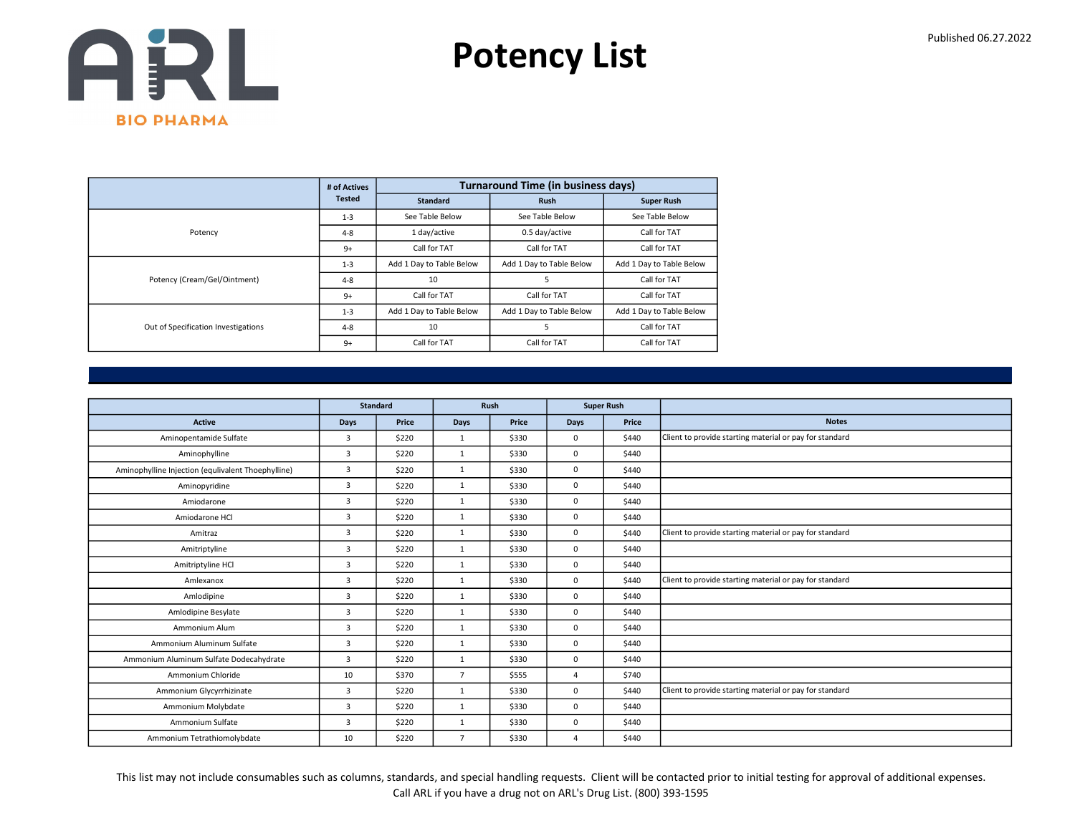

|                                     | # of Actives  |                          | <b>Turnaround Time (in business days)</b> |                          |
|-------------------------------------|---------------|--------------------------|-------------------------------------------|--------------------------|
|                                     | <b>Tested</b> | <b>Standard</b>          | <b>Rush</b>                               | <b>Super Rush</b>        |
|                                     | $1 - 3$       | See Table Below          | See Table Below                           | See Table Below          |
| Potency                             | $4 - 8$       | 1 day/active             | 0.5 day/active                            | Call for TAT             |
|                                     | $9+$          | Call for TAT             | Call for TAT                              | Call for TAT             |
|                                     | $1 - 3$       | Add 1 Day to Table Below | Add 1 Day to Table Below                  | Add 1 Day to Table Below |
| Potency (Cream/Gel/Ointment)        | $4 - 8$       | 10                       | 5                                         | Call for TAT             |
|                                     | $9+$          | Call for TAT             | Call for TAT                              | Call for TAT             |
|                                     | $1 - 3$       | Add 1 Day to Table Below | Add 1 Day to Table Below                  | Add 1 Day to Table Below |
| Out of Specification Investigations | $4 - 8$       | 10                       | 5                                         | Call for TAT             |
|                                     | $9+$          | Call for TAT             | Call for TAT                              | Call for TAT             |

|                                                    |                | <b>Standard</b> |                | Rush  |             | <b>Super Rush</b> |                                                         |
|----------------------------------------------------|----------------|-----------------|----------------|-------|-------------|-------------------|---------------------------------------------------------|
| Active                                             | Days           | Price           | Days           | Price | <b>Days</b> | Price             | <b>Notes</b>                                            |
| Aminopentamide Sulfate                             | $\overline{3}$ | \$220           | $\mathbf{1}$   | \$330 | 0           | \$440             | Client to provide starting material or pay for standard |
| Aminophylline                                      | $\overline{3}$ | \$220           | 1              | \$330 | 0           | \$440             |                                                         |
| Aminophylline Injection (equlivalent Thoephylline) | $\overline{3}$ | \$220           | $\mathbf{1}$   | \$330 | 0           | \$440             |                                                         |
| Aminopyridine                                      | $\overline{3}$ | \$220           | $\mathbf{1}$   | \$330 | 0           | \$440             |                                                         |
| Amiodarone                                         | $\mathbf{3}$   | \$220           | $\mathbf{1}$   | \$330 | 0           | \$440             |                                                         |
| Amiodarone HCl                                     | $\overline{3}$ | \$220           | $\mathbf{1}$   | \$330 | 0           | \$440             |                                                         |
| Amitraz                                            | $\overline{3}$ | \$220           | $\mathbf{1}$   | \$330 | $\Omega$    | \$440             | Client to provide starting material or pay for standard |
| Amitriptyline                                      | 3              | \$220           | $\mathbf{1}$   | \$330 | 0           | \$440             |                                                         |
| Amitriptyline HCl                                  | 3              | \$220           | $\mathbf{1}$   | \$330 | 0           | \$440             |                                                         |
| Amlexanox                                          | $\overline{3}$ | \$220           | $\mathbf{1}$   | \$330 | 0           | \$440             | Client to provide starting material or pay for standard |
| Amlodipine                                         | 3              | \$220           | $\mathbf{1}$   | \$330 | 0           | \$440             |                                                         |
| Amlodipine Besylate                                | 3              | \$220           | $\mathbf{1}$   | \$330 | 0           | \$440             |                                                         |
| Ammonium Alum                                      | $\overline{3}$ | \$220           | $\mathbf{1}$   | \$330 | 0           | \$440             |                                                         |
| Ammonium Aluminum Sulfate                          | $\overline{3}$ | \$220           | $\mathbf{1}$   | \$330 | 0           | \$440             |                                                         |
| Ammonium Aluminum Sulfate Dodecahydrate            | $\overline{3}$ | \$220           | $\mathbf{1}$   | \$330 | 0           | \$440             |                                                         |
| Ammonium Chloride                                  | 10             | \$370           | $\overline{7}$ | \$555 | 4           | \$740             |                                                         |
| Ammonium Glycyrrhizinate                           | $\overline{3}$ | \$220           | $\mathbf{1}$   | \$330 | 0           | \$440             | Client to provide starting material or pay for standard |
| Ammonium Molybdate                                 | $\overline{3}$ | \$220           | $\mathbf{1}$   | \$330 | 0           | \$440             |                                                         |
| Ammonium Sulfate                                   | $\overline{3}$ | \$220           | 1              | \$330 | 0           | \$440             |                                                         |
| Ammonium Tetrathiomolybdate                        | 10             | \$220           | $\overline{7}$ | \$330 | $\Delta$    | \$440             |                                                         |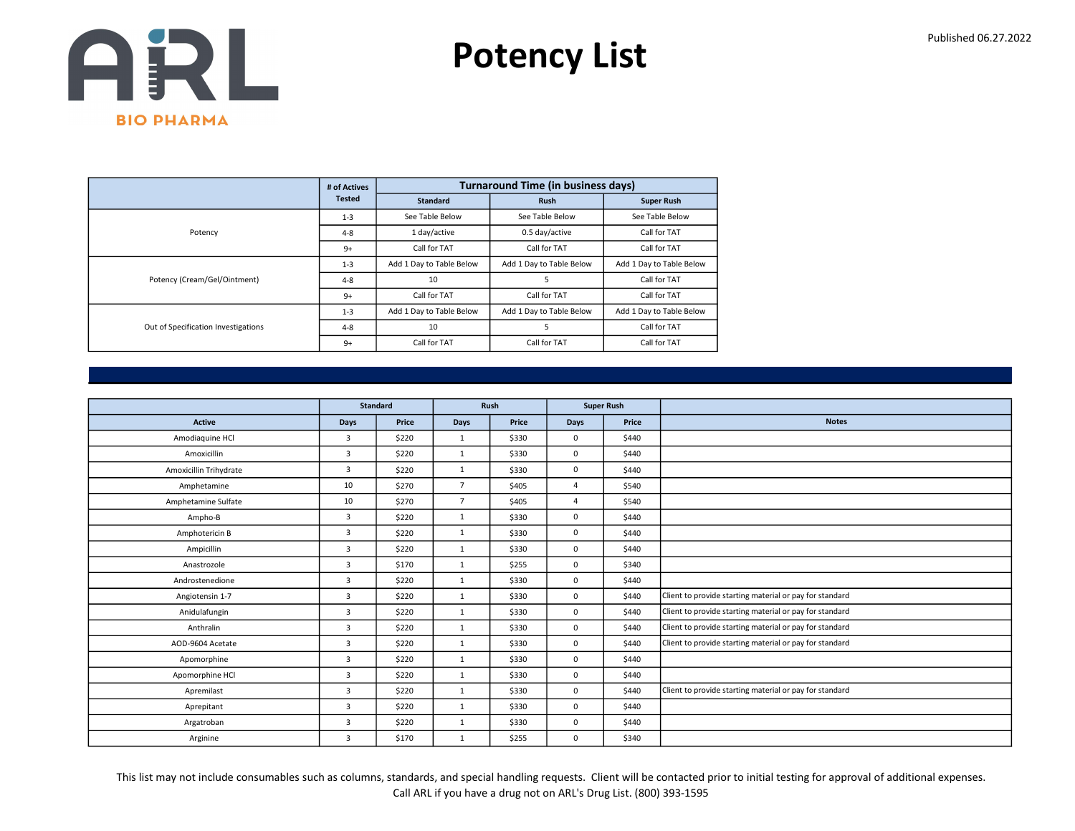

|                                     | # of Actives  |                          | <b>Turnaround Time (in business days)</b> |                          |
|-------------------------------------|---------------|--------------------------|-------------------------------------------|--------------------------|
|                                     | <b>Tested</b> | <b>Standard</b>          | <b>Rush</b>                               | <b>Super Rush</b>        |
|                                     | $1 - 3$       | See Table Below          | See Table Below                           | See Table Below          |
| Potency                             | $4 - 8$       | 1 day/active             | 0.5 day/active                            | Call for TAT             |
|                                     | $9+$          | Call for TAT             | Call for TAT                              | Call for TAT             |
|                                     | $1 - 3$       | Add 1 Day to Table Below | Add 1 Day to Table Below                  | Add 1 Day to Table Below |
| Potency (Cream/Gel/Ointment)        | $4 - 8$       | 10                       | 5                                         | Call for TAT             |
|                                     | $9+$          | Call for TAT             | Call for TAT                              | Call for TAT             |
|                                     | $1 - 3$       | Add 1 Day to Table Below | Add 1 Day to Table Below                  | Add 1 Day to Table Below |
| Out of Specification Investigations | $4 - 8$       | 10                       | 5                                         | Call for TAT             |
|                                     | $9+$          | Call for TAT             | Call for TAT                              | Call for TAT             |

|                        |                | <b>Standard</b> |                | Rush  |                | <b>Super Rush</b> |                                                         |
|------------------------|----------------|-----------------|----------------|-------|----------------|-------------------|---------------------------------------------------------|
| <b>Active</b>          | Days           | Price           | Days           | Price | <b>Days</b>    | Price             | <b>Notes</b>                                            |
| Amodiaquine HCl        | $\overline{3}$ | \$220           | 1              | \$330 | $\mathbf 0$    | \$440             |                                                         |
| Amoxicillin            | $\overline{3}$ | \$220           | 1              | \$330 | $\mathbf 0$    | \$440             |                                                         |
| Amoxicillin Trihydrate | 3              | \$220           | 1              | \$330 | $\mathbf 0$    | \$440             |                                                         |
| Amphetamine            | 10             | \$270           | $\overline{7}$ | \$405 | $\Delta$       | \$540             |                                                         |
| Amphetamine Sulfate    | 10             | \$270           | $\overline{7}$ | \$405 | $\overline{4}$ | \$540             |                                                         |
| Ampho-B                | $\overline{3}$ | \$220           | $\mathbf{1}$   | \$330 | $\mathbf 0$    | \$440             |                                                         |
| Amphotericin B         | 3              | \$220           | $\mathbf{1}$   | \$330 | $\mathbf 0$    | \$440             |                                                         |
| Ampicillin             | 3              | \$220           | 1              | \$330 | $\mathbf 0$    | \$440             |                                                         |
| Anastrozole            | 3              | \$170           | $\mathbf{1}$   | \$255 | $\mathbf 0$    | \$340             |                                                         |
| Androstenedione        | $\overline{3}$ | \$220           | $\mathbf{1}$   | \$330 | $\mathbf 0$    | \$440             |                                                         |
| Angiotensin 1-7        | $\overline{3}$ | \$220           | $\mathbf{1}$   | \$330 | $\mathbf 0$    | \$440             | Client to provide starting material or pay for standard |
| Anidulafungin          | 3              | \$220           | 1              | \$330 | $\mathbf 0$    | \$440             | Client to provide starting material or pay for standard |
| Anthralin              | $\overline{3}$ | \$220           | $\mathbf{1}$   | \$330 | $\mathbf 0$    | \$440             | Client to provide starting material or pay for standard |
| AOD-9604 Acetate       | 3              | \$220           | 1              | \$330 | $\mathbf 0$    | \$440             | Client to provide starting material or pay for standard |
| Apomorphine            | 3              | \$220           | 1              | \$330 | $\mathbf 0$    | \$440             |                                                         |
| Apomorphine HCl        | $\overline{3}$ | \$220           | 1              | \$330 | $\mathbf 0$    | \$440             |                                                         |
| Apremilast             | $\overline{3}$ | \$220           | $\mathbf{1}$   | \$330 | $\mathbf 0$    | \$440             | Client to provide starting material or pay for standard |
| Aprepitant             | 3              | \$220           | 1              | \$330 | $\mathbf 0$    | \$440             |                                                         |
| Argatroban             | 3              | \$220           | 1              | \$330 | $\mathbf 0$    | \$440             |                                                         |
| Arginine               | 3              | \$170           | 1              | \$255 | $\mathbf 0$    | \$340             |                                                         |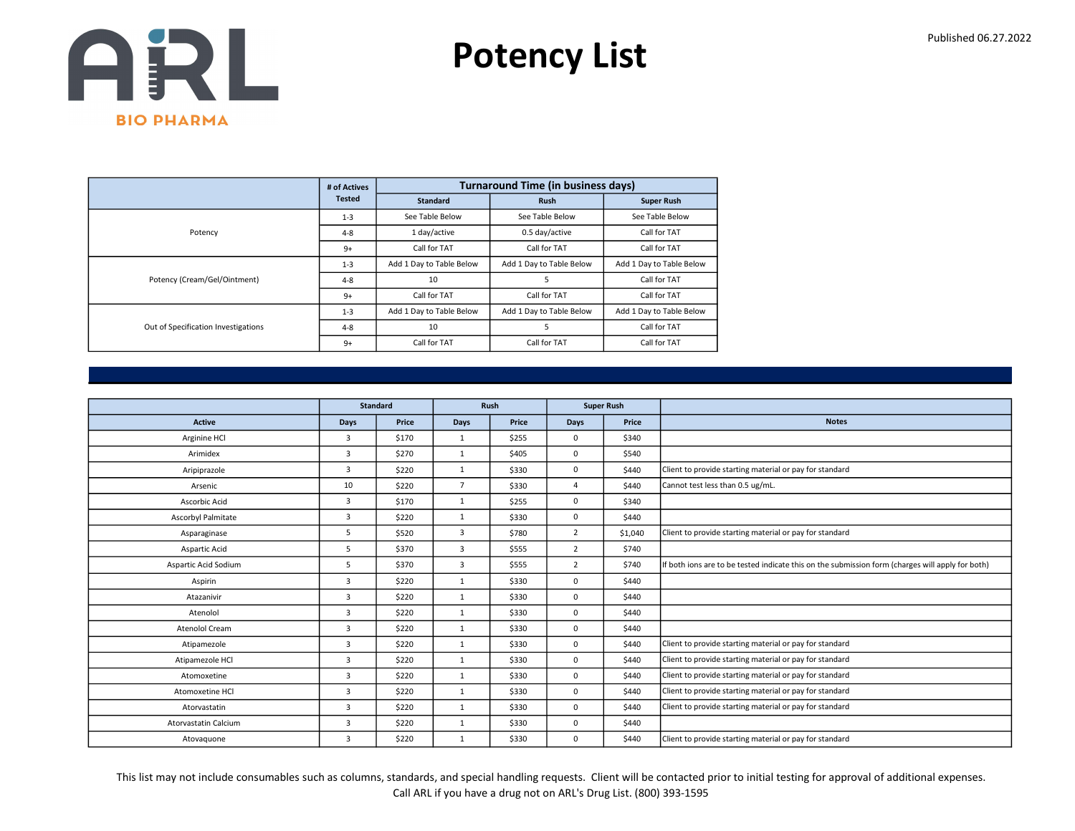

|                                     | # of Actives  |                          | <b>Turnaround Time (in business days)</b> |                          |
|-------------------------------------|---------------|--------------------------|-------------------------------------------|--------------------------|
|                                     | <b>Tested</b> | <b>Standard</b>          | <b>Rush</b>                               | <b>Super Rush</b>        |
|                                     | $1 - 3$       | See Table Below          | See Table Below                           | See Table Below          |
| Potency                             | $4 - 8$       | 1 day/active             | 0.5 day/active                            | Call for TAT             |
|                                     | $9+$          | Call for TAT             | Call for TAT                              | Call for TAT             |
|                                     | $1 - 3$       | Add 1 Day to Table Below | Add 1 Day to Table Below                  | Add 1 Day to Table Below |
| Potency (Cream/Gel/Ointment)        | $4 - 8$       | 10                       | 5                                         | Call for TAT             |
|                                     | $9+$          | Call for TAT             | Call for TAT                              | Call for TAT             |
|                                     | $1 - 3$       | Add 1 Day to Table Below | Add 1 Day to Table Below                  | Add 1 Day to Table Below |
| Out of Specification Investigations | $4 - 8$       | 10                       | 5                                         | Call for TAT             |
|                                     | $9+$          | Call for TAT             | Call for TAT                              | Call for TAT             |

|                       |                | <b>Standard</b> |                | Rush  |                | <b>Super Rush</b> |                                                                                                  |
|-----------------------|----------------|-----------------|----------------|-------|----------------|-------------------|--------------------------------------------------------------------------------------------------|
| <b>Active</b>         | <b>Days</b>    | Price           | <b>Days</b>    | Price | Days           | Price             | <b>Notes</b>                                                                                     |
| Arginine HCl          | 3              | \$170           | 1              | \$255 | 0              | \$340             |                                                                                                  |
| Arimidex              | 3              | \$270           | $\mathbf{1}$   | \$405 | 0              | \$540             |                                                                                                  |
| Aripiprazole          | $\overline{3}$ | \$220           | $\mathbf{1}$   | \$330 | 0              | \$440             | Client to provide starting material or pay for standard                                          |
| Arsenic               | 10             | \$220           | $\overline{7}$ | \$330 | $\Delta$       | \$440             | Cannot test less than 0.5 ug/mL.                                                                 |
| Ascorbic Acid         | 3              | \$170           | $\mathbf{1}$   | \$255 | 0              | \$340             |                                                                                                  |
| Ascorbyl Palmitate    | 3              | \$220           | $\mathbf{1}$   | \$330 | 0              | \$440             |                                                                                                  |
| Asparaginase          | 5              | \$520           | $\overline{3}$ | \$780 | $\overline{2}$ | \$1,040           | Client to provide starting material or pay for standard                                          |
| Aspartic Acid         | 5              | \$370           | $\overline{3}$ | \$555 | $\overline{2}$ | \$740             |                                                                                                  |
| Aspartic Acid Sodium  | 5              | \$370           | 3              | \$555 | $\overline{2}$ | \$740             | If both ions are to be tested indicate this on the submission form (charges will apply for both) |
| Aspirin               | 3              | \$220           | $\mathbf{1}$   | \$330 | $\Omega$       | \$440             |                                                                                                  |
| Atazanivir            | 3              | \$220           | $\mathbf{1}$   | \$330 | 0              | \$440             |                                                                                                  |
| Atenolol              | 3              | \$220           | $\mathbf{1}$   | \$330 | 0              | \$440             |                                                                                                  |
| <b>Atenolol Cream</b> | $\overline{3}$ | \$220           | $\mathbf{1}$   | \$330 | 0              | \$440             |                                                                                                  |
| Atipamezole           | $\overline{3}$ | \$220           | $\mathbf{1}$   | \$330 | 0              | \$440             | Client to provide starting material or pay for standard                                          |
| Atipamezole HCl       | 3              | \$220           | $\mathbf{1}$   | \$330 | 0              | \$440             | Client to provide starting material or pay for standard                                          |
| Atomoxetine           | $\overline{3}$ | \$220           | 1              | \$330 | 0              | \$440             | Client to provide starting material or pay for standard                                          |
| Atomoxetine HCl       | 3              | \$220           | $\mathbf{1}$   | \$330 | 0              | \$440             | Client to provide starting material or pay for standard                                          |
| Atorvastatin          | 3              | \$220           | $\mathbf{1}$   | \$330 | 0              | \$440             | Client to provide starting material or pay for standard                                          |
| Atorvastatin Calcium  | 3              | \$220           | 1              | \$330 | 0              | \$440             |                                                                                                  |
| Atovaguone            | 3              | \$220           | $\mathbf{1}$   | \$330 | 0              | \$440             | Client to provide starting material or pay for standard                                          |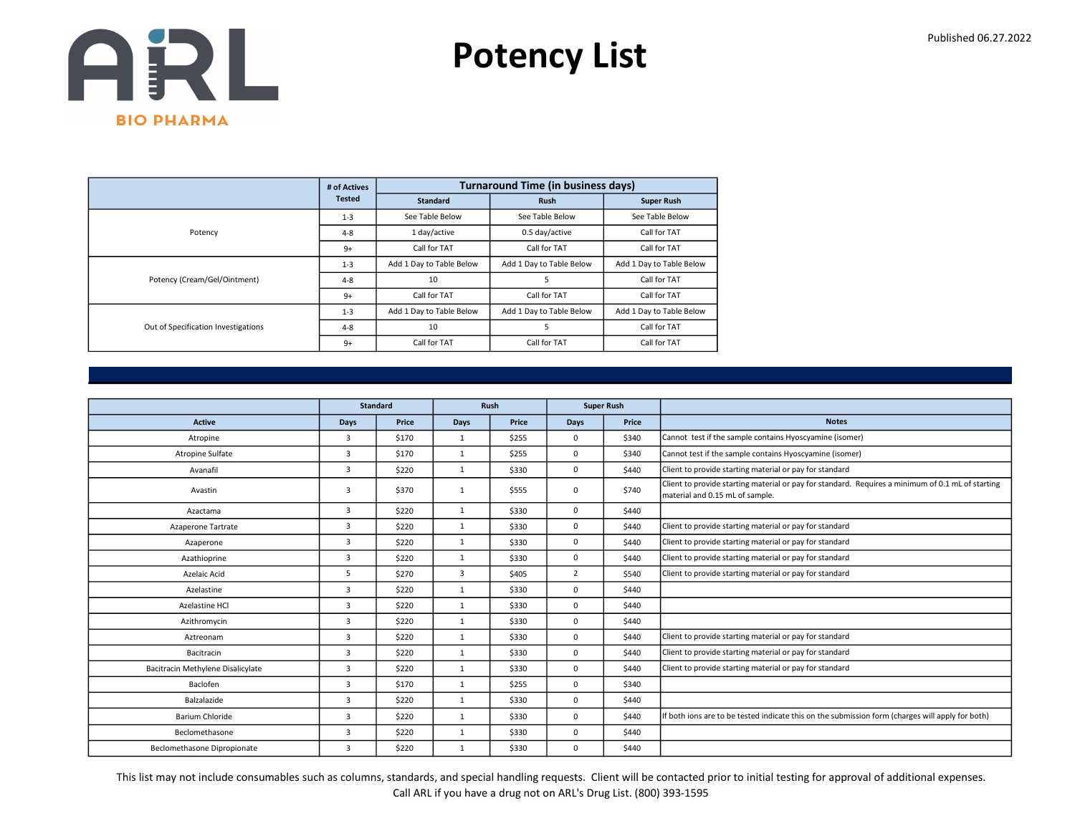

|                                     | # of Actives  |                          | <b>Turnaround Time (in business days)</b> |                          |
|-------------------------------------|---------------|--------------------------|-------------------------------------------|--------------------------|
|                                     | <b>Tested</b> | <b>Standard</b>          | <b>Rush</b>                               | <b>Super Rush</b>        |
|                                     | $1 - 3$       | See Table Below          | See Table Below                           | See Table Below          |
| Potency                             | $4 - 8$       | 1 day/active             | 0.5 day/active                            | Call for TAT             |
|                                     | $9+$          | Call for TAT             | Call for TAT                              | Call for TAT             |
|                                     | $1 - 3$       | Add 1 Day to Table Below | Add 1 Day to Table Below                  | Add 1 Day to Table Below |
| Potency (Cream/Gel/Ointment)        | $4 - 8$       | 10                       | 5                                         | Call for TAT             |
|                                     | $9+$          | Call for TAT             | Call for TAT                              | Call for TAT             |
|                                     | $1 - 3$       | Add 1 Day to Table Below | Add 1 Day to Table Below                  | Add 1 Day to Table Below |
| Out of Specification Investigations | $4 - 8$       | 10                       | 5                                         | Call for TAT             |
|                                     | $9+$          | Call for TAT             | Call for TAT                              | Call for TAT             |

|                                   |                | <b>Standard</b> |              | Rush  |                | <b>Super Rush</b> |                                                                                                                                      |
|-----------------------------------|----------------|-----------------|--------------|-------|----------------|-------------------|--------------------------------------------------------------------------------------------------------------------------------------|
| <b>Active</b>                     | Days           | Price           | <b>Days</b>  | Price | Days           | Price             | <b>Notes</b>                                                                                                                         |
| Atropine                          | 3              | \$170           | 1            | \$255 | 0              | \$340             | Cannot test if the sample contains Hyoscyamine (isomer)                                                                              |
| Atropine Sulfate                  | $\overline{3}$ | \$170           | $\mathbf{1}$ | \$255 | 0              | \$340             | Cannot test if the sample contains Hyoscyamine (isomer)                                                                              |
| Avanafil                          | 3              | \$220           | $\mathbf{1}$ | \$330 | 0              | \$440             | Client to provide starting material or pay for standard                                                                              |
| Avastin                           | 3              | \$370           | $\mathbf{1}$ | \$555 | 0              | \$740             | Client to provide starting material or pay for standard. Requires a minimum of 0.1 mL of starting<br>material and 0.15 mL of sample. |
| Azactama                          | 3              | \$220           | $\mathbf{1}$ | \$330 | 0              | \$440             |                                                                                                                                      |
| Azaperone Tartrate                | $\overline{3}$ | \$220           | $\mathbf{1}$ | \$330 | 0              | \$440             | Client to provide starting material or pay for standard                                                                              |
| Azaperone                         | 3              | \$220           | $\mathbf{1}$ | \$330 | 0              | \$440             | Client to provide starting material or pay for standard                                                                              |
| Azathioprine                      | $\overline{3}$ | \$220           | $\mathbf{1}$ | \$330 | 0              | \$440             | Client to provide starting material or pay for standard                                                                              |
| Azelaic Acid                      | 5              | \$270           | 3            | \$405 | $\overline{2}$ | \$540             | Client to provide starting material or pay for standard                                                                              |
| Azelastine                        | $\overline{3}$ | \$220           | $\mathbf{1}$ | \$330 | 0              | \$440             |                                                                                                                                      |
| Azelastine HCl                    | $\overline{3}$ | \$220           | $\mathbf{1}$ | \$330 | 0              | \$440             |                                                                                                                                      |
| Azithromycin                      | $\overline{3}$ | \$220           | $\mathbf{1}$ | \$330 | 0              | \$440             |                                                                                                                                      |
| Aztreonam                         | $\overline{3}$ | \$220           | $\mathbf{1}$ | \$330 | 0              | \$440             | Client to provide starting material or pay for standard                                                                              |
| Bacitracin                        | 3              | \$220           | 1            | \$330 | 0              | \$440             | Client to provide starting material or pay for standard                                                                              |
| Bacitracin Methylene Disalicylate | 3              | \$220           | 1            | \$330 | 0              | \$440             | Client to provide starting material or pay for standard                                                                              |
| Baclofen                          | $\overline{3}$ | \$170           | $\mathbf{1}$ | \$255 | 0              | \$340             |                                                                                                                                      |
| Balzalazide                       | 3              | \$220           | $\mathbf{1}$ | \$330 | 0              | \$440             |                                                                                                                                      |
| Barium Chloride                   | 3              | \$220           | $\mathbf{1}$ | \$330 | 0              | \$440             | If both ions are to be tested indicate this on the submission form (charges will apply for both)                                     |
| Beclomethasone                    | $\overline{3}$ | \$220           | $\mathbf{1}$ | \$330 | 0              | \$440             |                                                                                                                                      |
| Beclomethasone Dipropionate       | $\overline{3}$ | \$220           | $\mathbf{1}$ | \$330 | 0              | \$440             |                                                                                                                                      |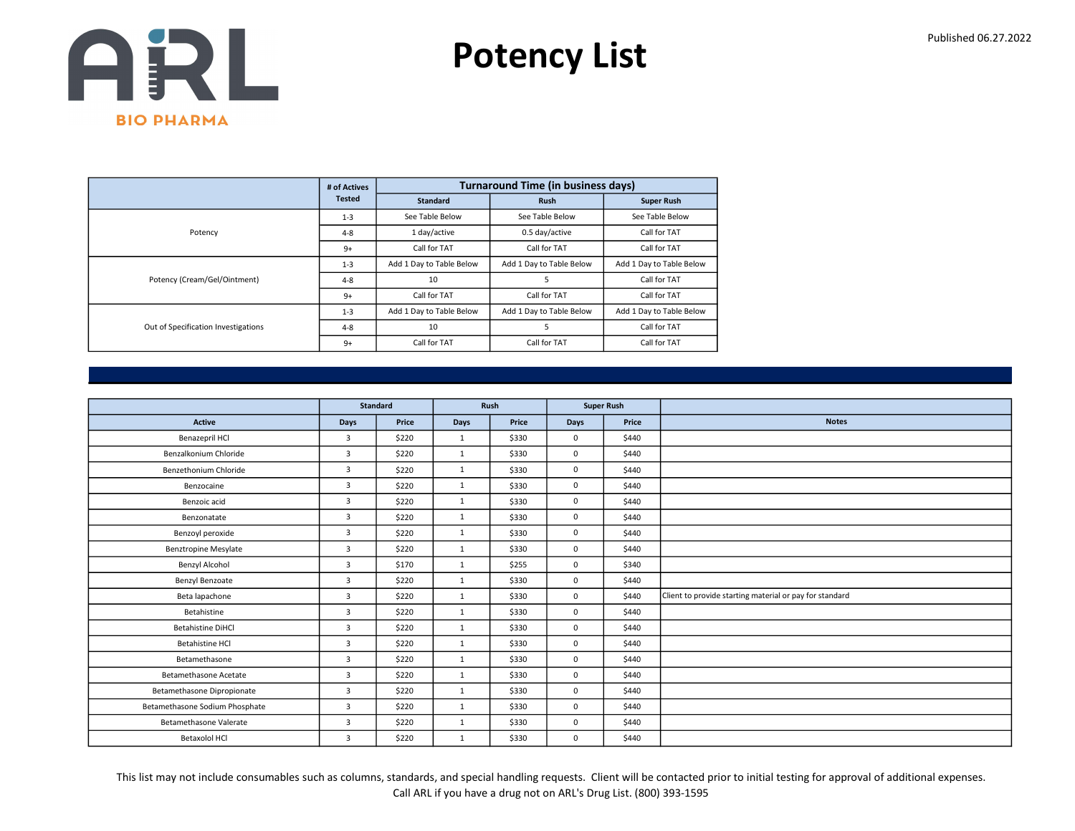

|                                     | # of Actives  |                          | <b>Turnaround Time (in business days)</b> |                          |
|-------------------------------------|---------------|--------------------------|-------------------------------------------|--------------------------|
|                                     | <b>Tested</b> | <b>Standard</b>          | <b>Rush</b>                               | <b>Super Rush</b>        |
|                                     | $1 - 3$       | See Table Below          | See Table Below                           | See Table Below          |
| Potency                             | $4 - 8$       | 1 day/active             | 0.5 day/active                            | Call for TAT             |
|                                     | $9+$          | Call for TAT             | Call for TAT                              | Call for TAT             |
|                                     | $1 - 3$       | Add 1 Day to Table Below | Add 1 Day to Table Below                  | Add 1 Day to Table Below |
| Potency (Cream/Gel/Ointment)        | $4 - 8$       | 10                       | 5                                         | Call for TAT             |
|                                     | $9+$          | Call for TAT             | Call for TAT                              | Call for TAT             |
|                                     | $1 - 3$       | Add 1 Day to Table Below | Add 1 Day to Table Below                  | Add 1 Day to Table Below |
| Out of Specification Investigations | $4 - 8$       | 10                       | 5                                         | Call for TAT             |
|                                     | $9+$          | Call for TAT             | Call for TAT                              | Call for TAT             |

|                                |                | <b>Standard</b> |              | Rush  |             | <b>Super Rush</b> |                                                         |
|--------------------------------|----------------|-----------------|--------------|-------|-------------|-------------------|---------------------------------------------------------|
| <b>Active</b>                  | Days           | Price           | Days         | Price | <b>Days</b> | Price             | <b>Notes</b>                                            |
| Benazepril HCl                 | 3              | \$220           | $\mathbf{1}$ | \$330 | $\mathbf 0$ | \$440             |                                                         |
| Benzalkonium Chloride          | $\overline{3}$ | \$220           | 1            | \$330 | $\mathbf 0$ | \$440             |                                                         |
| Benzethonium Chloride          | 3              | \$220           | $\mathbf{1}$ | \$330 | $\mathbf 0$ | \$440             |                                                         |
| Benzocaine                     | $\overline{3}$ | \$220           | 1            | \$330 | $\mathbf 0$ | \$440             |                                                         |
| Benzoic acid                   | $\overline{3}$ | \$220           | 1            | \$330 | $\mathbf 0$ | \$440             |                                                         |
| Benzonatate                    | 3              | \$220           | $\mathbf{1}$ | \$330 | $\mathbf 0$ | \$440             |                                                         |
| Benzoyl peroxide               | $\overline{3}$ | \$220           | 1            | \$330 | $\mathbf 0$ | \$440             |                                                         |
| <b>Benztropine Mesylate</b>    | 3              | \$220           | $\mathbf{1}$ | \$330 | $\mathbf 0$ | \$440             |                                                         |
| Benzyl Alcohol                 | $\overline{3}$ | \$170           | $\mathbf{1}$ | \$255 | $\mathbf 0$ | \$340             |                                                         |
| Benzyl Benzoate                | 3              | \$220           | 1            | \$330 | $\mathbf 0$ | \$440             |                                                         |
| Beta lapachone                 | 3              | \$220           | $\mathbf{1}$ | \$330 | $\mathbf 0$ | \$440             | Client to provide starting material or pay for standard |
| Betahistine                    | $\overline{3}$ | \$220           | 1            | \$330 | $\mathbf 0$ | \$440             |                                                         |
| <b>Betahistine DiHCl</b>       | 3              | \$220           | $\mathbf{1}$ | \$330 | $\mathbf 0$ | \$440             |                                                         |
| <b>Betahistine HCI</b>         | $\overline{3}$ | \$220           | $\mathbf{1}$ | \$330 | $\mathbf 0$ | \$440             |                                                         |
| Betamethasone                  | $\overline{3}$ | \$220           | $\mathbf{1}$ | \$330 | $\mathbf 0$ | \$440             |                                                         |
| <b>Betamethasone Acetate</b>   | 3              | \$220           | $\mathbf{1}$ | \$330 | $\mathbf 0$ | \$440             |                                                         |
| Betamethasone Dipropionate     | 3              | \$220           | $\mathbf{1}$ | \$330 | $\mathbf 0$ | \$440             |                                                         |
| Betamethasone Sodium Phosphate | 3              | \$220           | 1            | \$330 | $\mathbf 0$ | \$440             |                                                         |
| Betamethasone Valerate         | 3              | \$220           | $\mathbf{1}$ | \$330 | $\mathbf 0$ | \$440             |                                                         |
| <b>Betaxolol HCl</b>           | $\overline{3}$ | \$220           | $\mathbf{1}$ | \$330 | $\mathbf 0$ | \$440             |                                                         |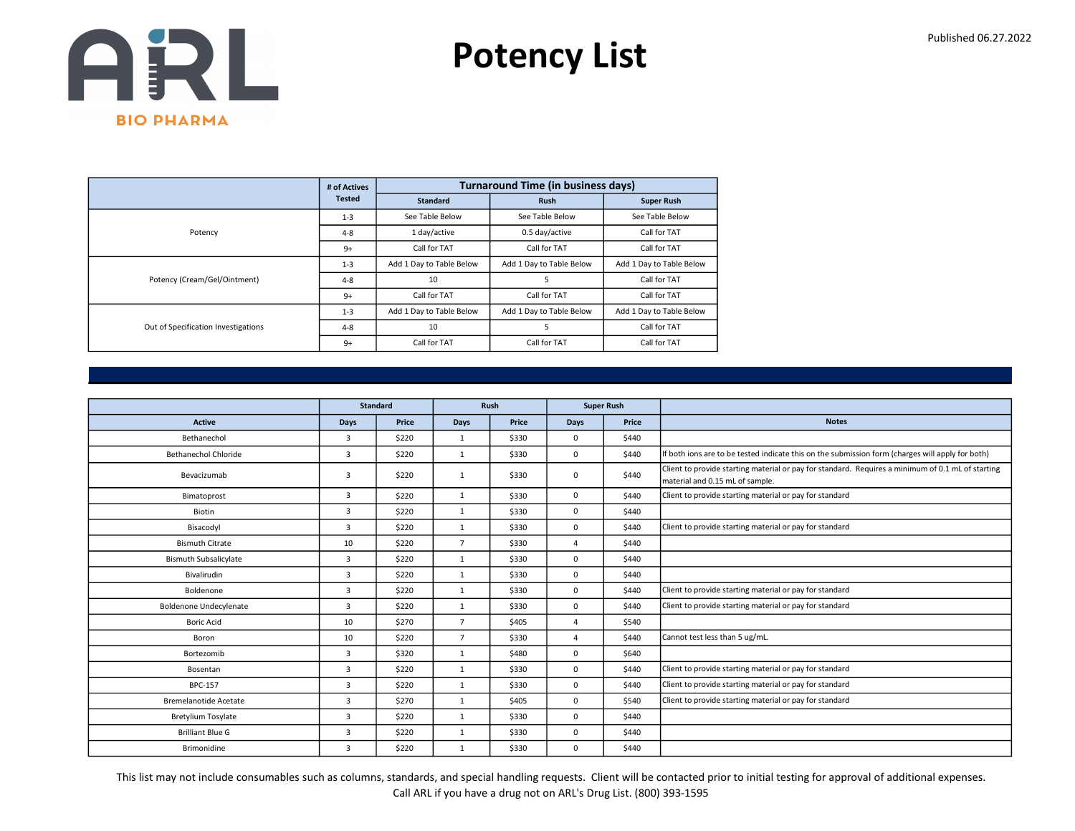

|                                     | # of Actives  |                          | <b>Turnaround Time (in business days)</b> |                          |
|-------------------------------------|---------------|--------------------------|-------------------------------------------|--------------------------|
|                                     | <b>Tested</b> | <b>Standard</b>          | <b>Rush</b>                               | <b>Super Rush</b>        |
|                                     | $1 - 3$       | See Table Below          | See Table Below                           | See Table Below          |
| Potency                             | $4 - 8$       | 1 day/active             | 0.5 day/active                            | Call for TAT             |
|                                     | $9+$          | Call for TAT             | Call for TAT                              | Call for TAT             |
|                                     | $1 - 3$       | Add 1 Day to Table Below | Add 1 Day to Table Below                  | Add 1 Day to Table Below |
| Potency (Cream/Gel/Ointment)        | $4 - 8$       | 10                       | 5                                         | Call for TAT             |
|                                     | $9+$          | Call for TAT             | Call for TAT                              | Call for TAT             |
|                                     | $1 - 3$       | Add 1 Day to Table Below | Add 1 Day to Table Below                  | Add 1 Day to Table Below |
| Out of Specification Investigations | $4 - 8$       | 10                       | 5                                         | Call for TAT             |
|                                     | $9+$          | Call for TAT             | Call for TAT                              | Call for TAT             |

|                               |                | <b>Standard</b> |                | Rush  | <b>Super Rush</b> |       |                                                                                                                                      |
|-------------------------------|----------------|-----------------|----------------|-------|-------------------|-------|--------------------------------------------------------------------------------------------------------------------------------------|
| <b>Active</b>                 | <b>Days</b>    | Price           | <b>Days</b>    | Price | <b>Days</b>       | Price | <b>Notes</b>                                                                                                                         |
| Bethanechol                   | 3              | \$220           | $\mathbf{1}$   | \$330 | $^{\circ}$        | \$440 |                                                                                                                                      |
| Bethanechol Chloride          | 3              | \$220           | 1              | \$330 | $^{\circ}$        | \$440 | If both ions are to be tested indicate this on the submission form (charges will apply for both)                                     |
| Bevacizumab                   | 3              | \$220           | $\mathbf{1}$   | \$330 | $\mathbf{0}$      | \$440 | Client to provide starting material or pay for standard. Requires a minimum of 0.1 mL of starting<br>material and 0.15 mL of sample. |
| Bimatoprost                   | $\overline{3}$ | \$220           | 1              | \$330 | $\mathbf 0$       | \$440 | Client to provide starting material or pay for standard                                                                              |
| Biotin                        | 3              | \$220           | $\mathbf{1}$   | \$330 | $^{\circ}$        | \$440 |                                                                                                                                      |
| Bisacodyl                     | 3              | \$220           | $\mathbf{1}$   | \$330 | $\mathbf 0$       | \$440 | Client to provide starting material or pay for standard                                                                              |
| <b>Bismuth Citrate</b>        | 10             | \$220           | $\overline{7}$ | \$330 | $\overline{4}$    | \$440 |                                                                                                                                      |
| <b>Bismuth Subsalicylate</b>  | 3              | \$220           | $\mathbf{1}$   | \$330 | $^{\circ}$        | \$440 |                                                                                                                                      |
| Bivalirudin                   | 3              | \$220           | $\mathbf{1}$   | \$330 | $\mathbf 0$       | \$440 |                                                                                                                                      |
| Boldenone                     | 3              | \$220           | $\mathbf{1}$   | \$330 | $\mathbf 0$       | \$440 | Client to provide starting material or pay for standard                                                                              |
| <b>Boldenone Undecylenate</b> | 3              | \$220           | $\mathbf{1}$   | \$330 | $\mathbf 0$       | \$440 | Client to provide starting material or pay for standard                                                                              |
| <b>Boric Acid</b>             | 10             | \$270           | $\overline{7}$ | \$405 | 4                 | \$540 |                                                                                                                                      |
| Boron                         | 10             | \$220           | $\overline{7}$ | \$330 | 4                 | \$440 | Cannot test less than 5 ug/mL.                                                                                                       |
| Bortezomib                    | 3              | \$320           | $\mathbf{1}$   | \$480 | $^{\circ}$        | \$640 |                                                                                                                                      |
| Bosentan                      | 3              | \$220           | $\mathbf{1}$   | \$330 | $^{\circ}$        | \$440 | Client to provide starting material or pay for standard                                                                              |
| <b>BPC-157</b>                | 3              | \$220           | $\mathbf{1}$   | \$330 | $\mathbf 0$       | \$440 | Client to provide starting material or pay for standard                                                                              |
| <b>Bremelanotide Acetate</b>  | 3              | \$270           | $\mathbf{1}$   | \$405 | $^{\circ}$        | \$540 | Client to provide starting material or pay for standard                                                                              |
| <b>Bretylium Tosylate</b>     | 3              | \$220           | $\mathbf{1}$   | \$330 | $^{\circ}$        | \$440 |                                                                                                                                      |
| <b>Brilliant Blue G</b>       | $\overline{3}$ | \$220           | 1              | \$330 | $\mathbf 0$       | \$440 |                                                                                                                                      |
| Brimonidine                   | 3              | \$220           | $\mathbf{1}$   | \$330 | $\mathbf{0}$      | \$440 |                                                                                                                                      |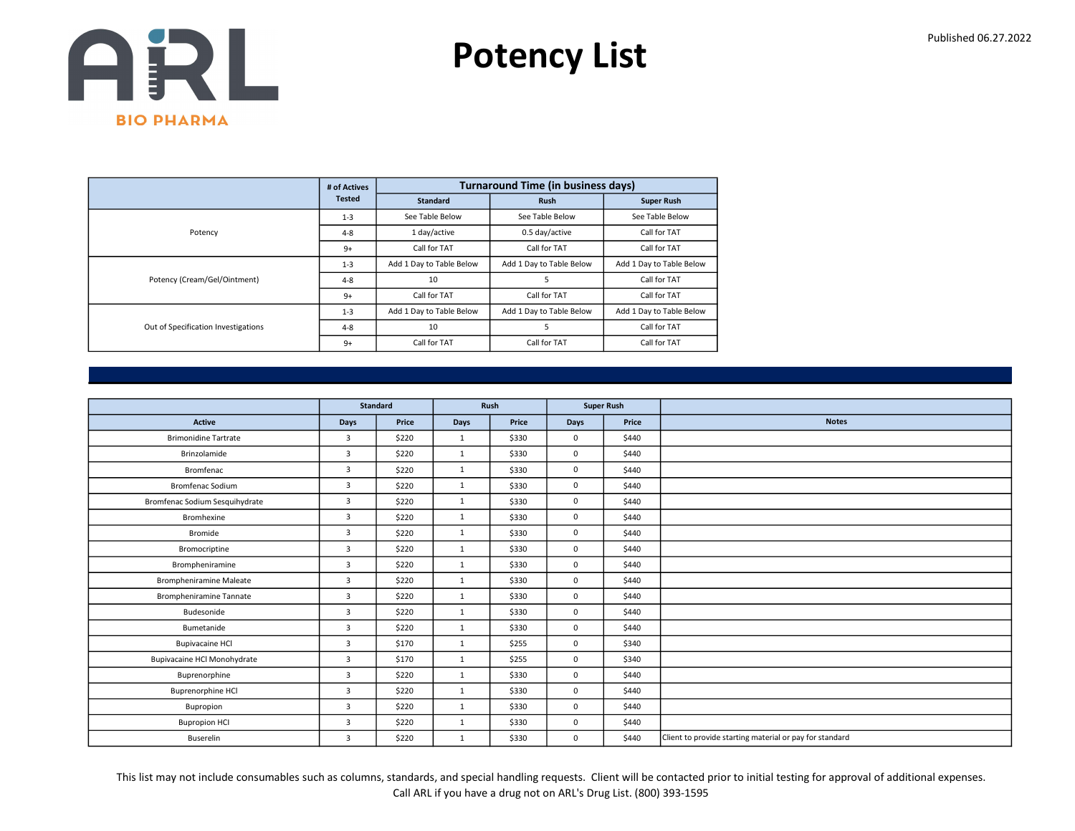

|                                     | # of Actives  |                          | <b>Turnaround Time (in business days)</b> |                          |
|-------------------------------------|---------------|--------------------------|-------------------------------------------|--------------------------|
|                                     | <b>Tested</b> | <b>Standard</b>          | <b>Rush</b>                               | <b>Super Rush</b>        |
|                                     | $1 - 3$       | See Table Below          | See Table Below                           | See Table Below          |
| Potency                             | $4 - 8$       | 1 day/active             | 0.5 day/active                            | Call for TAT             |
|                                     | $9+$          | Call for TAT             | Call for TAT                              | Call for TAT             |
|                                     | $1 - 3$       | Add 1 Day to Table Below | Add 1 Day to Table Below                  | Add 1 Day to Table Below |
| Potency (Cream/Gel/Ointment)        | $4 - 8$       | 10                       | 5                                         | Call for TAT             |
|                                     | $9+$          | Call for TAT             | Call for TAT                              | Call for TAT             |
|                                     | $1 - 3$       | Add 1 Day to Table Below | Add 1 Day to Table Below                  | Add 1 Day to Table Below |
| Out of Specification Investigations | $4 - 8$       | 10                       | 5                                         | Call for TAT             |
|                                     | $9+$          | Call for TAT             | Call for TAT                              | Call for TAT             |

|                                    |                | <b>Standard</b> |              | Rush  | <b>Super Rush</b> |       |                                                         |
|------------------------------------|----------------|-----------------|--------------|-------|-------------------|-------|---------------------------------------------------------|
| <b>Active</b>                      | Days           | Price           | Days         | Price | Days              | Price | <b>Notes</b>                                            |
| <b>Brimonidine Tartrate</b>        | 3              | \$220           | $\mathbf{1}$ | \$330 | $\mathbf 0$       | \$440 |                                                         |
|                                    |                |                 |              |       |                   |       |                                                         |
| Brinzolamide                       | $\overline{3}$ | \$220           | 1            | \$330 | 0                 | \$440 |                                                         |
| Bromfenac                          | 3              | \$220           | $\mathbf{1}$ | \$330 | $\mathbf 0$       | \$440 |                                                         |
| <b>Bromfenac Sodium</b>            | 3              | \$220           | $\mathbf{1}$ | \$330 | $\mathbf 0$       | \$440 |                                                         |
| Bromfenac Sodium Sesquihydrate     | $\overline{3}$ | \$220           | $\mathbf{1}$ | \$330 | 0                 | \$440 |                                                         |
| Bromhexine                         | 3              | \$220           | $\mathbf{1}$ | \$330 | 0                 | \$440 |                                                         |
| Bromide                            | 3              | \$220           | 1            | \$330 | $\mathbf 0$       | \$440 |                                                         |
| Bromocriptine                      | 3              | \$220           | $\mathbf{1}$ | \$330 | 0                 | \$440 |                                                         |
| Brompheniramine                    | $\overline{3}$ | \$220           | $\mathbf{1}$ | \$330 | $\mathbf 0$       | \$440 |                                                         |
| <b>Brompheniramine Maleate</b>     | $\overline{3}$ | \$220           | 1            | \$330 | $\mathbf 0$       | \$440 |                                                         |
| <b>Brompheniramine Tannate</b>     | 3              | \$220           | $\mathbf{1}$ | \$330 | $\mathbf 0$       | \$440 |                                                         |
| Budesonide                         | $\overline{3}$ | \$220           | $\mathbf{1}$ | \$330 | $\mathbf 0$       | \$440 |                                                         |
| Bumetanide                         | $\overline{3}$ | \$220           | $\mathbf{1}$ | \$330 | $\mathbf 0$       | \$440 |                                                         |
| <b>Bupivacaine HCl</b>             | 3              | \$170           | $\mathbf{1}$ | \$255 | $\mathbf 0$       | \$340 |                                                         |
| <b>Bupivacaine HCl Monohydrate</b> | 3              | \$170           | $\mathbf{1}$ | \$255 | 0                 | \$340 |                                                         |
| Buprenorphine                      | 3              | \$220           | $\mathbf{1}$ | \$330 | $\mathbf 0$       | \$440 |                                                         |
| Buprenorphine HCl                  | 3              | \$220           | $\mathbf{1}$ | \$330 | $\mathbf 0$       | \$440 |                                                         |
| Bupropion                          | 3              | \$220           | $\mathbf{1}$ | \$330 | 0                 | \$440 |                                                         |
| <b>Bupropion HCI</b>               | $\overline{3}$ | \$220           | $\mathbf{1}$ | \$330 | $\mathbf 0$       | \$440 |                                                         |
| <b>Buserelin</b>                   | 3              | \$220           | $\mathbf{1}$ | \$330 | $\mathbf 0$       | \$440 | Client to provide starting material or pay for standard |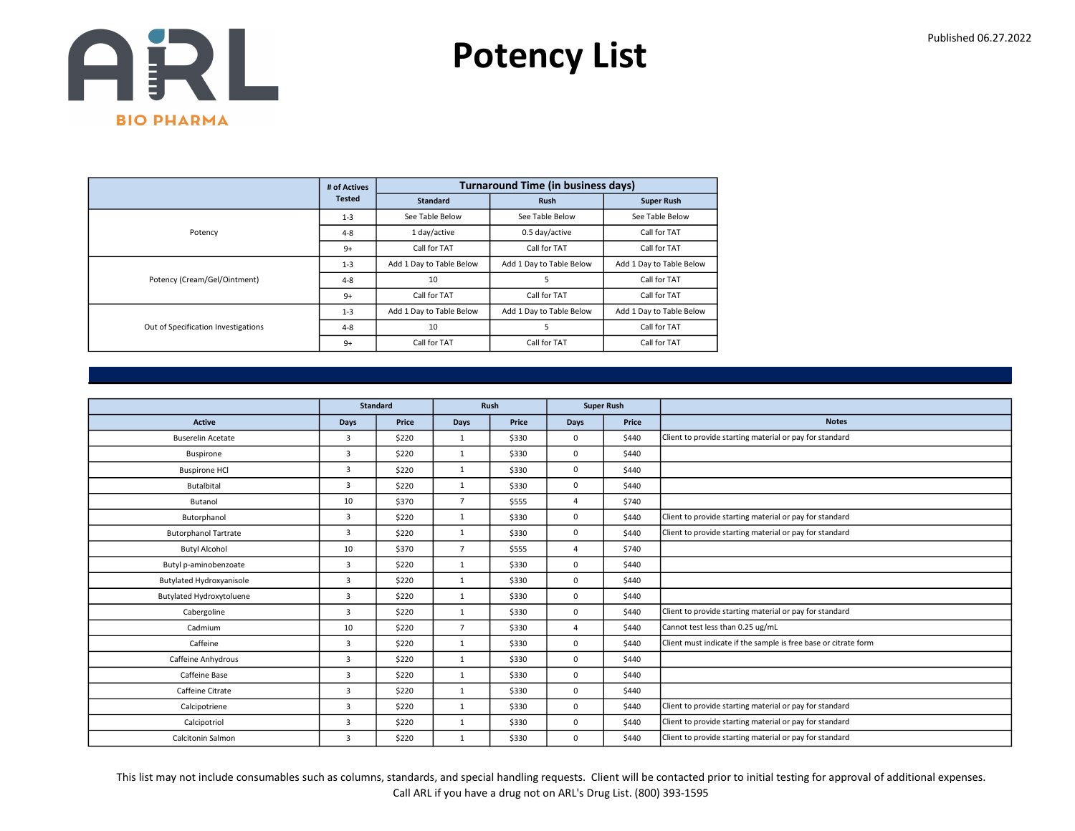

|                                     | # of Actives  |                          | <b>Turnaround Time (in business days)</b> |                          |
|-------------------------------------|---------------|--------------------------|-------------------------------------------|--------------------------|
|                                     | <b>Tested</b> | <b>Standard</b>          | <b>Rush</b>                               | <b>Super Rush</b>        |
|                                     | $1 - 3$       | See Table Below          | See Table Below                           | See Table Below          |
| Potency                             | $4 - 8$       | 1 day/active             | 0.5 day/active                            | Call for TAT             |
|                                     | $9+$          | Call for TAT             | Call for TAT                              | Call for TAT             |
|                                     | $1 - 3$       | Add 1 Day to Table Below | Add 1 Day to Table Below                  | Add 1 Day to Table Below |
| Potency (Cream/Gel/Ointment)        | $4 - 8$       | 10                       | 5                                         | Call for TAT             |
|                                     | $9+$          | Call for TAT             | Call for TAT                              | Call for TAT             |
|                                     | $1 - 3$       | Add 1 Day to Table Below | Add 1 Day to Table Below                  | Add 1 Day to Table Below |
| Out of Specification Investigations | $4 - 8$       | 10                       | 5                                         | Call for TAT             |
|                                     | $9+$          | Call for TAT             | Call for TAT                              | Call for TAT             |

|                                 |                | <b>Standard</b> |                | Rush  |             | <b>Super Rush</b> |                                                                 |
|---------------------------------|----------------|-----------------|----------------|-------|-------------|-------------------|-----------------------------------------------------------------|
| <b>Active</b>                   | <b>Days</b>    | Price           | <b>Days</b>    | Price | <b>Days</b> | Price             | <b>Notes</b>                                                    |
| <b>Buserelin Acetate</b>        | $\overline{3}$ | \$220           | 1              | \$330 | 0           | \$440             | Client to provide starting material or pay for standard         |
| Buspirone                       | 3              | \$220           | $\mathbf{1}$   | \$330 | 0           | \$440             |                                                                 |
| <b>Buspirone HCI</b>            | 3              | \$220           | $\mathbf{1}$   | \$330 | 0           | \$440             |                                                                 |
| <b>Butalbital</b>               | 3              | \$220           | $\mathbf{1}$   | \$330 | 0           | \$440             |                                                                 |
| Butanol                         | 10             | \$370           | $\overline{7}$ | \$555 | $\Delta$    | \$740             |                                                                 |
| Butorphanol                     | 3              | \$220           | $\mathbf{1}$   | \$330 | 0           | \$440             | Client to provide starting material or pay for standard         |
| <b>Butorphanol Tartrate</b>     | 3              | \$220           | $\mathbf{1}$   | \$330 | 0           | \$440             | Client to provide starting material or pay for standard         |
| <b>Butyl Alcohol</b>            | 10             | \$370           | $\overline{7}$ | \$555 | $\Delta$    | \$740             |                                                                 |
| Butyl p-aminobenzoate           | 3              | \$220           | $\mathbf{1}$   | \$330 | 0           | \$440             |                                                                 |
| Butylated Hydroxyanisole        | 3              | \$220           | 1              | \$330 | 0           | \$440             |                                                                 |
| <b>Butylated Hydroxytoluene</b> | 3              | \$220           | $\mathbf{1}$   | \$330 | 0           | \$440             |                                                                 |
| Cabergoline                     | 3              | \$220           | $\mathbf{1}$   | \$330 | 0           | \$440             | Client to provide starting material or pay for standard         |
| Cadmium                         | 10             | \$220           | $\overline{7}$ | \$330 | $\Delta$    | \$440             | Cannot test less than 0.25 ug/mL                                |
| Caffeine                        | 3              | \$220           | $\mathbf{1}$   | \$330 | 0           | \$440             | Client must indicate if the sample is free base or citrate form |
| Caffeine Anhydrous              | 3              | \$220           | $\mathbf{1}$   | \$330 | 0           | \$440             |                                                                 |
| Caffeine Base                   | 3              | \$220           | $\mathbf{1}$   | \$330 | 0           | \$440             |                                                                 |
| Caffeine Citrate                | 3              | \$220           | $\mathbf{1}$   | \$330 | 0           | \$440             |                                                                 |
| Calcipotriene                   | 3              | \$220           | $\mathbf{1}$   | \$330 | 0           | \$440             | Client to provide starting material or pay for standard         |
| Calcipotriol                    | 3              | \$220           | 1              | \$330 | 0           | \$440             | Client to provide starting material or pay for standard         |
| Calcitonin Salmon               | 3              | \$220           | $\mathbf{1}$   | \$330 | 0           | \$440             | Client to provide starting material or pay for standard         |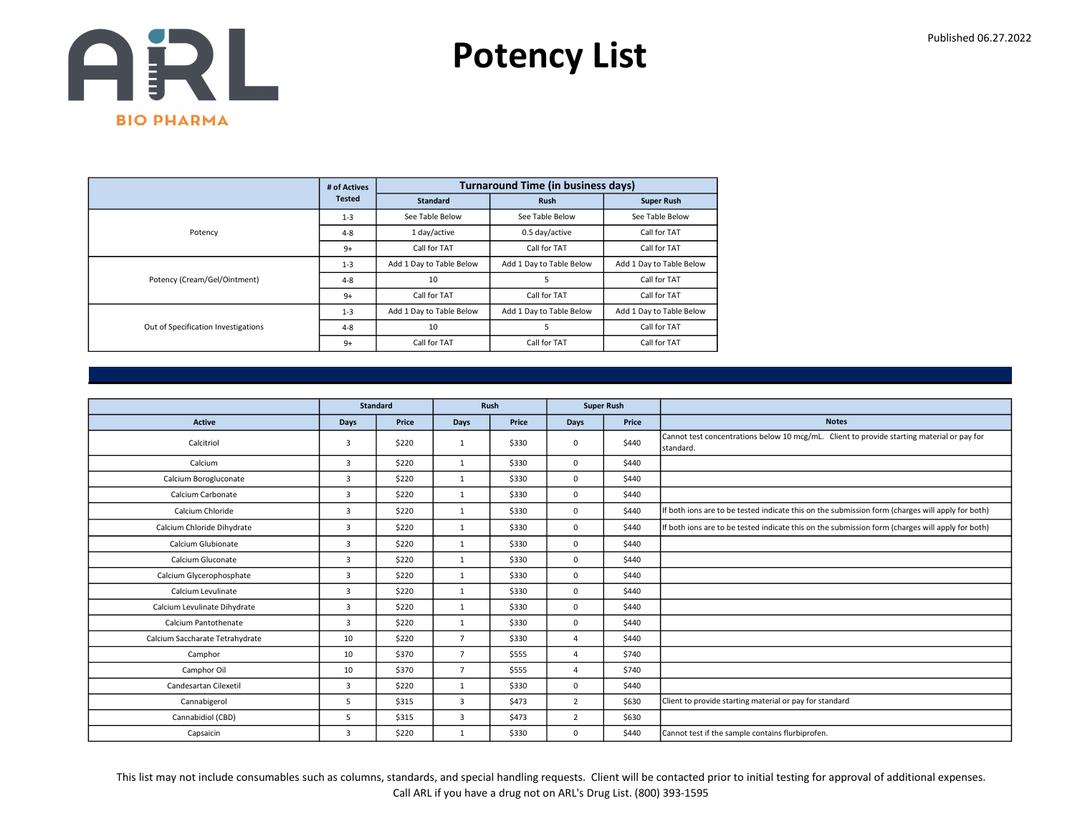

|                                     | # of Actives  |                          | <b>Turnaround Time (in business days)</b> |                          |
|-------------------------------------|---------------|--------------------------|-------------------------------------------|--------------------------|
|                                     | <b>Tested</b> | <b>Standard</b>          | <b>Rush</b>                               | <b>Super Rush</b>        |
|                                     | $1 - 3$       | See Table Below          | See Table Below                           | See Table Below          |
| Potency                             | $4 - 8$       | 1 day/active             | 0.5 day/active                            | Call for TAT             |
|                                     | $9+$          | Call for TAT             | Call for TAT                              | Call for TAT             |
|                                     | $1 - 3$       | Add 1 Day to Table Below | Add 1 Day to Table Below                  | Add 1 Day to Table Below |
| Potency (Cream/Gel/Ointment)        | $4 - 8$       | 10                       | 5                                         | Call for TAT             |
|                                     | $9+$          | Call for TAT             | Call for TAT                              | Call for TAT             |
|                                     | $1 - 3$       | Add 1 Day to Table Below | Add 1 Day to Table Below                  | Add 1 Day to Table Below |
| Out of Specification Investigations | $4 - 8$       | 10                       | 5                                         | Call for TAT             |
|                                     | $9+$          | Call for TAT             | Call for TAT                              | Call for TAT             |

|                                 |                | <b>Standard</b> |                | Rush  |                | <b>Super Rush</b> |                                                                                                         |
|---------------------------------|----------------|-----------------|----------------|-------|----------------|-------------------|---------------------------------------------------------------------------------------------------------|
| <b>Active</b>                   | Days           | Price           | Days           | Price | Days           | Price             | <b>Notes</b>                                                                                            |
| Calcitriol                      | 3              | \$220           | $\mathbf{1}$   | \$330 | $\mathbf 0$    | \$440             | Cannot test concentrations below 10 mcg/mL. Client to provide starting material or pay for<br>standard. |
| Calcium                         | $\overline{3}$ | \$220           | $\mathbf{1}$   | \$330 | $\mathbf 0$    | \$440             |                                                                                                         |
| Calcium Borogluconate           | 3              | \$220           | $\mathbf{1}$   | \$330 | $\mathbf 0$    | \$440             |                                                                                                         |
| Calcium Carbonate               | 3              | \$220           | $\mathbf{1}$   | \$330 | $\mathbf 0$    | \$440             |                                                                                                         |
| Calcium Chloride                | 3              | \$220           | $\mathbf{1}$   | \$330 | $\mathbf 0$    | \$440             | If both ions are to be tested indicate this on the submission form (charges will apply for both)        |
| Calcium Chloride Dihydrate      | 3              | \$220           | $\mathbf{1}$   | \$330 | $\mathbf 0$    | \$440             | If both ions are to be tested indicate this on the submission form (charges will apply for both)        |
| Calcium Glubionate              | 3              | \$220           | $\mathbf{1}$   | \$330 | $^{\circ}$     | \$440             |                                                                                                         |
| Calcium Gluconate               | $\overline{3}$ | \$220           | 1              | \$330 | $\mathbf 0$    | \$440             |                                                                                                         |
| Calcium Glycerophosphate        | 3              | \$220           | 1              | \$330 | $^{\circ}$     | \$440             |                                                                                                         |
| Calcium Levulinate              | 3              | \$220           | $\mathbf{1}$   | \$330 | $\mathbf 0$    | \$440             |                                                                                                         |
| Calcium Levulinate Dihydrate    | 3              | \$220           | 1              | \$330 | $\Omega$       | \$440             |                                                                                                         |
| Calcium Pantothenate            | $\overline{3}$ | \$220           | $\mathbf{1}$   | \$330 | $\mathbf 0$    | \$440             |                                                                                                         |
| Calcium Saccharate Tetrahydrate | 10             | \$220           | $\overline{7}$ | \$330 | $\overline{4}$ | \$440             |                                                                                                         |
| Camphor                         | 10             | \$370           | $\overline{7}$ | \$555 | $\overline{4}$ | \$740             |                                                                                                         |
| Camphor Oil                     | 10             | \$370           | $\overline{7}$ | \$555 | $\Delta$       | \$740             |                                                                                                         |
| Candesartan Cilexetil           | $\overline{3}$ | \$220           | $\mathbf{1}$   | \$330 | $\Omega$       | \$440             |                                                                                                         |
| Cannabigerol                    | 5              | \$315           | $\overline{3}$ | \$473 | $\overline{2}$ | \$630             | Client to provide starting material or pay for standard                                                 |
| Cannabidiol (CBD)               | 5              | \$315           | 3              | \$473 | $\overline{2}$ | \$630             |                                                                                                         |
| Capsaicin                       | 3              | \$220           | $\mathbf{1}$   | \$330 | $\mathbf 0$    | \$440             | Cannot test if the sample contains flurbiprofen.                                                        |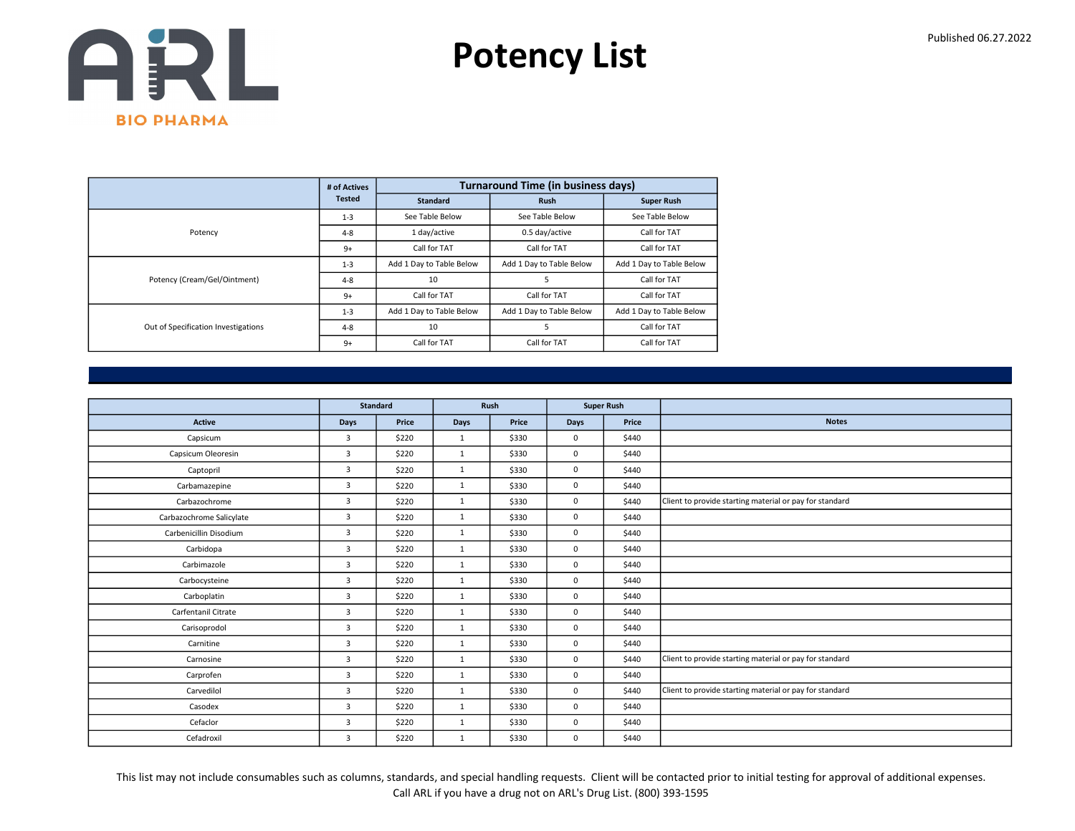

|                                     | # of Actives  |                          | <b>Turnaround Time (in business days)</b> |                          |
|-------------------------------------|---------------|--------------------------|-------------------------------------------|--------------------------|
|                                     | <b>Tested</b> | <b>Standard</b>          | <b>Rush</b>                               | <b>Super Rush</b>        |
|                                     | $1 - 3$       | See Table Below          | See Table Below                           | See Table Below          |
| Potency                             | $4 - 8$       | 1 day/active             | 0.5 day/active                            | Call for TAT             |
|                                     | $9+$          | Call for TAT             | Call for TAT                              | Call for TAT             |
|                                     | $1 - 3$       | Add 1 Day to Table Below | Add 1 Day to Table Below                  | Add 1 Day to Table Below |
| Potency (Cream/Gel/Ointment)        | $4 - 8$       | 10                       | 5                                         | Call for TAT             |
|                                     | $9+$          | Call for TAT             | Call for TAT                              | Call for TAT             |
|                                     | $1 - 3$       | Add 1 Day to Table Below | Add 1 Day to Table Below                  | Add 1 Day to Table Below |
| Out of Specification Investigations | $4 - 8$       | 10                       | 5                                         | Call for TAT             |
|                                     | $9+$          | Call for TAT             | Call for TAT                              | Call for TAT             |

|                          |                | <b>Standard</b> |              | Rush  |             | <b>Super Rush</b> |                                                         |
|--------------------------|----------------|-----------------|--------------|-------|-------------|-------------------|---------------------------------------------------------|
| <b>Active</b>            | Days           | Price           | Days         | Price | Days        | Price             | <b>Notes</b>                                            |
| Capsicum                 | 3              | \$220           | $\mathbf{1}$ | \$330 | $\mathbf 0$ | \$440             |                                                         |
| Capsicum Oleoresin       | $\overline{3}$ | \$220           | 1            | \$330 | $\mathbf 0$ | \$440             |                                                         |
| Captopril                | 3              | \$220           | $\mathbf{1}$ | \$330 | $\mathbf 0$ | \$440             |                                                         |
| Carbamazepine            | 3              | \$220           | $\mathbf{1}$ | \$330 | $\mathbf 0$ | \$440             |                                                         |
| Carbazochrome            | $\overline{3}$ | \$220           | 1            | \$330 | $\mathbf 0$ | \$440             | Client to provide starting material or pay for standard |
| Carbazochrome Salicylate | 3              | \$220           | $\mathbf{1}$ | \$330 | $\mathbf 0$ | \$440             |                                                         |
| Carbenicillin Disodium   | $\overline{3}$ | \$220           | $\mathbf{1}$ | \$330 | $\mathbf 0$ | \$440             |                                                         |
| Carbidopa                | 3              | \$220           | 1            | \$330 | 0           | \$440             |                                                         |
| Carbimazole              | 3              | \$220           | 1            | \$330 | $\mathbf 0$ | \$440             |                                                         |
| Carbocysteine            | $\overline{3}$ | \$220           | 1            | \$330 | $\mathbf 0$ | \$440             |                                                         |
| Carboplatin              | 3              | \$220           | 1            | \$330 | $\mathbf 0$ | \$440             |                                                         |
| Carfentanil Citrate      | $\overline{3}$ | \$220           | 1            | \$330 | $\mathbf 0$ | \$440             |                                                         |
| Carisoprodol             | $\overline{3}$ | \$220           | 1            | \$330 | $\mathbf 0$ | \$440             |                                                         |
| Carnitine                | 3              | \$220           | $\mathbf{1}$ | \$330 | $\mathbf 0$ | \$440             |                                                         |
| Carnosine                | $\overline{3}$ | \$220           | $\mathbf{1}$ | \$330 | $\mathbf 0$ | \$440             | Client to provide starting material or pay for standard |
| Carprofen                | $\overline{3}$ | \$220           | $\mathbf{1}$ | \$330 | $\mathbf 0$ | \$440             |                                                         |
| Carvedilol               | 3              | \$220           | $\mathbf{1}$ | \$330 | $\mathbf 0$ | \$440             | Client to provide starting material or pay for standard |
| Casodex                  | $\overline{3}$ | \$220           | $\mathbf{1}$ | \$330 | $\mathbf 0$ | \$440             |                                                         |
| Cefaclor                 | $\overline{3}$ | \$220           | 1            | \$330 | $\mathbf 0$ | \$440             |                                                         |
| Cefadroxil               | 3              | \$220           | $\mathbf{1}$ | \$330 | $\mathbf 0$ | \$440             |                                                         |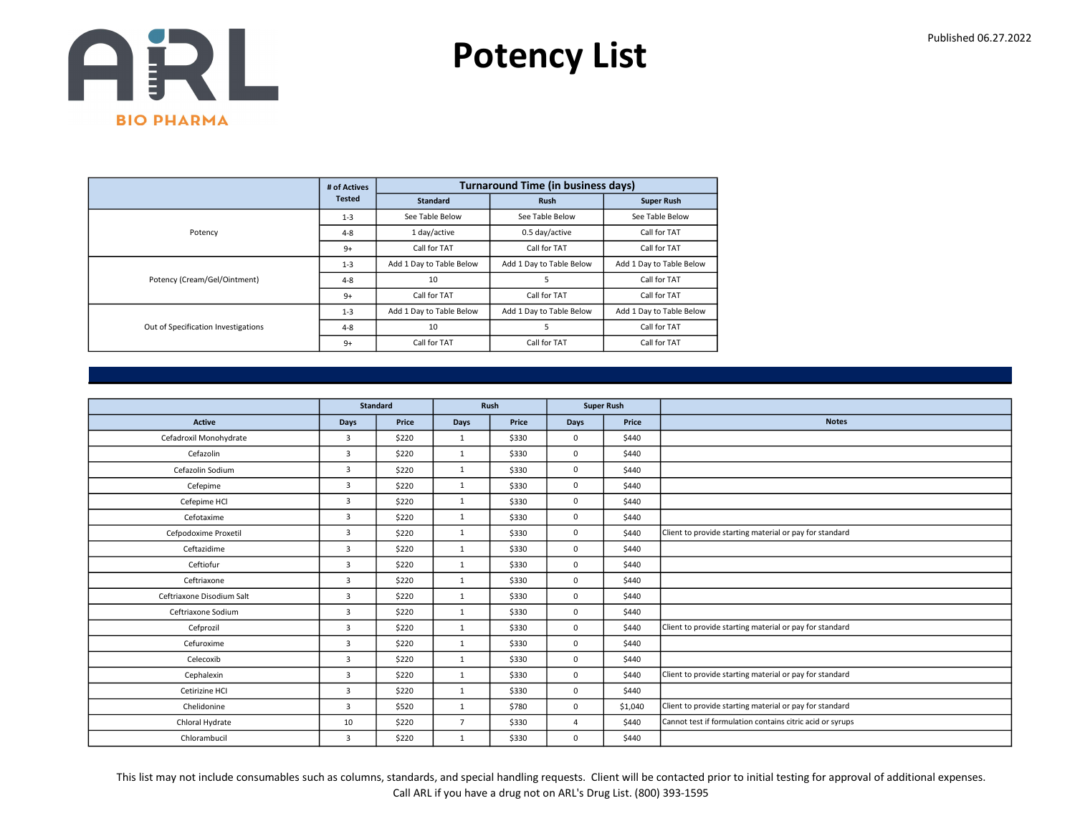

|                                     | # of Actives  |                          | <b>Turnaround Time (in business days)</b> |                          |
|-------------------------------------|---------------|--------------------------|-------------------------------------------|--------------------------|
|                                     | <b>Tested</b> | <b>Standard</b>          | <b>Rush</b>                               | <b>Super Rush</b>        |
|                                     | $1 - 3$       | See Table Below          | See Table Below                           | See Table Below          |
| Potency                             | $4 - 8$       | 1 day/active             | 0.5 day/active                            | Call for TAT             |
|                                     | $9+$          | Call for TAT             | Call for TAT                              | Call for TAT             |
|                                     | $1 - 3$       | Add 1 Day to Table Below | Add 1 Day to Table Below                  | Add 1 Day to Table Below |
| Potency (Cream/Gel/Ointment)        | $4 - 8$       | 10                       | 5                                         | Call for TAT             |
|                                     | $9+$          | Call for TAT             | Call for TAT                              | Call for TAT             |
|                                     | $1 - 3$       | Add 1 Day to Table Below | Add 1 Day to Table Below                  | Add 1 Day to Table Below |
| Out of Specification Investigations | $4 - 8$       | 10                       | 5                                         | Call for TAT             |
|                                     | $9+$          | Call for TAT             | Call for TAT                              | Call for TAT             |

|                           |                | <b>Standard</b> |                | Rush  |             | <b>Super Rush</b> |                                                           |
|---------------------------|----------------|-----------------|----------------|-------|-------------|-------------------|-----------------------------------------------------------|
| <b>Active</b>             | <b>Days</b>    | Price           | Days           | Price | <b>Days</b> | Price             | <b>Notes</b>                                              |
|                           |                |                 |                |       |             |                   |                                                           |
| Cefadroxil Monohydrate    | $\overline{3}$ | \$220           | 1              | \$330 | $\Omega$    | \$440             |                                                           |
| Cefazolin                 | 3              | \$220           | 1              | \$330 | $\mathbf 0$ | \$440             |                                                           |
| Cefazolin Sodium          | 3              | \$220           | 1              | \$330 | $\mathbf 0$ | \$440             |                                                           |
| Cefepime                  | $\overline{3}$ | \$220           | 1              | \$330 | $\mathbf 0$ | \$440             |                                                           |
| Cefepime HCl              | 3              | \$220           | $\mathbf{1}$   | \$330 | $\mathbf 0$ | \$440             |                                                           |
| Cefotaxime                | 3              | \$220           | 1              | \$330 | $\mathbf 0$ | \$440             |                                                           |
| Cefpodoxime Proxetil      | 3              | \$220           | 1              | \$330 | $^{\circ}$  | \$440             | Client to provide starting material or pay for standard   |
| Ceftazidime               | $\overline{3}$ | \$220           | $\mathbf{1}$   | \$330 | $\mathbf 0$ | \$440             |                                                           |
| Ceftiofur                 | $\overline{3}$ | \$220           | $\mathbf{1}$   | \$330 | $\mathbf 0$ | \$440             |                                                           |
| Ceftriaxone               | $\overline{3}$ | \$220           | 1              | \$330 | $\mathbf 0$ | \$440             |                                                           |
| Ceftriaxone Disodium Salt | $\overline{3}$ | \$220           | $\mathbf{1}$   | \$330 | $\mathbf 0$ | \$440             |                                                           |
| Ceftriaxone Sodium        | $\overline{3}$ | \$220           | $\mathbf{1}$   | \$330 | $\mathbf 0$ | \$440             |                                                           |
| Cefprozil                 | $\overline{3}$ | \$220           | 1              | \$330 | $\mathbf 0$ | \$440             | Client to provide starting material or pay for standard   |
| Cefuroxime                | $\overline{3}$ | \$220           | 1              | \$330 | $\mathbf 0$ | \$440             |                                                           |
| Celecoxib                 | $\overline{3}$ | \$220           | 1              | \$330 | 0           | \$440             |                                                           |
| Cephalexin                | 3              | \$220           | 1              | \$330 | $\Omega$    | \$440             | Client to provide starting material or pay for standard   |
| Cetirizine HCI            | $\overline{3}$ | \$220           | $\mathbf{1}$   | \$330 | $\mathbf 0$ | \$440             |                                                           |
| Chelidonine               | 3              | \$520           | $\mathbf{1}$   | \$780 | $\mathbf 0$ | \$1,040           | Client to provide starting material or pay for standard   |
| Chloral Hydrate           | 10             | \$220           | $\overline{7}$ | \$330 | $\Delta$    | \$440             | Cannot test if formulation contains citric acid or syrups |
| Chlorambucil              | $\mathbf{3}$   | \$220           | $\mathbf{1}$   | \$330 | $\mathbf 0$ | \$440             |                                                           |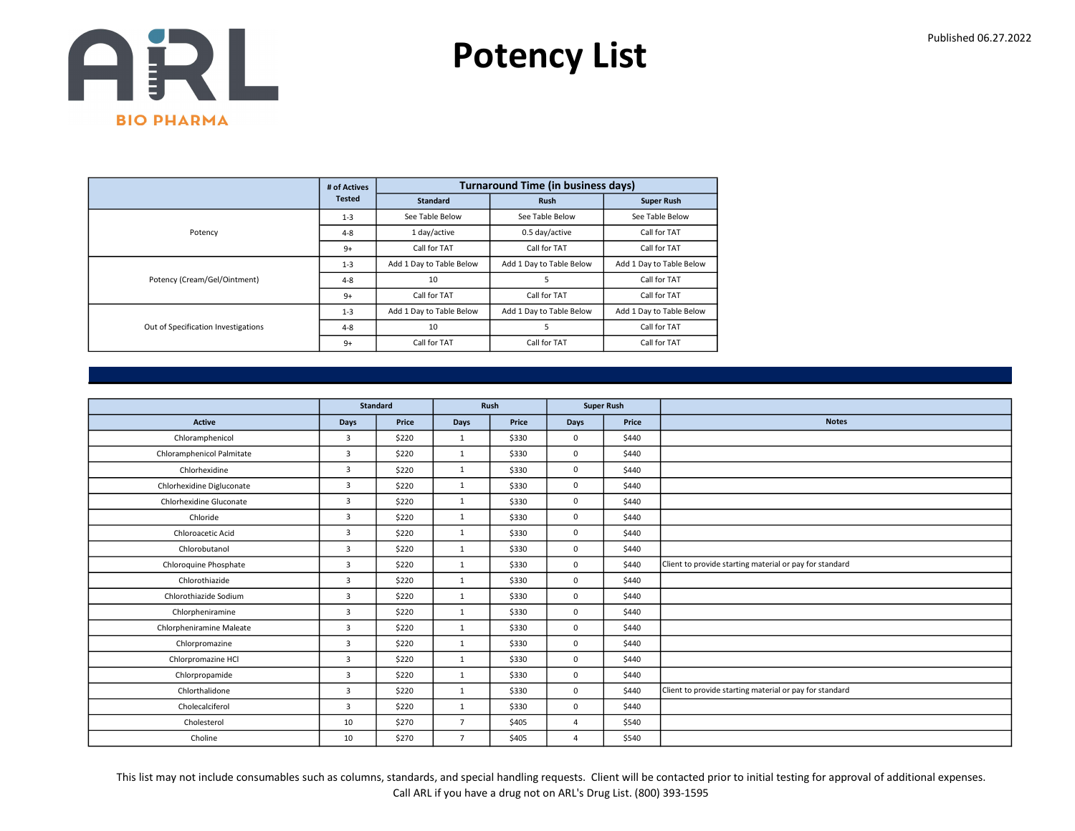

|                                     | # of Actives  |                          | <b>Turnaround Time (in business days)</b> |                          |
|-------------------------------------|---------------|--------------------------|-------------------------------------------|--------------------------|
|                                     | <b>Tested</b> | <b>Standard</b>          | <b>Rush</b>                               | <b>Super Rush</b>        |
|                                     | $1 - 3$       | See Table Below          | See Table Below                           | See Table Below          |
| Potency                             | $4 - 8$       | 1 day/active             | 0.5 day/active                            | Call for TAT             |
|                                     | $9+$          | Call for TAT             | Call for TAT                              | Call for TAT             |
|                                     | $1 - 3$       | Add 1 Day to Table Below | Add 1 Day to Table Below                  | Add 1 Day to Table Below |
| Potency (Cream/Gel/Ointment)        | $4 - 8$       | 10                       | 5                                         | Call for TAT             |
|                                     | $9+$          | Call for TAT             | Call for TAT                              | Call for TAT             |
|                                     | $1 - 3$       | Add 1 Day to Table Below | Add 1 Day to Table Below                  | Add 1 Day to Table Below |
| Out of Specification Investigations | $4 - 8$       | 10                       | 5                                         | Call for TAT             |
|                                     | $9+$          | Call for TAT             | Call for TAT                              | Call for TAT             |

|                           | <b>Standard</b> |       |                | Rush  | <b>Super Rush</b> |       |                                                         |
|---------------------------|-----------------|-------|----------------|-------|-------------------|-------|---------------------------------------------------------|
| <b>Active</b>             | Days            | Price | Days           | Price | <b>Days</b>       | Price | <b>Notes</b>                                            |
| Chloramphenicol           | 3               | \$220 | $\mathbf{1}$   | \$330 | $\mathbf 0$       | \$440 |                                                         |
| Chloramphenicol Palmitate | 3               | \$220 | $\mathbf{1}$   | \$330 | $^{\circ}$        | \$440 |                                                         |
| Chlorhexidine             | $\overline{3}$  | \$220 | 1              | \$330 | $\mathbf 0$       | \$440 |                                                         |
| Chlorhexidine Digluconate | 3               | \$220 | $\mathbf{1}$   | \$330 | $\mathbf 0$       | \$440 |                                                         |
| Chlorhexidine Gluconate   | $\overline{3}$  | \$220 | $\mathbf{1}$   | \$330 | $\mathbf 0$       | \$440 |                                                         |
| Chloride                  | $\overline{3}$  | \$220 | $\mathbf{1}$   | \$330 | $\mathbf 0$       | \$440 |                                                         |
| Chloroacetic Acid         | 3               | \$220 | $\mathbf{1}$   | \$330 | $\mathbf 0$       | \$440 |                                                         |
| Chlorobutanol             | $\overline{3}$  | \$220 | $\mathbf{1}$   | \$330 | 0                 | \$440 |                                                         |
| Chloroquine Phosphate     | 3               | \$220 | $\mathbf{1}$   | \$330 | $\mathbf 0$       | \$440 | Client to provide starting material or pay for standard |
| Chlorothiazide            | 3               | \$220 | $\mathbf{1}$   | \$330 | 0                 | \$440 |                                                         |
| Chlorothiazide Sodium     | 3               | \$220 | $\mathbf{1}$   | \$330 | 0                 | \$440 |                                                         |
| Chlorpheniramine          | 3               | \$220 | $\mathbf{1}$   | \$330 | 0                 | \$440 |                                                         |
| Chlorpheniramine Maleate  | 3               | \$220 | $\mathbf{1}$   | \$330 | $\mathbf 0$       | \$440 |                                                         |
| Chlorpromazine            | 3               | \$220 | $\mathbf{1}$   | \$330 | $\mathbf 0$       | \$440 |                                                         |
| Chlorpromazine HCl        | 3               | \$220 | $\mathbf{1}$   | \$330 | $\mathbf 0$       | \$440 |                                                         |
| Chlorpropamide            | $\overline{3}$  | \$220 | $\mathbf{1}$   | \$330 | $\mathbf 0$       | \$440 |                                                         |
| Chlorthalidone            | $\overline{3}$  | \$220 | $\mathbf{1}$   | \$330 | $\mathbf 0$       | \$440 | Client to provide starting material or pay for standard |
| Cholecalciferol           | 3               | \$220 | $\mathbf{1}$   | \$330 | $\mathbf 0$       | \$440 |                                                         |
| Cholesterol               | 10              | \$270 | $\overline{7}$ | \$405 | $\overline{4}$    | \$540 |                                                         |
| Choline                   | 10              | \$270 | $\overline{7}$ | \$405 | 4                 | \$540 |                                                         |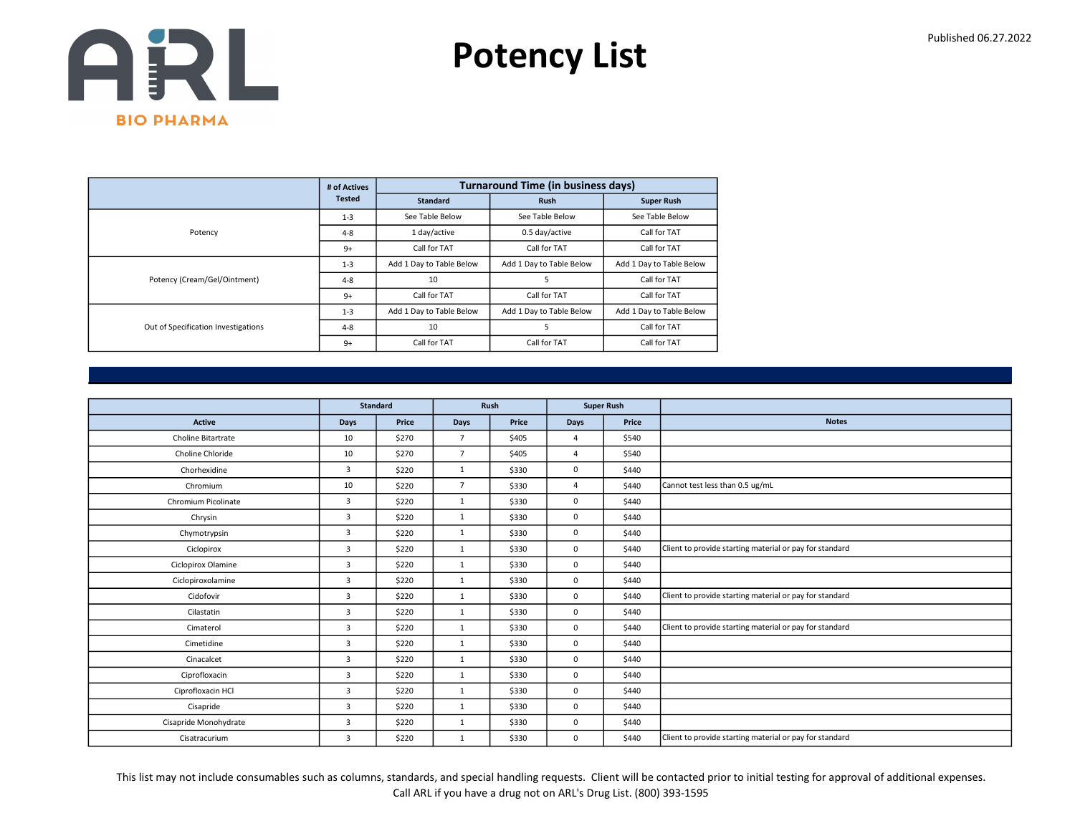

|                                     | # of Actives  |                          | <b>Turnaround Time (in business days)</b> |                          |
|-------------------------------------|---------------|--------------------------|-------------------------------------------|--------------------------|
|                                     | <b>Tested</b> | <b>Standard</b>          | <b>Rush</b>                               | <b>Super Rush</b>        |
|                                     | $1 - 3$       | See Table Below          | See Table Below                           | See Table Below          |
| Potency                             | $4 - 8$       | 1 day/active             | 0.5 day/active                            | Call for TAT             |
|                                     | $9+$          | Call for TAT             | Call for TAT                              | Call for TAT             |
|                                     | $1 - 3$       | Add 1 Day to Table Below | Add 1 Day to Table Below                  | Add 1 Day to Table Below |
| Potency (Cream/Gel/Ointment)        | $4 - 8$       | 10                       | 5                                         | Call for TAT             |
|                                     | $9+$          | Call for TAT             | Call for TAT                              | Call for TAT             |
|                                     | $1 - 3$       | Add 1 Day to Table Below | Add 1 Day to Table Below                  | Add 1 Day to Table Below |
| Out of Specification Investigations | $4 - 8$       | 10                       | 5                                         | Call for TAT             |
|                                     | $9+$          | Call for TAT             | Call for TAT                              | Call for TAT             |

|                       |                | <b>Standard</b><br>Rush<br><b>Super Rush</b> |                |       |                |       |                                                         |
|-----------------------|----------------|----------------------------------------------|----------------|-------|----------------|-------|---------------------------------------------------------|
|                       |                |                                              |                |       |                |       |                                                         |
| <b>Active</b>         | Days           | Price                                        | Days           | Price | <b>Days</b>    | Price | <b>Notes</b>                                            |
| Choline Bitartrate    | 10             | \$270                                        | $\overline{7}$ | \$405 | $\overline{4}$ | \$540 |                                                         |
| Choline Chloride      | 10             | \$270                                        | $\overline{7}$ | \$405 | $\overline{4}$ | \$540 |                                                         |
| Chorhexidine          | 3              | \$220                                        | 1              | \$330 | $\mathbf 0$    | \$440 |                                                         |
| Chromium              | 10             | \$220                                        | $\overline{7}$ | \$330 | $\Delta$       | \$440 | Cannot test less than 0.5 ug/mL                         |
| Chromium Picolinate   | $\overline{3}$ | \$220                                        | 1              | \$330 | $\mathbf 0$    | \$440 |                                                         |
| Chrysin               | $\overline{3}$ | \$220                                        | $\mathbf{1}$   | \$330 | $\mathbf 0$    | \$440 |                                                         |
| Chymotrypsin          | 3              | \$220                                        | 1              | \$330 | $\mathbf 0$    | \$440 |                                                         |
| Ciclopirox            | $\overline{3}$ | \$220                                        | 1              | \$330 | $\mathbf 0$    | \$440 | Client to provide starting material or pay for standard |
| Ciclopirox Olamine    | 3              | \$220                                        | 1              | \$330 | $\mathbf 0$    | \$440 |                                                         |
| Ciclopiroxolamine     | $\overline{3}$ | \$220                                        | 1              | \$330 | $\mathbf 0$    | \$440 |                                                         |
| Cidofovir             | $\overline{3}$ | \$220                                        | $\mathbf{1}$   | \$330 | $\mathbf 0$    | \$440 | Client to provide starting material or pay for standard |
| Cilastatin            | 3              | \$220                                        | 1              | \$330 | $\mathbf 0$    | \$440 |                                                         |
| Cimaterol             | $\overline{3}$ | \$220                                        | 1              | \$330 | $\mathbf 0$    | \$440 | Client to provide starting material or pay for standard |
| Cimetidine            | 3              | \$220                                        | 1              | \$330 | $\mathbf 0$    | \$440 |                                                         |
| Cinacalcet            | 3              | \$220                                        | 1              | \$330 | $^{\circ}$     | \$440 |                                                         |
| Ciprofloxacin         | $\overline{3}$ | \$220                                        | 1              | \$330 | $\mathbf 0$    | \$440 |                                                         |
| Ciprofloxacin HCl     | $\overline{3}$ | \$220                                        | $\mathbf{1}$   | \$330 | $\mathbf 0$    | \$440 |                                                         |
| Cisapride             | 3              | \$220                                        | $\mathbf{1}$   | \$330 | $\mathbf 0$    | \$440 |                                                         |
| Cisapride Monohydrate | 3              | \$220                                        | 1              | \$330 | $\mathbf 0$    | \$440 |                                                         |
| Cisatracurium         | 3              | \$220                                        | 1              | \$330 | $\mathbf 0$    | \$440 | Client to provide starting material or pay for standard |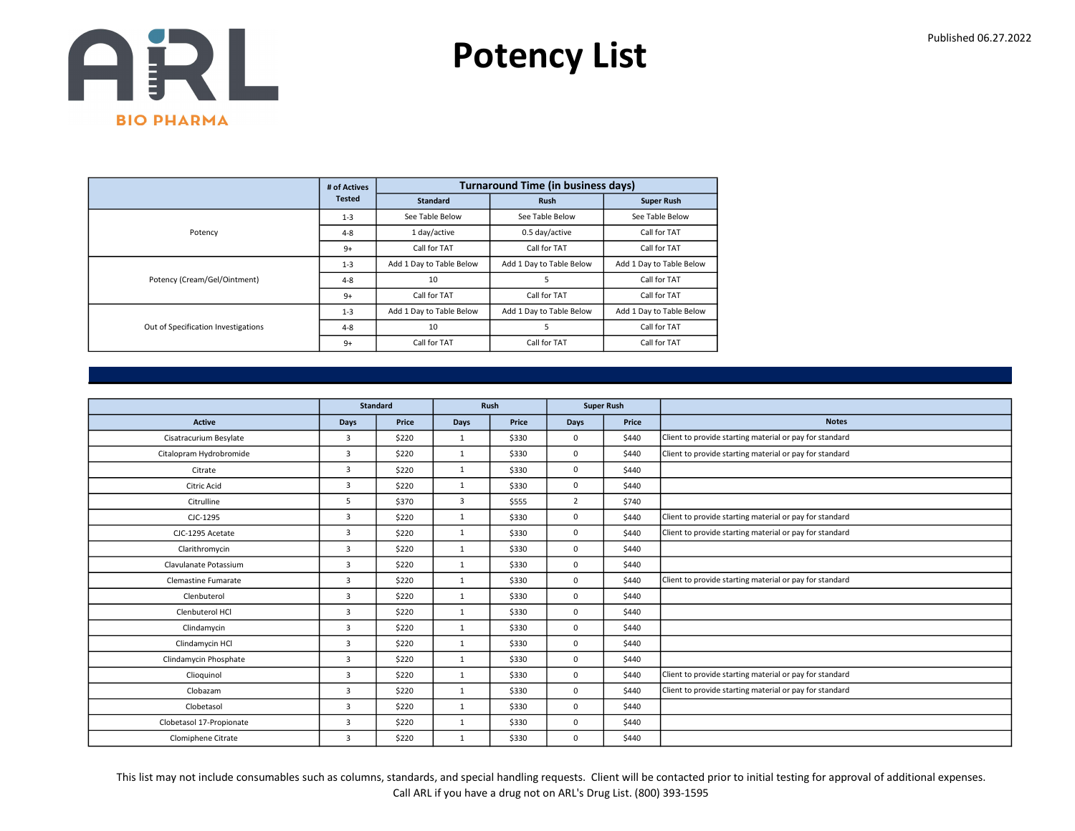

|                                     | # of Actives  |                          | <b>Turnaround Time (in business days)</b> |                          |
|-------------------------------------|---------------|--------------------------|-------------------------------------------|--------------------------|
|                                     | <b>Tested</b> | <b>Standard</b>          | <b>Rush</b>                               | <b>Super Rush</b>        |
|                                     | $1 - 3$       | See Table Below          | See Table Below                           | See Table Below          |
| Potency                             | $4 - 8$       | 1 day/active             | 0.5 day/active                            | Call for TAT             |
|                                     | $9+$          | Call for TAT             | Call for TAT                              | Call for TAT             |
|                                     | $1 - 3$       | Add 1 Day to Table Below | Add 1 Day to Table Below                  | Add 1 Day to Table Below |
| Potency (Cream/Gel/Ointment)        | $4 - 8$       | 10                       |                                           | Call for TAT             |
|                                     | $9+$          | Call for TAT             | Call for TAT                              | Call for TAT             |
|                                     | $1 - 3$       | Add 1 Day to Table Below | Add 1 Day to Table Below                  | Add 1 Day to Table Below |
| Out of Specification Investigations | $4 - 8$       | 10                       | 5                                         | Call for TAT             |
|                                     | $9+$          | Call for TAT             | Call for TAT                              | Call for TAT             |

|                            |                | <b>Standard</b> |              | Rush  | <b>Super Rush</b> |       |                                                         |
|----------------------------|----------------|-----------------|--------------|-------|-------------------|-------|---------------------------------------------------------|
| <b>Active</b>              | <b>Days</b>    | Price           | Days         | Price | Days              | Price | <b>Notes</b>                                            |
| Cisatracurium Besylate     | 3              | \$220           | $\mathbf{1}$ | \$330 | 0                 | \$440 | Client to provide starting material or pay for standard |
| Citalopram Hydrobromide    | 3              | \$220           | $\mathbf{1}$ | \$330 | 0                 | \$440 | Client to provide starting material or pay for standard |
| Citrate                    | $\overline{3}$ | \$220           | $\mathbf{1}$ | \$330 | 0                 | \$440 |                                                         |
| Citric Acid                | $\overline{3}$ | \$220           | $\mathbf{1}$ | \$330 | 0                 | \$440 |                                                         |
| Citrulline                 | 5              | \$370           | 3            | \$555 | $\overline{2}$    | \$740 |                                                         |
| CJC-1295                   | 3              | \$220           | $\mathbf{1}$ | \$330 | 0                 | \$440 | Client to provide starting material or pay for standard |
| CJC-1295 Acetate           | $\overline{3}$ | \$220           | 1            | \$330 | 0                 | \$440 | Client to provide starting material or pay for standard |
| Clarithromycin             | 3              | \$220           | $\mathbf{1}$ | \$330 | 0                 | \$440 |                                                         |
| Clavulanate Potassium      | 3              | \$220           | $\mathbf{1}$ | \$330 | 0                 | \$440 |                                                         |
| <b>Clemastine Fumarate</b> | 3              | \$220           | $\mathbf{1}$ | \$330 | 0                 | \$440 | Client to provide starting material or pay for standard |
| Clenbuterol                | 3              | \$220           | $\mathbf{1}$ | \$330 | 0                 | \$440 |                                                         |
| Clenbuterol HCl            | 3              | \$220           | $\mathbf{1}$ | \$330 | 0                 | \$440 |                                                         |
| Clindamycin                | 3              | \$220           | $\mathbf{1}$ | \$330 | 0                 | \$440 |                                                         |
| Clindamycin HCl            | 3              | \$220           | $\mathbf{1}$ | \$330 | 0                 | \$440 |                                                         |
| Clindamycin Phosphate      | 3              | \$220           | $\mathbf{1}$ | \$330 | 0                 | \$440 |                                                         |
| Clioquinol                 | $\overline{3}$ | \$220           | 1            | \$330 | 0                 | \$440 | Client to provide starting material or pay for standard |
| Clobazam                   | $\overline{3}$ | \$220           | $\mathbf{1}$ | \$330 | 0                 | \$440 | Client to provide starting material or pay for standard |
| Clobetasol                 | 3              | \$220           | $\mathbf{1}$ | \$330 | 0                 | \$440 |                                                         |
| Clobetasol 17-Propionate   | $\overline{3}$ | \$220           | $\mathbf{1}$ | \$330 | 0                 | \$440 |                                                         |
| Clomiphene Citrate         | 3              | \$220           | $\mathbf{1}$ | \$330 | 0                 | \$440 |                                                         |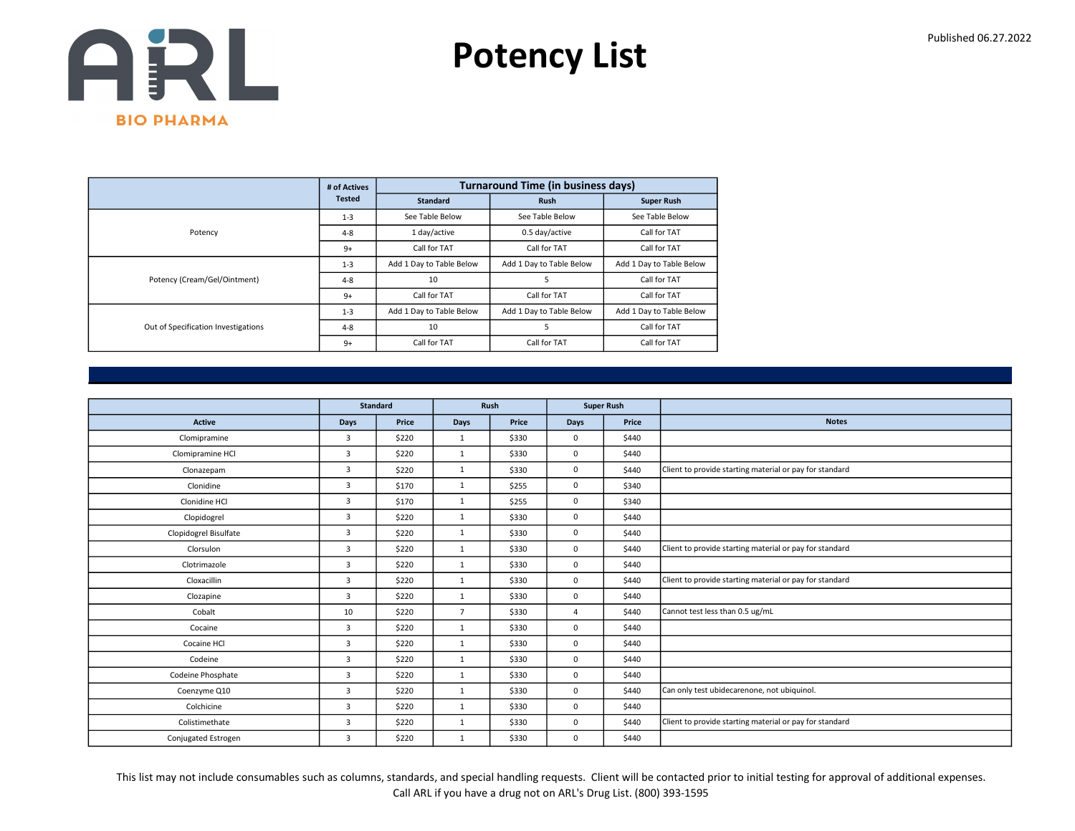

|                                     | # of Actives  |                          | <b>Turnaround Time (in business days)</b> |                          |
|-------------------------------------|---------------|--------------------------|-------------------------------------------|--------------------------|
|                                     | <b>Tested</b> | <b>Standard</b>          | <b>Rush</b>                               | <b>Super Rush</b>        |
|                                     | $1 - 3$       | See Table Below          | See Table Below                           | See Table Below          |
| Potency                             | $4 - 8$       | 1 day/active             | 0.5 day/active                            | Call for TAT             |
|                                     | $9+$          | Call for TAT             | Call for TAT                              | Call for TAT             |
|                                     | $1 - 3$       | Add 1 Day to Table Below | Add 1 Day to Table Below                  | Add 1 Day to Table Below |
| Potency (Cream/Gel/Ointment)        | $4 - 8$       | 10                       | 5                                         | Call for TAT             |
|                                     | $9+$          | Call for TAT             | Call for TAT                              | Call for TAT             |
|                                     | $1 - 3$       | Add 1 Day to Table Below | Add 1 Day to Table Below                  | Add 1 Day to Table Below |
| Out of Specification Investigations | $4 - 8$       | 10                       | 5                                         | Call for TAT             |
|                                     | $9+$          | Call for TAT             | Call for TAT                              | Call for TAT             |

|                       |                | <b>Standard</b> |                | Rush  |                | <b>Super Rush</b> |                                                         |
|-----------------------|----------------|-----------------|----------------|-------|----------------|-------------------|---------------------------------------------------------|
| <b>Active</b>         | <b>Days</b>    | Price           | <b>Days</b>    | Price | Days           | Price             | <b>Notes</b>                                            |
| Clomipramine          | $\overline{3}$ | \$220           | $\mathbf{1}$   | \$330 | 0              | \$440             |                                                         |
| Clomipramine HCl      | 3              | \$220           | $\mathbf{1}$   | \$330 | 0              | \$440             |                                                         |
| Clonazepam            | 3              | \$220           | $\mathbf{1}$   | \$330 | 0              | \$440             | Client to provide starting material or pay for standard |
| Clonidine             | 3              | \$170           | 1              | \$255 | 0              | \$340             |                                                         |
| Clonidine HCl         | $\overline{3}$ | \$170           | $\mathbf{1}$   | \$255 | 0              | \$340             |                                                         |
| Clopidogrel           | 3              | \$220           | $\mathbf{1}$   | \$330 | 0              | \$440             |                                                         |
| Clopidogrel Bisulfate | $\overline{3}$ | \$220           | $\mathbf{1}$   | \$330 | 0              | \$440             |                                                         |
| Clorsulon             | $\overline{3}$ | \$220           | $\mathbf{1}$   | \$330 | 0              | \$440             | Client to provide starting material or pay for standard |
| Clotrimazole          | 3              | \$220           | $\mathbf{1}$   | \$330 | 0              | \$440             |                                                         |
| Cloxacillin           | $\overline{3}$ | \$220           | 1              | \$330 | 0              | \$440             | Client to provide starting material or pay for standard |
| Clozapine             | 3              | \$220           | $\mathbf{1}$   | \$330 | 0              | \$440             |                                                         |
| Cobalt                | 10             | \$220           | $\overline{7}$ | \$330 | $\overline{4}$ | \$440             | Cannot test less than 0.5 ug/mL                         |
| Cocaine               | 3              | \$220           | 1              | \$330 | 0              | \$440             |                                                         |
| Cocaine HCl           | 3              | \$220           | $\mathbf{1}$   | \$330 | 0              | \$440             |                                                         |
| Codeine               | 3              | \$220           | $\mathbf{1}$   | \$330 | 0              | \$440             |                                                         |
| Codeine Phosphate     | 3              | \$220           | $\mathbf{1}$   | \$330 | 0              | \$440             |                                                         |
| Coenzyme Q10          | 3              | \$220           | $\mathbf{1}$   | \$330 | 0              | \$440             | Can only test ubidecarenone, not ubiquinol.             |
| Colchicine            | 3              | \$220           | $\mathbf{1}$   | \$330 | 0              | \$440             |                                                         |
| Colistimethate        | 3              | \$220           | 1              | \$330 | 0              | \$440             | Client to provide starting material or pay for standard |
| Conjugated Estrogen   | 3              | \$220           | $\mathbf{1}$   | \$330 | 0              | \$440             |                                                         |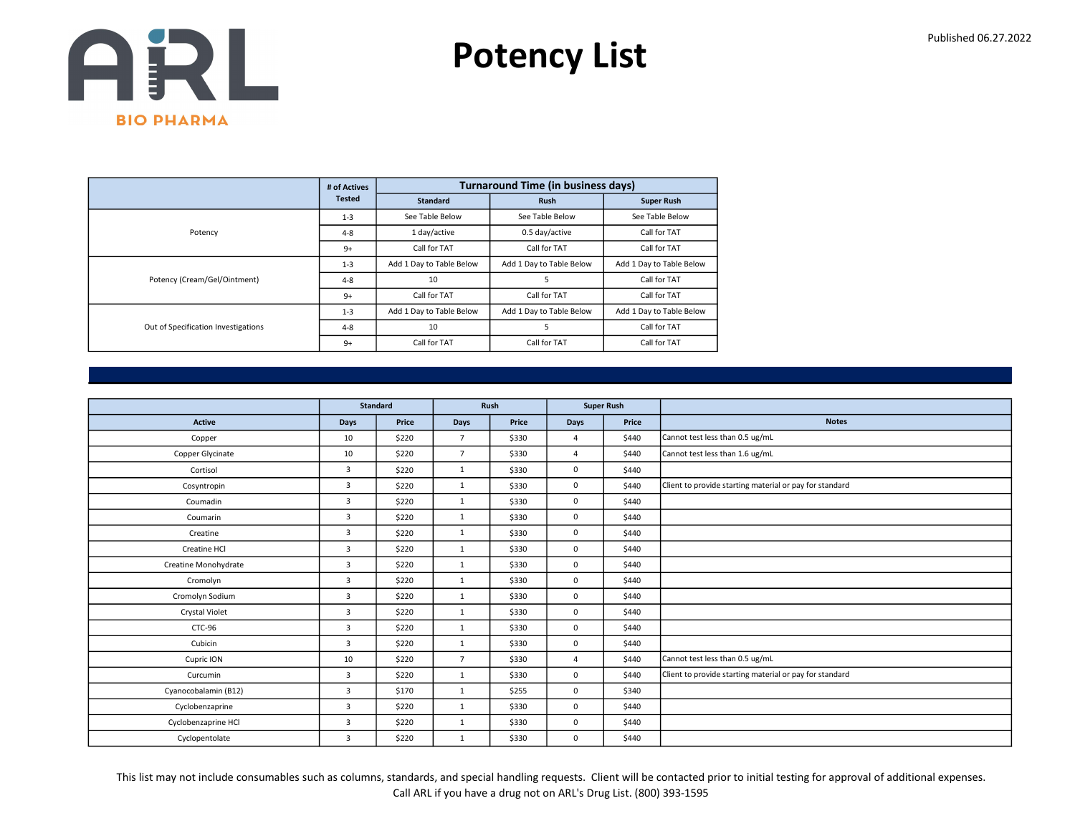

|                                     | # of Actives  |                          | <b>Turnaround Time (in business days)</b> |                          |
|-------------------------------------|---------------|--------------------------|-------------------------------------------|--------------------------|
|                                     | <b>Tested</b> | <b>Standard</b>          | <b>Rush</b>                               | <b>Super Rush</b>        |
|                                     | $1 - 3$       | See Table Below          | See Table Below                           | See Table Below          |
| Potency                             | $4 - 8$       | 1 day/active             | 0.5 day/active                            | Call for TAT             |
|                                     | $9+$          | Call for TAT             | Call for TAT                              | Call for TAT             |
|                                     | $1 - 3$       | Add 1 Day to Table Below | Add 1 Day to Table Below                  | Add 1 Day to Table Below |
| Potency (Cream/Gel/Ointment)        | $4 - 8$       | 10                       | 5                                         | Call for TAT             |
|                                     | $9+$          | Call for TAT             | Call for TAT                              | Call for TAT             |
|                                     | $1 - 3$       | Add 1 Day to Table Below | Add 1 Day to Table Below                  | Add 1 Day to Table Below |
| Out of Specification Investigations | $4 - 8$       | 10                       | 5                                         | Call for TAT             |
|                                     | $9+$          | Call for TAT             | Call for TAT                              | Call for TAT             |

|                      |                | <b>Standard</b> | <b>Super Rush</b><br>Rush |       |                |       |                                                         |
|----------------------|----------------|-----------------|---------------------------|-------|----------------|-------|---------------------------------------------------------|
|                      |                |                 |                           |       |                |       |                                                         |
| <b>Active</b>        | Days           | Price           | Days                      | Price | <b>Days</b>    | Price | <b>Notes</b>                                            |
| Copper               | 10             | \$220           | $\overline{7}$            | \$330 | $\overline{4}$ | \$440 | Cannot test less than 0.5 ug/mL                         |
| Copper Glycinate     | 10             | \$220           | $\overline{7}$            | \$330 | $\overline{a}$ | \$440 | Cannot test less than 1.6 ug/mL                         |
| Cortisol             | 3              | \$220           | $\mathbf{1}$              | \$330 | $\mathbf 0$    | \$440 |                                                         |
| Cosyntropin          | $\overline{3}$ | \$220           | $\mathbf{1}$              | \$330 | $\mathbf 0$    | \$440 | Client to provide starting material or pay for standard |
| Coumadin             | 3              | \$220           | $\mathbf{1}$              | \$330 | $\mathbf 0$    | \$440 |                                                         |
| Coumarin             | $\overline{3}$ | \$220           | $\mathbf{1}$              | \$330 | $\mathbf 0$    | \$440 |                                                         |
| Creatine             | 3              | \$220           | 1                         | \$330 | $\mathbf 0$    | \$440 |                                                         |
| Creatine HCl         | 3              | \$220           | $\mathbf{1}$              | \$330 | $\mathbf 0$    | \$440 |                                                         |
| Creatine Monohydrate | 3              | \$220           | $\mathbf{1}$              | \$330 | $\mathbf 0$    | \$440 |                                                         |
| Cromolyn             | $\overline{3}$ | \$220           | $\mathbf{1}$              | \$330 | $\mathbf 0$    | \$440 |                                                         |
| Cromolyn Sodium      | $\overline{3}$ | \$220           | $\mathbf{1}$              | \$330 | $\mathbf 0$    | \$440 |                                                         |
| Crystal Violet       | 3              | \$220           | $\mathbf{1}$              | \$330 | $\mathbf 0$    | \$440 |                                                         |
| CTC-96               | $\overline{3}$ | \$220           | 1                         | \$330 | $\mathbf 0$    | \$440 |                                                         |
| Cubicin              | $\overline{3}$ | \$220           | $\mathbf{1}$              | \$330 | $\mathbf 0$    | \$440 |                                                         |
| Cupric ION           | 10             | \$220           | $\overline{7}$            | \$330 | $\overline{4}$ | \$440 | Cannot test less than 0.5 ug/mL                         |
| Curcumin             | 3              | \$220           | 1                         | \$330 | $\mathbf 0$    | \$440 | Client to provide starting material or pay for standard |
| Cyanocobalamin (B12) | 3              | \$170           | $\mathbf{1}$              | \$255 | $\mathbf 0$    | \$340 |                                                         |
| Cyclobenzaprine      | 3              | \$220           | 1                         | \$330 | $\mathbf 0$    | \$440 |                                                         |
| Cyclobenzaprine HCl  | 3              | \$220           | 1                         | \$330 | $\mathbf 0$    | \$440 |                                                         |
| Cyclopentolate       | $\overline{3}$ | \$220           | 1                         | \$330 | $\mathbf 0$    | \$440 |                                                         |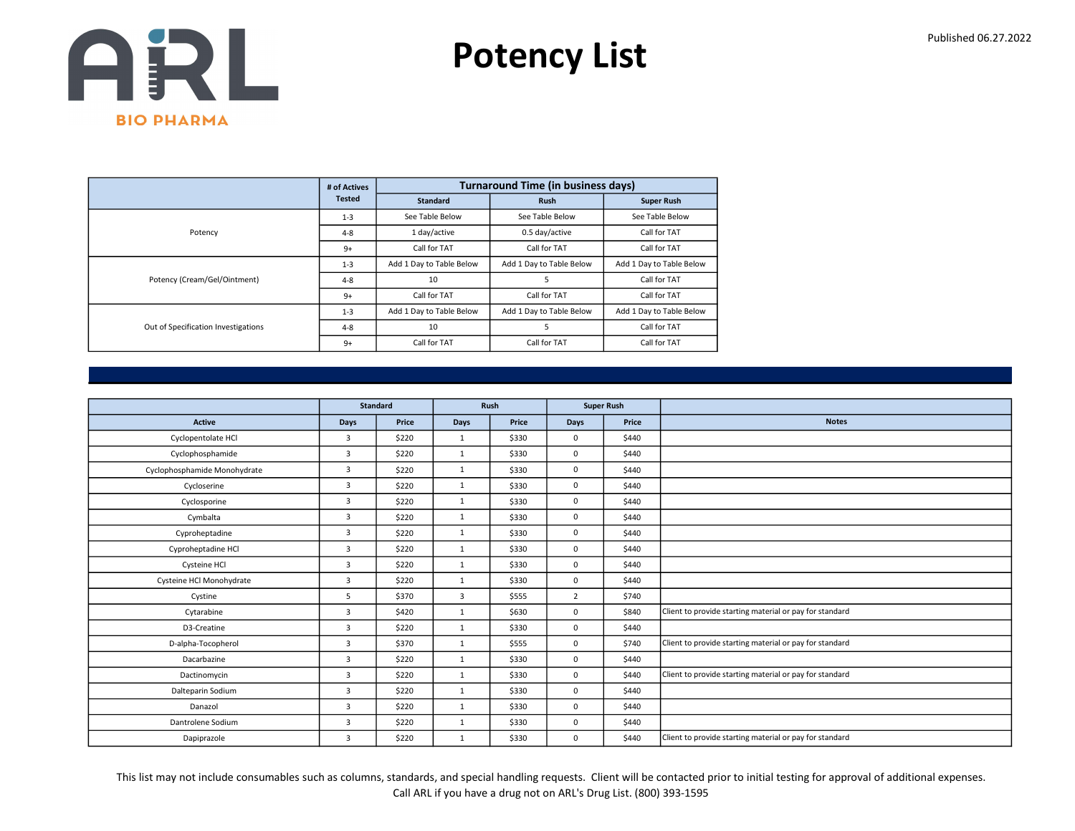

|                                     | # of Actives  |                          | <b>Turnaround Time (in business days)</b> |                          |
|-------------------------------------|---------------|--------------------------|-------------------------------------------|--------------------------|
|                                     | <b>Tested</b> | <b>Standard</b>          | <b>Rush</b>                               | <b>Super Rush</b>        |
|                                     | $1 - 3$       | See Table Below          | See Table Below                           | See Table Below          |
| Potency                             | $4 - 8$       | 1 day/active             | 0.5 day/active                            | Call for TAT             |
|                                     | $9+$          | Call for TAT             | Call for TAT                              | Call for TAT             |
|                                     | $1 - 3$       | Add 1 Day to Table Below | Add 1 Day to Table Below                  | Add 1 Day to Table Below |
| Potency (Cream/Gel/Ointment)        | $4 - 8$       | 10                       | 5                                         | Call for TAT             |
|                                     | $9+$          | Call for TAT             | Call for TAT                              | Call for TAT             |
|                                     | $1 - 3$       | Add 1 Day to Table Below | Add 1 Day to Table Below                  | Add 1 Day to Table Below |
| Out of Specification Investigations | $4 - 8$       | 10                       | 5                                         | Call for TAT             |
|                                     | $9+$          | Call for TAT             | Call for TAT                              | Call for TAT             |

|                              |                | <b>Standard</b> |              | Rush  |                | <b>Super Rush</b> |                                                         |
|------------------------------|----------------|-----------------|--------------|-------|----------------|-------------------|---------------------------------------------------------|
| <b>Active</b>                | Days           | Price           | Days         | Price | Days           | Price             | <b>Notes</b>                                            |
| Cyclopentolate HCl           | 3              | \$220           | $\mathbf{1}$ | \$330 | $\mathbf 0$    | \$440             |                                                         |
| Cyclophosphamide             | $\overline{3}$ | \$220           | $\mathbf{1}$ | \$330 | $\mathbf 0$    | \$440             |                                                         |
| Cyclophosphamide Monohydrate | 3              | \$220           | $\mathbf{1}$ | \$330 | $\mathbf 0$    | \$440             |                                                         |
| Cycloserine                  | 3              | \$220           | $\mathbf{1}$ | \$330 | $\mathbf 0$    | \$440             |                                                         |
| Cyclosporine                 | $\overline{3}$ | \$220           | 1            | \$330 | $\mathbf 0$    | \$440             |                                                         |
| Cymbalta                     | 3              | \$220           | $\mathbf{1}$ | \$330 | $\mathbf 0$    | \$440             |                                                         |
| Cyproheptadine               | $\overline{3}$ | \$220           | $\mathbf{1}$ | \$330 | $\Omega$       | \$440             |                                                         |
| Cyproheptadine HCl           | 3              | \$220           | 1            | \$330 | $\mathbf 0$    | \$440             |                                                         |
| Cysteine HCl                 | 3              | \$220           | 1            | \$330 | $\mathbf 0$    | \$440             |                                                         |
| Cysteine HCl Monohydrate     | $\overline{3}$ | \$220           | 1            | \$330 | $\mathbf 0$    | \$440             |                                                         |
| Cystine                      | 5              | \$370           | 3            | \$555 | $\overline{2}$ | \$740             |                                                         |
| Cytarabine                   | 3              | \$420           | $\mathbf{1}$ | \$630 | $\mathbf 0$    | \$840             | Client to provide starting material or pay for standard |
| D3-Creatine                  | $\overline{3}$ | \$220           | 1            | \$330 | $\mathbf 0$    | \$440             |                                                         |
| D-alpha-Tocopherol           | 3              | \$370           | $\mathbf{1}$ | \$555 | $\mathbf 0$    | \$740             | Client to provide starting material or pay for standard |
| Dacarbazine                  | $\overline{3}$ | \$220           | $\mathbf{1}$ | \$330 | $\mathbf 0$    | \$440             |                                                         |
| Dactinomycin                 | 3              | \$220           | $\mathbf{1}$ | \$330 | $\mathbf 0$    | \$440             | Client to provide starting material or pay for standard |
| Dalteparin Sodium            | 3              | \$220           | $\mathbf{1}$ | \$330 | $\mathbf 0$    | \$440             |                                                         |
| Danazol                      | $\overline{3}$ | \$220           | $\mathbf{1}$ | \$330 | $\mathbf 0$    | \$440             |                                                         |
| Dantrolene Sodium            | $\overline{3}$ | \$220           | 1            | \$330 | $\mathbf 0$    | \$440             |                                                         |
| Dapiprazole                  | 3              | \$220           | $\mathbf{1}$ | \$330 | $\mathbf 0$    | \$440             | Client to provide starting material or pay for standard |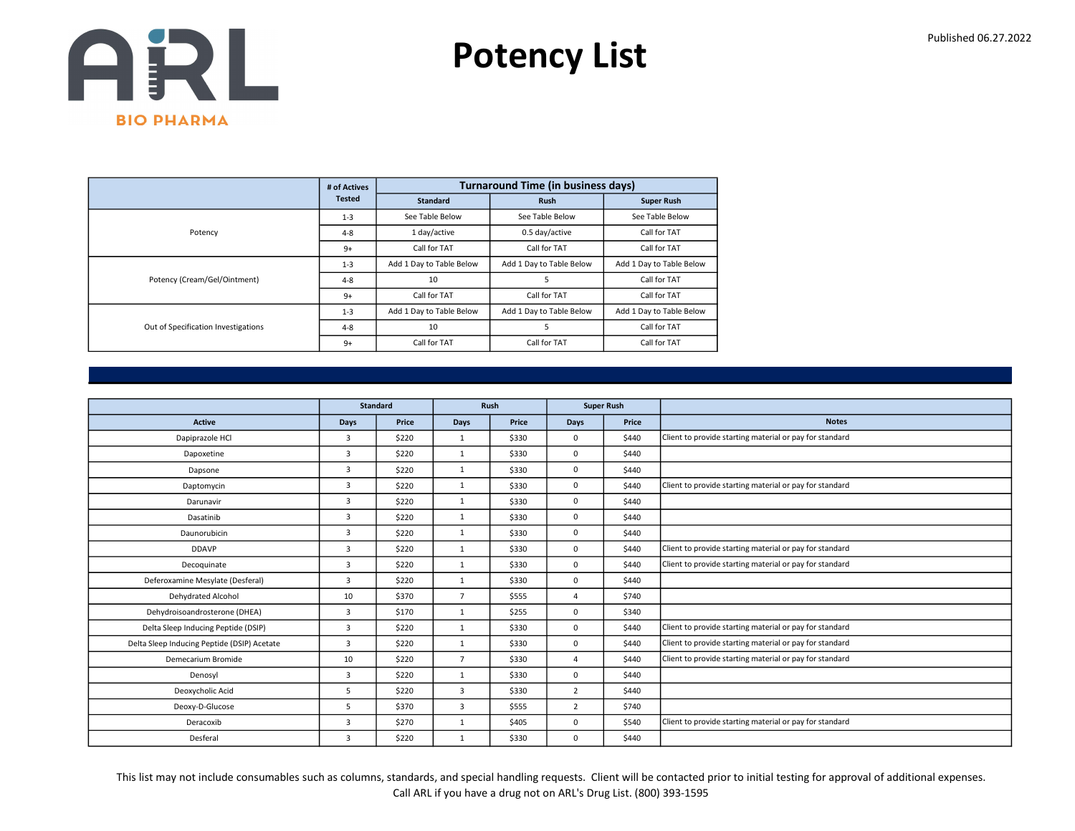

|                                     | # of Actives  |                          | <b>Turnaround Time (in business days)</b> |                          |
|-------------------------------------|---------------|--------------------------|-------------------------------------------|--------------------------|
|                                     | <b>Tested</b> | <b>Standard</b>          | <b>Rush</b>                               | <b>Super Rush</b>        |
|                                     | $1 - 3$       | See Table Below          | See Table Below                           | See Table Below          |
| Potency                             | $4 - 8$       | 1 day/active             | 0.5 day/active                            | Call for TAT             |
|                                     | $9+$          | Call for TAT             | Call for TAT                              | Call for TAT             |
|                                     | $1 - 3$       | Add 1 Day to Table Below | Add 1 Day to Table Below                  | Add 1 Day to Table Below |
| Potency (Cream/Gel/Ointment)        | $4 - 8$       | 10                       | 5                                         | Call for TAT             |
|                                     | $9+$          | Call for TAT             | Call for TAT                              | Call for TAT             |
|                                     | $1 - 3$       | Add 1 Day to Table Below | Add 1 Day to Table Below                  | Add 1 Day to Table Below |
| Out of Specification Investigations | $4 - 8$       | 10                       | 5                                         | Call for TAT             |
|                                     | $9+$          | Call for TAT             | Call for TAT                              | Call for TAT             |

|                                             |                | <b>Standard</b> |                | Rush  |                | <b>Super Rush</b> |                                                         |
|---------------------------------------------|----------------|-----------------|----------------|-------|----------------|-------------------|---------------------------------------------------------|
| <b>Active</b>                               | <b>Days</b>    | Price           | Days           | Price | Days           | Price             | <b>Notes</b>                                            |
| Dapiprazole HCl                             | 3              | \$220           | $\mathbf{1}$   | \$330 | 0              | \$440             | Client to provide starting material or pay for standard |
| Dapoxetine                                  | 3              | \$220           | $\mathbf{1}$   | \$330 | 0              | \$440             |                                                         |
| Dapsone                                     | $\overline{3}$ | \$220           | $\mathbf{1}$   | \$330 | 0              | \$440             |                                                         |
| Daptomycin                                  | $\overline{3}$ | \$220           | $\mathbf{1}$   | \$330 | 0              | \$440             | Client to provide starting material or pay for standard |
| Darunavir                                   | 3              | \$220           | $\mathbf{1}$   | \$330 | 0              | \$440             |                                                         |
| Dasatinib                                   | 3              | \$220           | $\mathbf{1}$   | \$330 | 0              | \$440             |                                                         |
| Daunorubicin                                | 3              | \$220           | 1              | \$330 | 0              | \$440             |                                                         |
| <b>DDAVP</b>                                | 3              | \$220           | $\mathbf{1}$   | \$330 | 0              | \$440             | Client to provide starting material or pay for standard |
| Decoquinate                                 | 3              | \$220           | $\mathbf{1}$   | \$330 | 0              | \$440             | Client to provide starting material or pay for standard |
| Deferoxamine Mesylate (Desferal)            | $\overline{3}$ | \$220           | $\mathbf{1}$   | \$330 | 0              | \$440             |                                                         |
| Dehydrated Alcohol                          | 10             | \$370           | $\overline{7}$ | \$555 | $\Delta$       | \$740             |                                                         |
| Dehydroisoandrosterone (DHEA)               | 3              | \$170           | 1              | \$255 | 0              | \$340             |                                                         |
| Delta Sleep Inducing Peptide (DSIP)         | 3              | \$220           | $\mathbf{1}$   | \$330 | 0              | \$440             | Client to provide starting material or pay for standard |
| Delta Sleep Inducing Peptide (DSIP) Acetate | 3              | \$220           | $\mathbf{1}$   | \$330 | 0              | \$440             | Client to provide starting material or pay for standard |
| Demecarium Bromide                          | 10             | \$220           | $\overline{7}$ | \$330 | $\Delta$       | \$440             | Client to provide starting material or pay for standard |
| Denosyl                                     | $\overline{3}$ | \$220           | 1              | \$330 | 0              | \$440             |                                                         |
| Deoxycholic Acid                            | 5              | \$220           | $\overline{3}$ | \$330 | $\overline{2}$ | \$440             |                                                         |
| Deoxy-D-Glucose                             | 5              | \$370           | 3              | \$555 | $\overline{2}$ | \$740             |                                                         |
| Deracoxib                                   | 3              | \$270           | $\mathbf{1}$   | \$405 | $\Omega$       | \$540             | Client to provide starting material or pay for standard |
| Desferal                                    | 3              | \$220           | $\mathbf{1}$   | \$330 | 0              | \$440             |                                                         |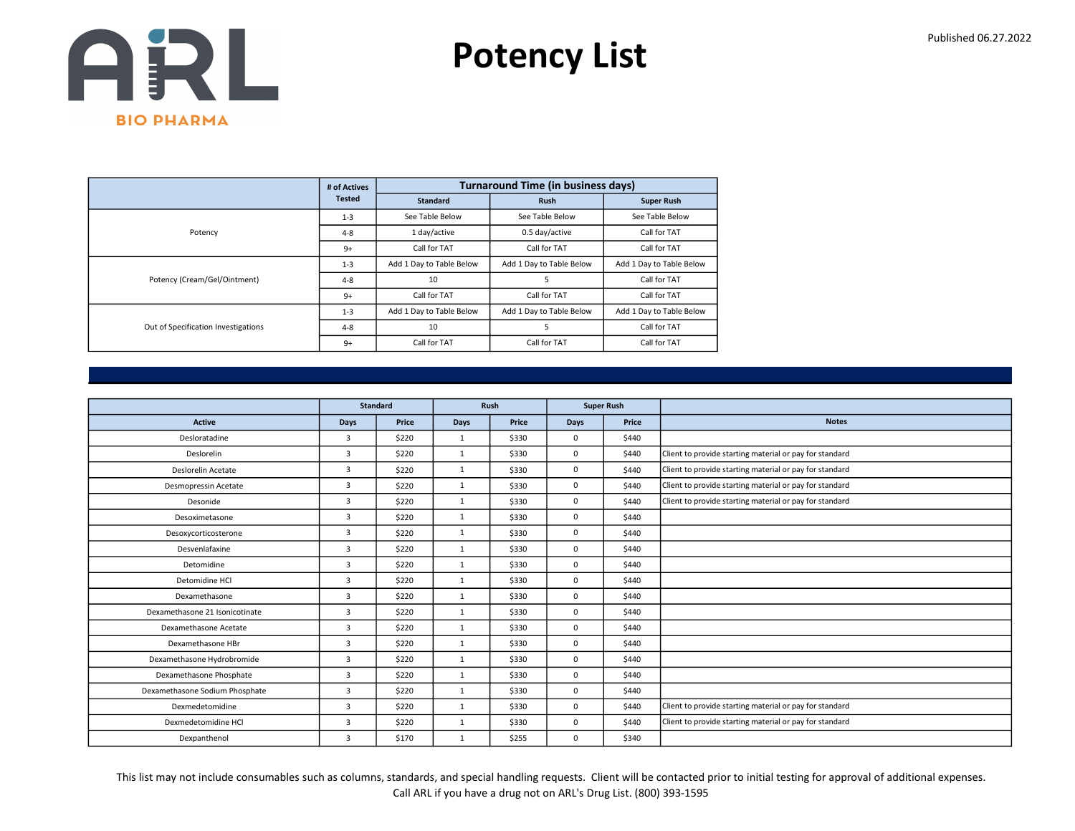

|                                     | # of Actives  |                          | <b>Turnaround Time (in business days)</b> |                          |
|-------------------------------------|---------------|--------------------------|-------------------------------------------|--------------------------|
|                                     | <b>Tested</b> | Standard                 | <b>Rush</b>                               | <b>Super Rush</b>        |
|                                     | $1 - 3$       | See Table Below          | See Table Below                           | See Table Below          |
| Potency                             | $4 - 8$       | 1 day/active             | 0.5 day/active                            | Call for TAT             |
|                                     | $9+$          | Call for TAT             | Call for TAT                              | Call for TAT             |
|                                     | $1 - 3$       | Add 1 Day to Table Below | Add 1 Day to Table Below                  | Add 1 Day to Table Below |
| Potency (Cream/Gel/Ointment)        | $4 - 8$       | 10                       | 5                                         | Call for TAT             |
|                                     | $9+$          | Call for TAT             | Call for TAT                              | Call for TAT             |
|                                     | $1 - 3$       | Add 1 Day to Table Below | Add 1 Day to Table Below                  | Add 1 Day to Table Below |
| Out of Specification Investigations | $4 - 8$       | 10                       | 5                                         | Call for TAT             |
|                                     | $9+$          | Call for TAT             | Call for TAT                              | Call for TAT             |

|                                |                | <b>Standard</b> |              | Rush  |          | <b>Super Rush</b> |                                                         |
|--------------------------------|----------------|-----------------|--------------|-------|----------|-------------------|---------------------------------------------------------|
| Active                         | Days           | Price           | Days         | Price | Days     | Price             | <b>Notes</b>                                            |
| Desloratadine                  | $\overline{3}$ | \$220           | $\mathbf{1}$ | \$330 | 0        | \$440             |                                                         |
| Deslorelin                     | $\overline{3}$ | \$220           | 1            | \$330 | 0        | \$440             | Client to provide starting material or pay for standard |
| Deslorelin Acetate             | $\overline{3}$ | \$220           | $\mathbf{1}$ | \$330 | 0        | \$440             | Client to provide starting material or pay for standard |
| Desmopressin Acetate           | $\overline{3}$ | \$220           | $\mathbf{1}$ | \$330 | 0        | \$440             | Client to provide starting material or pay for standard |
| Desonide                       | 3              | \$220           | $\mathbf{1}$ | \$330 | 0        | \$440             | Client to provide starting material or pay for standard |
| Desoximetasone                 | $\overline{3}$ | \$220           | $\mathbf{1}$ | \$330 | 0        | \$440             |                                                         |
| Desoxycorticosterone           | $\overline{3}$ | \$220           | $\mathbf{1}$ | \$330 | $\Omega$ | \$440             |                                                         |
| Desvenlafaxine                 | $\overline{3}$ | \$220           | $\mathbf{1}$ | \$330 | 0        | \$440             |                                                         |
| Detomidine                     | 3              | \$220           | $\mathbf{1}$ | \$330 | 0        | \$440             |                                                         |
| Detomidine HCl                 | $\overline{3}$ | \$220           | $\mathbf{1}$ | \$330 | 0        | \$440             |                                                         |
| Dexamethasone                  | 3              | \$220           | $\mathbf{1}$ | \$330 | 0        | \$440             |                                                         |
| Dexamethasone 21 Isonicotinate | 3              | \$220           | $\mathbf{1}$ | \$330 | 0        | \$440             |                                                         |
| Dexamethasone Acetate          | $\overline{3}$ | \$220           | $\mathbf{1}$ | \$330 | 0        | \$440             |                                                         |
| Dexamethasone HBr              | $\overline{3}$ | \$220           | $\mathbf{1}$ | \$330 | 0        | \$440             |                                                         |
| Dexamethasone Hydrobromide     | $\overline{3}$ | \$220           | $\mathbf{1}$ | \$330 | 0        | \$440             |                                                         |
| Dexamethasone Phosphate        | $\overline{3}$ | \$220           | $\mathbf{1}$ | \$330 | 0        | \$440             |                                                         |
| Dexamethasone Sodium Phosphate | $\overline{3}$ | \$220           | $\mathbf{1}$ | \$330 | 0        | \$440             |                                                         |
| Dexmedetomidine                | $\overline{3}$ | \$220           | $\mathbf{1}$ | \$330 | 0        | \$440             | Client to provide starting material or pay for standard |
| Dexmedetomidine HCl            | $\overline{3}$ | \$220           | 1            | \$330 | 0        | \$440             | Client to provide starting material or pay for standard |
| Dexpanthenol                   | $\overline{3}$ | \$170           | $\mathbf{1}$ | \$255 | 0        | \$340             |                                                         |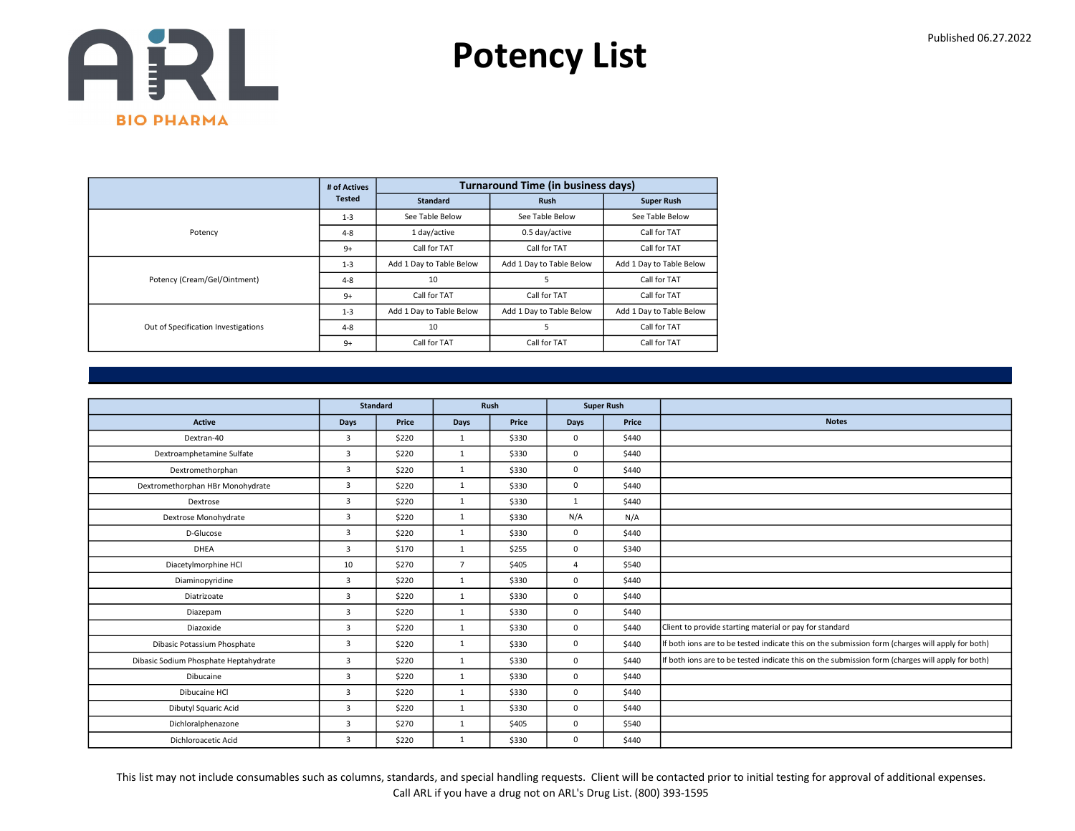

|                                     | # of Actives  |                          | <b>Turnaround Time (in business days)</b> |                          |
|-------------------------------------|---------------|--------------------------|-------------------------------------------|--------------------------|
|                                     | <b>Tested</b> | <b>Standard</b>          | <b>Rush</b>                               | <b>Super Rush</b>        |
|                                     | $1 - 3$       | See Table Below          | See Table Below                           | See Table Below          |
| Potency                             | $4 - 8$       | 1 day/active             | 0.5 day/active                            | Call for TAT             |
|                                     | $9+$          | Call for TAT             | Call for TAT                              | Call for TAT             |
|                                     | $1 - 3$       | Add 1 Day to Table Below | Add 1 Day to Table Below                  | Add 1 Day to Table Below |
| Potency (Cream/Gel/Ointment)        | $4 - 8$       | 10                       | 5                                         | Call for TAT             |
|                                     | $9+$          | Call for TAT             | Call for TAT                              | Call for TAT             |
|                                     | $1 - 3$       | Add 1 Day to Table Below | Add 1 Day to Table Below                  | Add 1 Day to Table Below |
| Out of Specification Investigations | $4 - 8$       | 10                       | 5                                         | Call for TAT             |
|                                     | $9+$          | Call for TAT             | Call for TAT                              | Call for TAT             |

|                                       |                | <b>Standard</b> | <b>Super Rush</b><br>Rush |       |                |       |                                                                                                  |
|---------------------------------------|----------------|-----------------|---------------------------|-------|----------------|-------|--------------------------------------------------------------------------------------------------|
|                                       |                |                 |                           |       |                |       |                                                                                                  |
| <b>Active</b>                         | <b>Days</b>    | Price           | Days                      | Price | <b>Days</b>    | Price | <b>Notes</b>                                                                                     |
| Dextran-40                            | 3              | \$220           | $\mathbf{1}$              | \$330 | $\mathbf 0$    | \$440 |                                                                                                  |
| Dextroamphetamine Sulfate             | $\overline{3}$ | \$220           | $\mathbf{1}$              | \$330 | $\mathbf 0$    | \$440 |                                                                                                  |
| Dextromethorphan                      | $\overline{3}$ | \$220           | $\mathbf{1}$              | \$330 | $\mathbf 0$    | \$440 |                                                                                                  |
| Dextromethorphan HBr Monohydrate      | $\overline{3}$ | \$220           | $\mathbf{1}$              | \$330 | $\mathbf 0$    | \$440 |                                                                                                  |
| Dextrose                              | 3              | \$220           | $\mathbf{1}$              | \$330 | 1              | \$440 |                                                                                                  |
| Dextrose Monohydrate                  | 3              | \$220           | $\mathbf{1}$              | \$330 | N/A            | N/A   |                                                                                                  |
| D-Glucose                             | $\overline{3}$ | \$220           | $\mathbf{1}$              | \$330 | $\mathbf 0$    | \$440 |                                                                                                  |
| <b>DHEA</b>                           | $\overline{3}$ | \$170           | $\mathbf{1}$              | \$255 | $\mathbf 0$    | \$340 |                                                                                                  |
| Diacetylmorphine HCl                  | 10             | \$270           | $\overline{7}$            | \$405 | $\overline{4}$ | \$540 |                                                                                                  |
| Diaminopyridine                       | $\overline{3}$ | \$220           | $\mathbf{1}$              | \$330 | $\mathbf 0$    | \$440 |                                                                                                  |
| Diatrizoate                           | $\overline{3}$ | \$220           | $\mathbf{1}$              | \$330 | $\mathbf 0$    | \$440 |                                                                                                  |
| Diazepam                              | 3              | \$220           | $\mathbf{1}$              | \$330 | 0              | \$440 |                                                                                                  |
| Diazoxide                             | 3              | \$220           | $\mathbf{1}$              | \$330 | $^{\circ}$     | \$440 | Client to provide starting material or pay for standard                                          |
| Dibasic Potassium Phosphate           | $\overline{3}$ | \$220           | $\mathbf{1}$              | \$330 | $\mathbf 0$    | \$440 | If both ions are to be tested indicate this on the submission form (charges will apply for both) |
| Dibasic Sodium Phosphate Heptahydrate | $\overline{3}$ | \$220           | $\mathbf{1}$              | \$330 | $\mathbf 0$    | \$440 | If both ions are to be tested indicate this on the submission form (charges will apply for both) |
| Dibucaine                             | $\overline{3}$ | \$220           | 1                         | \$330 | $\mathbf 0$    | \$440 |                                                                                                  |
| Dibucaine HCl                         | 3              | \$220           | $\mathbf{1}$              | \$330 | $\mathbf 0$    | \$440 |                                                                                                  |
| Dibutyl Squaric Acid                  | $\overline{3}$ | \$220           | $\mathbf{1}$              | \$330 | $\mathbf 0$    | \$440 |                                                                                                  |
| Dichloralphenazone                    | $\overline{3}$ | \$270           | $\mathbf{1}$              | \$405 | $^{\circ}$     | \$540 |                                                                                                  |
| Dichloroacetic Acid                   | 3              | \$220           | $\mathbf{1}$              | \$330 | $\mathbf 0$    | \$440 |                                                                                                  |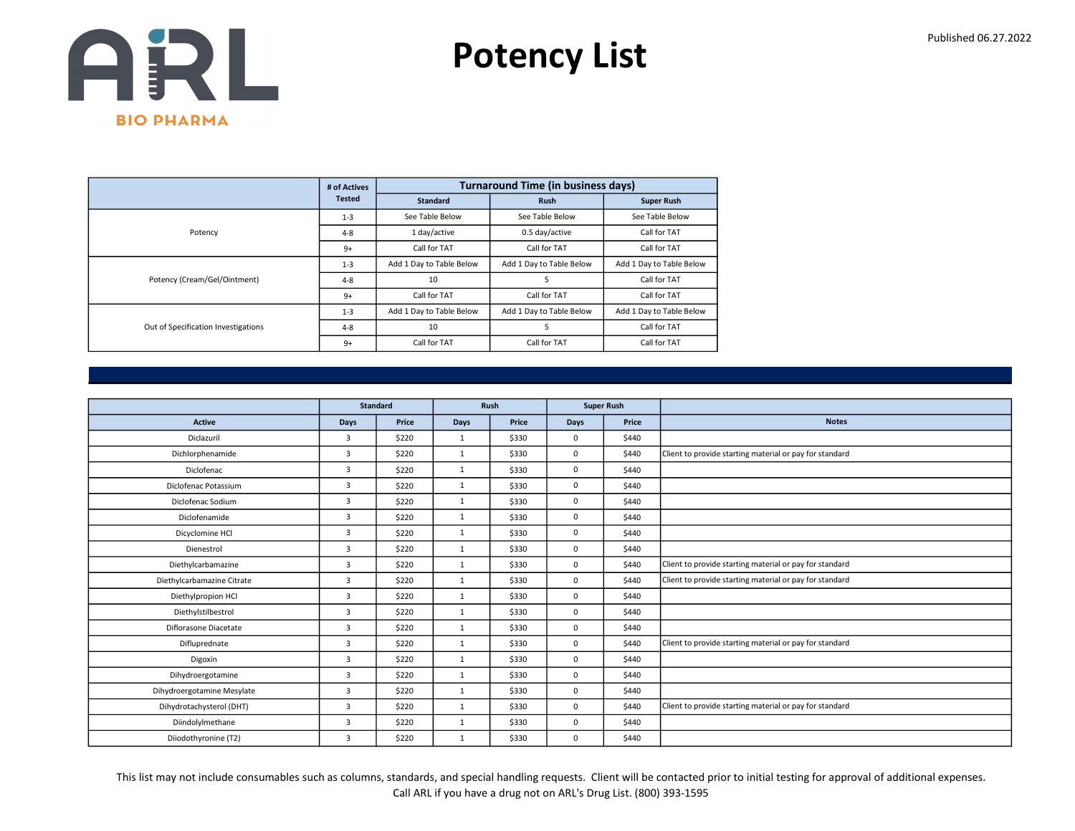

|                                     | # of Actives  |                          | <b>Turnaround Time (in business days)</b> |                          |
|-------------------------------------|---------------|--------------------------|-------------------------------------------|--------------------------|
|                                     | <b>Tested</b> | <b>Standard</b>          | <b>Rush</b>                               | <b>Super Rush</b>        |
|                                     | $1 - 3$       | See Table Below          | See Table Below                           | See Table Below          |
| Potency                             | $4 - 8$       | 1 day/active             | 0.5 day/active                            | Call for TAT             |
|                                     | $9+$          | Call for TAT             | Call for TAT                              | Call for TAT             |
|                                     | $1 - 3$       | Add 1 Day to Table Below | Add 1 Day to Table Below                  | Add 1 Day to Table Below |
| Potency (Cream/Gel/Ointment)        | $4 - 8$       | 10                       | 5                                         | Call for TAT             |
|                                     | $9+$          | Call for TAT             | Call for TAT                              | Call for TAT             |
|                                     | $1 - 3$       | Add 1 Day to Table Below | Add 1 Day to Table Below                  | Add 1 Day to Table Below |
| Out of Specification Investigations | $4 - 8$       | 10                       | 5                                         | Call for TAT             |
|                                     | $9+$          | Call for TAT             | Call for TAT                              | Call for TAT             |

|                            |                | <b>Standard</b> | Rush<br><b>Super Rush</b> |       |             |       |                                                         |
|----------------------------|----------------|-----------------|---------------------------|-------|-------------|-------|---------------------------------------------------------|
|                            |                |                 |                           |       |             |       |                                                         |
| <b>Active</b>              | <b>Days</b>    | Price           | <b>Days</b>               | Price | <b>Days</b> | Price | <b>Notes</b>                                            |
| Diclazuril                 | $\overline{3}$ | \$220           | 1                         | \$330 | 0           | \$440 |                                                         |
| Dichlorphenamide           | $\overline{3}$ | \$220           | $\mathbf{1}$              | \$330 | 0           | \$440 | Client to provide starting material or pay for standard |
| Diclofenac                 | $\overline{3}$ | \$220           | $\mathbf{1}$              | \$330 | 0           | \$440 |                                                         |
| Diclofenac Potassium       | $\overline{3}$ | \$220           | $\mathbf{1}$              | \$330 | $\Omega$    | \$440 |                                                         |
| Diclofenac Sodium          | $\overline{3}$ | \$220           | $\mathbf{1}$              | \$330 | 0           | \$440 |                                                         |
| Diclofenamide              | $\overline{3}$ | \$220           | $\mathbf{1}$              | \$330 | 0           | \$440 |                                                         |
| Dicyclomine HCl            | 3              | \$220           | $\mathbf{1}$              | \$330 | 0           | \$440 |                                                         |
| Dienestrol                 | $\overline{3}$ | \$220           | $\mathbf{1}$              | \$330 | 0           | \$440 |                                                         |
| Diethylcarbamazine         | 3              | \$220           | $\mathbf{1}$              | \$330 | 0           | \$440 | Client to provide starting material or pay for standard |
| Diethylcarbamazine Citrate | $\overline{3}$ | \$220           | $\mathbf{1}$              | \$330 | 0           | \$440 | Client to provide starting material or pay for standard |
| Diethylpropion HCl         | $\overline{3}$ | \$220           | $\mathbf{1}$              | \$330 | 0           | \$440 |                                                         |
| Diethylstilbestrol         | 3              | \$220           | $\mathbf{1}$              | \$330 | 0           | \$440 |                                                         |
| Diflorasone Diacetate      | $\overline{3}$ | \$220           | $\mathbf{1}$              | \$330 | 0           | \$440 |                                                         |
| Difluprednate              | 3              | \$220           | $\mathbf{1}$              | \$330 | 0           | \$440 | Client to provide starting material or pay for standard |
| Digoxin                    | 3              | \$220           | $\mathbf{1}$              | \$330 | 0           | \$440 |                                                         |
| Dihydroergotamine          | $\overline{3}$ | \$220           | 1                         | \$330 | 0           | \$440 |                                                         |
| Dihydroergotamine Mesylate | $\overline{3}$ | \$220           | $\mathbf{1}$              | \$330 | 0           | \$440 |                                                         |
| Dihydrotachysterol (DHT)   | 3              | \$220           | $\mathbf{1}$              | \$330 | 0           | \$440 | Client to provide starting material or pay for standard |
| Diindolylmethane           | 3              | \$220           | $\mathbf{1}$              | \$330 | 0           | \$440 |                                                         |
| Diiodothyronine (T2)       | 3              | \$220           | $\mathbf{1}$              | \$330 | 0           | \$440 |                                                         |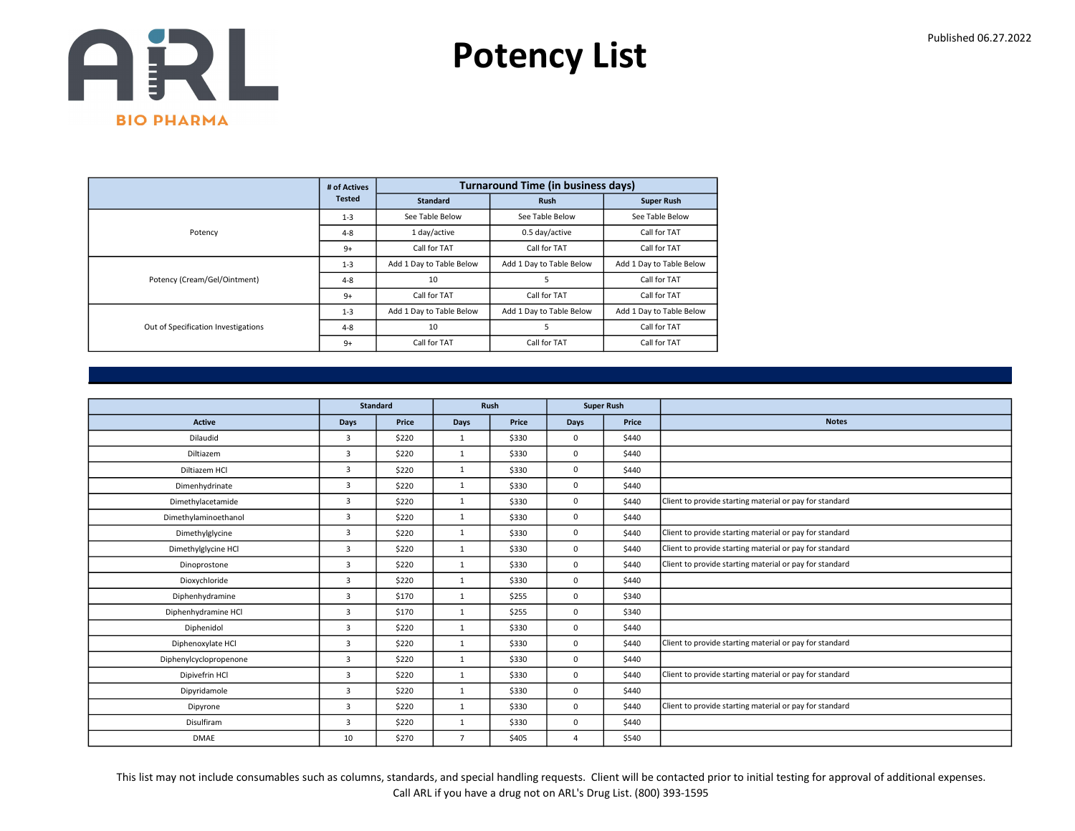

|                                     | # of Actives  |                          | <b>Turnaround Time (in business days)</b> |                          |
|-------------------------------------|---------------|--------------------------|-------------------------------------------|--------------------------|
|                                     | <b>Tested</b> | <b>Standard</b>          | <b>Rush</b>                               | <b>Super Rush</b>        |
|                                     | $1 - 3$       | See Table Below          | See Table Below                           | See Table Below          |
| Potency                             | $4 - 8$       | 1 day/active             | 0.5 day/active                            | Call for TAT             |
|                                     | $9+$          | Call for TAT             | Call for TAT                              | Call for TAT             |
|                                     | $1 - 3$       | Add 1 Day to Table Below | Add 1 Day to Table Below                  | Add 1 Day to Table Below |
| Potency (Cream/Gel/Ointment)        | $4 - 8$       | 10                       | 5                                         | Call for TAT             |
|                                     | $9+$          | Call for TAT             | Call for TAT                              | Call for TAT             |
|                                     | $1 - 3$       | Add 1 Day to Table Below | Add 1 Day to Table Below                  | Add 1 Day to Table Below |
| Out of Specification Investigations | $4 - 8$       | 10                       | 5                                         | Call for TAT             |
|                                     | $9+$          | Call for TAT             | Call for TAT                              | Call for TAT             |

|                        |                | <b>Standard</b> |                | Rush  |      | <b>Super Rush</b> |                                                         |
|------------------------|----------------|-----------------|----------------|-------|------|-------------------|---------------------------------------------------------|
| Active                 | Days           | Price           | <b>Days</b>    | Price | Days | Price             | <b>Notes</b>                                            |
| Dilaudid               | $\overline{3}$ | \$220           | 1              | \$330 | 0    | \$440             |                                                         |
| Diltiazem              | $\overline{3}$ | \$220           | $\mathbf{1}$   | \$330 | 0    | \$440             |                                                         |
| Diltiazem HCl          | $\overline{3}$ | \$220           | $\mathbf{1}$   | \$330 | 0    | \$440             |                                                         |
| Dimenhydrinate         | $\overline{3}$ | \$220           | $\mathbf{1}$   | \$330 | 0    | \$440             |                                                         |
| Dimethylacetamide      | $\overline{3}$ | \$220           | $\mathbf{1}$   | \$330 | 0    | \$440             | Client to provide starting material or pay for standard |
| Dimethylaminoethanol   | $\overline{3}$ | \$220           | $\mathbf{1}$   | \$330 | 0    | \$440             |                                                         |
| Dimethylglycine        | $\overline{3}$ | \$220           | $\mathbf{1}$   | \$330 | 0    | \$440             | Client to provide starting material or pay for standard |
| Dimethylglycine HCl    | $\overline{3}$ | \$220           | $\mathbf{1}$   | \$330 | 0    | \$440             | Client to provide starting material or pay for standard |
| Dinoprostone           | 3              | \$220           | $\mathbf{1}$   | \$330 | 0    | \$440             | Client to provide starting material or pay for standard |
| Dioxychloride          | $\overline{3}$ | \$220           | 1              | \$330 | 0    | \$440             |                                                         |
| Diphenhydramine        | 3              | \$170           | $\mathbf{1}$   | \$255 | 0    | \$340             |                                                         |
| Diphenhydramine HCl    | $\overline{3}$ | \$170           | $\mathbf{1}$   | \$255 | 0    | \$340             |                                                         |
| Diphenidol             | $\overline{3}$ | \$220           | $\mathbf{1}$   | \$330 | 0    | \$440             |                                                         |
| Diphenoxylate HCl      | $\overline{3}$ | \$220           | $\mathbf{1}$   | \$330 | 0    | \$440             | Client to provide starting material or pay for standard |
| Diphenylcyclopropenone | $\overline{3}$ | \$220           | $\mathbf{1}$   | \$330 | 0    | \$440             |                                                         |
| Dipivefrin HCl         | $\overline{3}$ | \$220           | $\mathbf{1}$   | \$330 | 0    | \$440             | Client to provide starting material or pay for standard |
| Dipyridamole           | $\overline{3}$ | \$220           | $\mathbf{1}$   | \$330 | 0    | \$440             |                                                         |
| Dipyrone               | $\overline{3}$ | \$220           | $\mathbf{1}$   | \$330 | 0    | \$440             | Client to provide starting material or pay for standard |
| Disulfiram             | 3              | \$220           | 1              | \$330 | 0    | \$440             |                                                         |
| <b>DMAE</b>            | 10             | \$270           | $\overline{7}$ | \$405 | 4    | \$540             |                                                         |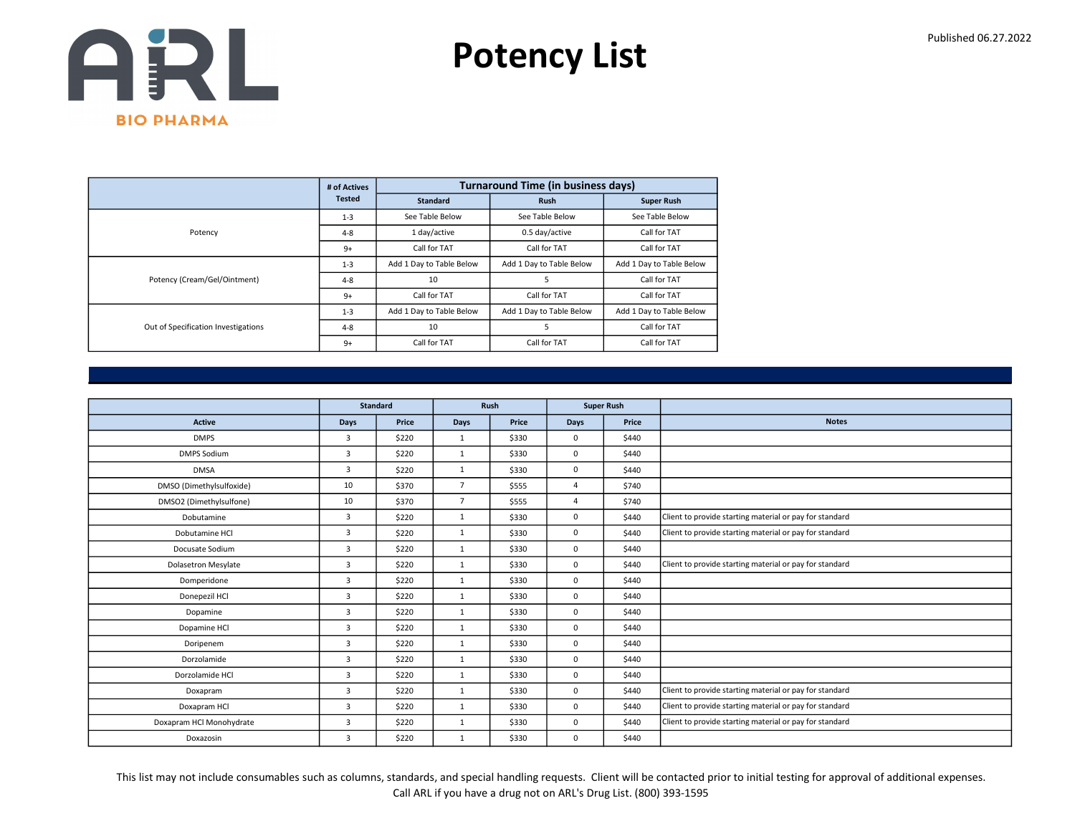

|                                     | # of Actives  |                          | <b>Turnaround Time (in business days)</b> |                          |
|-------------------------------------|---------------|--------------------------|-------------------------------------------|--------------------------|
|                                     | <b>Tested</b> | <b>Standard</b>          | <b>Rush</b>                               | <b>Super Rush</b>        |
|                                     | $1 - 3$       | See Table Below          | See Table Below                           | See Table Below          |
| Potency                             | $4 - 8$       | 1 day/active             | 0.5 day/active                            | Call for TAT             |
|                                     | $9+$          | Call for TAT             | Call for TAT                              | Call for TAT             |
|                                     | $1 - 3$       | Add 1 Day to Table Below | Add 1 Day to Table Below                  | Add 1 Day to Table Below |
| Potency (Cream/Gel/Ointment)        | $4 - 8$       | 10                       | 5                                         | Call for TAT             |
|                                     | $9+$          | Call for TAT             | Call for TAT                              | Call for TAT             |
|                                     | $1 - 3$       | Add 1 Day to Table Below | Add 1 Day to Table Below                  | Add 1 Day to Table Below |
| Out of Specification Investigations | $4 - 8$       | 10                       | 5                                         | Call for TAT             |
|                                     | $9+$          | Call for TAT             | Call for TAT                              | Call for TAT             |

|                            |                | <b>Standard</b> |                | Rush  |                | <b>Super Rush</b> |                                                         |
|----------------------------|----------------|-----------------|----------------|-------|----------------|-------------------|---------------------------------------------------------|
| Active                     | Days           | Price           | <b>Days</b>    | Price | Days           | Price             | <b>Notes</b>                                            |
| <b>DMPS</b>                | $\overline{3}$ | \$220           | 1              | \$330 | 0              | \$440             |                                                         |
| <b>DMPS Sodium</b>         | $\overline{3}$ | \$220           | $\mathbf{1}$   | \$330 | 0              | \$440             |                                                         |
| <b>DMSA</b>                | $\overline{3}$ | \$220           | $\mathbf{1}$   | \$330 | 0              | \$440             |                                                         |
| DMSO (Dimethylsulfoxide)   | 10             | \$370           | $\overline{7}$ | \$555 | 4              | \$740             |                                                         |
| DMSO2 (Dimethylsulfone)    | 10             | \$370           | $\overline{7}$ | \$555 | $\overline{4}$ | \$740             |                                                         |
| Dobutamine                 | $\overline{3}$ | \$220           | $\mathbf{1}$   | \$330 | 0              | \$440             | Client to provide starting material or pay for standard |
| Dobutamine HCl             | $\overline{3}$ | \$220           | $\mathbf{1}$   | \$330 | 0              | \$440             | Client to provide starting material or pay for standard |
| Docusate Sodium            | $\overline{3}$ | \$220           | $\mathbf{1}$   | \$330 | 0              | \$440             |                                                         |
| <b>Dolasetron Mesylate</b> | 3              | \$220           | $\mathbf{1}$   | \$330 | 0              | \$440             | Client to provide starting material or pay for standard |
| Domperidone                | $\overline{3}$ | \$220           | 1              | \$330 | 0              | \$440             |                                                         |
| Donepezil HCl              | 3              | \$220           | $\mathbf{1}$   | \$330 | 0              | \$440             |                                                         |
| Dopamine                   | $\overline{3}$ | \$220           | $\mathbf{1}$   | \$330 | 0              | \$440             |                                                         |
| Dopamine HCl               | $\overline{3}$ | \$220           | $\mathbf{1}$   | \$330 | 0              | \$440             |                                                         |
| Doripenem                  | $\overline{3}$ | \$220           | $\mathbf{1}$   | \$330 | 0              | \$440             |                                                         |
| Dorzolamide                | $\overline{3}$ | \$220           | $\mathbf{1}$   | \$330 | 0              | \$440             |                                                         |
| Dorzolamide HCl            | $\overline{3}$ | \$220           | $\mathbf{1}$   | \$330 | 0              | \$440             |                                                         |
| Doxapram                   | $\overline{3}$ | \$220           | $\mathbf{1}$   | \$330 | 0              | \$440             | Client to provide starting material or pay for standard |
| Doxapram HCl               | $\overline{3}$ | \$220           | $\mathbf{1}$   | \$330 | 0              | \$440             | Client to provide starting material or pay for standard |
| Doxapram HCl Monohydrate   | 3              | \$220           | $\mathbf{1}$   | \$330 | 0              | \$440             | Client to provide starting material or pay for standard |
| Doxazosin                  | $\overline{3}$ | \$220           | $\mathbf{1}$   | \$330 | 0              | \$440             |                                                         |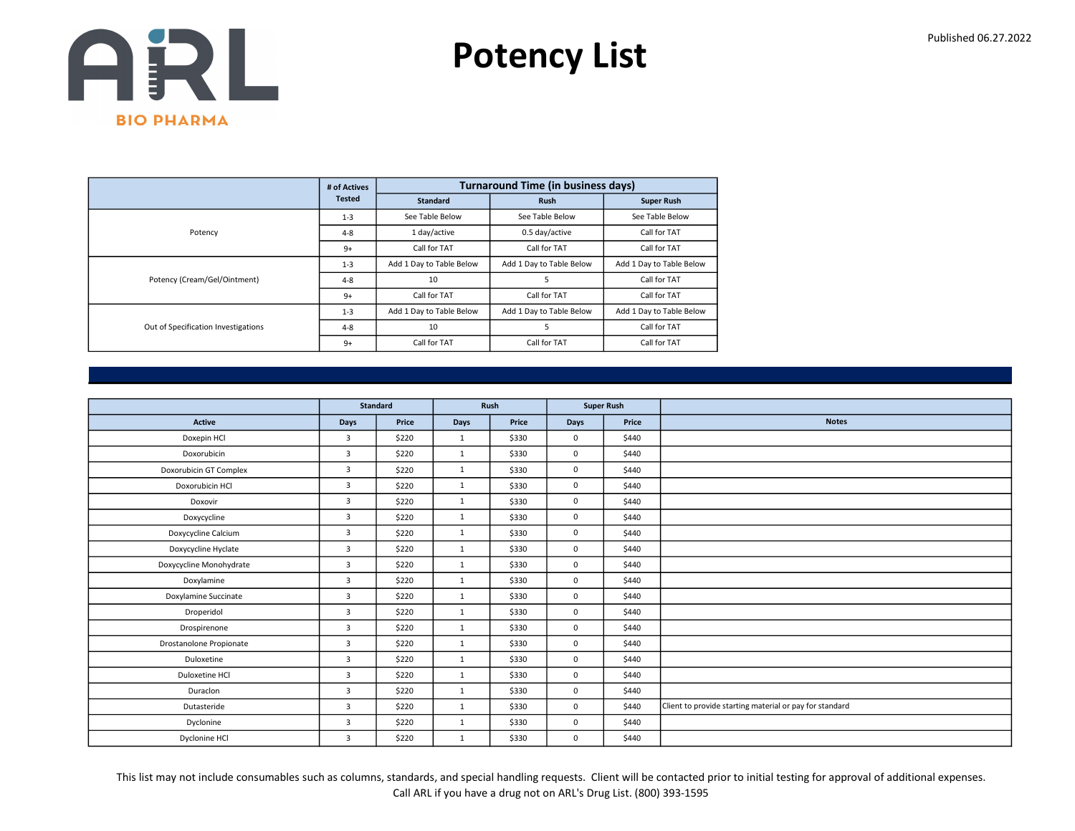

|                                     | # of Actives  |                          | <b>Turnaround Time (in business days)</b> |                          |
|-------------------------------------|---------------|--------------------------|-------------------------------------------|--------------------------|
|                                     | <b>Tested</b> | <b>Standard</b>          | <b>Rush</b>                               | <b>Super Rush</b>        |
|                                     | $1 - 3$       | See Table Below          | See Table Below                           | See Table Below          |
| Potency                             | $4 - 8$       | 1 day/active             | 0.5 day/active                            | Call for TAT             |
|                                     | $9+$          | Call for TAT             | Call for TAT                              | Call for TAT             |
|                                     | $1 - 3$       | Add 1 Day to Table Below | Add 1 Day to Table Below                  | Add 1 Day to Table Below |
| Potency (Cream/Gel/Ointment)        | $4 - 8$       | 10                       | 5                                         | Call for TAT             |
|                                     | $9+$          | Call for TAT             | Call for TAT                              | Call for TAT             |
|                                     | $1 - 3$       | Add 1 Day to Table Below | Add 1 Day to Table Below                  | Add 1 Day to Table Below |
| Out of Specification Investigations | $4 - 8$       | 10                       | 5                                         | Call for TAT             |
|                                     | $9+$          | Call for TAT             | Call for TAT                              | Call for TAT             |

|                         |                | <b>Standard</b> |              | Rush  |             | <b>Super Rush</b> |                                                         |
|-------------------------|----------------|-----------------|--------------|-------|-------------|-------------------|---------------------------------------------------------|
| <b>Active</b>           | Days           | Price           | Days         | Price | <b>Days</b> | Price             | <b>Notes</b>                                            |
| Doxepin HCl             | 3              | \$220           | $\mathbf{1}$ | \$330 | $\mathbf 0$ | \$440             |                                                         |
| Doxorubicin             | 3              | \$220           | $\mathbf{1}$ | \$330 | $\mathbf 0$ | \$440             |                                                         |
| Doxorubicin GT Complex  | 3              | \$220           | $\mathbf{1}$ | \$330 | $\mathbf 0$ | \$440             |                                                         |
| Doxorubicin HCl         | 3              | \$220           | $\mathbf{1}$ | \$330 | $\mathbf 0$ | \$440             |                                                         |
| Doxovir                 | $\overline{3}$ | \$220           | 1            | \$330 | $\mathbf 0$ | \$440             |                                                         |
| Doxycycline             | 3              | \$220           | $\mathbf{1}$ | \$330 | $\mathbf 0$ | \$440             |                                                         |
| Doxycycline Calcium     | $\overline{3}$ | \$220           | $\mathbf{1}$ | \$330 | $\mathbf 0$ | \$440             |                                                         |
| Doxycycline Hyclate     | $\overline{3}$ | \$220           | 1            | \$330 | $\mathbf 0$ | \$440             |                                                         |
| Doxycycline Monohydrate | 3              | \$220           | $\mathbf{1}$ | \$330 | $\mathbf 0$ | \$440             |                                                         |
| Doxylamine              | 3              | \$220           | $\mathbf{1}$ | \$330 | $\mathbf 0$ | \$440             |                                                         |
| Doxylamine Succinate    | 3              | \$220           | $\mathbf{1}$ | \$330 | $\mathbf 0$ | \$440             |                                                         |
| Droperidol              | 3              | \$220           | $\mathbf{1}$ | \$330 | $\mathbf 0$ | \$440             |                                                         |
| Drospirenone            | 3              | \$220           | 1            | \$330 | $\mathbf 0$ | \$440             |                                                         |
| Drostanolone Propionate | 3              | \$220           | $\mathbf{1}$ | \$330 | $\mathbf 0$ | \$440             |                                                         |
| Duloxetine              | 3              | \$220           | $\mathbf{1}$ | \$330 | $\mathbf 0$ | \$440             |                                                         |
| Duloxetine HCl          | $\overline{3}$ | \$220           | $\mathbf{1}$ | \$330 | $\mathbf 0$ | \$440             |                                                         |
| Duraclon                | $\overline{3}$ | \$220           | $\mathbf{1}$ | \$330 | $\mathbf 0$ | \$440             |                                                         |
| Dutasteride             | 3              | \$220           | 1            | \$330 | $\mathbf 0$ | \$440             | Client to provide starting material or pay for standard |
| Dyclonine               | 3              | \$220           | 1            | \$330 | $\mathbf 0$ | \$440             |                                                         |
| Dyclonine HCl           | $\overline{3}$ | \$220           | 1            | \$330 | 0           | \$440             |                                                         |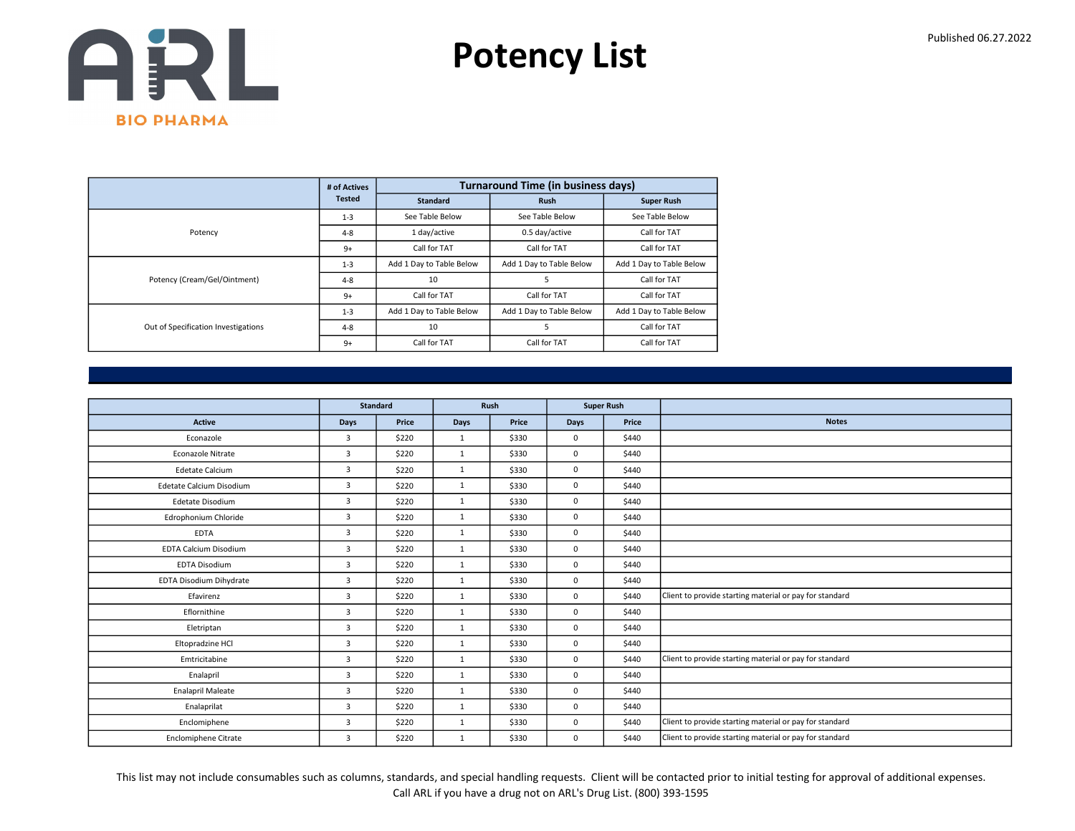

|                                     | # of Actives  |                          | <b>Turnaround Time (in business days)</b> |                          |
|-------------------------------------|---------------|--------------------------|-------------------------------------------|--------------------------|
|                                     | <b>Tested</b> | <b>Standard</b>          | <b>Rush</b>                               | <b>Super Rush</b>        |
|                                     | $1 - 3$       | See Table Below          | See Table Below                           | See Table Below          |
| Potency                             | $4 - 8$       | 1 day/active             | 0.5 day/active                            | Call for TAT             |
|                                     | $9+$          | Call for TAT             | Call for TAT                              | Call for TAT             |
|                                     | $1 - 3$       | Add 1 Day to Table Below | Add 1 Day to Table Below                  | Add 1 Day to Table Below |
| Potency (Cream/Gel/Ointment)        | $4 - 8$       | 10                       | 5                                         | Call for TAT             |
|                                     | $9+$          | Call for TAT             | Call for TAT                              | Call for TAT             |
|                                     | $1 - 3$       | Add 1 Day to Table Below | Add 1 Day to Table Below                  | Add 1 Day to Table Below |
| Out of Specification Investigations | $4 - 8$       | 10                       | 5                                         | Call for TAT             |
|                                     | $9+$          | Call for TAT             | Call for TAT                              | Call for TAT             |

|                              |                | <b>Standard</b> | Rush         |       |             | <b>Super Rush</b> |                                                         |
|------------------------------|----------------|-----------------|--------------|-------|-------------|-------------------|---------------------------------------------------------|
|                              |                |                 |              |       |             |                   |                                                         |
| <b>Active</b>                | Days           | Price           | Days         | Price | <b>Days</b> | Price             | <b>Notes</b>                                            |
| Econazole                    | $\overline{3}$ | \$220           | $\mathbf{1}$ | \$330 | $\Omega$    | \$440             |                                                         |
| Econazole Nitrate            | 3              | \$220           | 1            | \$330 | $\mathbf 0$ | \$440             |                                                         |
| <b>Edetate Calcium</b>       | 3              | \$220           | 1            | \$330 | $\mathbf 0$ | \$440             |                                                         |
| Edetate Calcium Disodium     | $\overline{3}$ | \$220           | $\mathbf{1}$ | \$330 | $\mathbf 0$ | \$440             |                                                         |
| Edetate Disodium             | 3              | \$220           | $\mathbf{1}$ | \$330 | $\mathbf 0$ | \$440             |                                                         |
| Edrophonium Chloride         | $\overline{3}$ | \$220           | 1            | \$330 | $\mathbf 0$ | \$440             |                                                         |
| <b>EDTA</b>                  | 3              | \$220           | 1            | \$330 | $\mathbf 0$ | \$440             |                                                         |
| <b>EDTA Calcium Disodium</b> | 3              | \$220           | $\mathbf{1}$ | \$330 | $\mathbf 0$ | \$440             |                                                         |
| <b>EDTA Disodium</b>         | $\overline{3}$ | \$220           | $\mathbf{1}$ | \$330 | $\mathbf 0$ | \$440             |                                                         |
| EDTA Disodium Dihydrate      | $\overline{3}$ | \$220           | 1            | \$330 | $\mathbf 0$ | \$440             |                                                         |
| Efavirenz                    | $\overline{3}$ | \$220           | $\mathbf{1}$ | \$330 | $\mathbf 0$ | \$440             | Client to provide starting material or pay for standard |
| Eflornithine                 | 3              | \$220           | $\mathbf{1}$ | \$330 | $\mathbf 0$ | \$440             |                                                         |
| Eletriptan                   | $\overline{3}$ | \$220           | 1            | \$330 | $\mathbf 0$ | \$440             |                                                         |
| Eltopradzine HCl             | $\overline{3}$ | \$220           | $\mathbf{1}$ | \$330 | $\mathbf 0$ | \$440             |                                                         |
| Emtricitabine                | 3              | \$220           | 1            | \$330 | 0           | \$440             | Client to provide starting material or pay for standard |
| Enalapril                    | 3              | \$220           | 1            | \$330 | $\mathbf 0$ | \$440             |                                                         |
| <b>Enalapril Maleate</b>     | 3              | \$220           | $\mathbf{1}$ | \$330 | $\mathbf 0$ | \$440             |                                                         |
| Enalaprilat                  | 3              | \$220           | $\mathbf{1}$ | \$330 | $\mathbf 0$ | \$440             |                                                         |
| Enclomiphene                 | 3              | \$220           | 1            | \$330 | $\mathbf 0$ | \$440             | Client to provide starting material or pay for standard |
| <b>Enclomiphene Citrate</b>  | $\overline{3}$ | \$220           | $\mathbf{1}$ | \$330 | $\mathbf 0$ | \$440             | Client to provide starting material or pay for standard |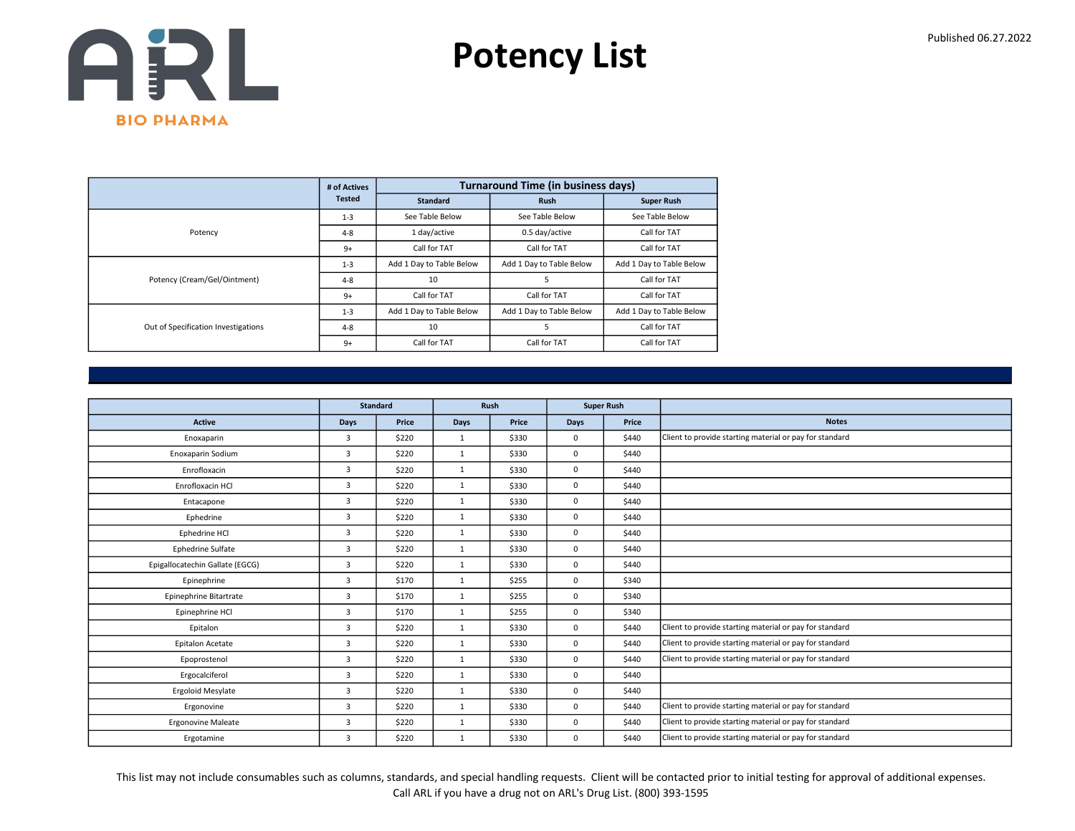

|                                     | # of Actives  |                          | <b>Turnaround Time (in business days)</b> |                          |
|-------------------------------------|---------------|--------------------------|-------------------------------------------|--------------------------|
|                                     | <b>Tested</b> | <b>Standard</b>          | <b>Rush</b>                               | <b>Super Rush</b>        |
|                                     | $1 - 3$       | See Table Below          | See Table Below                           | See Table Below          |
| Potency                             | $4 - 8$       | 1 day/active             | 0.5 day/active                            | Call for TAT             |
|                                     | $9+$          | Call for TAT             | Call for TAT                              | Call for TAT             |
|                                     | $1 - 3$       | Add 1 Day to Table Below | Add 1 Day to Table Below                  | Add 1 Day to Table Below |
| Potency (Cream/Gel/Ointment)        | $4 - 8$       | 10                       | 5                                         | Call for TAT             |
|                                     | $9+$          | Call for TAT             | Call for TAT                              | Call for TAT             |
|                                     | $1 - 3$       | Add 1 Day to Table Below | Add 1 Day to Table Below                  | Add 1 Day to Table Below |
| Out of Specification Investigations | $4 - 8$       | 10                       | 5                                         | Call for TAT             |
|                                     | $9+$          | Call for TAT             | Call for TAT                              | Call for TAT             |

|                                 |                | <b>Standard</b> |              | Rush  |              | <b>Super Rush</b> |                                                         |
|---------------------------------|----------------|-----------------|--------------|-------|--------------|-------------------|---------------------------------------------------------|
| <b>Active</b>                   | <b>Days</b>    | Price           | Days         | Price | <b>Days</b>  | Price             | <b>Notes</b>                                            |
| Enoxaparin                      | 3              | \$220           | $\mathbf{1}$ | \$330 | $\mathbf 0$  | \$440             | Client to provide starting material or pay for standard |
| Enoxaparin Sodium               | $\overline{3}$ | \$220           | $\mathbf{1}$ | \$330 | $\mathbf 0$  | \$440             |                                                         |
| Enrofloxacin                    | 3              | \$220           | 1            | \$330 | $\mathbf 0$  | \$440             |                                                         |
| Enrofloxacin HCl                | 3              | \$220           | 1            | \$330 | $\mathbf 0$  | \$440             |                                                         |
| Entacapone                      | 3              | \$220           | $\mathbf{1}$ | \$330 | $\mathbf 0$  | \$440             |                                                         |
| Ephedrine                       | 3              | \$220           | $\mathbf{1}$ | \$330 | $\mathbf 0$  | \$440             |                                                         |
| Ephedrine HCl                   | $\overline{3}$ | \$220           | 1            | \$330 | $\mathbf{0}$ | \$440             |                                                         |
| <b>Ephedrine Sulfate</b>        | 3              | \$220           | $\mathbf{1}$ | \$330 | $\mathbf 0$  | \$440             |                                                         |
| Epigallocatechin Gallate (EGCG) | $\overline{3}$ | \$220           | $\mathbf{1}$ | \$330 | $\mathbf 0$  | \$440             |                                                         |
| Epinephrine                     | 3              | \$170           | 1            | \$255 | $\mathbf 0$  | \$340             |                                                         |
| Epinephrine Bitartrate          | 3              | \$170           | $\mathbf{1}$ | \$255 | $\mathbf 0$  | \$340             |                                                         |
| Epinephrine HCl                 | $\overline{3}$ | \$170           | 1            | \$255 | $\mathbf 0$  | \$340             |                                                         |
| Epitalon                        | 3              | \$220           | 1            | \$330 | $\mathbf 0$  | \$440             | Client to provide starting material or pay for standard |
| Epitalon Acetate                | $\overline{3}$ | \$220           | $\mathbf{1}$ | \$330 | $\mathbf 0$  | \$440             | Client to provide starting material or pay for standard |
| Epoprostenol                    | 3              | \$220           | $\mathbf{1}$ | \$330 | $\mathbf 0$  | \$440             | Client to provide starting material or pay for standard |
| Ergocalciferol                  | $\overline{3}$ | \$220           | 1            | \$330 | $\mathbf{0}$ | \$440             |                                                         |
| Ergoloid Mesylate               | $\overline{3}$ | \$220           | $\mathbf{1}$ | \$330 | $\mathbf 0$  | \$440             |                                                         |
| Ergonovine                      | 3              | \$220           | $\mathbf{1}$ | \$330 | $\mathbf 0$  | \$440             | Client to provide starting material or pay for standard |
| <b>Ergonovine Maleate</b>       | 3              | \$220           | 1            | \$330 | $\mathbf 0$  | \$440             | Client to provide starting material or pay for standard |
| Ergotamine                      | 3              | \$220           | $\mathbf{1}$ | \$330 | $\mathbf 0$  | \$440             | Client to provide starting material or pay for standard |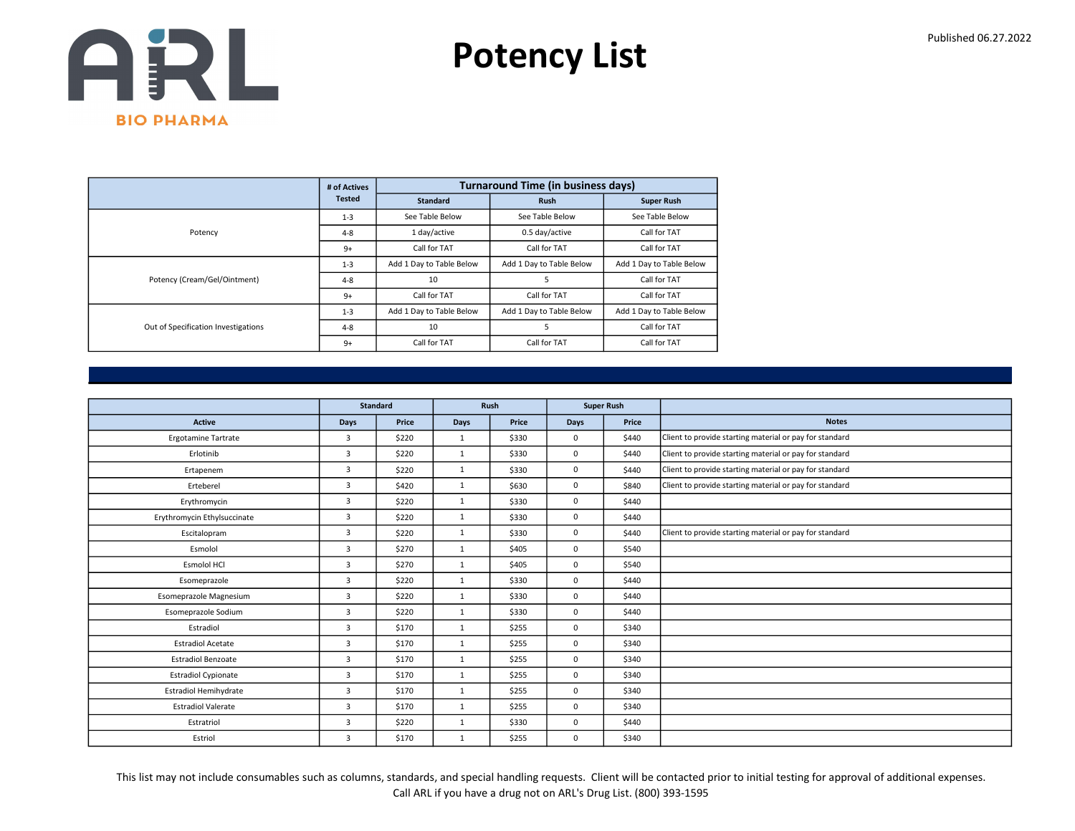

|                                     | # of Actives  |                          | <b>Turnaround Time (in business days)</b> |                          |
|-------------------------------------|---------------|--------------------------|-------------------------------------------|--------------------------|
|                                     | <b>Tested</b> | <b>Standard</b>          | <b>Rush</b>                               | <b>Super Rush</b>        |
|                                     | $1 - 3$       | See Table Below          | See Table Below                           | See Table Below          |
| Potency                             | $4 - 8$       | 1 day/active             | 0.5 day/active                            | Call for TAT             |
|                                     | $9+$          | Call for TAT             | Call for TAT                              | Call for TAT             |
|                                     | $1 - 3$       | Add 1 Day to Table Below | Add 1 Day to Table Below                  | Add 1 Day to Table Below |
| Potency (Cream/Gel/Ointment)        | $4 - 8$       | 10                       | 5                                         | Call for TAT             |
|                                     | $9+$          | Call for TAT             | Call for TAT                              | Call for TAT             |
|                                     | $1 - 3$       | Add 1 Day to Table Below | Add 1 Day to Table Below                  | Add 1 Day to Table Below |
| Out of Specification Investigations | $4 - 8$       | 10                       | 5                                         | Call for TAT             |
|                                     | $9+$          | Call for TAT             | Call for TAT                              | Call for TAT             |

|                              |                | <b>Standard</b> |              | Rush  |      | <b>Super Rush</b> |                                                         |
|------------------------------|----------------|-----------------|--------------|-------|------|-------------------|---------------------------------------------------------|
| Active                       | Days           | Price           | <b>Days</b>  | Price | Days | Price             | <b>Notes</b>                                            |
| <b>Ergotamine Tartrate</b>   | $\overline{3}$ | \$220           | $\mathbf{1}$ | \$330 | 0    | \$440             | Client to provide starting material or pay for standard |
| Erlotinib                    | $\overline{3}$ | \$220           | $\mathbf{1}$ | \$330 | 0    | \$440             | Client to provide starting material or pay for standard |
| Ertapenem                    | $\overline{3}$ | \$220           | $\mathbf{1}$ | \$330 | 0    | \$440             | Client to provide starting material or pay for standard |
| Erteberel                    | $\overline{3}$ | \$420           | $\mathbf{1}$ | \$630 | 0    | \$840             | Client to provide starting material or pay for standard |
| Erythromycin                 | $\overline{3}$ | \$220           | $\mathbf{1}$ | \$330 | 0    | \$440             |                                                         |
| Erythromycin Ethylsuccinate  | $\overline{3}$ | \$220           | $\mathbf{1}$ | \$330 | 0    | \$440             |                                                         |
| Escitalopram                 | $\overline{3}$ | \$220           | $\mathbf{1}$ | \$330 | 0    | \$440             | Client to provide starting material or pay for standard |
| Esmolol                      | $\overline{3}$ | \$270           | $\mathbf{1}$ | \$405 | 0    | \$540             |                                                         |
| <b>Esmolol HCI</b>           | $\overline{3}$ | \$270           | $\mathbf{1}$ | \$405 | 0    | \$540             |                                                         |
| Esomeprazole                 | $\overline{3}$ | \$220           | $\mathbf{1}$ | \$330 | 0    | \$440             |                                                         |
| Esomeprazole Magnesium       | $\overline{3}$ | \$220           | $\mathbf{1}$ | \$330 | 0    | \$440             |                                                         |
| Esomeprazole Sodium          | $\overline{3}$ | \$220           | $\mathbf{1}$ | \$330 | 0    | \$440             |                                                         |
| Estradiol                    | $\overline{3}$ | \$170           | $\mathbf{1}$ | \$255 | 0    | \$340             |                                                         |
| <b>Estradiol Acetate</b>     | $\overline{3}$ | \$170           | $\mathbf{1}$ | \$255 | 0    | \$340             |                                                         |
| <b>Estradiol Benzoate</b>    | $\overline{3}$ | \$170           | $\mathbf{1}$ | \$255 | 0    | \$340             |                                                         |
| <b>Estradiol Cypionate</b>   | $\overline{3}$ | \$170           | $\mathbf{1}$ | \$255 | 0    | \$340             |                                                         |
| <b>Estradiol Hemihydrate</b> | $\overline{3}$ | \$170           | $\mathbf{1}$ | \$255 | 0    | \$340             |                                                         |
| <b>Estradiol Valerate</b>    | 3              | \$170           | $\mathbf{1}$ | \$255 | 0    | \$340             |                                                         |
| Estratriol                   | $\overline{3}$ | \$220           | $\mathbf{1}$ | \$330 | 0    | \$440             |                                                         |
| Estriol                      | 3              | \$170           | $\mathbf{1}$ | \$255 | 0    | \$340             |                                                         |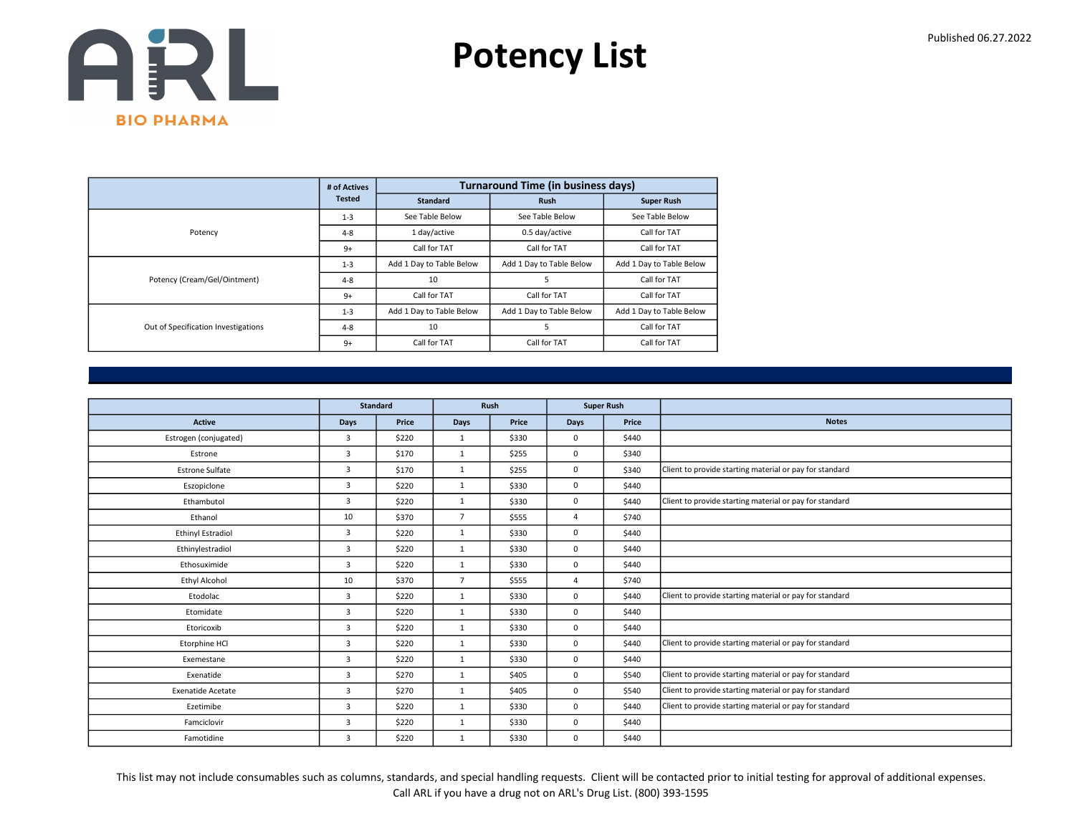

|                                     | # of Actives  |                          | <b>Turnaround Time (in business days)</b> |                          |
|-------------------------------------|---------------|--------------------------|-------------------------------------------|--------------------------|
|                                     | <b>Tested</b> | <b>Standard</b>          | <b>Rush</b>                               | <b>Super Rush</b>        |
|                                     | $1 - 3$       | See Table Below          | See Table Below                           | See Table Below          |
| Potency                             | $4 - 8$       | 1 day/active             | 0.5 day/active                            | Call for TAT             |
|                                     | $9+$          | Call for TAT             | Call for TAT                              | Call for TAT             |
|                                     | $1 - 3$       | Add 1 Day to Table Below | Add 1 Day to Table Below                  | Add 1 Day to Table Below |
| Potency (Cream/Gel/Ointment)        | $4 - 8$       | 10                       | 5                                         | Call for TAT             |
|                                     | $9+$          | Call for TAT             | Call for TAT                              | Call for TAT             |
| Out of Specification Investigations | $1 - 3$       | Add 1 Day to Table Below | Add 1 Day to Table Below                  | Add 1 Day to Table Below |
|                                     | $4 - 8$       | 10                       | 5                                         | Call for TAT             |
|                                     | $9+$          | Call for TAT             | Call for TAT                              | Call for TAT             |

|                          |                | <b>Standard</b> |                | Rush  |                | <b>Super Rush</b> |                                                         |
|--------------------------|----------------|-----------------|----------------|-------|----------------|-------------------|---------------------------------------------------------|
| <b>Active</b>            | Days           | Price           | Days           | Price | <b>Days</b>    | Price             | <b>Notes</b>                                            |
| Estrogen (conjugated)    | $\overline{3}$ | \$220           | 1              | \$330 | $\Omega$       | \$440             |                                                         |
| Estrone                  | 3              | \$170           | $\mathbf{1}$   | \$255 | $\mathbf 0$    | \$340             |                                                         |
| <b>Estrone Sulfate</b>   | 3              | \$170           | $\mathbf{1}$   | \$255 | $\mathbf 0$    | \$340             | Client to provide starting material or pay for standard |
| Eszopiclone              | 3              | \$220           | 1              | \$330 | $\mathbf 0$    | \$440             |                                                         |
| Ethambutol               | $\overline{3}$ | \$220           | $\mathbf{1}$   | \$330 | $\mathbf 0$    | \$440             | Client to provide starting material or pay for standard |
| Ethanol                  | 10             | \$370           | $\overline{7}$ | \$555 | $\overline{4}$ | \$740             |                                                         |
| <b>Ethinyl Estradiol</b> | $\overline{3}$ | \$220           | 1              | \$330 | $\mathbf 0$    | \$440             |                                                         |
| Ethinylestradiol         | $\overline{3}$ | \$220           | $\mathbf{1}$   | \$330 | $\mathbf 0$    | \$440             |                                                         |
| Ethosuximide             | 3              | \$220           | $\mathbf{1}$   | \$330 | $\mathbf 0$    | \$440             |                                                         |
| Ethyl Alcohol            | 10             | \$370           | $\overline{7}$ | \$555 | $\overline{4}$ | \$740             |                                                         |
| Etodolac                 | 3              | \$220           | $\mathbf{1}$   | \$330 | $\mathbf 0$    | \$440             | Client to provide starting material or pay for standard |
| Etomidate                | 3              | \$220           | 1              | \$330 | $\mathbf 0$    | \$440             |                                                         |
| Etoricoxib               | $\overline{3}$ | \$220           | $\mathbf{1}$   | \$330 | $\mathbf 0$    | \$440             |                                                         |
| Etorphine HCl            | 3              | \$220           | 1              | \$330 | $\mathbf 0$    | \$440             | Client to provide starting material or pay for standard |
| Exemestane               | 3              | \$220           | 1              | \$330 | $\mathbf 0$    | \$440             |                                                         |
| Exenatide                | 3              | \$270           | $\mathbf{1}$   | \$405 | $\mathbf 0$    | \$540             | Client to provide starting material or pay for standard |
| <b>Exenatide Acetate</b> | 3              | \$270           | $\mathbf{1}$   | \$405 | $\mathbf 0$    | \$540             | Client to provide starting material or pay for standard |
| Ezetimibe                | 3              | \$220           | 1              | \$330 | $\mathbf 0$    | \$440             | Client to provide starting material or pay for standard |
| Famciclovir              | 3              | \$220           | $\mathbf{1}$   | \$330 | $\mathbf 0$    | \$440             |                                                         |
| Famotidine               | $\overline{3}$ | \$220           | $\mathbf{1}$   | \$330 | $\mathbf 0$    | \$440             |                                                         |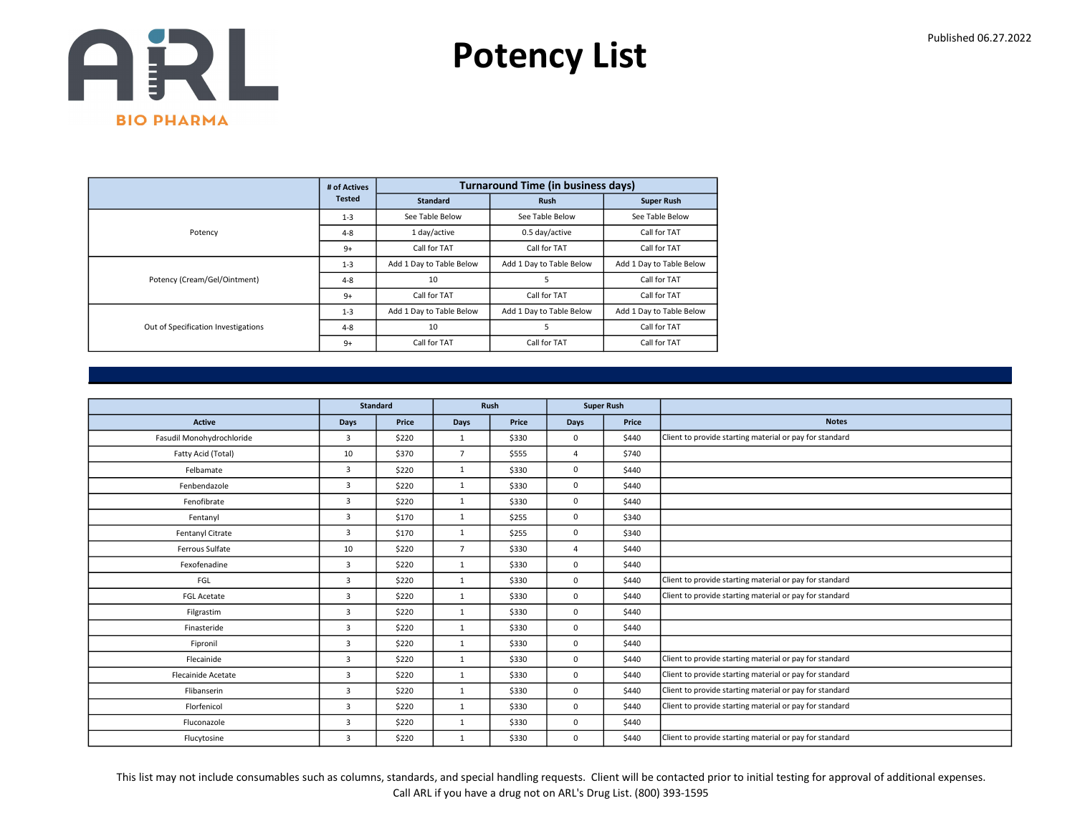

|                                     | # of Actives  |                          | <b>Turnaround Time (in business days)</b> |                          |
|-------------------------------------|---------------|--------------------------|-------------------------------------------|--------------------------|
|                                     | <b>Tested</b> | <b>Standard</b>          | <b>Rush</b>                               | <b>Super Rush</b>        |
|                                     | $1 - 3$       | See Table Below          | See Table Below                           | See Table Below          |
| Potency                             | $4 - 8$       | 1 day/active             | 0.5 day/active                            | Call for TAT             |
|                                     | $9+$          | Call for TAT             | Call for TAT                              | Call for TAT             |
|                                     | $1 - 3$       | Add 1 Day to Table Below | Add 1 Day to Table Below                  | Add 1 Day to Table Below |
| Potency (Cream/Gel/Ointment)        | $4 - 8$       | 10                       | 5                                         | Call for TAT             |
|                                     | $9+$          | Call for TAT             | Call for TAT                              | Call for TAT             |
|                                     | $1 - 3$       | Add 1 Day to Table Below | Add 1 Day to Table Below                  | Add 1 Day to Table Below |
| Out of Specification Investigations | $4 - 8$       | 10                       | 5                                         | Call for TAT             |
|                                     | $9+$          | Call for TAT             | Call for TAT                              | Call for TAT             |

|                           |                | <b>Standard</b> | Rush           |       |                | <b>Super Rush</b> |                                                         |
|---------------------------|----------------|-----------------|----------------|-------|----------------|-------------------|---------------------------------------------------------|
| <b>Active</b>             | <b>Days</b>    | Price           | <b>Days</b>    | Price | <b>Days</b>    | Price             | <b>Notes</b>                                            |
| Fasudil Monohydrochloride | $\overline{3}$ | \$220           | $\mathbf{1}$   | \$330 | 0              | \$440             | Client to provide starting material or pay for standard |
| Fatty Acid (Total)        | 10             | \$370           | $\overline{7}$ | \$555 | $\overline{4}$ | \$740             |                                                         |
| Felbamate                 | 3              | \$220           | $\mathbf{1}$   | \$330 | 0              | \$440             |                                                         |
| Fenbendazole              | 3              | \$220           | $\mathbf{1}$   | \$330 | 0              | \$440             |                                                         |
| Fenofibrate               | $\overline{3}$ | \$220           | $\mathbf{1}$   | \$330 | 0              | \$440             |                                                         |
| Fentanyl                  | 3              | \$170           | 1              | \$255 | 0              | \$340             |                                                         |
| Fentanyl Citrate          | $\overline{3}$ | \$170           | 1              | \$255 | 0              | \$340             |                                                         |
| Ferrous Sulfate           | 10             | \$220           | $\overline{7}$ | \$330 | $\Delta$       | \$440             |                                                         |
| Fexofenadine              | 3              | \$220           | $\mathbf{1}$   | \$330 | 0              | \$440             |                                                         |
| FGL                       | $\overline{3}$ | \$220           | 1              | \$330 | 0              | \$440             | Client to provide starting material or pay for standard |
| <b>FGL Acetate</b>        | 3              | \$220           | $\mathbf{1}$   | \$330 | 0              | \$440             | Client to provide starting material or pay for standard |
| Filgrastim                | 3              | \$220           | $\mathbf{1}$   | \$330 | 0              | \$440             |                                                         |
| Finasteride               | $\overline{3}$ | \$220           | $\mathbf{1}$   | \$330 | 0              | \$440             |                                                         |
| Fipronil                  | 3              | \$220           | $\mathbf{1}$   | \$330 | 0              | \$440             |                                                         |
| Flecainide                | $\overline{3}$ | \$220           | $\mathbf{1}$   | \$330 | 0              | \$440             | Client to provide starting material or pay for standard |
| <b>Flecainide Acetate</b> | 3              | \$220           | $\mathbf{1}$   | \$330 | 0              | \$440             | Client to provide starting material or pay for standard |
| Flibanserin               | 3              | \$220           | $\mathbf{1}$   | \$330 | 0              | \$440             | Client to provide starting material or pay for standard |
| Florfenicol               | 3              | \$220           | $\mathbf{1}$   | \$330 | 0              | \$440             | Client to provide starting material or pay for standard |
| Fluconazole               | 3              | \$220           | $\mathbf{1}$   | \$330 | 0              | \$440             |                                                         |
| Flucytosine               | $\overline{3}$ | \$220           | $\mathbf{1}$   | \$330 | 0              | \$440             | Client to provide starting material or pay for standard |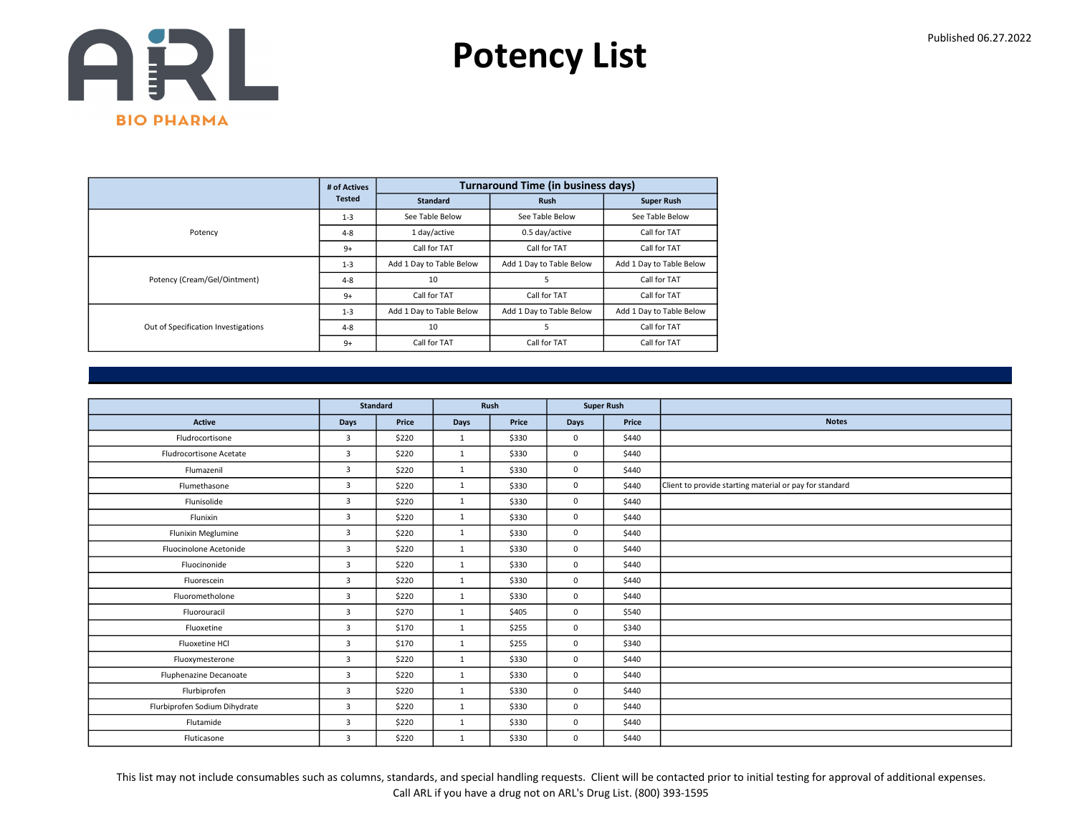

|                                     | # of Actives  |                          | <b>Turnaround Time (in business days)</b> |                          |
|-------------------------------------|---------------|--------------------------|-------------------------------------------|--------------------------|
|                                     | <b>Tested</b> | <b>Standard</b>          | <b>Rush</b>                               | <b>Super Rush</b>        |
|                                     | $1 - 3$       | See Table Below          | See Table Below                           | See Table Below          |
| Potency                             | $4 - 8$       | 1 day/active             | 0.5 day/active                            | Call for TAT             |
|                                     | $9+$          | Call for TAT             | Call for TAT                              | Call for TAT             |
|                                     | $1 - 3$       | Add 1 Day to Table Below | Add 1 Day to Table Below                  | Add 1 Day to Table Below |
| Potency (Cream/Gel/Ointment)        | $4 - 8$       | 10                       | 5                                         | Call for TAT             |
|                                     | $9+$          | Call for TAT             | Call for TAT                              | Call for TAT             |
|                                     | $1 - 3$       | Add 1 Day to Table Below | Add 1 Day to Table Below                  | Add 1 Day to Table Below |
| Out of Specification Investigations | $4 - 8$       | 10                       | 5                                         | Call for TAT             |
|                                     | $9+$          | Call for TAT             | Call for TAT                              | Call for TAT             |

|                               |                | <b>Standard</b> | Rush         |       |              | <b>Super Rush</b> |                                                         |
|-------------------------------|----------------|-----------------|--------------|-------|--------------|-------------------|---------------------------------------------------------|
| <b>Active</b>                 | Days           | Price           | Days         | Price | <b>Days</b>  | Price             | <b>Notes</b>                                            |
| Fludrocortisone               | $\overline{3}$ | \$220           | 1            | \$330 | $\mathbf{0}$ | \$440             |                                                         |
|                               |                |                 |              |       |              |                   |                                                         |
| Fludrocortisone Acetate       | 3              | \$220           | $\mathbf{1}$ | \$330 | $\mathbf 0$  | \$440             |                                                         |
| Flumazenil                    | 3              | \$220           | 1            | \$330 | $\mathbf 0$  | \$440             |                                                         |
| Flumethasone                  | $\overline{3}$ | \$220           | 1            | \$330 | $\mathbf{0}$ | \$440             | Client to provide starting material or pay for standard |
| Flunisolide                   | 3              | \$220           | $\mathbf{1}$ | \$330 | $\mathbf 0$  | \$440             |                                                         |
| Flunixin                      | $\overline{3}$ | \$220           | $\mathbf{1}$ | \$330 | $\mathbf 0$  | \$440             |                                                         |
| Flunixin Meglumine            | 3              | \$220           | 1            | \$330 | $\mathbf{0}$ | \$440             |                                                         |
| Fluocinolone Acetonide        | 3              | \$220           | $\mathbf{1}$ | \$330 | $\mathbf 0$  | \$440             |                                                         |
| Fluocinonide                  | $\overline{3}$ | \$220           | $\mathbf{1}$ | \$330 | $\mathbf 0$  | \$440             |                                                         |
| Fluorescein                   | $\overline{3}$ | \$220           | $\mathbf{1}$ | \$330 | $\mathbf{0}$ | \$440             |                                                         |
| Fluorometholone               | $\overline{3}$ | \$220           | $\mathbf{1}$ | \$330 | $\mathbf 0$  | \$440             |                                                         |
| Fluorouracil                  | 3              | \$270           | 1            | \$405 | $\mathbf{0}$ | \$540             |                                                         |
| Fluoxetine                    | $\overline{3}$ | \$170           | 1            | \$255 | $\mathbf 0$  | \$340             |                                                         |
| Fluoxetine HCl                | $\overline{3}$ | \$170           | $\mathbf{1}$ | \$255 | $\mathbf 0$  | \$340             |                                                         |
| Fluoxymesterone               | 3              | \$220           | $\mathbf{1}$ | \$330 | $\mathbf 0$  | \$440             |                                                         |
| Fluphenazine Decanoate        | 3              | \$220           | 1            | \$330 | $\mathbf{0}$ | \$440             |                                                         |
| Flurbiprofen                  | 3              | \$220           | $\mathbf{1}$ | \$330 | $\mathbf 0$  | \$440             |                                                         |
| Flurbiprofen Sodium Dihydrate | 3              | \$220           | 1            | \$330 | $\mathbf{0}$ | \$440             |                                                         |
| Flutamide                     | 3              | \$220           | 1            | \$330 | $\mathbf 0$  | \$440             |                                                         |
| Fluticasone                   | $\overline{3}$ | \$220           | 1            | \$330 | $\mathbf 0$  | \$440             |                                                         |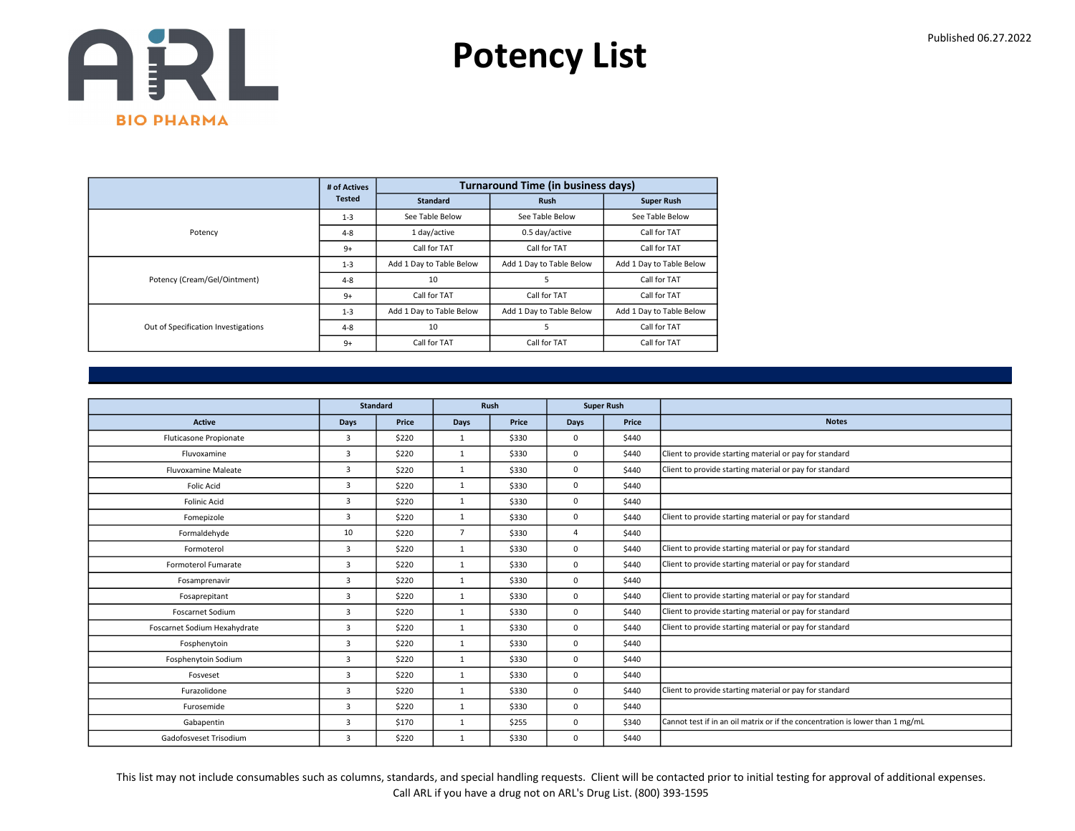

|                                     | # of Actives  |                          | <b>Turnaround Time (in business days)</b> |                          |
|-------------------------------------|---------------|--------------------------|-------------------------------------------|--------------------------|
|                                     | <b>Tested</b> | Standard                 | <b>Rush</b>                               | <b>Super Rush</b>        |
|                                     | $1 - 3$       | See Table Below          | See Table Below                           | See Table Below          |
| Potency                             | $4 - 8$       | 1 day/active             | 0.5 day/active                            | Call for TAT             |
|                                     | $9+$          | Call for TAT             | Call for TAT                              | Call for TAT             |
|                                     | $1 - 3$       | Add 1 Day to Table Below | Add 1 Day to Table Below                  | Add 1 Day to Table Below |
| Potency (Cream/Gel/Ointment)        | $4 - 8$       | 10                       | 5                                         | Call for TAT             |
|                                     | $9+$          | Call for TAT             | Call for TAT                              | Call for TAT             |
| Out of Specification Investigations | $1 - 3$       | Add 1 Day to Table Below | Add 1 Day to Table Below                  | Add 1 Day to Table Below |
|                                     | $4 - 8$       | 10                       | 5                                         | Call for TAT             |
|                                     | $9+$          | Call for TAT             | Call for TAT                              | Call for TAT             |

|                              |                | <b>Standard</b> |                | Rush<br><b>Super Rush</b> |             |       |                                                                               |
|------------------------------|----------------|-----------------|----------------|---------------------------|-------------|-------|-------------------------------------------------------------------------------|
|                              |                |                 |                |                           |             |       |                                                                               |
| <b>Active</b>                | <b>Days</b>    | Price           | <b>Days</b>    | Price                     | <b>Days</b> | Price | <b>Notes</b>                                                                  |
| Fluticasone Propionate       | 3              | \$220           | 1              | \$330                     | $\Omega$    | \$440 |                                                                               |
| Fluvoxamine                  | 3              | \$220           | 1              | \$330                     | 0           | \$440 | Client to provide starting material or pay for standard                       |
| <b>Fluvoxamine Maleate</b>   | 3              | \$220           | $\mathbf{1}$   | \$330                     | 0           | \$440 | Client to provide starting material or pay for standard                       |
| <b>Folic Acid</b>            | 3              | \$220           | 1              | \$330                     | $\Omega$    | \$440 |                                                                               |
| <b>Folinic Acid</b>          | 3              | \$220           | $\mathbf{1}$   | \$330                     | 0           | \$440 |                                                                               |
| Fomepizole                   | 3              | \$220           | $\mathbf{1}$   | \$330                     | 0           | \$440 | Client to provide starting material or pay for standard                       |
| Formaldehyde                 | 10             | \$220           | $\overline{7}$ | \$330                     | $\Delta$    | \$440 |                                                                               |
| Formoterol                   | 3              | \$220           | $\mathbf{1}$   | \$330                     | 0           | \$440 | Client to provide starting material or pay for standard                       |
| Formoterol Fumarate          | 3              | \$220           | $\mathbf{1}$   | \$330                     | 0           | \$440 | Client to provide starting material or pay for standard                       |
| Fosamprenavir                | 3              | \$220           | $\mathbf{1}$   | \$330                     | 0           | \$440 |                                                                               |
| Fosaprepitant                | 3              | \$220           | $\mathbf{1}$   | \$330                     | 0           | \$440 | Client to provide starting material or pay for standard                       |
| Foscarnet Sodium             | 3              | \$220           | $\mathbf{1}$   | \$330                     | 0           | \$440 | Client to provide starting material or pay for standard                       |
| Foscarnet Sodium Hexahydrate | 3              | \$220           | $\mathbf{1}$   | \$330                     | 0           | \$440 | Client to provide starting material or pay for standard                       |
| Fosphenytoin                 | 3              | \$220           | $\mathbf{1}$   | \$330                     | 0           | \$440 |                                                                               |
| Fosphenytoin Sodium          | 3              | \$220           | $\mathbf{1}$   | \$330                     | 0           | \$440 |                                                                               |
| Fosveset                     | 3              | \$220           | 1              | \$330                     | 0           | \$440 |                                                                               |
| Furazolidone                 | 3              | \$220           | $\mathbf{1}$   | \$330                     | 0           | \$440 | Client to provide starting material or pay for standard                       |
| Furosemide                   | 3              | \$220           | $\mathbf{1}$   | \$330                     | 0           | \$440 |                                                                               |
| Gabapentin                   | $\overline{3}$ | \$170           | $\mathbf{1}$   | \$255                     | $\Omega$    | \$340 | Cannot test if in an oil matrix or if the concentration is lower than 1 mg/mL |
| Gadofosveset Trisodium       | 3              | \$220           | $\mathbf{1}$   | \$330                     | 0           | \$440 |                                                                               |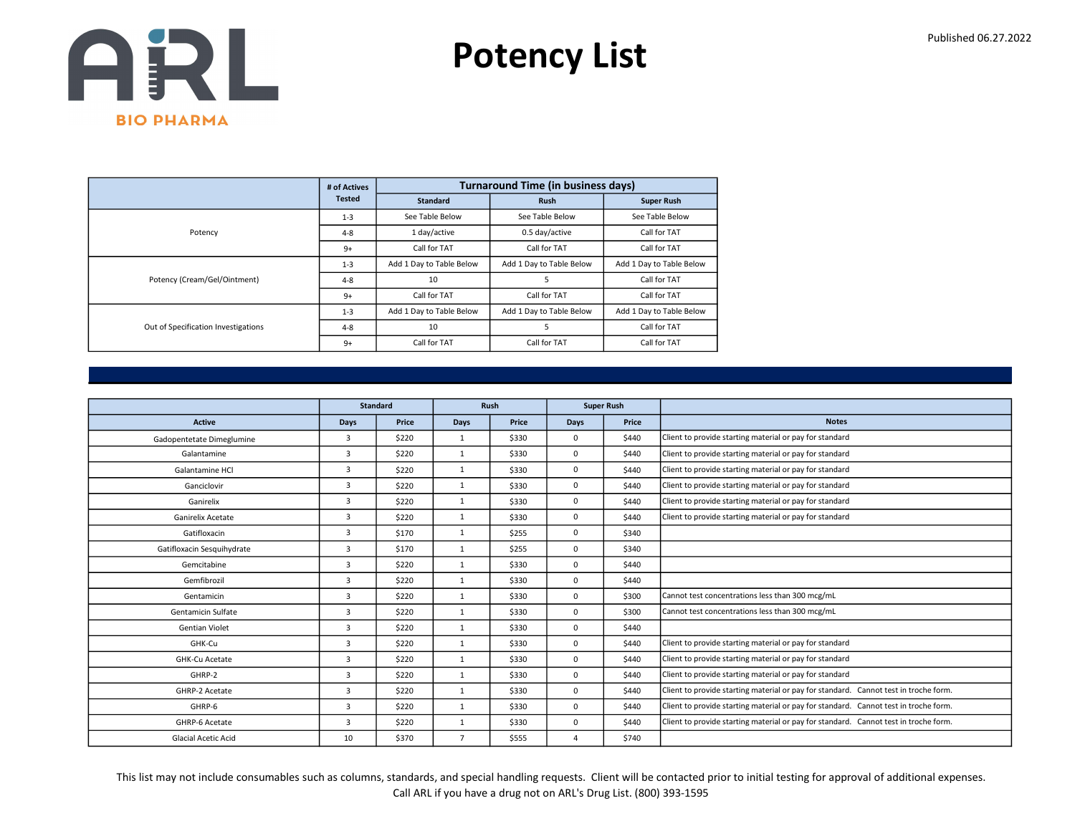

|                                     | # of Actives  |                          | <b>Turnaround Time (in business days)</b> |                          |
|-------------------------------------|---------------|--------------------------|-------------------------------------------|--------------------------|
|                                     | <b>Tested</b> | <b>Standard</b>          | <b>Rush</b>                               | <b>Super Rush</b>        |
|                                     | $1 - 3$       | See Table Below          | See Table Below                           | See Table Below          |
| Potency                             | $4 - 8$       | 1 day/active             | 0.5 day/active                            | Call for TAT             |
|                                     | $9+$          | Call for TAT             | Call for TAT                              | Call for TAT             |
|                                     | $1 - 3$       | Add 1 Day to Table Below | Add 1 Day to Table Below                  | Add 1 Day to Table Below |
| Potency (Cream/Gel/Ointment)        | $4 - 8$       | 10                       |                                           | Call for TAT             |
|                                     | $9+$          | Call for TAT             | Call for TAT                              | Call for TAT             |
| Out of Specification Investigations | $1 - 3$       | Add 1 Day to Table Below | Add 1 Day to Table Below                  | Add 1 Day to Table Below |
|                                     | $4 - 8$       | 10                       |                                           | Call for TAT             |
|                                     | $9+$          | Call for TAT             | Call for TAT                              | Call for TAT             |

|                            |                | <b>Standard</b> |                | <b>Rush</b> |             | <b>Super Rush</b> |                                                                                      |
|----------------------------|----------------|-----------------|----------------|-------------|-------------|-------------------|--------------------------------------------------------------------------------------|
| <b>Active</b>              | Days           | Price           | Days           | Price       | Days        | Price             | <b>Notes</b>                                                                         |
| Gadopentetate Dimeglumine  | 3              | \$220           | $\mathbf{1}$   | \$330       | $\mathbf 0$ | \$440             | Client to provide starting material or pay for standard                              |
| Galantamine                | 3              | \$220           | $\mathbf{1}$   | \$330       | $\mathbf 0$ | \$440             | Client to provide starting material or pay for standard                              |
| Galantamine HCl            | 3              | \$220           | 1              | \$330       | $\mathbf 0$ | \$440             | Client to provide starting material or pay for standard                              |
| Ganciclovir                | 3              | \$220           | 1              | \$330       | $\mathbf 0$ | \$440             | Client to provide starting material or pay for standard                              |
| Ganirelix                  | 3              | \$220           | 1              | \$330       | $\mathbf 0$ | \$440             | Client to provide starting material or pay for standard                              |
| Ganirelix Acetate          | 3              | \$220           | $\mathbf{1}$   | \$330       | $\mathbf 0$ | \$440             | Client to provide starting material or pay for standard                              |
| Gatifloxacin               | $\overline{3}$ | \$170           | 1              | \$255       | $\Omega$    | \$340             |                                                                                      |
| Gatifloxacin Sesquihydrate | 3              | \$170           | 1              | \$255       | $\mathbf 0$ | \$340             |                                                                                      |
| Gemcitabine                | 3              | \$220           | 1              | \$330       | $\mathbf 0$ | \$440             |                                                                                      |
| Gemfibrozil                | 3              | \$220           | 1              | \$330       | $\mathbf 0$ | \$440             |                                                                                      |
| Gentamicin                 | 3              | \$220           | $\mathbf{1}$   | \$330       | $\mathbf 0$ | \$300             | Cannot test concentrations less than 300 mcg/mL                                      |
| Gentamicin Sulfate         | 3              | \$220           | $\mathbf{1}$   | \$330       | $\mathbf 0$ | \$300             | Cannot test concentrations less than 300 mcg/mL                                      |
| <b>Gentian Violet</b>      | 3              | \$220           | 1              | \$330       | $\mathbf 0$ | \$440             |                                                                                      |
| GHK-Cu                     | 3              | \$220           | $\mathbf{1}$   | \$330       | $\mathbf 0$ | \$440             | Client to provide starting material or pay for standard                              |
| GHK-Cu Acetate             | 3              | \$220           | $\mathbf{1}$   | \$330       | $^{\circ}$  | \$440             | Client to provide starting material or pay for standard                              |
| GHRP-2                     | 3              | \$220           | 1              | \$330       | $\mathbf 0$ | \$440             | Client to provide starting material or pay for standard                              |
| GHRP-2 Acetate             | 3              | \$220           | $\mathbf{1}$   | \$330       | $\Omega$    | \$440             | Client to provide starting material or pay for standard. Cannot test in troche form. |
| GHRP-6                     | 3              | \$220           | $\mathbf{1}$   | \$330       | $^{\circ}$  | \$440             | Client to provide starting material or pay for standard. Cannot test in troche form. |
| GHRP-6 Acetate             | 3              | \$220           | 1              | \$330       | $\mathbf 0$ | \$440             | Client to provide starting material or pay for standard. Cannot test in troche form. |
| <b>Glacial Acetic Acid</b> | 10             | \$370           | $\overline{7}$ | \$555       | $\Delta$    | \$740             |                                                                                      |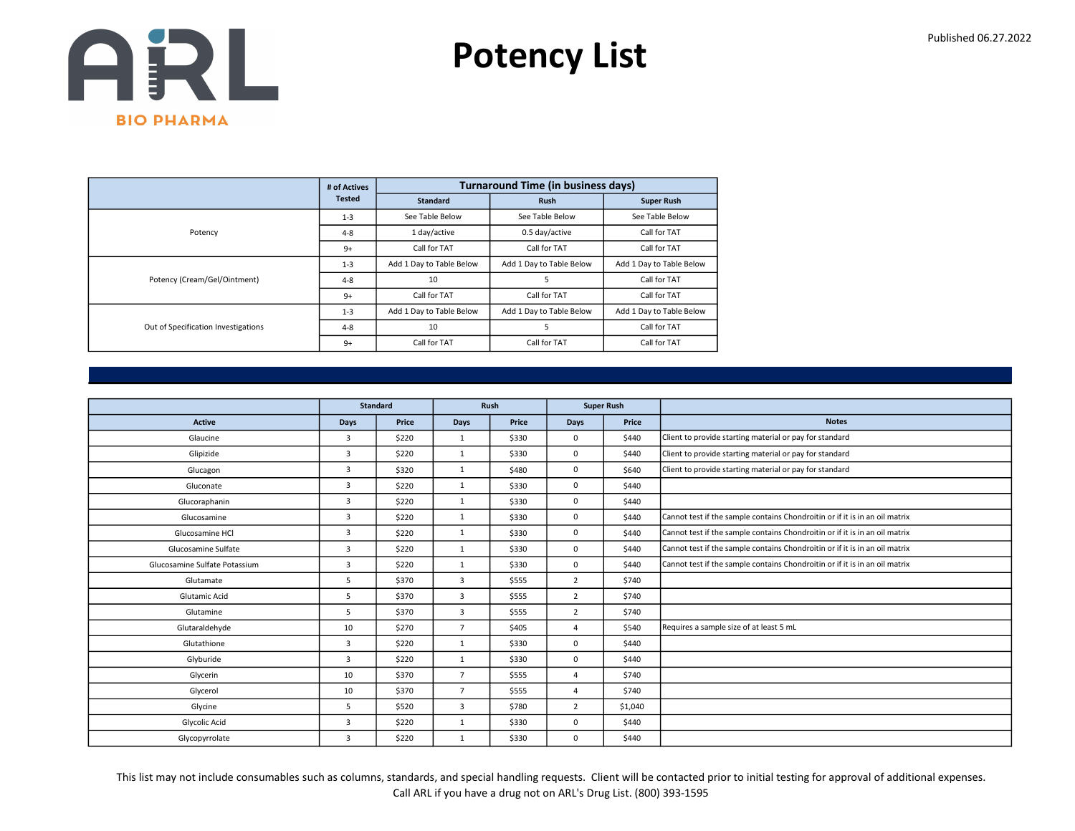

|                                     | # of Actives  |                          | <b>Turnaround Time (in business days)</b> |                          |
|-------------------------------------|---------------|--------------------------|-------------------------------------------|--------------------------|
|                                     | <b>Tested</b> | <b>Standard</b>          | <b>Rush</b>                               | <b>Super Rush</b>        |
|                                     | $1 - 3$       | See Table Below          | See Table Below                           | See Table Below          |
| Potency                             | $4 - 8$       | 1 day/active             | 0.5 day/active                            | Call for TAT             |
|                                     | $9+$          | Call for TAT             | Call for TAT                              | Call for TAT             |
|                                     | $1 - 3$       | Add 1 Day to Table Below | Add 1 Day to Table Below                  | Add 1 Day to Table Below |
| Potency (Cream/Gel/Ointment)        | $4 - 8$       | 10                       | 5                                         | Call for TAT             |
|                                     | $9+$          | Call for TAT             | Call for TAT                              | Call for TAT             |
|                                     | $1 - 3$       | Add 1 Day to Table Below | Add 1 Day to Table Below                  | Add 1 Day to Table Below |
| Out of Specification Investigations | $4 - 8$       | 10                       | 5                                         | Call for TAT             |
|                                     | $9+$          | Call for TAT             | Call for TAT                              | Call for TAT             |

|                               |                | <b>Standard</b> | Rush<br><b>Super Rush</b> |       |                |         |                                                                             |
|-------------------------------|----------------|-----------------|---------------------------|-------|----------------|---------|-----------------------------------------------------------------------------|
|                               |                |                 |                           |       |                |         |                                                                             |
| <b>Active</b>                 | <b>Days</b>    | Price           | Days                      | Price | Days           | Price   | <b>Notes</b>                                                                |
| Glaucine                      | $\overline{3}$ | \$220           | 1                         | \$330 | 0              | \$440   | Client to provide starting material or pay for standard                     |
| Glipizide                     | $\overline{3}$ | \$220           | $\mathbf{1}$              | \$330 | 0              | \$440   | Client to provide starting material or pay for standard                     |
| Glucagon                      | 3              | \$320           | $\mathbf{1}$              | \$480 | 0              | \$640   | Client to provide starting material or pay for standard                     |
| Gluconate                     | $\overline{3}$ | \$220           | $\mathbf{1}$              | \$330 | $\Omega$       | \$440   |                                                                             |
| Glucoraphanin                 | 3              | \$220           | $\mathbf{1}$              | \$330 | 0              | \$440   |                                                                             |
| Glucosamine                   | 3              | \$220           | 1                         | \$330 | 0              | \$440   | Cannot test if the sample contains Chondroitin or if it is in an oil matrix |
| Glucosamine HCl               | $\overline{3}$ | \$220           | $\mathbf{1}$              | \$330 | 0              | \$440   | Cannot test if the sample contains Chondroitin or if it is in an oil matrix |
| Glucosamine Sulfate           | $\overline{3}$ | \$220           | $\mathbf{1}$              | \$330 | 0              | \$440   | Cannot test if the sample contains Chondroitin or if it is in an oil matrix |
| Glucosamine Sulfate Potassium | 3              | \$220           | $\mathbf{1}$              | \$330 | 0              | \$440   | Cannot test if the sample contains Chondroitin or if it is in an oil matrix |
| Glutamate                     | 5              | \$370           | 3                         | \$555 | $\overline{2}$ | \$740   |                                                                             |
| Glutamic Acid                 | 5              | \$370           | $\overline{3}$            | \$555 | $\overline{2}$ | \$740   |                                                                             |
| Glutamine                     | 5              | \$370           | 3                         | \$555 | $\overline{2}$ | \$740   |                                                                             |
| Glutaraldehyde                | 10             | \$270           | $\overline{7}$            | \$405 | $\overline{a}$ | \$540   | Requires a sample size of at least 5 mL                                     |
| Glutathione                   | 3              | \$220           | $\mathbf{1}$              | \$330 | 0              | \$440   |                                                                             |
| Glyburide                     | 3              | \$220           | $\mathbf{1}$              | \$330 | 0              | \$440   |                                                                             |
| Glycerin                      | 10             | \$370           | $\overline{7}$            | \$555 | $\overline{a}$ | \$740   |                                                                             |
| Glycerol                      | 10             | \$370           | $\overline{7}$            | \$555 | $\Delta$       | \$740   |                                                                             |
| Glycine                       | 5              | \$520           | 3                         | \$780 | $\overline{2}$ | \$1,040 |                                                                             |
| Glycolic Acid                 | 3              | \$220           | $\mathbf{1}$              | \$330 | 0              | \$440   |                                                                             |
| Glycopyrrolate                | 3              | \$220           | $\mathbf{1}$              | \$330 | 0              | \$440   |                                                                             |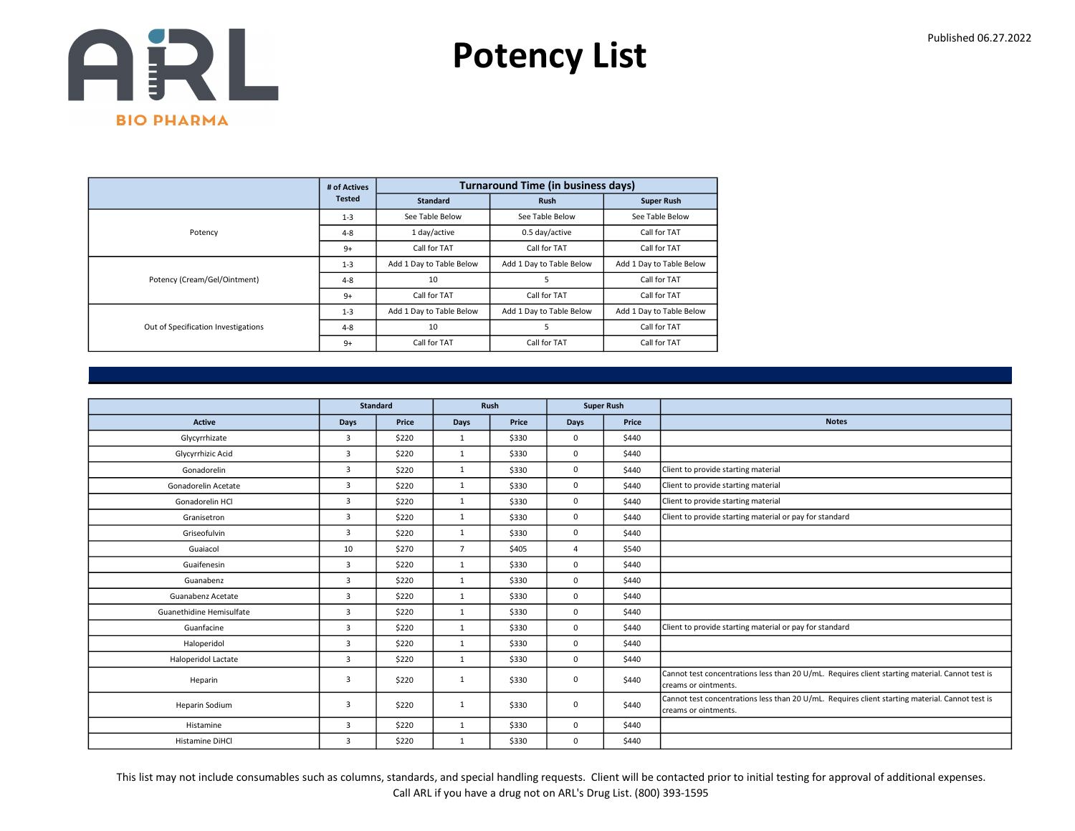

|                                     | # of Actives  |                          | <b>Turnaround Time (in business days)</b> |                          |
|-------------------------------------|---------------|--------------------------|-------------------------------------------|--------------------------|
|                                     | <b>Tested</b> | <b>Standard</b>          | <b>Rush</b>                               | <b>Super Rush</b>        |
|                                     | $1 - 3$       | See Table Below          | See Table Below                           | See Table Below          |
| Potency                             | $4 - 8$       | 1 day/active             | 0.5 day/active                            | Call for TAT             |
|                                     | $9+$          | Call for TAT             | Call for TAT                              | Call for TAT             |
|                                     | $1 - 3$       | Add 1 Day to Table Below | Add 1 Day to Table Below                  | Add 1 Day to Table Below |
| Potency (Cream/Gel/Ointment)        | $4 - 8$       | 10                       | 5                                         | Call for TAT             |
|                                     | $9+$          | Call for TAT             | Call for TAT                              | Call for TAT             |
| Out of Specification Investigations | $1 - 3$       | Add 1 Day to Table Below | Add 1 Day to Table Below                  | Add 1 Day to Table Below |
|                                     | $4 - 8$       | 10                       | 5                                         | Call for TAT             |
|                                     | $9+$          | Call for TAT             | Call for TAT                              | Call for TAT             |

|                          |                | <b>Standard</b> | <b>Super Rush</b><br>Rush |       |      |       |                                                                                                                          |
|--------------------------|----------------|-----------------|---------------------------|-------|------|-------|--------------------------------------------------------------------------------------------------------------------------|
|                          |                |                 |                           |       |      |       |                                                                                                                          |
| Active                   | Days           | Price           | Days                      | Price | Days | Price | <b>Notes</b>                                                                                                             |
| Glycyrrhizate            | $\overline{3}$ | \$220           | $\mathbf{1}$              | \$330 | 0    | \$440 |                                                                                                                          |
| Glycyrrhizic Acid        | $\overline{3}$ | \$220           | $\mathbf{1}$              | \$330 | 0    | \$440 |                                                                                                                          |
| Gonadorelin              | $\overline{3}$ | \$220           | $\mathbf{1}$              | \$330 | 0    | \$440 | Client to provide starting material                                                                                      |
| Gonadorelin Acetate      | 3              | \$220           | 1                         | \$330 | 0    | \$440 | Client to provide starting material                                                                                      |
| Gonadorelin HCl          | $\overline{3}$ | \$220           | $\mathbf{1}$              | \$330 | 0    | \$440 | Client to provide starting material                                                                                      |
| Granisetron              | $\overline{3}$ | \$220           | $\mathbf{1}$              | \$330 | 0    | \$440 | Client to provide starting material or pay for standard                                                                  |
| Griseofulvin             | $\overline{3}$ | \$220           | $\mathbf{1}$              | \$330 | 0    | \$440 |                                                                                                                          |
| Guaiacol                 | 10             | \$270           | $\overline{7}$            | \$405 | 4    | \$540 |                                                                                                                          |
| Guaifenesin              | $\overline{3}$ | \$220           | $\mathbf{1}$              | \$330 | 0    | \$440 |                                                                                                                          |
| Guanabenz                | 3              | \$220           | $\mathbf{1}$              | \$330 | 0    | \$440 |                                                                                                                          |
| Guanabenz Acetate        | $\overline{3}$ | \$220           | 1                         | \$330 | 0    | \$440 |                                                                                                                          |
| Guanethidine Hemisulfate | $\overline{3}$ | \$220           | $\mathbf{1}$              | \$330 | 0    | \$440 |                                                                                                                          |
| Guanfacine               | $\overline{3}$ | \$220           | 1                         | \$330 | 0    | \$440 | Client to provide starting material or pay for standard                                                                  |
| Haloperidol              | $\overline{3}$ | \$220           | $\mathbf{1}$              | \$330 | 0    | \$440 |                                                                                                                          |
| Haloperidol Lactate      | $\overline{3}$ | \$220           | $\mathbf{1}$              | \$330 | 0    | \$440 |                                                                                                                          |
| Heparin                  | 3              | \$220           | $\mathbf{1}$              | \$330 | 0    | \$440 | Cannot test concentrations less than 20 U/mL. Requires client starting material. Cannot test is<br>creams or ointments.  |
| Heparin Sodium           | 3              | \$220           | $\mathbf{1}$              | \$330 | 0    | \$440 | Cannot test concentrations less than 20 U/mL. Requires client starting material. Cannot test is<br>lcreams or ointments. |
| Histamine                | $\overline{3}$ | \$220           | $\mathbf{1}$              | \$330 | 0    | \$440 |                                                                                                                          |
| Histamine DiHCl          | 3              | \$220           | $\mathbf{1}$              | \$330 | 0    | \$440 |                                                                                                                          |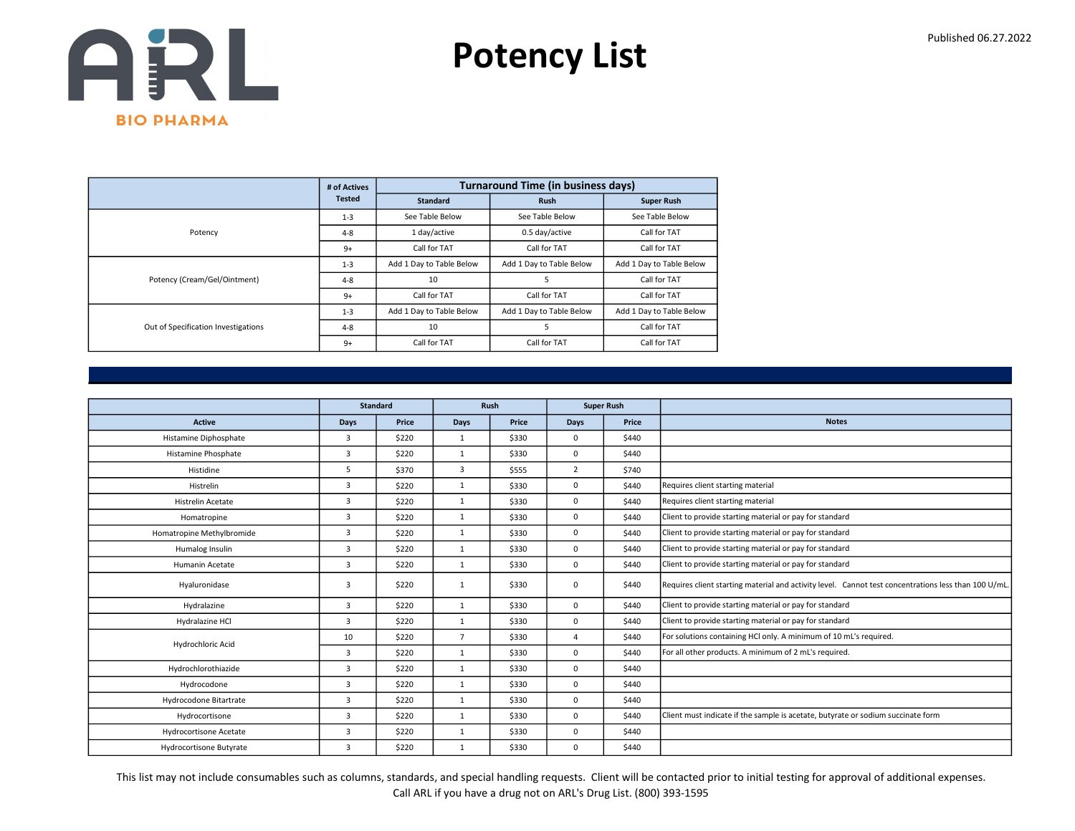

|                                     | # of Actives  |                          | <b>Turnaround Time (in business days)</b> |                          |
|-------------------------------------|---------------|--------------------------|-------------------------------------------|--------------------------|
|                                     | <b>Tested</b> | <b>Standard</b>          | <b>Rush</b>                               | <b>Super Rush</b>        |
|                                     | $1 - 3$       | See Table Below          | See Table Below                           | See Table Below          |
| Potency                             | $4 - 8$       | 1 day/active             | 0.5 day/active                            | Call for TAT             |
|                                     | $9+$          | Call for TAT             | Call for TAT                              | Call for TAT             |
|                                     | $1 - 3$       | Add 1 Day to Table Below | Add 1 Day to Table Below                  | Add 1 Day to Table Below |
| Potency (Cream/Gel/Ointment)        | $4 - 8$       | 10                       | 5                                         | Call for TAT             |
|                                     | $9+$          | Call for TAT             | Call for TAT                              | Call for TAT             |
|                                     | $1 - 3$       | Add 1 Day to Table Below | Add 1 Day to Table Below                  | Add 1 Day to Table Below |
| Out of Specification Investigations | $4 - 8$       | 10                       | 5                                         | Call for TAT             |
|                                     | $9+$          | Call for TAT             | Call for TAT                              | Call for TAT             |

|                           |                | <b>Standard</b> |                | Rush  |                | <b>Super Rush</b> |                                                                                                      |
|---------------------------|----------------|-----------------|----------------|-------|----------------|-------------------|------------------------------------------------------------------------------------------------------|
| Active                    | Days           | Price           | Days           | Price | Days           | Price             | <b>Notes</b>                                                                                         |
| Histamine Diphosphate     | 3              | \$220           | $\mathbf{1}$   | \$330 | 0              | \$440             |                                                                                                      |
| Histamine Phosphate       | 3              | \$220           | $\mathbf{1}$   | \$330 | 0              | \$440             |                                                                                                      |
| Histidine                 | 5              | \$370           | 3              | \$555 | $\overline{2}$ | \$740             |                                                                                                      |
| Histrelin                 | $\overline{3}$ | \$220           | $\mathbf{1}$   | \$330 | 0              | \$440             | Requires client starting material                                                                    |
| <b>Histrelin Acetate</b>  | $\overline{3}$ | \$220           | $\mathbf{1}$   | \$330 | 0              | \$440             | Requires client starting material                                                                    |
| Homatropine               | $\overline{3}$ | \$220           | $\mathbf{1}$   | \$330 | 0              | \$440             | Client to provide starting material or pay for standard                                              |
| Homatropine Methylbromide | 3              | \$220           | $\mathbf{1}$   | \$330 | 0              | \$440             | Client to provide starting material or pay for standard                                              |
| Humalog Insulin           | $\overline{3}$ | \$220           | $\mathbf{1}$   | \$330 | 0              | \$440             | Client to provide starting material or pay for standard                                              |
| Humanin Acetate           | 3              | \$220           | $\mathbf{1}$   | \$330 | 0              | \$440             | Client to provide starting material or pay for standard                                              |
| Hyaluronidase             | 3              | \$220           | 1              | \$330 | 0              | \$440             | Requires client starting material and activity level. Cannot test concentrations less than 100 U/mL. |
| Hydralazine               | 3              | \$220           | $\mathbf{1}$   | \$330 | 0              | \$440             | Client to provide starting material or pay for standard                                              |
| Hydralazine HCl           | $\overline{3}$ | \$220           | $\mathbf{1}$   | \$330 | 0              | \$440             | Client to provide starting material or pay for standard                                              |
| Hydrochloric Acid         | 10             | \$220           | $\overline{7}$ | \$330 | 4              | \$440             | For solutions containing HCl only. A minimum of 10 mL's required.                                    |
|                           | $\overline{3}$ | \$220           | $\mathbf{1}$   | \$330 | 0              | \$440             | For all other products. A minimum of 2 mL's required.                                                |
| Hydrochlorothiazide       | $\overline{3}$ | \$220           | $\mathbf{1}$   | \$330 | 0              | \$440             |                                                                                                      |
| Hydrocodone               | $\overline{3}$ | \$220           | $\mathbf{1}$   | \$330 | 0              | \$440             |                                                                                                      |
| Hydrocodone Bitartrate    | $\overline{3}$ | \$220           | $\mathbf{1}$   | \$330 | 0              | \$440             |                                                                                                      |
| Hydrocortisone            | $\overline{3}$ | \$220           | $\mathbf{1}$   | \$330 | 0              | \$440             | Client must indicate if the sample is acetate, butyrate or sodium succinate form                     |
| Hydrocortisone Acetate    | 3              | \$220           | $\mathbf{1}$   | \$330 | 0              | \$440             |                                                                                                      |
| Hydrocortisone Butyrate   | $\overline{3}$ | \$220           | $\mathbf{1}$   | \$330 | 0              | \$440             |                                                                                                      |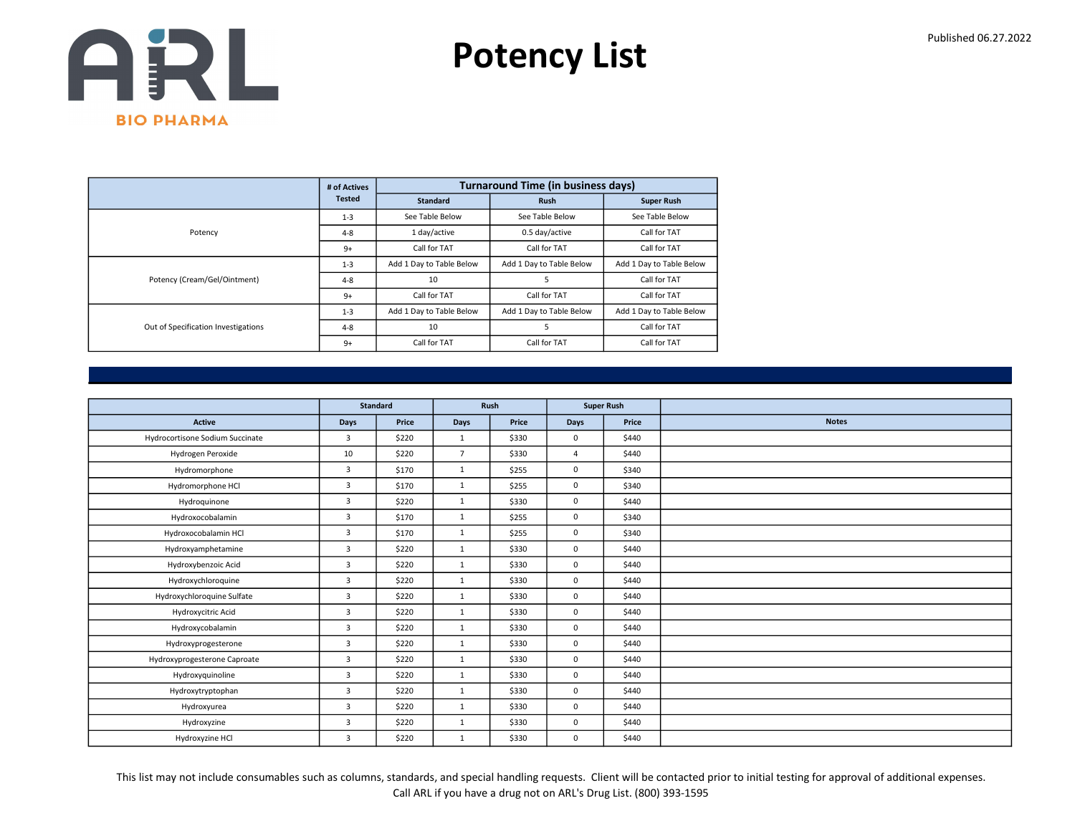

|                                     | # of Actives  |                          | <b>Turnaround Time (in business days)</b> |                          |
|-------------------------------------|---------------|--------------------------|-------------------------------------------|--------------------------|
|                                     | <b>Tested</b> | <b>Standard</b>          | <b>Rush</b>                               | <b>Super Rush</b>        |
|                                     | $1 - 3$       | See Table Below          | See Table Below                           | See Table Below          |
| Potency                             | $4 - 8$       | 1 day/active             | 0.5 day/active                            | Call for TAT             |
|                                     | $9+$          | Call for TAT             | Call for TAT                              | Call for TAT             |
|                                     | $1 - 3$       | Add 1 Day to Table Below | Add 1 Day to Table Below                  | Add 1 Day to Table Below |
| Potency (Cream/Gel/Ointment)        | $4 - 8$       | 10                       | 5                                         | Call for TAT             |
|                                     | $9+$          | Call for TAT             | Call for TAT                              | Call for TAT             |
| Out of Specification Investigations | $1 - 3$       | Add 1 Day to Table Below | Add 1 Day to Table Below                  | Add 1 Day to Table Below |
|                                     | $4 - 8$       | 10                       | 5                                         | Call for TAT             |
|                                     | $9+$          | Call for TAT             | Call for TAT                              | Call for TAT             |

|                                 |                | <b>Standard</b> |                | Rush  | <b>Super Rush</b> |       |              |
|---------------------------------|----------------|-----------------|----------------|-------|-------------------|-------|--------------|
| Active                          | Days           | Price           | Days           | Price | Days              | Price | <b>Notes</b> |
| Hydrocortisone Sodium Succinate | 3              | \$220           | $\mathbf{1}$   | \$330 | $\mathbf 0$       | \$440 |              |
| Hydrogen Peroxide               | 10             | \$220           | $\overline{7}$ | \$330 | $\overline{4}$    | \$440 |              |
| Hydromorphone                   | 3              | \$170           | $\mathbf{1}$   | \$255 | $\mathbf 0$       | \$340 |              |
| Hydromorphone HCl               | 3              | \$170           | $\mathbf{1}$   | \$255 | $\mathbf 0$       | \$340 |              |
| Hydroquinone                    | $\overline{3}$ | \$220           | 1              | \$330 | 0                 | \$440 |              |
| Hydroxocobalamin                | 3              | \$170           | $\mathbf{1}$   | \$255 | $\mathbf 0$       | \$340 |              |
| Hydroxocobalamin HCl            | $\overline{3}$ | \$170           | $\mathbf{1}$   | \$255 | $\mathbf 0$       | \$340 |              |
| Hydroxyamphetamine              | $\overline{3}$ | \$220           | $\mathbf{1}$   | \$330 | $\mathbf 0$       | \$440 |              |
| Hydroxybenzoic Acid             | 3              | \$220           | $\mathbf{1}$   | \$330 | $\mathbf 0$       | \$440 |              |
| Hydroxychloroquine              | 3              | \$220           | 1              | \$330 | 0                 | \$440 |              |
| Hydroxychloroquine Sulfate      | 3              | \$220           | $\mathbf{1}$   | \$330 | 0                 | \$440 |              |
| Hydroxycitric Acid              | 3              | \$220           | $\mathbf{1}$   | \$330 | 0                 | \$440 |              |
| Hydroxycobalamin                | 3              | \$220           | $\mathbf{1}$   | \$330 | 0                 | \$440 |              |
| Hydroxyprogesterone             | 3              | \$220           | $\mathbf{1}$   | \$330 | $\mathbf 0$       | \$440 |              |
| Hydroxyprogesterone Caproate    | 3              | \$220           | $\mathbf{1}$   | \$330 | 0                 | \$440 |              |
| Hydroxyquinoline                | 3              | \$220           | $\mathbf{1}$   | \$330 | $\mathbf 0$       | \$440 |              |
| Hydroxytryptophan               | $\overline{3}$ | \$220           | $\mathbf{1}$   | \$330 | $\mathbf 0$       | \$440 |              |
| Hydroxyurea                     | 3              | \$220           | 1              | \$330 | 0                 | \$440 |              |
| Hydroxyzine                     | 3              | \$220           | $\mathbf{1}$   | \$330 | 0                 | \$440 |              |
| Hydroxyzine HCl                 | $\overline{3}$ | \$220           | $\mathbf{1}$   | \$330 | 0                 | \$440 |              |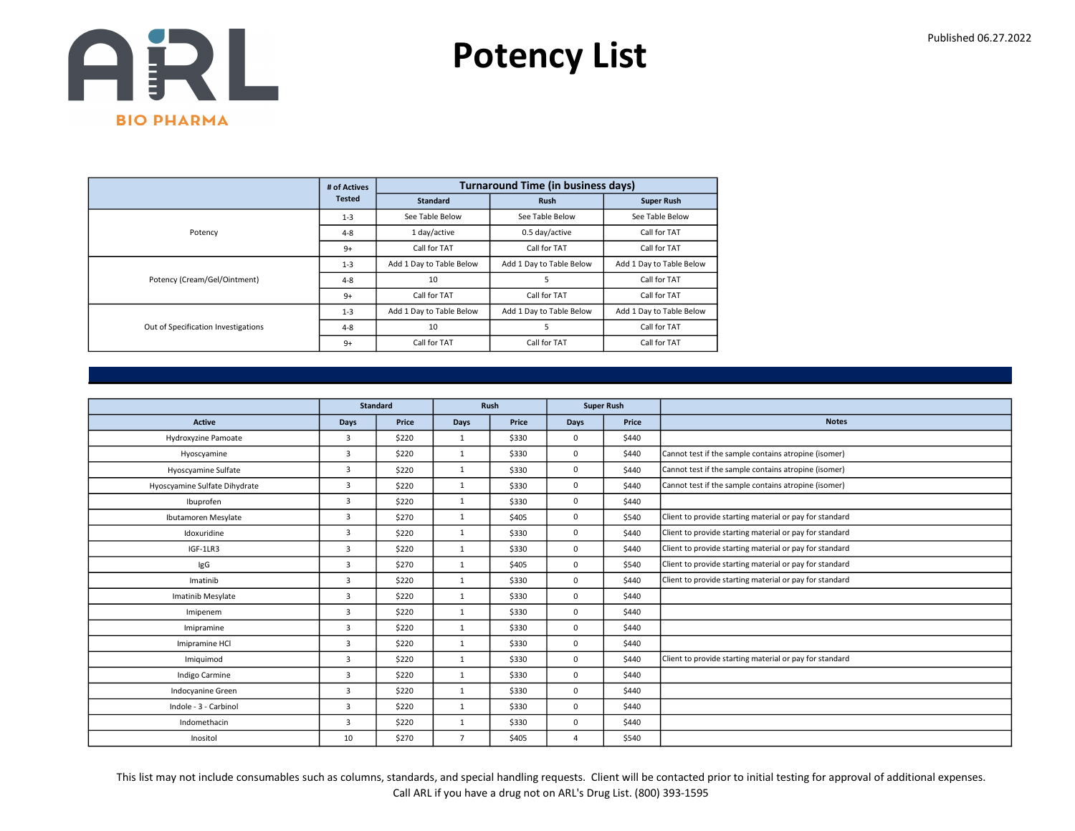

|                                     | # of Actives  |                          | <b>Turnaround Time (in business days)</b> |                          |
|-------------------------------------|---------------|--------------------------|-------------------------------------------|--------------------------|
|                                     | <b>Tested</b> | <b>Standard</b>          | <b>Rush</b>                               | <b>Super Rush</b>        |
|                                     | $1 - 3$       | See Table Below          | See Table Below                           | See Table Below          |
| Potency                             | $4 - 8$       | 1 day/active             | 0.5 day/active                            | Call for TAT             |
|                                     | $9+$          | Call for TAT             | Call for TAT                              | Call for TAT             |
|                                     | $1 - 3$       | Add 1 Day to Table Below | Add 1 Day to Table Below                  | Add 1 Day to Table Below |
| Potency (Cream/Gel/Ointment)        | $4 - 8$       | 10                       |                                           | Call for TAT             |
|                                     | $9+$          | Call for TAT             | Call for TAT                              | Call for TAT             |
|                                     | $1 - 3$       | Add 1 Day to Table Below | Add 1 Day to Table Below                  | Add 1 Day to Table Below |
| Out of Specification Investigations | $4 - 8$       | 10                       |                                           | Call for TAT             |
|                                     | $9+$          | Call for TAT             | Call for TAT                              | Call for TAT             |

|                               |                | <b>Standard</b> |                | Rush  |                | <b>Super Rush</b> |                                                         |
|-------------------------------|----------------|-----------------|----------------|-------|----------------|-------------------|---------------------------------------------------------|
| <b>Active</b>                 | <b>Days</b>    | Price           | Days           | Price | Days           | Price             | <b>Notes</b>                                            |
| Hydroxyzine Pamoate           | 3              | \$220           | $\mathbf{1}$   | \$330 | 0              | \$440             |                                                         |
| Hyoscyamine                   | 3              | \$220           | $\mathbf{1}$   | \$330 | 0              | \$440             | Cannot test if the sample contains atropine (isomer)    |
| Hyoscyamine Sulfate           | 3              | \$220           | $\mathbf{1}$   | \$330 | 0              | \$440             | Cannot test if the sample contains atropine (isomer)    |
| Hyoscyamine Sulfate Dihydrate | $\overline{3}$ | \$220           | 1              | \$330 | 0              | \$440             | Cannot test if the sample contains atropine (isomer)    |
| Ibuprofen                     | 3              | \$220           | $\mathbf{1}$   | \$330 | 0              | \$440             |                                                         |
| Ibutamoren Mesylate           | 3              | \$270           | $\mathbf{1}$   | \$405 | 0              | \$540             | Client to provide starting material or pay for standard |
| Idoxuridine                   | $\overline{3}$ | \$220           | 1              | \$330 | 0              | \$440             | Client to provide starting material or pay for standard |
| IGF-1LR3                      | 3              | \$220           | $\mathbf{1}$   | \$330 | 0              | \$440             | Client to provide starting material or pay for standard |
| IgG                           | 3              | \$270           | $\mathbf{1}$   | \$405 | 0              | \$540             | Client to provide starting material or pay for standard |
| Imatinib                      | 3              | \$220           | $\mathbf{1}$   | \$330 | 0              | \$440             | Client to provide starting material or pay for standard |
| Imatinib Mesylate             | 3              | \$220           | $\mathbf{1}$   | \$330 | 0              | \$440             |                                                         |
| Imipenem                      | 3              | \$220           | 1              | \$330 | 0              | \$440             |                                                         |
| Imipramine                    | $\overline{3}$ | \$220           | $\mathbf{1}$   | \$330 | 0              | \$440             |                                                         |
| Imipramine HCl                | $\overline{3}$ | \$220           | $\mathbf{1}$   | \$330 | 0              | \$440             |                                                         |
| Imiguimod                     | 3              | \$220           | $\mathbf{1}$   | \$330 | 0              | \$440             | Client to provide starting material or pay for standard |
| Indigo Carmine                | $\overline{3}$ | \$220           | $\mathbf{1}$   | \$330 | 0              | \$440             |                                                         |
| Indocyanine Green             | $\overline{3}$ | \$220           | $\mathbf{1}$   | \$330 | 0              | \$440             |                                                         |
| Indole - 3 - Carbinol         | 3              | \$220           | $\mathbf{1}$   | \$330 | 0              | \$440             |                                                         |
| Indomethacin                  | 3              | \$220           | $\mathbf{1}$   | \$330 | 0              | \$440             |                                                         |
| Inositol                      | 10             | \$270           | $\overline{7}$ | \$405 | $\overline{4}$ | \$540             |                                                         |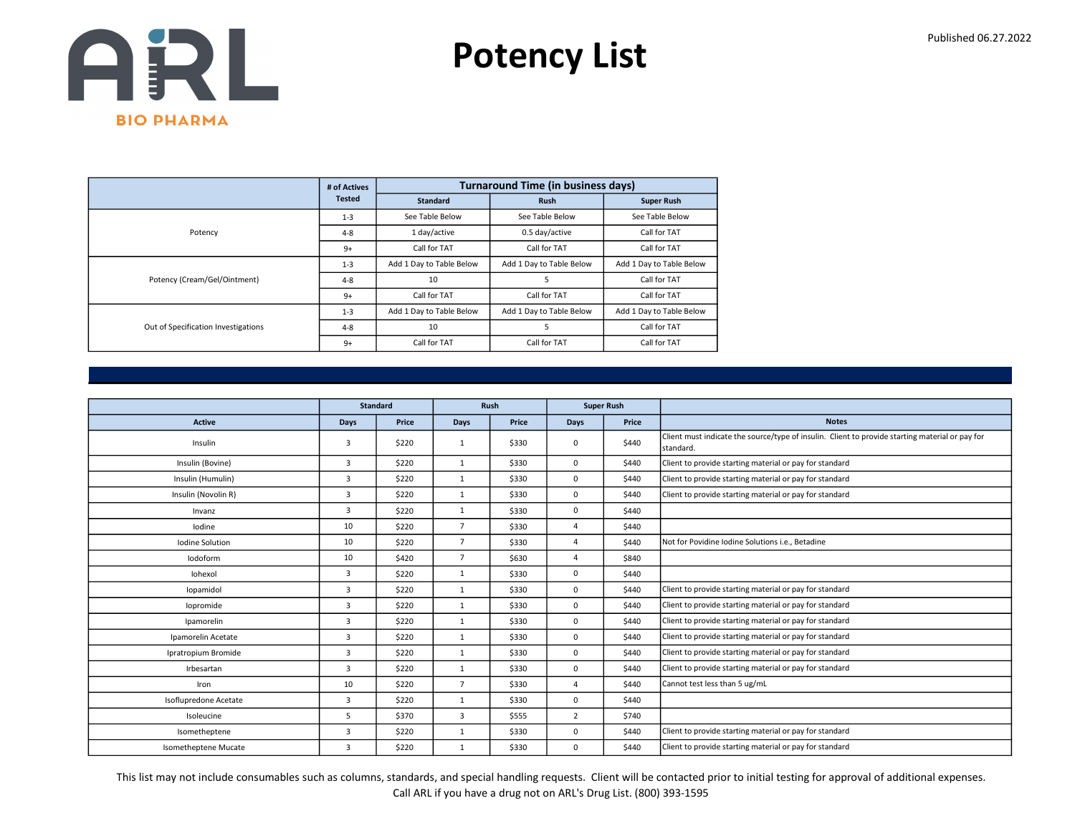

|                                     | # of Actives  |                          | <b>Turnaround Time (in business days)</b> |                          |
|-------------------------------------|---------------|--------------------------|-------------------------------------------|--------------------------|
|                                     | <b>Tested</b> | <b>Standard</b>          | <b>Rush</b>                               | <b>Super Rush</b>        |
|                                     | $1 - 3$       | See Table Below          | See Table Below                           | See Table Below          |
| Potency                             | $4 - 8$       | 1 day/active             | 0.5 day/active                            | Call for TAT             |
|                                     | $9+$          | Call for TAT             | Call for TAT                              | Call for TAT             |
|                                     | $1 - 3$       | Add 1 Day to Table Below | Add 1 Day to Table Below                  | Add 1 Day to Table Below |
| Potency (Cream/Gel/Ointment)        | $4 - 8$       | 10                       | 5                                         | Call for TAT             |
|                                     | $9+$          | Call for TAT             | Call for TAT                              | Call for TAT             |
| Out of Specification Investigations | $1 - 3$       | Add 1 Day to Table Below | Add 1 Day to Table Below                  | Add 1 Day to Table Below |
|                                     | $4 - 8$       | 10                       | 5                                         | Call for TAT             |
|                                     | $9+$          | Call for TAT             | Call for TAT                              | Call for TAT             |

|                       |                | <b>Standard</b> |                | Rush  |                | <b>Super Rush</b> |                                                                                                              |
|-----------------------|----------------|-----------------|----------------|-------|----------------|-------------------|--------------------------------------------------------------------------------------------------------------|
| <b>Active</b>         | Days           | Price           | Days           | Price | Days           | Price             | <b>Notes</b>                                                                                                 |
| Insulin               | 3              | \$220           | $\mathbf{1}$   | \$330 | 0              | \$440             | Client must indicate the source/type of insulin. Client to provide starting material or pay for<br>standard. |
| Insulin (Bovine)      | 3              | \$220           | $\mathbf{1}$   | \$330 | 0              | \$440             | Client to provide starting material or pay for standard                                                      |
| Insulin (Humulin)     | 3              | \$220           | $\mathbf{1}$   | \$330 | 0              | \$440             | Client to provide starting material or pay for standard                                                      |
| Insulin (Novolin R)   | $\overline{3}$ | \$220           | 1              | \$330 | 0              | \$440             | Client to provide starting material or pay for standard                                                      |
| Invanz                | 3              | \$220           | $\mathbf{1}$   | \$330 | 0              | \$440             |                                                                                                              |
| lodine                | 10             | \$220           | $\overline{7}$ | \$330 | $\overline{4}$ | \$440             |                                                                                                              |
| Iodine Solution       | 10             | \$220           | $\overline{7}$ | \$330 | $\Delta$       | \$440             | Not for Povidine Iodine Solutions i.e., Betadine                                                             |
| Iodoform              | 10             | \$420           | $\overline{7}$ | \$630 | $\overline{a}$ | \$840             |                                                                                                              |
| Iohexol               | 3              | \$220           | $\mathbf{1}$   | \$330 | 0              | \$440             |                                                                                                              |
| lopamidol             | 3              | \$220           | $\mathbf{1}$   | \$330 | 0              | \$440             | Client to provide starting material or pay for standard                                                      |
| lopromide             | 3              | \$220           | $\mathbf{1}$   | \$330 | 0              | \$440             | Client to provide starting material or pay for standard                                                      |
| Ipamorelin            | $\overline{3}$ | \$220           | $\mathbf{1}$   | \$330 | 0              | \$440             | Client to provide starting material or pay for standard                                                      |
| Ipamorelin Acetate    | $\overline{3}$ | \$220           | $\mathbf{1}$   | \$330 | 0              | \$440             | Client to provide starting material or pay for standard                                                      |
| Ipratropium Bromide   | $\overline{3}$ | \$220           | $\mathbf{1}$   | \$330 | $\Omega$       | \$440             | Client to provide starting material or pay for standard                                                      |
| Irbesartan            | $\overline{3}$ | \$220           | $\mathbf{1}$   | \$330 | 0              | \$440             | Client to provide starting material or pay for standard                                                      |
| Iron                  | 10             | \$220           | $\overline{7}$ | \$330 | $\Delta$       | \$440             | Cannot test less than 5 ug/mL                                                                                |
| Isoflupredone Acetate | $\overline{3}$ | \$220           | $\mathbf{1}$   | \$330 | 0              | \$440             |                                                                                                              |
| Isoleucine            | 5              | \$370           | 3              | \$555 | $\overline{2}$ | \$740             |                                                                                                              |
| Isometheptene         | $\overline{3}$ | \$220           | $\mathbf{1}$   | \$330 | 0              | \$440             | Client to provide starting material or pay for standard                                                      |
| Isometheptene Mucate  | $\overline{3}$ | \$220           | $\mathbf{1}$   | \$330 | 0              | \$440             | Client to provide starting material or pay for standard                                                      |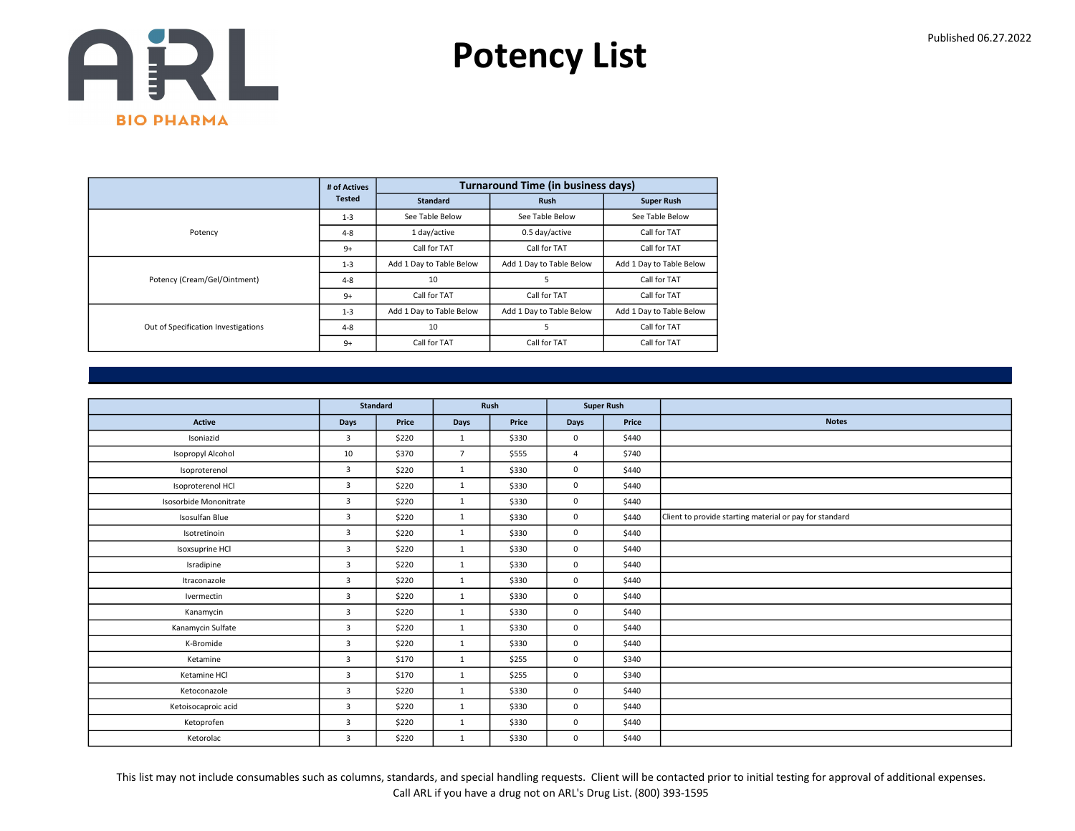

|                                     | # of Actives  |                          | <b>Turnaround Time (in business days)</b> |                          |
|-------------------------------------|---------------|--------------------------|-------------------------------------------|--------------------------|
|                                     | <b>Tested</b> | <b>Standard</b>          | <b>Rush</b>                               | <b>Super Rush</b>        |
|                                     | $1 - 3$       | See Table Below          | See Table Below                           | See Table Below          |
| Potency                             | $4 - 8$       | 1 day/active             | 0.5 day/active                            | Call for TAT             |
|                                     | $9+$          | Call for TAT             | Call for TAT                              | Call for TAT             |
|                                     | $1 - 3$       | Add 1 Day to Table Below | Add 1 Day to Table Below                  | Add 1 Day to Table Below |
| Potency (Cream/Gel/Ointment)        | $4 - 8$       | 10                       | 5                                         | Call for TAT             |
|                                     | $9+$          | Call for TAT             | Call for TAT                              | Call for TAT             |
|                                     | $1 - 3$       | Add 1 Day to Table Below | Add 1 Day to Table Below                  | Add 1 Day to Table Below |
| Out of Specification Investigations | $4 - 8$       | 10                       | 5                                         | Call for TAT             |
|                                     | $9+$          | Call for TAT             | Call for TAT                              | Call for TAT             |

|                        | Standard       |       |                | Rush  | <b>Super Rush</b> |       |                                                         |
|------------------------|----------------|-------|----------------|-------|-------------------|-------|---------------------------------------------------------|
| Active                 | Days           | Price | Days           | Price | Days              | Price | <b>Notes</b>                                            |
| Isoniazid              | 3              | \$220 | $\mathbf{1}$   | \$330 | 0                 | \$440 |                                                         |
| Isopropyl Alcohol      | 10             | \$370 | $\overline{7}$ | \$555 | $\overline{4}$    | \$740 |                                                         |
| Isoproterenol          | 3              | \$220 | $\mathbf{1}$   | \$330 | $\mathbf 0$       | \$440 |                                                         |
| Isoproterenol HCl      | 3              | \$220 | $\mathbf{1}$   | \$330 | $\mathbf 0$       | \$440 |                                                         |
| Isosorbide Mononitrate | $\overline{3}$ | \$220 | $\mathbf{1}$   | \$330 | 0                 | \$440 |                                                         |
| Isosulfan Blue         | 3              | \$220 | $\mathbf{1}$   | \$330 | 0                 | \$440 | Client to provide starting material or pay for standard |
| Isotretinoin           | 3              | \$220 | 1              | \$330 | $\mathbf 0$       | \$440 |                                                         |
| Isoxsuprine HCl        | 3              | \$220 | $\mathbf{1}$   | \$330 | 0                 | \$440 |                                                         |
| Isradipine             | $\overline{3}$ | \$220 | $\mathbf{1}$   | \$330 | $\mathbf 0$       | \$440 |                                                         |
| Itraconazole           | $\overline{3}$ | \$220 | 1              | \$330 | $\mathbf 0$       | \$440 |                                                         |
| Ivermectin             | 3              | \$220 | $\mathbf{1}$   | \$330 | 0                 | \$440 |                                                         |
| Kanamycin              | $\overline{3}$ | \$220 | $\mathbf{1}$   | \$330 | $\mathbf 0$       | \$440 |                                                         |
| Kanamycin Sulfate      | $\overline{3}$ | \$220 | $\mathbf{1}$   | \$330 | $\mathbf 0$       | \$440 |                                                         |
| K-Bromide              | 3              | \$220 | $\mathbf{1}$   | \$330 | $\mathbf 0$       | \$440 |                                                         |
| Ketamine               | 3              | \$170 | 1              | \$255 | 0                 | \$340 |                                                         |
| Ketamine HCl           | $\overline{3}$ | \$170 | $\mathbf{1}$   | \$255 | $\mathbf 0$       | \$340 |                                                         |
| Ketoconazole           | 3              | \$220 | $\mathbf{1}$   | \$330 | $\mathbf 0$       | \$440 |                                                         |
| Ketoisocaproic acid    | 3              | \$220 | $\mathbf{1}$   | \$330 | 0                 | \$440 |                                                         |
| Ketoprofen             | $\overline{3}$ | \$220 | $\mathbf{1}$   | \$330 | $\mathbf 0$       | \$440 |                                                         |
| Ketorolac              | 3              | \$220 | $\mathbf{1}$   | \$330 | $\mathbf 0$       | \$440 |                                                         |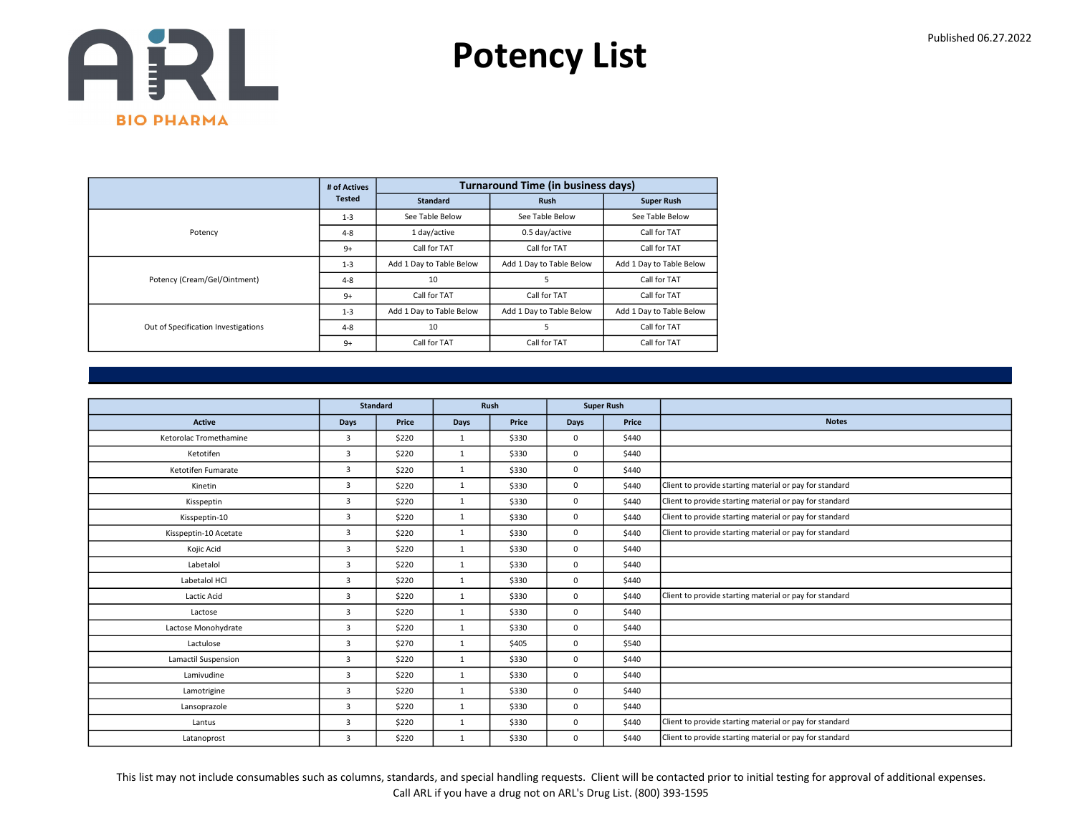

|                                     | # of Actives  |                          | <b>Turnaround Time (in business days)</b> |                          |
|-------------------------------------|---------------|--------------------------|-------------------------------------------|--------------------------|
|                                     | <b>Tested</b> | <b>Standard</b>          | <b>Rush</b>                               | <b>Super Rush</b>        |
|                                     | $1 - 3$       | See Table Below          | See Table Below                           | See Table Below          |
| Potency                             | $4 - 8$       | 1 day/active             | 0.5 day/active                            | Call for TAT             |
|                                     | $9+$          | Call for TAT             | Call for TAT                              | Call for TAT             |
|                                     | $1 - 3$       | Add 1 Day to Table Below | Add 1 Day to Table Below                  | Add 1 Day to Table Below |
| Potency (Cream/Gel/Ointment)        | $4 - 8$       | 10                       | 5                                         | Call for TAT             |
|                                     | $9+$          | Call for TAT             | Call for TAT                              | Call for TAT             |
| Out of Specification Investigations | $1 - 3$       | Add 1 Day to Table Below | Add 1 Day to Table Below                  | Add 1 Day to Table Below |
|                                     | $4 - 8$       | 10                       | 5                                         | Call for TAT             |
|                                     | $9+$          | Call for TAT             | Call for TAT                              | Call for TAT             |

|                        |                | <b>Standard</b> |              | Rush  |             | <b>Super Rush</b> |                                                         |
|------------------------|----------------|-----------------|--------------|-------|-------------|-------------------|---------------------------------------------------------|
| <b>Active</b>          | <b>Days</b>    | Price           | Days         | Price | <b>Days</b> | Price             | <b>Notes</b>                                            |
| Ketorolac Tromethamine | 3              | \$220           | 1            | \$330 | $^{\circ}$  | \$440             |                                                         |
| Ketotifen              | $\overline{3}$ | \$220           | $\mathbf{1}$ | \$330 | $\mathbf 0$ | \$440             |                                                         |
| Ketotifen Fumarate     | $\overline{3}$ | \$220           | $\mathbf{1}$ | \$330 | $\mathbf 0$ | \$440             |                                                         |
| Kinetin                | 3              | \$220           | 1            | \$330 | $\mathbf 0$ | \$440             | Client to provide starting material or pay for standard |
| Kisspeptin             | $\overline{3}$ | \$220           | $\mathbf{1}$ | \$330 | $\mathbf 0$ | \$440             | Client to provide starting material or pay for standard |
| Kisspeptin-10          | 3              | \$220           | $\mathbf{1}$ | \$330 | $\mathbf 0$ | \$440             | Client to provide starting material or pay for standard |
| Kisspeptin-10 Acetate  | $\overline{3}$ | \$220           | 1            | \$330 | $\mathbf 0$ | \$440             | Client to provide starting material or pay for standard |
| Kojic Acid             | $\overline{3}$ | \$220           | 1            | \$330 | $\mathbf 0$ | \$440             |                                                         |
| Labetalol              | 3              | \$220           | 1            | \$330 | 0           | \$440             |                                                         |
| Labetalol HCl          | 3              | \$220           | $\mathbf{1}$ | \$330 | $\mathbf 0$ | \$440             |                                                         |
| Lactic Acid            | 3              | \$220           | 1            | \$330 | $\mathbf 0$ | \$440             | Client to provide starting material or pay for standard |
| Lactose                | 3              | \$220           | $\mathbf{1}$ | \$330 | 0           | \$440             |                                                         |
| Lactose Monohydrate    | 3              | \$220           | $\mathbf{1}$ | \$330 | $\mathbf 0$ | \$440             |                                                         |
| Lactulose              | 3              | \$270           | $\mathbf{1}$ | \$405 | $\mathbf 0$ | \$540             |                                                         |
| Lamactil Suspension    | 3              | \$220           | $\mathbf{1}$ | \$330 | 0           | \$440             |                                                         |
| Lamivudine             | 3              | \$220           | 1            | \$330 | $\mathbf 0$ | \$440             |                                                         |
| Lamotrigine            | 3              | \$220           | $\mathbf{1}$ | \$330 | $\mathbf 0$ | \$440             |                                                         |
| Lansoprazole           | 3              | \$220           | 1            | \$330 | 0           | \$440             |                                                         |
| Lantus                 | 3              | \$220           | 1            | \$330 | $\mathbf 0$ | \$440             | Client to provide starting material or pay for standard |
| Latanoprost            | 3              | \$220           | 1            | \$330 | $\mathbf 0$ | \$440             | Client to provide starting material or pay for standard |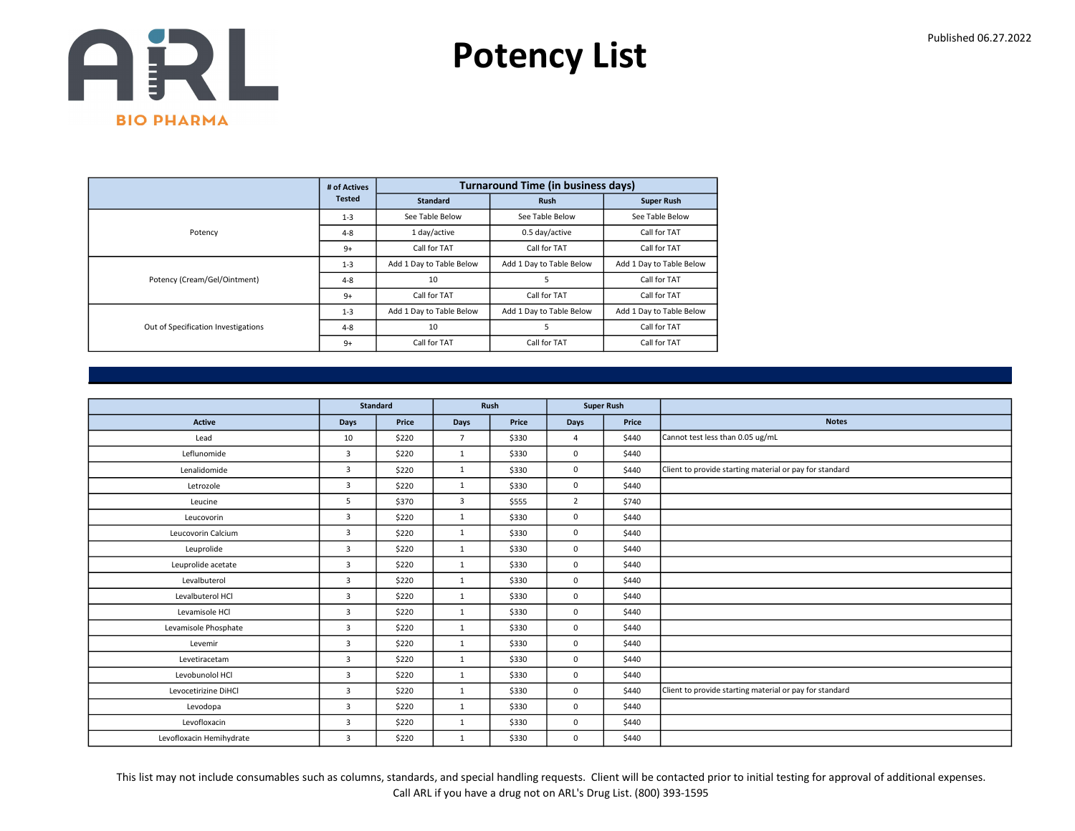

|                                     | # of Actives  |                          | <b>Turnaround Time (in business days)</b> |                          |
|-------------------------------------|---------------|--------------------------|-------------------------------------------|--------------------------|
|                                     | <b>Tested</b> | <b>Standard</b>          | <b>Rush</b>                               | <b>Super Rush</b>        |
|                                     | $1 - 3$       | See Table Below          | See Table Below                           | See Table Below          |
| Potency                             | $4 - 8$       | 1 day/active             | 0.5 day/active                            | Call for TAT             |
|                                     | $9+$          | Call for TAT             | Call for TAT                              | Call for TAT             |
|                                     | $1 - 3$       | Add 1 Day to Table Below | Add 1 Day to Table Below                  | Add 1 Day to Table Below |
| Potency (Cream/Gel/Ointment)        | $4 - 8$       | 10                       | 5                                         | Call for TAT             |
|                                     | $9+$          | Call for TAT             | Call for TAT                              | Call for TAT             |
|                                     | $1 - 3$       | Add 1 Day to Table Below | Add 1 Day to Table Below                  | Add 1 Day to Table Below |
| Out of Specification Investigations | $4 - 8$       | 10                       | 5                                         | Call for TAT             |
|                                     | $9+$          | Call for TAT             | Call for TAT                              | Call for TAT             |

|                          | <b>Standard</b> |       | Rush           |       | <b>Super Rush</b> |       |                                                         |
|--------------------------|-----------------|-------|----------------|-------|-------------------|-------|---------------------------------------------------------|
| Active                   | Days            | Price | Days           | Price | Days              | Price | <b>Notes</b>                                            |
| Lead                     | 10              | \$220 | $\overline{7}$ | \$330 | $\overline{a}$    | \$440 | Cannot test less than 0.05 ug/mL                        |
| Leflunomide              | $\overline{3}$  | \$220 | $\mathbf{1}$   | \$330 | $\mathbf 0$       | \$440 |                                                         |
| Lenalidomide             | 3               | \$220 | 1              | \$330 | $\mathbf 0$       | \$440 | Client to provide starting material or pay for standard |
| Letrozole                | 3               | \$220 | 1              | \$330 | 0                 | \$440 |                                                         |
| Leucine                  | 5               | \$370 | 3              | \$555 | $\overline{2}$    | \$740 |                                                         |
| Leucovorin               | 3               | \$220 | $\mathbf{1}$   | \$330 | $\mathbf 0$       | \$440 |                                                         |
| Leucovorin Calcium       | $\overline{3}$  | \$220 | 1              | \$330 | $\mathbf 0$       | \$440 |                                                         |
| Leuprolide               | 3               | \$220 | $\mathbf{1}$   | \$330 | $\mathbf 0$       | \$440 |                                                         |
| Leuprolide acetate       | $\overline{3}$  | \$220 | 1              | \$330 | $\mathbf 0$       | \$440 |                                                         |
| Levalbuterol             | 3               | \$220 | 1              | \$330 | $\mathbf 0$       | \$440 |                                                         |
| Levalbuterol HCl         | 3               | \$220 | $\mathbf{1}$   | \$330 | $\mathbf 0$       | \$440 |                                                         |
| Levamisole HCl           | $\overline{3}$  | \$220 | 1              | \$330 | $\mathbf 0$       | \$440 |                                                         |
| Levamisole Phosphate     | 3               | \$220 | 1              | \$330 | 0                 | \$440 |                                                         |
| Levemir                  | $\overline{3}$  | \$220 | $\mathbf{1}$   | \$330 | $\mathbf 0$       | \$440 |                                                         |
| Levetiracetam            | 3               | \$220 | 1              | \$330 | $\mathbf 0$       | \$440 |                                                         |
| Levobunolol HCl          | $\overline{3}$  | \$220 | 1              | \$330 | $\mathbf 0$       | \$440 |                                                         |
| Levocetirizine DiHCl     | $\overline{3}$  | \$220 | 1              | \$330 | $\mathbf 0$       | \$440 | Client to provide starting material or pay for standard |
| Levodopa                 | 3               | \$220 | $\mathbf{1}$   | \$330 | $\mathbf 0$       | \$440 |                                                         |
| Levofloxacin             | 3               | \$220 | 1              | \$330 | $\mathbf 0$       | \$440 |                                                         |
| Levofloxacin Hemihydrate | $\overline{3}$  | \$220 | 1              | \$330 | $\mathbf 0$       | \$440 |                                                         |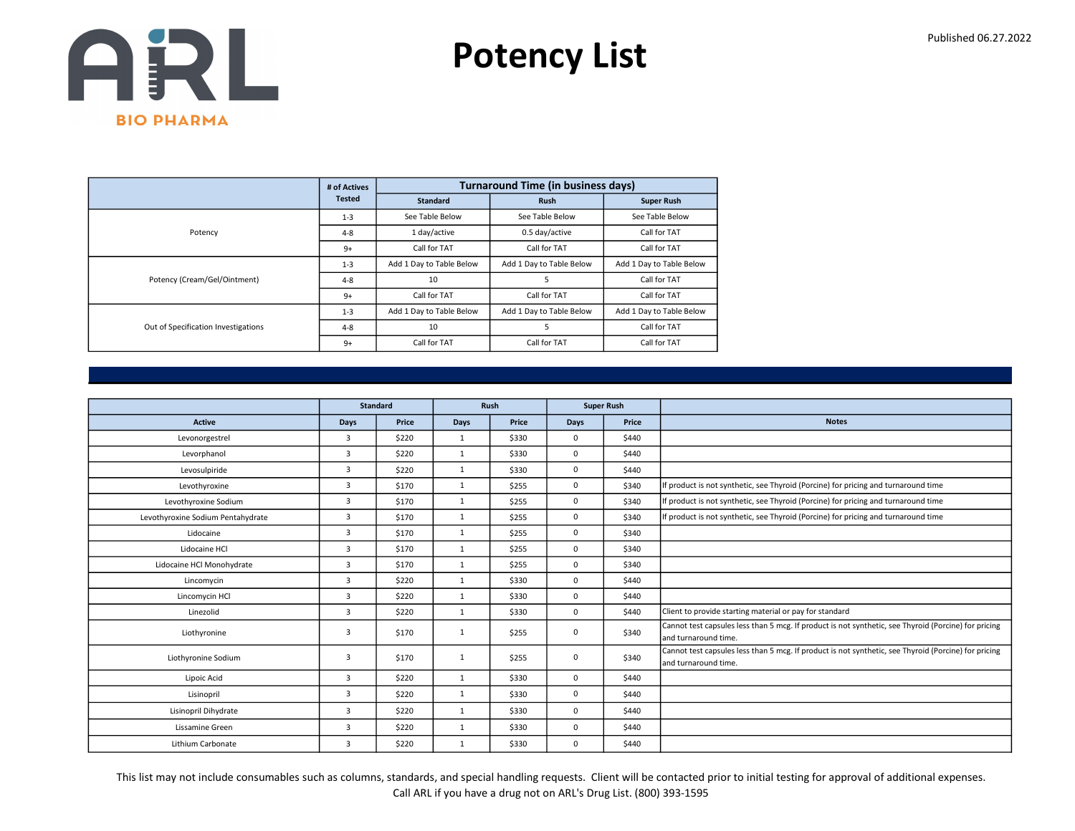

|                                     | # of Actives  |                          | <b>Turnaround Time (in business days)</b> |                          |
|-------------------------------------|---------------|--------------------------|-------------------------------------------|--------------------------|
|                                     | <b>Tested</b> | <b>Standard</b>          | <b>Rush</b>                               | <b>Super Rush</b>        |
|                                     | $1 - 3$       | See Table Below          | See Table Below                           | See Table Below          |
| Potency                             | $4 - 8$       | 1 day/active             | 0.5 day/active                            | Call for TAT             |
|                                     | $9+$          | Call for TAT             | Call for TAT                              | Call for TAT             |
|                                     | $1 - 3$       | Add 1 Day to Table Below | Add 1 Day to Table Below                  | Add 1 Day to Table Below |
| Potency (Cream/Gel/Ointment)        | $4 - 8$       | 10                       |                                           | Call for TAT             |
|                                     | $9+$          | Call for TAT             | Call for TAT                              | Call for TAT             |
|                                     | $1 - 3$       | Add 1 Day to Table Below | Add 1 Day to Table Below                  | Add 1 Day to Table Below |
| Out of Specification Investigations | $4 - 8$       | 10                       | 5                                         | Call for TAT             |
|                                     | $9+$          | Call for TAT             | Call for TAT                              | Call for TAT             |

|                                   |                | <b>Standard</b> |              | Rush  |             | <b>Super Rush</b> |                                                                                                                               |
|-----------------------------------|----------------|-----------------|--------------|-------|-------------|-------------------|-------------------------------------------------------------------------------------------------------------------------------|
| <b>Active</b>                     | <b>Days</b>    | Price           | Days         | Price | Days        | Price             | <b>Notes</b>                                                                                                                  |
| Levonorgestrel                    | 3              | \$220           | $\mathbf{1}$ | \$330 | $^{\circ}$  | \$440             |                                                                                                                               |
| Levorphanol                       | 3              | \$220           | $\mathbf{1}$ | \$330 | $\mathbf 0$ | \$440             |                                                                                                                               |
| Levosulpiride                     | $\overline{3}$ | \$220           | $\mathbf{1}$ | \$330 | $\Omega$    | \$440             |                                                                                                                               |
| Levothyroxine                     | 3              | \$170           | $\mathbf{1}$ | \$255 | $\mathbf 0$ | \$340             | If product is not synthetic, see Thyroid (Porcine) for pricing and turnaround time                                            |
| Levothyroxine Sodium              | $\overline{3}$ | \$170           | $\mathbf{1}$ | \$255 | $\mathbf 0$ | \$340             | If product is not synthetic, see Thyroid (Porcine) for pricing and turnaround time                                            |
| Levothyroxine Sodium Pentahydrate | $\overline{3}$ | \$170           | 1            | \$255 | $\Omega$    | \$340             | If product is not synthetic, see Thyroid (Porcine) for pricing and turnaround time                                            |
| Lidocaine                         | 3              | \$170           | $\mathbf{1}$ | \$255 | 0           | \$340             |                                                                                                                               |
| Lidocaine HCl                     | 3              | \$170           | 1            | \$255 | $\mathbf 0$ | \$340             |                                                                                                                               |
| Lidocaine HCl Monohydrate         | 3              | \$170           | 1            | \$255 | $\mathbf 0$ | \$340             |                                                                                                                               |
| Lincomycin                        | $\overline{3}$ | \$220           | $\mathbf{1}$ | \$330 | $\mathbf 0$ | \$440             |                                                                                                                               |
| Lincomycin HCl                    | $\overline{3}$ | \$220           | 1            | \$330 | 0           | \$440             |                                                                                                                               |
| Linezolid                         | 3              | \$220           | $\mathbf{1}$ | \$330 | $\mathbf 0$ | \$440             | Client to provide starting material or pay for standard                                                                       |
| Liothyronine                      | 3              | \$170           | 1            | \$255 | 0           | \$340             | Cannot test capsules less than 5 mcg. If product is not synthetic, see Thyroid (Porcine) for pricing<br>land turnaround time. |
| Liothyronine Sodium               | 3              | \$170           | 1            | \$255 | 0           | \$340             | Cannot test capsules less than 5 mcg. If product is not synthetic, see Thyroid (Porcine) for pricing<br>and turnaround time.  |
| Lipoic Acid                       | 3              | \$220           | 1            | \$330 | $\mathbf 0$ | \$440             |                                                                                                                               |
| Lisinopril                        | 3              | \$220           | 1            | \$330 | $\mathbf 0$ | \$440             |                                                                                                                               |
| Lisinopril Dihydrate              | 3              | \$220           | $\mathbf{1}$ | \$330 | $\mathbf 0$ | \$440             |                                                                                                                               |
| Lissamine Green                   | 3              | \$220           | $\mathbf{1}$ | \$330 | $\mathbf 0$ | \$440             |                                                                                                                               |
| Lithium Carbonate                 | 3              | \$220           | 1            | \$330 | $\mathbf 0$ | \$440             |                                                                                                                               |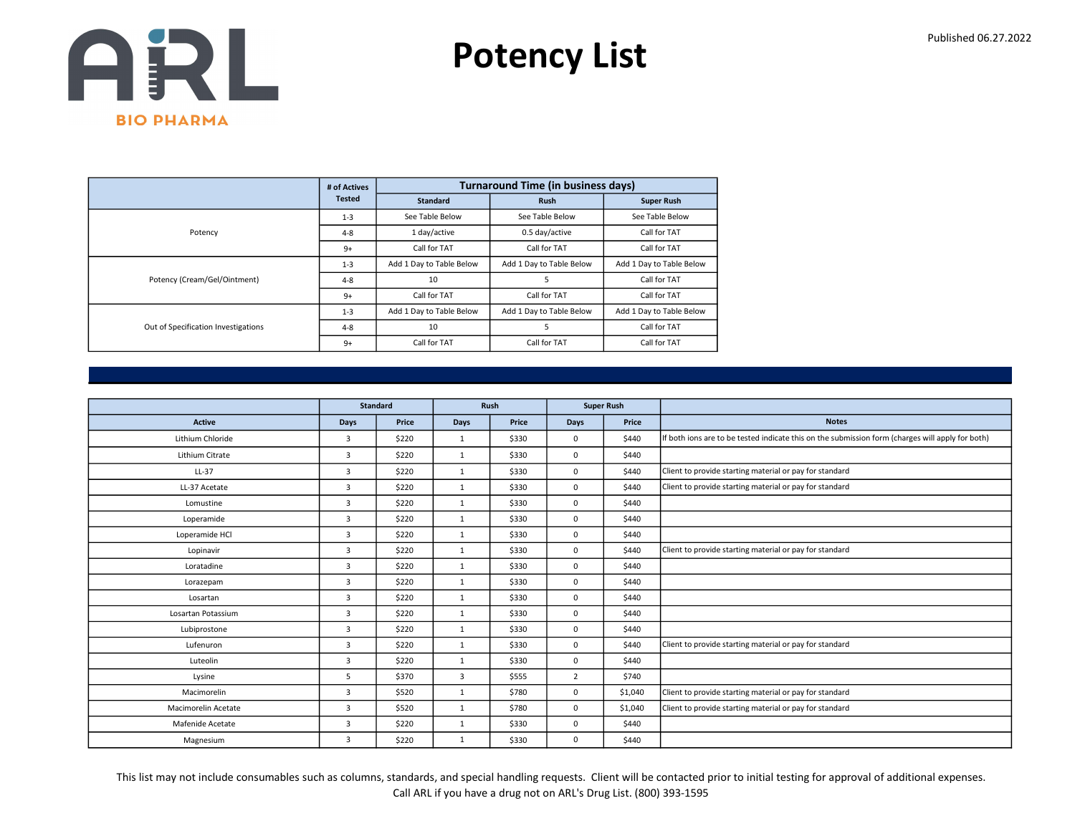

|                                     | # of Actives  |                          | <b>Turnaround Time (in business days)</b> |                          |
|-------------------------------------|---------------|--------------------------|-------------------------------------------|--------------------------|
|                                     | <b>Tested</b> | <b>Standard</b>          | <b>Rush</b>                               | <b>Super Rush</b>        |
|                                     | $1 - 3$       | See Table Below          | See Table Below                           | See Table Below          |
| Potency                             | $4 - 8$       | 1 day/active             | 0.5 day/active                            | Call for TAT             |
|                                     | $9+$          | Call for TAT             | Call for TAT                              | Call for TAT             |
|                                     | $1 - 3$       | Add 1 Day to Table Below | Add 1 Day to Table Below                  | Add 1 Day to Table Below |
| Potency (Cream/Gel/Ointment)        | $4 - 8$       | 10                       | 5                                         | Call for TAT             |
|                                     | $9+$          | Call for TAT             | Call for TAT                              | Call for TAT             |
|                                     | $1 - 3$       | Add 1 Day to Table Below | Add 1 Day to Table Below                  | Add 1 Day to Table Below |
| Out of Specification Investigations | $4 - 8$       | 10                       |                                           | Call for TAT             |
|                                     | $9+$          | Call for TAT             | Call for TAT                              | Call for TAT             |

|                     |                | <b>Standard</b> |              | Rush  |             | <b>Super Rush</b> |                                                                                                  |
|---------------------|----------------|-----------------|--------------|-------|-------------|-------------------|--------------------------------------------------------------------------------------------------|
| <b>Active</b>       |                | Price           |              | Price |             | Price             | <b>Notes</b>                                                                                     |
|                     | <b>Days</b>    |                 | <b>Days</b>  |       | <b>Days</b> |                   |                                                                                                  |
| Lithium Chloride    | 3              | \$220           | $\mathbf{1}$ | \$330 | $\mathbf 0$ | \$440             | If both ions are to be tested indicate this on the submission form (charges will apply for both) |
| Lithium Citrate     | 3              | \$220           | 1            | \$330 | $\mathbf 0$ | \$440             |                                                                                                  |
| LL-37               | 3              | \$220           | $\mathbf{1}$ | \$330 | $\mathbf 0$ | \$440             | Client to provide starting material or pay for standard                                          |
| LL-37 Acetate       | 3              | \$220           | 1            | \$330 | $\mathbf 0$ | \$440             | Client to provide starting material or pay for standard                                          |
| Lomustine           | $\overline{3}$ | \$220           | 1            | \$330 | $\mathbf 0$ | \$440             |                                                                                                  |
| Loperamide          | 3              | \$220           | 1            | \$330 | $\mathbf 0$ | \$440             |                                                                                                  |
| Loperamide HCl      | 3              | \$220           | $\mathbf{1}$ | \$330 | $\mathbf 0$ | \$440             |                                                                                                  |
| Lopinavir           | 3              | \$220           | 1            | \$330 | $\mathbf 0$ | \$440             | Client to provide starting material or pay for standard                                          |
| Loratadine          | 3              | \$220           | $\mathbf{1}$ | \$330 | $\mathbf 0$ | \$440             |                                                                                                  |
| Lorazepam           | $\overline{3}$ | \$220           | $\mathbf{1}$ | \$330 | $\mathbf 0$ | \$440             |                                                                                                  |
| Losartan            | 3              | \$220           | $\mathbf{1}$ | \$330 | $\mathbf 0$ | \$440             |                                                                                                  |
| Losartan Potassium  | 3              | \$220           | 1            | \$330 | $\mathbf 0$ | \$440             |                                                                                                  |
| Lubiprostone        | 3              | \$220           | $\mathbf{1}$ | \$330 | $\mathbf 0$ | \$440             |                                                                                                  |
| Lufenuron           | 3              | \$220           | 1            | \$330 | $\mathbf 0$ | \$440             | Client to provide starting material or pay for standard                                          |
| Luteolin            | $\overline{3}$ | \$220           | $\mathbf{1}$ | \$330 | $\mathbf 0$ | \$440             |                                                                                                  |
| Lysine              | 5              | \$370           | 3            | \$555 | 2           | \$740             |                                                                                                  |
| Macimorelin         | 3              | \$520           | 1            | \$780 | $\mathbf 0$ | \$1,040           | Client to provide starting material or pay for standard                                          |
| Macimorelin Acetate | 3              | \$520           | $\mathbf{1}$ | \$780 | $\mathbf 0$ | \$1,040           | Client to provide starting material or pay for standard                                          |
| Mafenide Acetate    | 3              | \$220           | 1            | \$330 | $\mathbf 0$ | \$440             |                                                                                                  |
| Magnesium           | 3              | \$220           | $\mathbf{1}$ | \$330 | 0           | \$440             |                                                                                                  |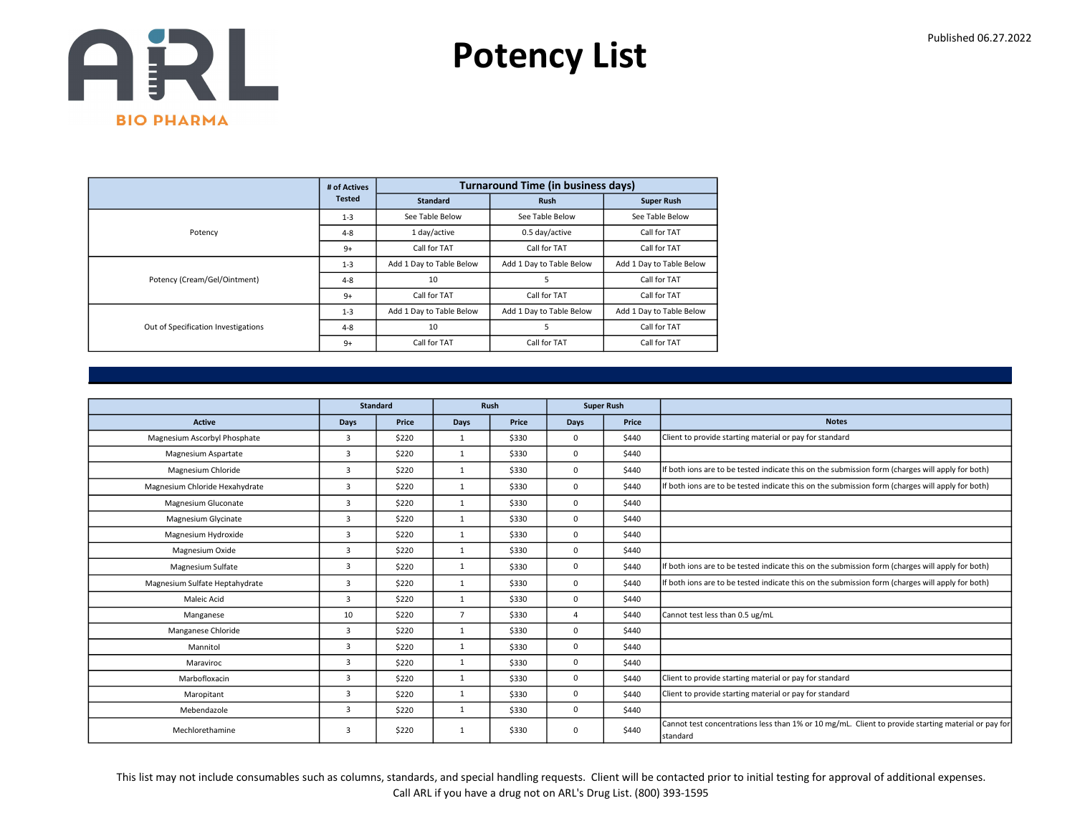

|                                     | # of Actives  |                          | <b>Turnaround Time (in business days)</b> |                          |
|-------------------------------------|---------------|--------------------------|-------------------------------------------|--------------------------|
|                                     | <b>Tested</b> | <b>Standard</b>          | <b>Rush</b>                               | <b>Super Rush</b>        |
|                                     | $1 - 3$       | See Table Below          | See Table Below                           | See Table Below          |
| Potency                             | $4 - 8$       | 1 day/active             | 0.5 day/active                            | Call for TAT             |
|                                     | $9+$          | Call for TAT             | Call for TAT                              | Call for TAT             |
|                                     | $1 - 3$       | Add 1 Day to Table Below | Add 1 Day to Table Below                  | Add 1 Day to Table Below |
| Potency (Cream/Gel/Ointment)        | $4 - 8$       | 10                       | 5                                         | Call for TAT             |
|                                     | $9+$          | Call for TAT             | Call for TAT                              | Call for TAT             |
|                                     | $1 - 3$       | Add 1 Day to Table Below | Add 1 Day to Table Below                  | Add 1 Day to Table Below |
| Out of Specification Investigations | $4 - 8$       | 10                       |                                           | Call for TAT             |
|                                     | $9+$          | Call for TAT             | Call for TAT                              | Call for TAT             |

|                                |      | <b>Standard</b> |                | Rush  |              | <b>Super Rush</b> |                                                                                                                  |
|--------------------------------|------|-----------------|----------------|-------|--------------|-------------------|------------------------------------------------------------------------------------------------------------------|
| <b>Active</b>                  | Days | Price           | <b>Days</b>    | Price | Days         | Price             | <b>Notes</b>                                                                                                     |
| Magnesium Ascorbyl Phosphate   | 3    | \$220           | $\mathbf{1}$   | \$330 | $\mathbf 0$  | \$440             | Client to provide starting material or pay for standard                                                          |
| Magnesium Aspartate            | 3    | \$220           | $\mathbf{1}$   | \$330 | $\mathbf 0$  | \$440             |                                                                                                                  |
| Magnesium Chloride             | 3    | \$220           | $\mathbf{1}$   | \$330 | $\mathbf{0}$ | \$440             | If both ions are to be tested indicate this on the submission form (charges will apply for both)                 |
| Magnesium Chloride Hexahydrate | 3    | \$220           | $\mathbf{1}$   | \$330 | $\mathbf 0$  | \$440             | If both ions are to be tested indicate this on the submission form (charges will apply for both)                 |
| Magnesium Gluconate            | 3    | \$220           | $\mathbf{1}$   | \$330 | $\mathbf 0$  | \$440             |                                                                                                                  |
| Magnesium Glycinate            | 3    | \$220           | $\mathbf{1}$   | \$330 | $\mathbf 0$  | \$440             |                                                                                                                  |
| Magnesium Hydroxide            | 3    | \$220           | $\mathbf{1}$   | \$330 | $^{\circ}$   | \$440             |                                                                                                                  |
| Magnesium Oxide                | 3    | \$220           | 1              | \$330 | $\mathbf 0$  | \$440             |                                                                                                                  |
| Magnesium Sulfate              | 3    | \$220           | $\mathbf{1}$   | \$330 | $\mathbf 0$  | \$440             | If both ions are to be tested indicate this on the submission form (charges will apply for both)                 |
| Magnesium Sulfate Heptahydrate | 3    | \$220           | $\mathbf{1}$   | \$330 | $\mathbf{0}$ | \$440             | If both ions are to be tested indicate this on the submission form (charges will apply for both)                 |
| Maleic Acid                    | 3    | \$220           | $\mathbf{1}$   | \$330 | $\mathbf 0$  | \$440             |                                                                                                                  |
| Manganese                      | 10   | \$220           | $\overline{7}$ | \$330 | $\Delta$     | \$440             | Cannot test less than 0.5 ug/mL                                                                                  |
| Manganese Chloride             | 3    | \$220           | $\mathbf{1}$   | \$330 | $\mathbf 0$  | \$440             |                                                                                                                  |
| Mannitol                       | 3    | \$220           | $\mathbf{1}$   | \$330 | $\mathbf 0$  | \$440             |                                                                                                                  |
| Maraviroc                      | 3    | \$220           | $\mathbf{1}$   | \$330 | $\mathbf 0$  | \$440             |                                                                                                                  |
| Marbofloxacin                  | 3    | \$220           | $\mathbf{1}$   | \$330 | $\mathbf 0$  | \$440             | Client to provide starting material or pay for standard                                                          |
| Maropitant                     | 3    | \$220           | 1              | \$330 | $\mathbf 0$  | \$440             | Client to provide starting material or pay for standard                                                          |
| Mebendazole                    | 3    | \$220           | $\mathbf{1}$   | \$330 | $\mathbf 0$  | \$440             |                                                                                                                  |
| Mechlorethamine                | 3    | \$220           | $\mathbf{1}$   | \$330 | 0            | \$440             | Cannot test concentrations less than 1% or 10 mg/mL. Client to provide starting material or pay for<br>Istandard |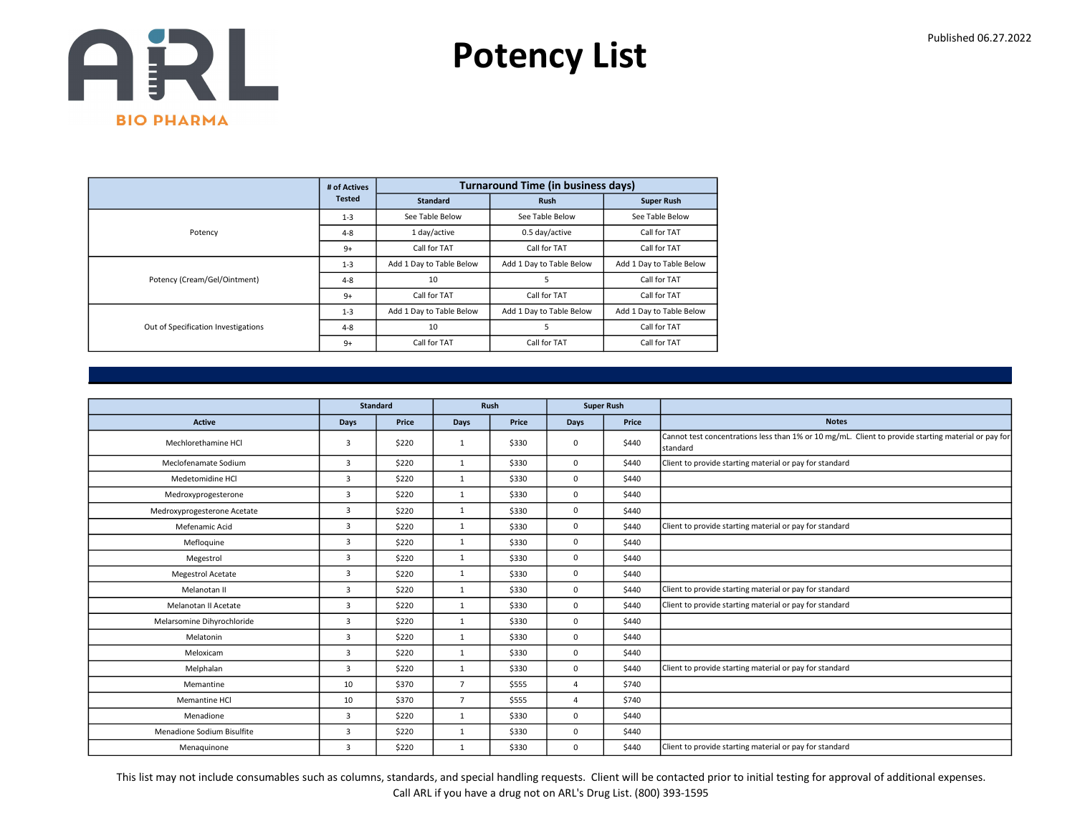

|                                     | # of Actives  |                          | <b>Turnaround Time (in business days)</b> |                          |  |  |
|-------------------------------------|---------------|--------------------------|-------------------------------------------|--------------------------|--|--|
|                                     | <b>Tested</b> | <b>Standard</b>          | <b>Rush</b>                               | <b>Super Rush</b>        |  |  |
|                                     | $1 - 3$       | See Table Below          | See Table Below                           | See Table Below          |  |  |
| Potency                             | $4 - 8$       | 1 day/active             | 0.5 day/active                            | Call for TAT             |  |  |
|                                     | $9+$          | Call for TAT             | Call for TAT                              | Call for TAT             |  |  |
|                                     | $1 - 3$       | Add 1 Day to Table Below | Add 1 Day to Table Below                  | Add 1 Day to Table Below |  |  |
| Potency (Cream/Gel/Ointment)        | $4 - 8$       | 10                       | 5                                         | Call for TAT             |  |  |
|                                     | $9+$          | Call for TAT             | Call for TAT                              | Call for TAT             |  |  |
|                                     | $1 - 3$       | Add 1 Day to Table Below | Add 1 Day to Table Below                  | Add 1 Day to Table Below |  |  |
| Out of Specification Investigations | $4 - 8$       | 10                       | 5                                         | Call for TAT             |  |  |
|                                     | $9+$          | Call for TAT             | Call for TAT                              | Call for TAT             |  |  |

|                             |                         | <b>Standard</b> | Rush           |       |                | <b>Super Rush</b> |                                                                                                                          |
|-----------------------------|-------------------------|-----------------|----------------|-------|----------------|-------------------|--------------------------------------------------------------------------------------------------------------------------|
| <b>Active</b>               | <b>Days</b>             | Price           | Days           | Price | Days           | Price             | <b>Notes</b>                                                                                                             |
| Mechlorethamine HCl         | $\overline{\mathbf{3}}$ | \$220           | $\mathbf{1}$   | \$330 | $\mathbf 0$    | \$440             | Cannot test concentrations less than 1% or 10 mg/mL. Client to provide starting material or pay for<br><b>I</b> standard |
| Meclofenamate Sodium        | $\overline{3}$          | \$220           | 1              | \$330 | $\mathbf 0$    | \$440             | Client to provide starting material or pay for standard                                                                  |
| Medetomidine HCl            | $\overline{3}$          | \$220           | $\mathbf{1}$   | \$330 | $\mathbf 0$    | \$440             |                                                                                                                          |
| Medroxyprogesterone         | $\overline{3}$          | \$220           | $\mathbf{1}$   | \$330 | $\mathbf 0$    | \$440             |                                                                                                                          |
| Medroxyprogesterone Acetate | $\overline{\mathbf{3}}$ | \$220           | $\mathbf{1}$   | \$330 | $\mathbf 0$    | \$440             |                                                                                                                          |
| Mefenamic Acid              | 3                       | \$220           | 1              | \$330 | $\mathbf 0$    | \$440             | Client to provide starting material or pay for standard                                                                  |
| Mefloquine                  | $\overline{3}$          | \$220           | 1              | \$330 | $\mathbf 0$    | \$440             |                                                                                                                          |
| Megestrol                   | $\overline{3}$          | \$220           | 1              | \$330 | $\mathbf 0$    | \$440             |                                                                                                                          |
| Megestrol Acetate           | 3                       | \$220           | $\mathbf{1}$   | \$330 | $\mathbf 0$    | \$440             |                                                                                                                          |
| Melanotan II                | 3                       | \$220           | 1              | \$330 | $\mathbf 0$    | \$440             | Client to provide starting material or pay for standard                                                                  |
| Melanotan II Acetate        | $\overline{3}$          | \$220           | 1              | \$330 | $\mathbf 0$    | \$440             | Client to provide starting material or pay for standard                                                                  |
| Melarsomine Dihyrochloride  | $\overline{3}$          | \$220           | 1              | \$330 | $\mathbf 0$    | \$440             |                                                                                                                          |
| Melatonin                   | 3                       | \$220           | $\mathbf{1}$   | \$330 | $\mathbf 0$    | \$440             |                                                                                                                          |
| Meloxicam                   | 3                       | \$220           | 1              | \$330 | $\mathbf 0$    | \$440             |                                                                                                                          |
| Melphalan                   | 3                       | \$220           | $\mathbf{1}$   | \$330 | $\mathbf 0$    | \$440             | Client to provide starting material or pay for standard                                                                  |
| Memantine                   | 10                      | \$370           | $\overline{7}$ | \$555 | $\overline{4}$ | \$740             |                                                                                                                          |
| Memantine HCl               | 10                      | \$370           | $\overline{7}$ | \$555 | $\Delta$       | \$740             |                                                                                                                          |
| Menadione                   | $\overline{3}$          | \$220           | 1              | \$330 | $\mathbf 0$    | \$440             |                                                                                                                          |
| Menadione Sodium Bisulfite  | $\overline{3}$          | \$220           | $\mathbf{1}$   | \$330 | $\mathbf 0$    | \$440             |                                                                                                                          |
| Menaquinone                 | 3                       | \$220           | 1              | \$330 | $\mathbf 0$    | \$440             | Client to provide starting material or pay for standard                                                                  |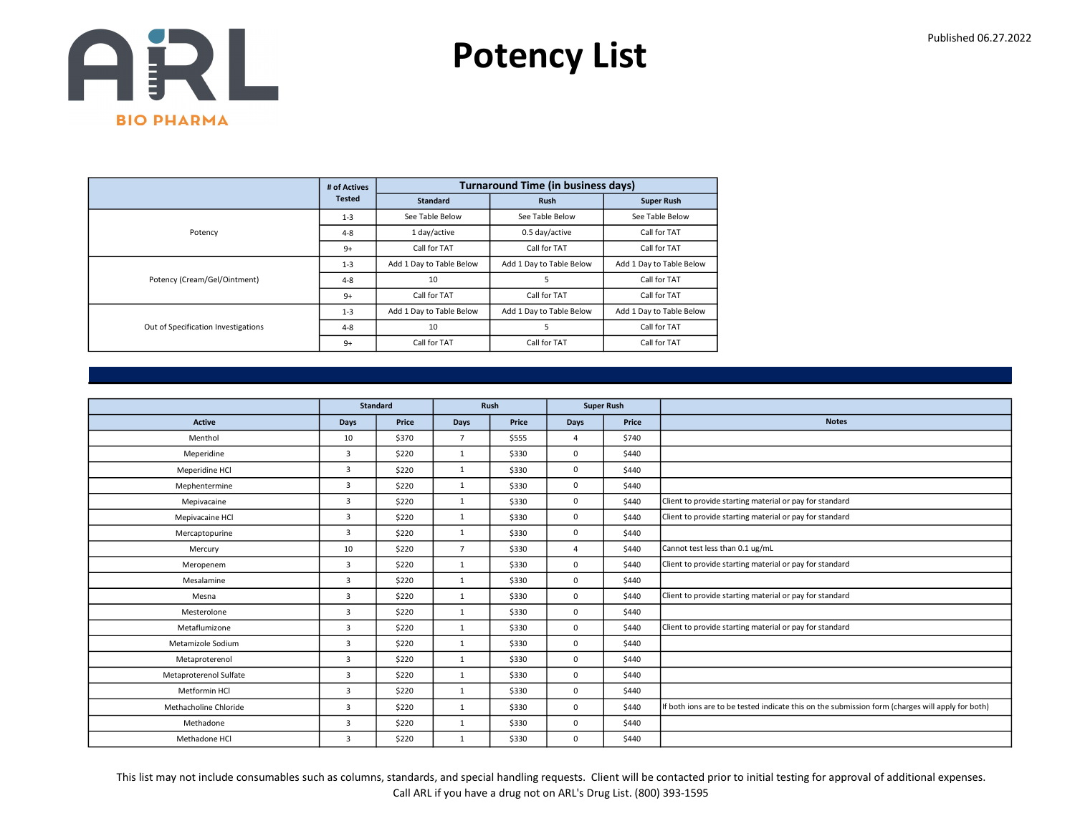

|                                     | # of Actives  |                          | <b>Turnaround Time (in business days)</b> |                          |
|-------------------------------------|---------------|--------------------------|-------------------------------------------|--------------------------|
|                                     | <b>Tested</b> | <b>Standard</b>          | <b>Rush</b>                               | <b>Super Rush</b>        |
|                                     | $1 - 3$       | See Table Below          | See Table Below                           | See Table Below          |
| Potency                             | $4 - 8$       | 1 day/active             | 0.5 day/active                            | Call for TAT             |
|                                     | $9+$          | Call for TAT             | Call for TAT                              | Call for TAT             |
|                                     | $1 - 3$       | Add 1 Day to Table Below | Add 1 Day to Table Below                  | Add 1 Day to Table Below |
| Potency (Cream/Gel/Ointment)        | $4 - 8$       | 10                       | 5                                         | Call for TAT             |
|                                     | $9+$          | Call for TAT             | Call for TAT                              | Call for TAT             |
|                                     | $1 - 3$       | Add 1 Day to Table Below | Add 1 Day to Table Below                  | Add 1 Day to Table Below |
| Out of Specification Investigations | $4 - 8$       | 10                       | 5                                         | Call for TAT             |
|                                     | $9+$          | Call for TAT             | Call for TAT                              | Call for TAT             |

|                        |                | <b>Standard</b> | Rush           |       |                | <b>Super Rush</b> |                                                                                                  |
|------------------------|----------------|-----------------|----------------|-------|----------------|-------------------|--------------------------------------------------------------------------------------------------|
| <b>Active</b>          | <b>Days</b>    | Price           | <b>Days</b>    | Price | Days           | Price             | <b>Notes</b>                                                                                     |
| Menthol                | 10             | \$370           | $\overline{7}$ | \$555 | $\overline{a}$ | \$740             |                                                                                                  |
| Meperidine             | 3              | \$220           | $\mathbf{1}$   | \$330 | 0              | \$440             |                                                                                                  |
| Meperidine HCl         | $\overline{3}$ | \$220           | $\mathbf{1}$   | \$330 | 0              | \$440             |                                                                                                  |
| Mephentermine          | $\overline{3}$ | \$220           | $\mathbf{1}$   | \$330 | 0              | \$440             |                                                                                                  |
| Mepivacaine            | $\overline{3}$ | \$220           | $\mathbf{1}$   | \$330 | 0              | \$440             | Client to provide starting material or pay for standard                                          |
| Mepivacaine HCl        | 3              | \$220           | $\mathbf{1}$   | \$330 | 0              | \$440             | Client to provide starting material or pay for standard                                          |
| Mercaptopurine         | 3              | \$220           | $\mathbf{1}$   | \$330 | 0              | \$440             |                                                                                                  |
| Mercury                | 10             | \$220           | $\overline{7}$ | \$330 | $\Delta$       | \$440             | Cannot test less than 0.1 ug/mL                                                                  |
| Meropenem              | 3              | \$220           | $\mathbf{1}$   | \$330 | 0              | \$440             | Client to provide starting material or pay for standard                                          |
| Mesalamine             | $\overline{3}$ | \$220           | $\mathbf{1}$   | \$330 | 0              | \$440             |                                                                                                  |
| Mesna                  | 3              | \$220           | $\mathbf{1}$   | \$330 | 0              | \$440             | Client to provide starting material or pay for standard                                          |
| Mesterolone            | $\overline{3}$ | \$220           | $\mathbf{1}$   | \$330 | 0              | \$440             |                                                                                                  |
| Metaflumizone          | 3              | \$220           | $\mathbf{1}$   | \$330 | 0              | \$440             | Client to provide starting material or pay for standard                                          |
| Metamizole Sodium      | $\overline{3}$ | \$220           | $\mathbf{1}$   | \$330 | 0              | \$440             |                                                                                                  |
| Metaproterenol         | 3              | \$220           | $\mathbf{1}$   | \$330 | 0              | \$440             |                                                                                                  |
| Metaproterenol Sulfate | $\overline{3}$ | \$220           | $\mathbf{1}$   | \$330 | 0              | \$440             |                                                                                                  |
| Metformin HCl          | $\overline{3}$ | \$220           | $\mathbf{1}$   | \$330 | 0              | \$440             |                                                                                                  |
| Methacholine Chloride  | 3              | \$220           | $\mathbf{1}$   | \$330 | 0              | \$440             | If both ions are to be tested indicate this on the submission form (charges will apply for both) |
| Methadone              | 3              | \$220           | 1              | \$330 | 0              | \$440             |                                                                                                  |
| Methadone HCl          | 3              | \$220           | $\mathbf{1}$   | \$330 | 0              | \$440             |                                                                                                  |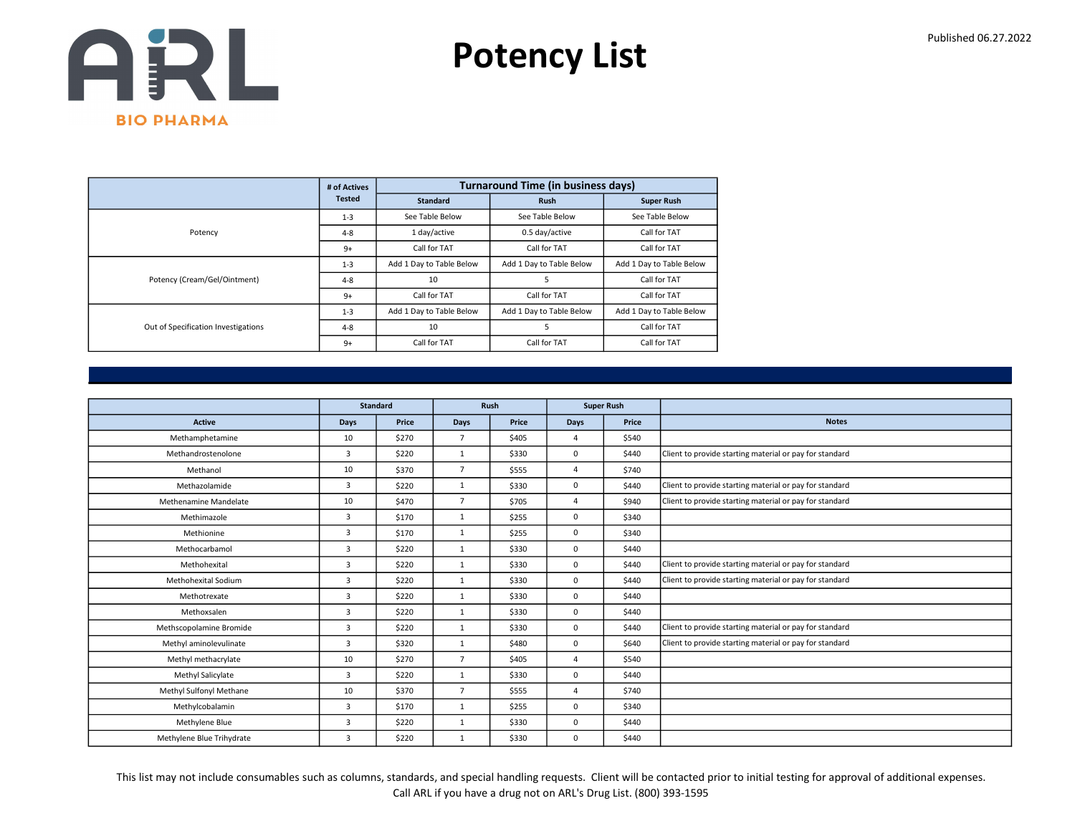

|                                     | # of Actives  |                          | <b>Turnaround Time (in business days)</b> |                          |
|-------------------------------------|---------------|--------------------------|-------------------------------------------|--------------------------|
|                                     | <b>Tested</b> | <b>Standard</b>          | <b>Rush</b>                               | <b>Super Rush</b>        |
|                                     | $1 - 3$       | See Table Below          | See Table Below                           | See Table Below          |
| Potency                             | $4 - 8$       | 1 day/active             | 0.5 day/active                            | Call for TAT             |
|                                     | $9+$          | Call for TAT             | Call for TAT                              | Call for TAT             |
|                                     | $1 - 3$       | Add 1 Day to Table Below | Add 1 Day to Table Below                  | Add 1 Day to Table Below |
| Potency (Cream/Gel/Ointment)        | $4 - 8$       | 10                       | 5                                         | Call for TAT             |
|                                     | $9+$          | Call for TAT             | Call for TAT                              | Call for TAT             |
|                                     | $1 - 3$       | Add 1 Day to Table Below | Add 1 Day to Table Below                  | Add 1 Day to Table Below |
| Out of Specification Investigations | $4 - 8$       | 10                       |                                           | Call for TAT             |
|                                     | $9+$          | Call for TAT             | Call for TAT                              | Call for TAT             |

|                           |                | <b>Standard</b> | Rush           |       |                | <b>Super Rush</b> |                                                         |
|---------------------------|----------------|-----------------|----------------|-------|----------------|-------------------|---------------------------------------------------------|
| <b>Active</b>             | Days           | Price           | Days           | Price | <b>Days</b>    | Price             | <b>Notes</b>                                            |
| Methamphetamine           | 10             | \$270           | $\overline{7}$ | \$405 | $\overline{a}$ | \$540             |                                                         |
| Methandrostenolone        | $\overline{3}$ | \$220           | 1              | \$330 | 0              | \$440             | Client to provide starting material or pay for standard |
| Methanol                  | 10             | \$370           | $\overline{7}$ | \$555 | $\overline{a}$ | \$740             |                                                         |
| Methazolamide             | 3              | \$220           | $\mathbf{1}$   | \$330 | $\Omega$       | \$440             | Client to provide starting material or pay for standard |
| Methenamine Mandelate     | 10             | \$470           | $\overline{7}$ | \$705 | $\overline{4}$ | \$940             | Client to provide starting material or pay for standard |
| Methimazole               | $\overline{3}$ | \$170           | $\mathbf{1}$   | \$255 | $\mathbf 0$    | \$340             |                                                         |
| Methionine                | $\overline{3}$ | \$170           | $\mathbf{1}$   | \$255 | $\mathbf 0$    | \$340             |                                                         |
| Methocarbamol             | $\overline{3}$ | \$220           | $\mathbf{1}$   | \$330 | $\mathbf 0$    | \$440             |                                                         |
| Methohexital              | 3              | \$220           | $\mathbf{1}$   | \$330 | $\mathbf 0$    | \$440             | Client to provide starting material or pay for standard |
| Methohexital Sodium       | $\overline{3}$ | \$220           | 1              | \$330 | $\mathbf 0$    | \$440             | Client to provide starting material or pay for standard |
| Methotrexate              | $\overline{3}$ | \$220           | $\mathbf{1}$   | \$330 | $\mathbf 0$    | \$440             |                                                         |
| Methoxsalen               | $\overline{3}$ | \$220           | 1              | \$330 | $\mathbf 0$    | \$440             |                                                         |
| Methscopolamine Bromide   | 3              | \$220           | $\mathbf{1}$   | \$330 | $\mathbf 0$    | \$440             | Client to provide starting material or pay for standard |
| Methyl aminolevulinate    | $\overline{3}$ | \$320           | $\mathbf{1}$   | \$480 | $\mathbf 0$    | \$640             | Client to provide starting material or pay for standard |
| Methyl methacrylate       | 10             | \$270           | $\overline{7}$ | \$405 | $\overline{4}$ | \$540             |                                                         |
| Methyl Salicylate         | $\overline{3}$ | \$220           | 1              | \$330 | $\mathbf 0$    | \$440             |                                                         |
| Methyl Sulfonyl Methane   | 10             | \$370           | $\overline{7}$ | \$555 | 4              | \$740             |                                                         |
| Methylcobalamin           | 3              | \$170           | $\mathbf{1}$   | \$255 | $\mathbf 0$    | \$340             |                                                         |
| Methylene Blue            | 3              | \$220           | $\mathbf{1}$   | \$330 | $\mathbf 0$    | \$440             |                                                         |
| Methylene Blue Trihydrate | 3              | \$220           | $\mathbf{1}$   | \$330 | 0              | \$440             |                                                         |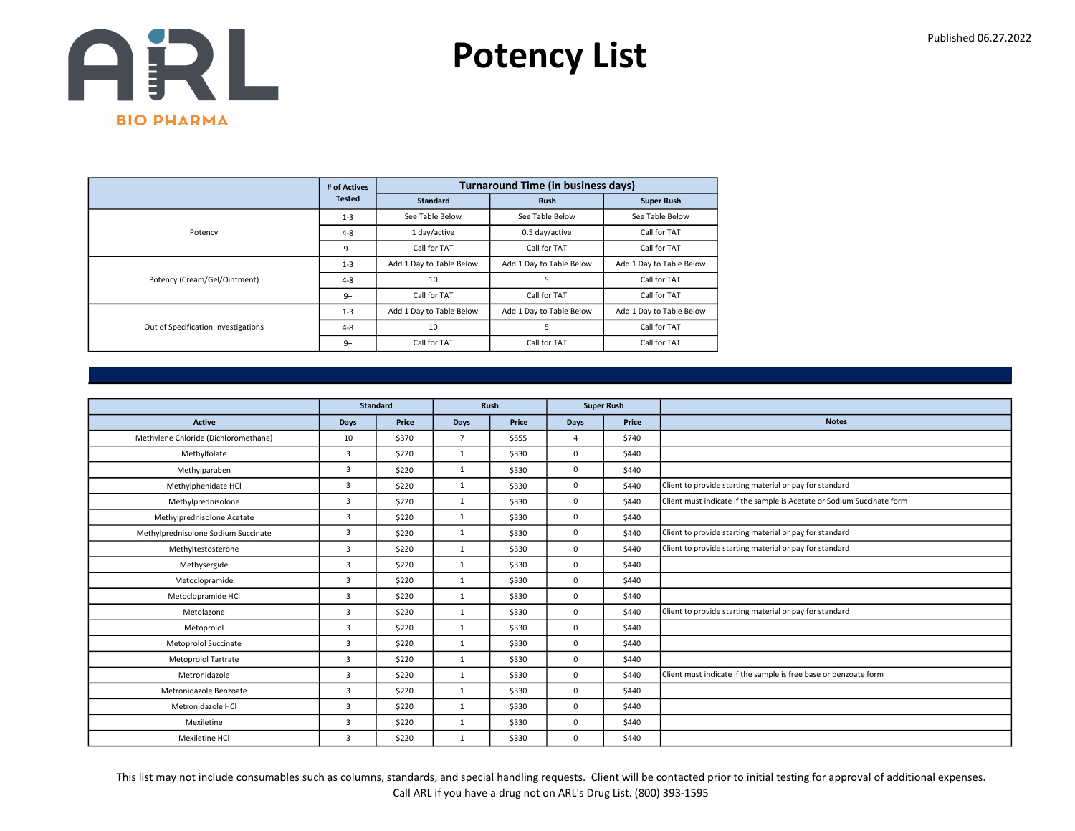

|                                     | # of Actives  |                          | <b>Turnaround Time (in business days)</b> |                          |
|-------------------------------------|---------------|--------------------------|-------------------------------------------|--------------------------|
|                                     | <b>Tested</b> | <b>Standard</b>          | <b>Rush</b>                               | <b>Super Rush</b>        |
|                                     | $1 - 3$       | See Table Below          | See Table Below                           | See Table Below          |
| Potency                             | $4 - 8$       | 1 day/active             | 0.5 day/active                            | Call for TAT             |
|                                     | $9+$          | Call for TAT             | Call for TAT                              | Call for TAT             |
|                                     | $1 - 3$       | Add 1 Day to Table Below | Add 1 Day to Table Below                  | Add 1 Day to Table Below |
| Potency (Cream/Gel/Ointment)        | $4 - 8$       | 10                       | 5                                         | Call for TAT             |
|                                     | $9+$          | Call for TAT             | Call for TAT                              | Call for TAT             |
|                                     | $1 - 3$       | Add 1 Day to Table Below | Add 1 Day to Table Below                  | Add 1 Day to Table Below |
| Out of Specification Investigations | $4 - 8$       | 10                       | 5                                         | Call for TAT             |
|                                     | $9+$          | Call for TAT             | Call for TAT                              | Call for TAT             |

|                                      |                | <b>Standard</b> |                | Rush  | <b>Super Rush</b> |       |                                                                        |
|--------------------------------------|----------------|-----------------|----------------|-------|-------------------|-------|------------------------------------------------------------------------|
| Active                               | Days           | Price           | Days           | Price | Days              | Price | <b>Notes</b>                                                           |
| Methylene Chloride (Dichloromethane) | 10             | \$370           | $\overline{7}$ | \$555 | 4                 | \$740 |                                                                        |
| Methylfolate                         | $\overline{3}$ | \$220           | $\mathbf{1}$   | \$330 | 0                 | \$440 |                                                                        |
| Methylparaben                        | $\overline{3}$ | \$220           | $\mathbf{1}$   | \$330 | 0                 | \$440 |                                                                        |
| Methylphenidate HCl                  | $\overline{3}$ | \$220           | $\mathbf{1}$   | \$330 | $\Omega$          | \$440 | Client to provide starting material or pay for standard                |
| Methylprednisolone                   | $\overline{3}$ | \$220           | $\mathbf{1}$   | \$330 | 0                 | \$440 | Client must indicate if the sample is Acetate or Sodium Succinate form |
| Methylprednisolone Acetate           | $\overline{3}$ | \$220           | $\mathbf{1}$   | \$330 | 0                 | \$440 |                                                                        |
| Methylprednisolone Sodium Succinate  | $\overline{3}$ | \$220           | $\mathbf{1}$   | \$330 | 0                 | \$440 | Client to provide starting material or pay for standard                |
| Methyltestosterone                   | $\overline{3}$ | \$220           | $\mathbf{1}$   | \$330 | 0                 | \$440 | Client to provide starting material or pay for standard                |
| Methysergide                         | 3              | \$220           | $\mathbf{1}$   | \$330 | 0                 | \$440 |                                                                        |
| Metoclopramide                       | $\overline{3}$ | \$220           | $\mathbf{1}$   | \$330 | 0                 | \$440 |                                                                        |
| Metoclopramide HCl                   | $\overline{3}$ | \$220           | $\mathbf{1}$   | \$330 | 0                 | \$440 |                                                                        |
| Metolazone                           | $\overline{3}$ | \$220           | $\mathbf{1}$   | \$330 | 0                 | \$440 | Client to provide starting material or pay for standard                |
| Metoprolol                           | $\overline{3}$ | \$220           | $\mathbf{1}$   | \$330 | 0                 | \$440 |                                                                        |
| <b>Metoprolol Succinate</b>          | 3              | \$220           | $\mathbf{1}$   | \$330 | 0                 | \$440 |                                                                        |
| <b>Metoprolol Tartrate</b>           | 3              | \$220           | $\mathbf{1}$   | \$330 | 0                 | \$440 |                                                                        |
| Metronidazole                        | $\overline{3}$ | \$220           | 1              | \$330 | 0                 | \$440 | Client must indicate if the sample is free base or benzoate form       |
| Metronidazole Benzoate               | $\overline{3}$ | \$220           | $\mathbf{1}$   | \$330 | 0                 | \$440 |                                                                        |
| Metronidazole HCl                    | 3              | \$220           | $\mathbf{1}$   | \$330 | 0                 | \$440 |                                                                        |
| Mexiletine                           | $\overline{3}$ | \$220           | $\mathbf{1}$   | \$330 | 0                 | \$440 |                                                                        |
| Mexiletine HCl                       | 3              | \$220           | $\mathbf{1}$   | \$330 | 0                 | \$440 |                                                                        |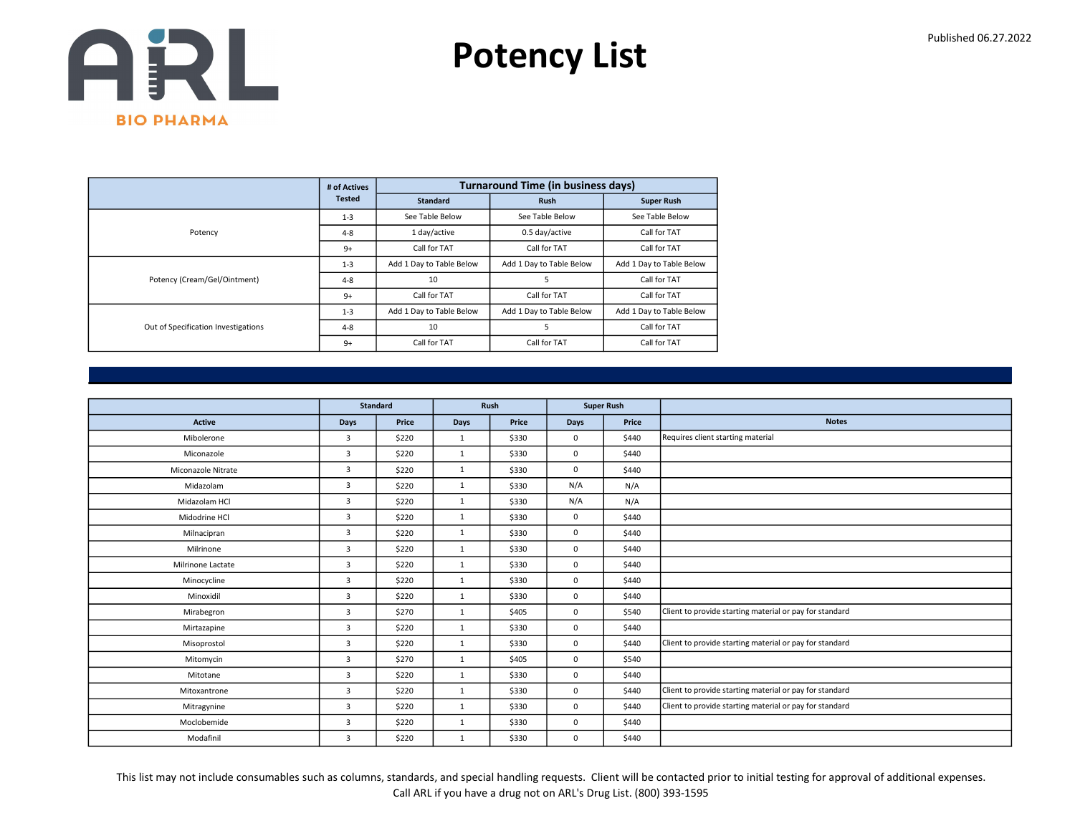

|                                     | # of Actives  |                          | <b>Turnaround Time (in business days)</b> |                          |
|-------------------------------------|---------------|--------------------------|-------------------------------------------|--------------------------|
|                                     | <b>Tested</b> | <b>Standard</b>          | <b>Rush</b>                               | <b>Super Rush</b>        |
|                                     | $1 - 3$       | See Table Below          | See Table Below                           | See Table Below          |
| Potency                             | $4 - 8$       | 1 day/active             | 0.5 day/active                            | Call for TAT             |
|                                     | $9+$          | Call for TAT             | Call for TAT                              | Call for TAT             |
|                                     | $1 - 3$       | Add 1 Day to Table Below | Add 1 Day to Table Below                  | Add 1 Day to Table Below |
| Potency (Cream/Gel/Ointment)        | $4 - 8$       | 10                       | 5                                         | Call for TAT             |
|                                     | $9+$          | Call for TAT             | Call for TAT                              | Call for TAT             |
|                                     | $1 - 3$       | Add 1 Day to Table Below | Add 1 Day to Table Below                  | Add 1 Day to Table Below |
| Out of Specification Investigations | $4 - 8$       | 10                       | 5                                         | Call for TAT             |
|                                     | $9+$          | Call for TAT             | Call for TAT                              | Call for TAT             |

|                    |                | <b>Standard</b> | Rush         |       |             | <b>Super Rush</b> |                                                         |
|--------------------|----------------|-----------------|--------------|-------|-------------|-------------------|---------------------------------------------------------|
| <b>Active</b>      | Days           | Price           | Days         | Price | <b>Days</b> | Price             | <b>Notes</b>                                            |
| Mibolerone         | $\overline{3}$ | \$220           | 1            | \$330 | $\mathbf 0$ | \$440             | Requires client starting material                       |
| Miconazole         | $\overline{3}$ | \$220           | $\mathbf{1}$ | \$330 | $\mathbf 0$ | \$440             |                                                         |
| Miconazole Nitrate | $\overline{3}$ | \$220           | 1            | \$330 | $\mathbf 0$ | \$440             |                                                         |
| Midazolam          | 3              | \$220           | 1            | \$330 | N/A         | N/A               |                                                         |
| Midazolam HCl      | $\overline{3}$ | \$220           | $\mathbf{1}$ | \$330 | N/A         | N/A               |                                                         |
| Midodrine HCl      | $\overline{3}$ | \$220           | $\mathbf{1}$ | \$330 | $\mathbf 0$ | \$440             |                                                         |
| Milnacipran        | $\overline{3}$ | \$220           | 1            | \$330 | $\mathbf 0$ | \$440             |                                                         |
| Milrinone          | $\overline{3}$ | \$220           | $\mathbf{1}$ | \$330 | $\mathbf 0$ | \$440             |                                                         |
| Milrinone Lactate  | 3              | \$220           | $\mathbf{1}$ | \$330 | $\mathbf 0$ | \$440             |                                                         |
| Minocycline        | $\overline{3}$ | \$220           | 1            | \$330 | $\mathbf 0$ | \$440             |                                                         |
| Minoxidil          | 3              | \$220           | $\mathbf{1}$ | \$330 | $\mathbf 0$ | \$440             |                                                         |
| Mirabegron         | $\overline{3}$ | \$270           | 1            | \$405 | $\mathbf 0$ | \$540             | Client to provide starting material or pay for standard |
| Mirtazapine        | 3              | \$220           | $\mathbf{1}$ | \$330 | $\mathbf 0$ | \$440             |                                                         |
| Misoprostol        | $\overline{3}$ | \$220           | $\mathbf{1}$ | \$330 | $\mathbf 0$ | \$440             | Client to provide starting material or pay for standard |
| Mitomycin          | 3              | \$270           | $\mathbf{1}$ | \$405 | $^{\circ}$  | \$540             |                                                         |
| Mitotane           | $\overline{3}$ | \$220           | 1            | \$330 | $\mathbf 0$ | \$440             |                                                         |
| Mitoxantrone       | $\overline{3}$ | \$220           | $\mathbf{1}$ | \$330 | $\mathbf 0$ | \$440             | Client to provide starting material or pay for standard |
| Mitragynine        | 3              | \$220           | $\mathbf{1}$ | \$330 | $\mathbf 0$ | \$440             | Client to provide starting material or pay for standard |
| Moclobemide        | 3              | \$220           | $\mathbf{1}$ | \$330 | $\mathbf 0$ | \$440             |                                                         |
| Modafinil          | 3              | \$220           | $\mathbf{1}$ | \$330 | $\mathbf 0$ | \$440             |                                                         |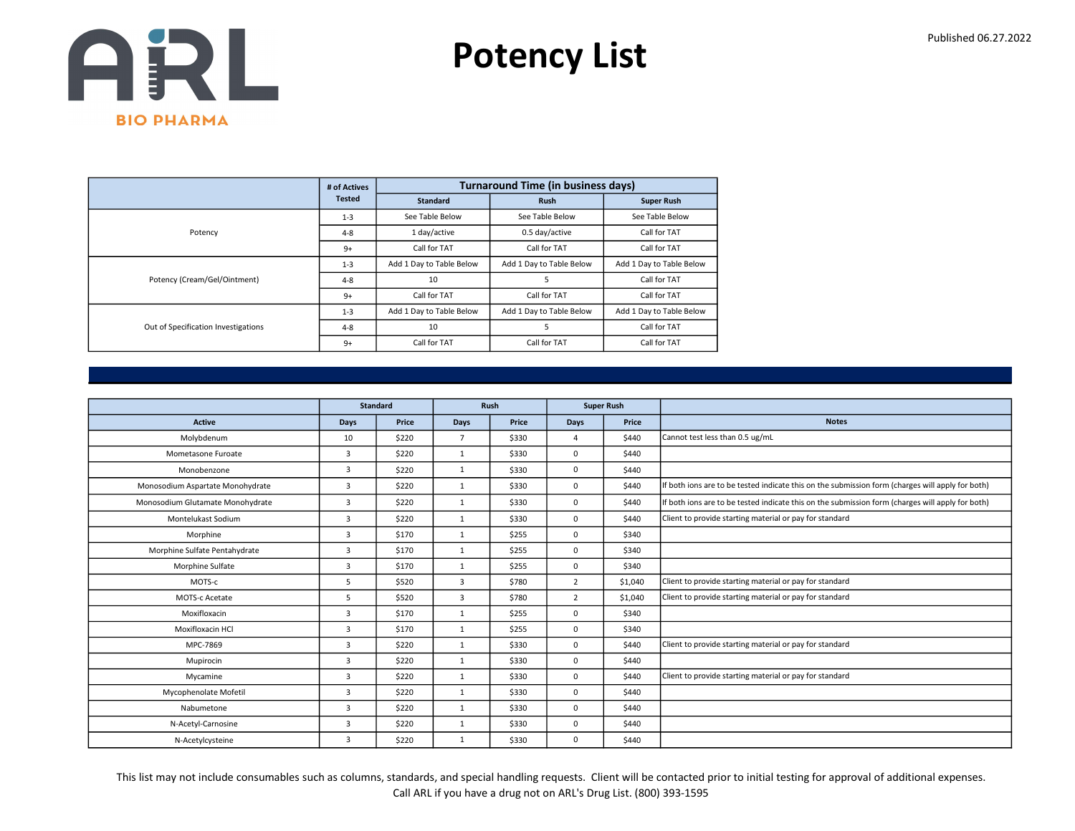

|                                     | # of Actives  |                          | <b>Turnaround Time (in business days)</b> |                          |
|-------------------------------------|---------------|--------------------------|-------------------------------------------|--------------------------|
|                                     | <b>Tested</b> | <b>Standard</b>          | <b>Rush</b>                               | <b>Super Rush</b>        |
|                                     | $1 - 3$       | See Table Below          | See Table Below                           | See Table Below          |
| Potency                             | $4 - 8$       | 1 day/active             | 0.5 day/active                            | Call for TAT             |
|                                     | $9+$          | Call for TAT             | Call for TAT                              | Call for TAT             |
|                                     | $1 - 3$       | Add 1 Day to Table Below | Add 1 Day to Table Below                  | Add 1 Day to Table Below |
| Potency (Cream/Gel/Ointment)        | $4 - 8$       | 10                       | 5                                         | Call for TAT             |
|                                     | $9+$          | Call for TAT             | Call for TAT                              | Call for TAT             |
|                                     | $1 - 3$       | Add 1 Day to Table Below | Add 1 Day to Table Below                  | Add 1 Day to Table Below |
| Out of Specification Investigations | $4 - 8$       | 10                       | 5                                         | Call for TAT             |
|                                     | $9+$          | Call for TAT             | Call for TAT                              | Call for TAT             |

|                                  |                | <b>Standard</b> |                | Rush<br><b>Super Rush</b> |                |         |                                                                                                  |
|----------------------------------|----------------|-----------------|----------------|---------------------------|----------------|---------|--------------------------------------------------------------------------------------------------|
| <b>Active</b>                    | Days           | Price           | Days           | Price                     | <b>Days</b>    | Price   | <b>Notes</b>                                                                                     |
| Molybdenum                       | 10             | \$220           | $\overline{7}$ | \$330                     | $\overline{a}$ | \$440   | Cannot test less than 0.5 ug/mL                                                                  |
| Mometasone Furoate               | 3              | \$220           | $\mathbf{1}$   | \$330                     | $\Omega$       | \$440   |                                                                                                  |
| Monobenzone                      | 3              | \$220           | $\mathbf{1}$   | \$330                     | $\mathbf 0$    | \$440   |                                                                                                  |
| Monosodium Aspartate Monohydrate | $\overline{3}$ | \$220           | 1              | \$330                     | $\mathbf 0$    | \$440   | If both ions are to be tested indicate this on the submission form (charges will apply for both) |
| Monosodium Glutamate Monohydrate | 3              | \$220           | $\mathbf{1}$   | \$330                     | $\mathbf 0$    | \$440   | If both ions are to be tested indicate this on the submission form (charges will apply for both) |
| Montelukast Sodium               | 3              | \$220           | $\mathbf{1}$   | \$330                     | $\mathbf 0$    | \$440   | Client to provide starting material or pay for standard                                          |
| Morphine                         | $\overline{3}$ | \$170           | 1              | \$255                     | $\mathbf 0$    | \$340   |                                                                                                  |
| Morphine Sulfate Pentahydrate    | 3              | \$170           | 1              | \$255                     | $\mathbf 0$    | \$340   |                                                                                                  |
| Morphine Sulfate                 | 3              | \$170           | $\mathbf{1}$   | \$255                     | $\mathbf 0$    | \$340   |                                                                                                  |
| MOTS-c                           | 5              | \$520           | 3              | \$780                     | $\overline{2}$ | \$1,040 | Client to provide starting material or pay for standard                                          |
| MOTS-c Acetate                   | 5              | \$520           | 3              | \$780                     | $\overline{2}$ | \$1,040 | Client to provide starting material or pay for standard                                          |
| Moxifloxacin                     | 3              | \$170           | $\mathbf{1}$   | \$255                     | $\mathbf 0$    | \$340   |                                                                                                  |
| Moxifloxacin HCl                 | 3              | \$170           | 1              | \$255                     | $\Omega$       | \$340   |                                                                                                  |
| MPC-7869                         | 3              | \$220           | $\mathbf{1}$   | \$330                     | $\mathbf 0$    | \$440   | Client to provide starting material or pay for standard                                          |
| Mupirocin                        | 3              | \$220           | 1              | \$330                     | $\mathbf 0$    | \$440   |                                                                                                  |
| Mycamine                         | 3              | \$220           | 1              | \$330                     | $\mathbf 0$    | \$440   | Client to provide starting material or pay for standard                                          |
| Mycophenolate Mofetil            | 3              | \$220           | $\mathbf{1}$   | \$330                     | $\mathbf 0$    | \$440   |                                                                                                  |
| Nabumetone                       | 3              | \$220           | 1              | \$330                     | $\mathbf 0$    | \$440   |                                                                                                  |
| N-Acetyl-Carnosine               | 3              | \$220           | 1              | \$330                     | 0              | \$440   |                                                                                                  |
| N-Acetylcysteine                 | 3              | \$220           | $\mathbf{1}$   | \$330                     | 0              | \$440   |                                                                                                  |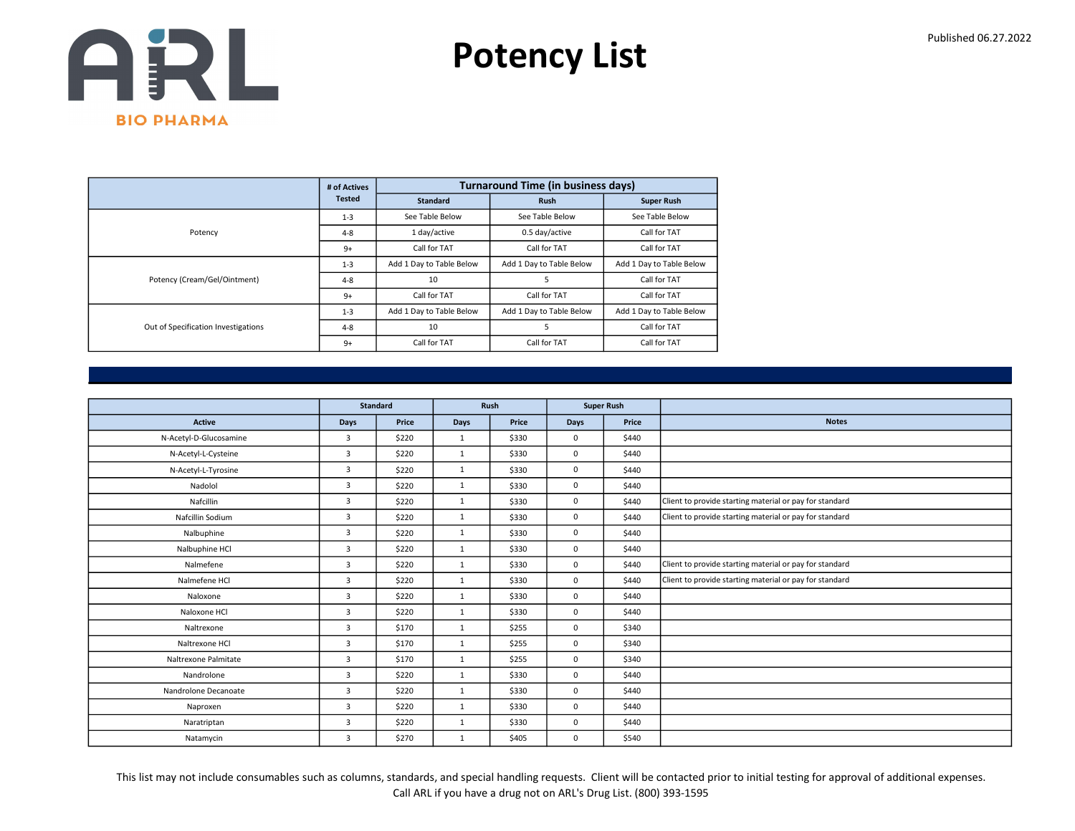

|                                     | # of Actives  |                          | <b>Turnaround Time (in business days)</b> |                          |
|-------------------------------------|---------------|--------------------------|-------------------------------------------|--------------------------|
|                                     | <b>Tested</b> | <b>Standard</b>          | <b>Rush</b>                               | <b>Super Rush</b>        |
|                                     | $1 - 3$       | See Table Below          | See Table Below                           | See Table Below          |
| Potency                             | $4 - 8$       | 1 day/active             | 0.5 day/active                            | Call for TAT             |
|                                     | $9+$          | Call for TAT             | Call for TAT                              | Call for TAT             |
|                                     | $1 - 3$       | Add 1 Day to Table Below | Add 1 Day to Table Below                  | Add 1 Day to Table Below |
| Potency (Cream/Gel/Ointment)        | $4 - 8$       | 10                       | 5                                         | Call for TAT             |
|                                     | $9+$          | Call for TAT             | Call for TAT                              | Call for TAT             |
|                                     | $1 - 3$       | Add 1 Day to Table Below | Add 1 Day to Table Below                  | Add 1 Day to Table Below |
| Out of Specification Investigations | $4 - 8$       | 10                       | 5                                         | Call for TAT             |
|                                     | $9+$          | Call for TAT             | Call for TAT                              | Call for TAT             |

|                        |                | <b>Standard</b> | Rush         |       |             | <b>Super Rush</b> |                                                         |
|------------------------|----------------|-----------------|--------------|-------|-------------|-------------------|---------------------------------------------------------|
| <b>Active</b>          | Days           | Price           | Days         | Price | <b>Days</b> | Price             | <b>Notes</b>                                            |
| N-Acetyl-D-Glucosamine | $\overline{3}$ | \$220           | 1            | \$330 | $\mathbf 0$ | \$440             |                                                         |
| N-Acetyl-L-Cysteine    | $\overline{3}$ | \$220           | 1            | \$330 | $\mathbf 0$ | \$440             |                                                         |
| N-Acetyl-L-Tyrosine    | 3              | \$220           | 1            | \$330 | $\mathbf 0$ | \$440             |                                                         |
| Nadolol                | $\overline{3}$ | \$220           | $\mathbf{1}$ | \$330 | $\Omega$    | \$440             |                                                         |
| Nafcillin              | $\overline{3}$ | \$220           | 1            | \$330 | $\mathbf 0$ | \$440             | Client to provide starting material or pay for standard |
| Nafcillin Sodium       | $\overline{3}$ | \$220           | $\mathbf{1}$ | \$330 | $\mathbf 0$ | \$440             | Client to provide starting material or pay for standard |
| Nalbuphine             | 3              | \$220           | $\mathbf{1}$ | \$330 | $\mathbf 0$ | \$440             |                                                         |
| Nalbuphine HCl         | $\overline{3}$ | \$220           | 1            | \$330 | $\mathbf 0$ | \$440             |                                                         |
| Nalmefene              | 3              | \$220           | $\mathbf{1}$ | \$330 | $\mathbf 0$ | \$440             | Client to provide starting material or pay for standard |
| Nalmefene HCl          | $\overline{3}$ | \$220           | $\mathbf{1}$ | \$330 | $\mathbf 0$ | \$440             | Client to provide starting material or pay for standard |
| Naloxone               | $\overline{3}$ | \$220           | $\mathbf{1}$ | \$330 | $\mathbf 0$ | \$440             |                                                         |
| Naloxone HCl           | 3              | \$220           | 1            | \$330 | $\mathbf 0$ | \$440             |                                                         |
| Naltrexone             | $\overline{3}$ | \$170           | $\mathbf{1}$ | \$255 | $\mathbf 0$ | \$340             |                                                         |
| Naltrexone HCl         | 3              | \$170           | 1            | \$255 | $\mathbf 0$ | \$340             |                                                         |
| Naltrexone Palmitate   | 3              | \$170           | 1            | \$255 | $\mathbf 0$ | \$340             |                                                         |
| Nandrolone             | $\overline{3}$ | \$220           | 1            | \$330 | $\mathbf 0$ | \$440             |                                                         |
| Nandrolone Decanoate   | $\overline{3}$ | \$220           | $\mathbf{1}$ | \$330 | $\mathbf 0$ | \$440             |                                                         |
| Naproxen               | 3              | \$220           | 1            | \$330 | $\mathbf 0$ | \$440             |                                                         |
| Naratriptan            | 3              | \$220           | 1            | \$330 | $\mathbf 0$ | \$440             |                                                         |
| Natamycin              | 3              | \$270           | 1            | \$405 | $\mathbf 0$ | \$540             |                                                         |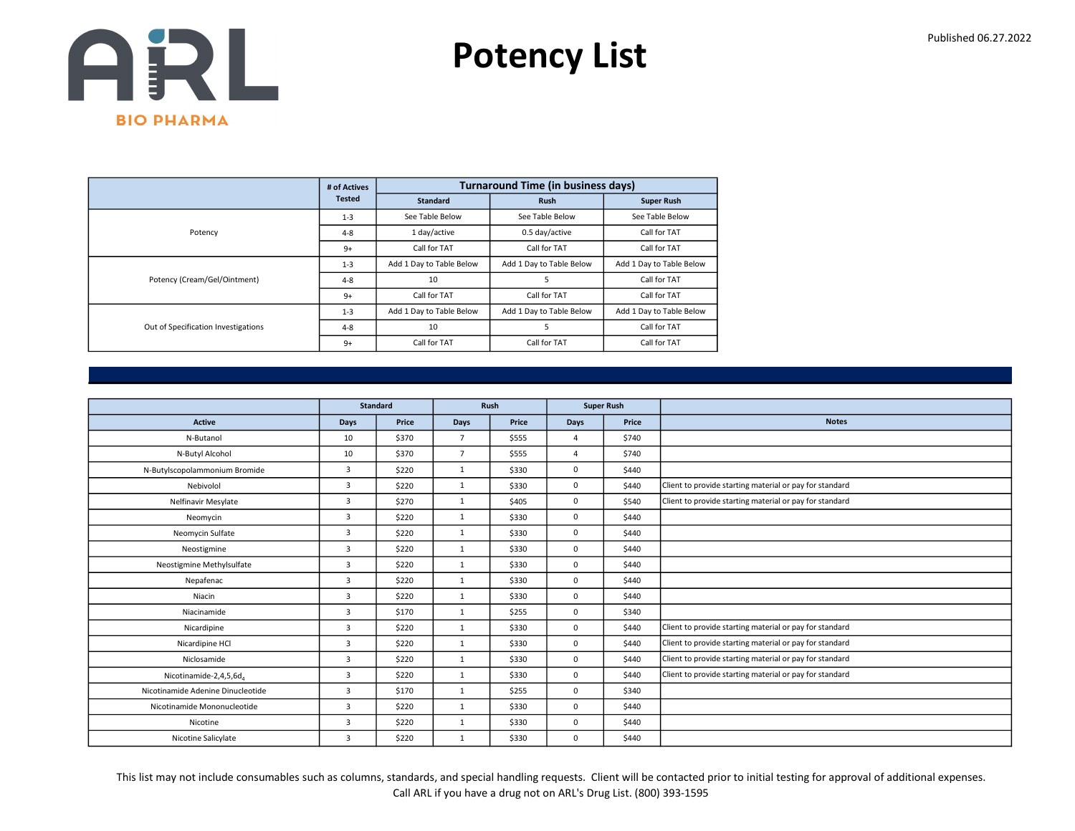

|                                     | # of Actives  |                          | <b>Turnaround Time (in business days)</b> |                          |
|-------------------------------------|---------------|--------------------------|-------------------------------------------|--------------------------|
|                                     | <b>Tested</b> | <b>Standard</b>          | <b>Rush</b>                               | <b>Super Rush</b>        |
|                                     | $1 - 3$       | See Table Below          | See Table Below                           | See Table Below          |
| Potency                             | $4 - 8$       | 1 day/active             | 0.5 day/active                            | Call for TAT             |
|                                     | $9+$          | Call for TAT             | Call for TAT                              | Call for TAT             |
|                                     | $1 - 3$       | Add 1 Day to Table Below | Add 1 Day to Table Below                  | Add 1 Day to Table Below |
| Potency (Cream/Gel/Ointment)        | $4 - 8$       | 10                       | 5                                         | Call for TAT             |
|                                     | $9+$          | Call for TAT             | Call for TAT                              | Call for TAT             |
|                                     | $1 - 3$       | Add 1 Day to Table Below | Add 1 Day to Table Below                  | Add 1 Day to Table Below |
| Out of Specification Investigations | $4 - 8$       | 10                       | 5                                         | Call for TAT             |
|                                     | $9+$          | Call for TAT             | Call for TAT                              | Call for TAT             |

|                                   |                | <b>Standard</b> | Rush           |       |                | <b>Super Rush</b> |                                                         |
|-----------------------------------|----------------|-----------------|----------------|-------|----------------|-------------------|---------------------------------------------------------|
| <b>Active</b>                     | <b>Days</b>    | Price           | Days           | Price | <b>Days</b>    | Price             | <b>Notes</b>                                            |
| N-Butanol                         | 10             | \$370           | $\overline{7}$ | \$555 | $\overline{4}$ | \$740             |                                                         |
| N-Butyl Alcohol                   | 10             | \$370           | $\overline{7}$ | \$555 | $\overline{4}$ | \$740             |                                                         |
| N-Butylscopolammonium Bromide     | 3              | \$220           | 1              | \$330 | $\mathbf 0$    | \$440             |                                                         |
| Nebivolol                         | $\overline{3}$ | \$220           | 1              | \$330 | $\mathbf 0$    | \$440             | Client to provide starting material or pay for standard |
| Nelfinavir Mesylate               | 3              | \$270           | $\mathbf{1}$   | \$405 | $\mathbf 0$    | \$540             | Client to provide starting material or pay for standard |
| Neomycin                          | 3              | \$220           | 1              | \$330 | $\mathbf 0$    | \$440             |                                                         |
| Neomycin Sulfate                  | 3              | \$220           | 1              | \$330 | $\mathbf 0$    | \$440             |                                                         |
| Neostigmine                       | 3              | \$220           | $\mathbf{1}$   | \$330 | $\mathbf 0$    | \$440             |                                                         |
| Neostigmine Methylsulfate         | $\overline{3}$ | \$220           | $\mathbf{1}$   | \$330 | $\mathbf 0$    | \$440             |                                                         |
| Nepafenac                         | $\overline{3}$ | \$220           | 1              | \$330 | $\mathbf 0$    | \$440             |                                                         |
| Niacin                            | $\overline{3}$ | \$220           | $\mathbf{1}$   | \$330 | $\mathbf 0$    | \$440             |                                                         |
| Niacinamide                       | 3              | \$170           | $\mathbf{1}$   | \$255 | $\mathbf 0$    | \$340             |                                                         |
| Nicardipine                       | 3              | \$220           | 1              | \$330 | $\mathbf 0$    | \$440             | Client to provide starting material or pay for standard |
| Nicardipine HCl                   | $\overline{3}$ | \$220           | 1              | \$330 | $\mathbf 0$    | \$440             | Client to provide starting material or pay for standard |
| Niclosamide                       | 3              | \$220           | 1              | \$330 | 0              | \$440             | Client to provide starting material or pay for standard |
| Nicotinamide-2,4,5,6d4            | 3              | \$220           | 1              | \$330 | $\mathbf 0$    | \$440             | Client to provide starting material or pay for standard |
| Nicotinamide Adenine Dinucleotide | $\overline{3}$ | \$170           | $\mathbf{1}$   | \$255 | $\mathbf 0$    | \$340             |                                                         |
| Nicotinamide Mononucleotide       | 3              | \$220           | $\mathbf{1}$   | \$330 | $\mathbf 0$    | \$440             |                                                         |
| Nicotine                          | 3              | \$220           | 1              | \$330 | $\mathbf 0$    | \$440             |                                                         |
| Nicotine Salicylate               | $\overline{3}$ | \$220           | $\mathbf{1}$   | \$330 | $\mathbf 0$    | \$440             |                                                         |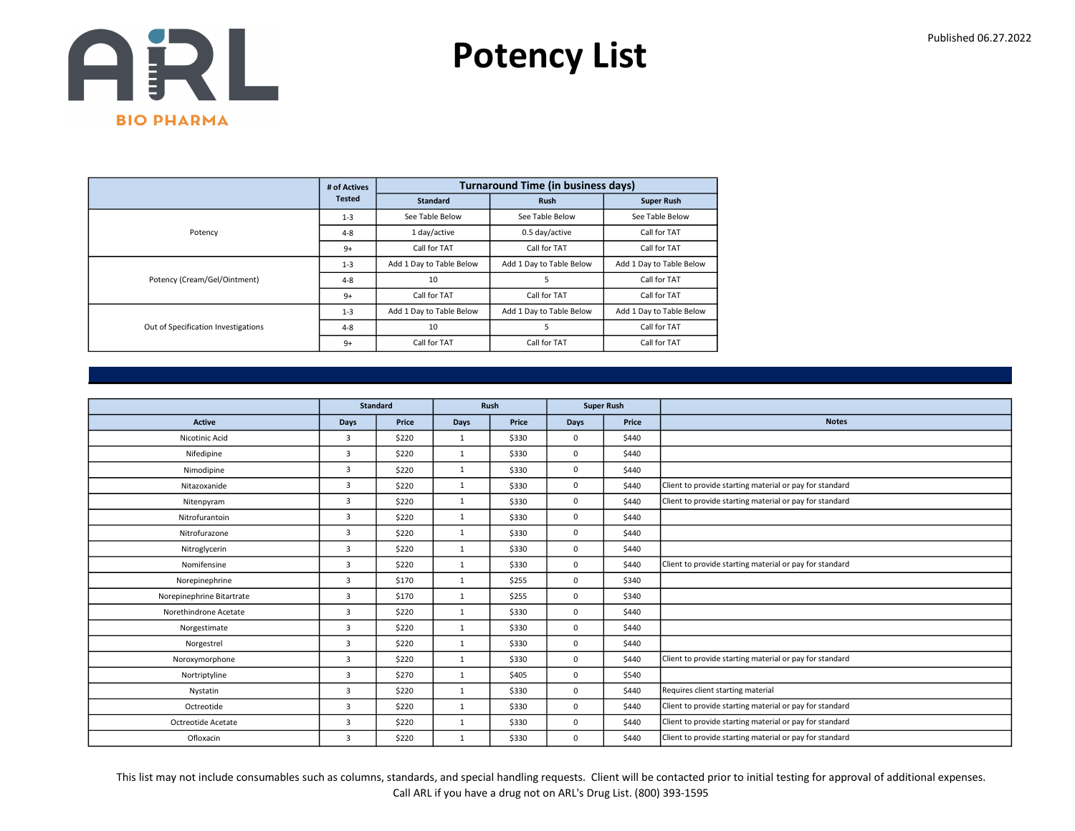

|                                     | # of Actives  |                          | <b>Turnaround Time (in business days)</b> |                          |
|-------------------------------------|---------------|--------------------------|-------------------------------------------|--------------------------|
|                                     | <b>Tested</b> | <b>Standard</b>          | <b>Rush</b>                               | <b>Super Rush</b>        |
|                                     | $1 - 3$       | See Table Below          | See Table Below                           | See Table Below          |
| Potency                             | $4 - 8$       | 1 day/active             | 0.5 day/active                            | Call for TAT             |
|                                     | $9+$          | Call for TAT             | Call for TAT                              | Call for TAT             |
|                                     | $1 - 3$       | Add 1 Day to Table Below | Add 1 Day to Table Below                  | Add 1 Day to Table Below |
| Potency (Cream/Gel/Ointment)        | $4 - 8$       | 10                       | 5                                         | Call for TAT             |
|                                     | $9+$          | Call for TAT             | Call for TAT                              | Call for TAT             |
|                                     | $1 - 3$       | Add 1 Day to Table Below | Add 1 Day to Table Below                  | Add 1 Day to Table Below |
| Out of Specification Investigations | $4 - 8$       | 10                       | 5                                         | Call for TAT             |
|                                     | $9+$          | Call for TAT             | Call for TAT                              | Call for TAT             |

|                           |                | <b>Standard</b> |              | Rush  |      | <b>Super Rush</b> |                                                         |
|---------------------------|----------------|-----------------|--------------|-------|------|-------------------|---------------------------------------------------------|
| <b>Active</b>             | Days           | Price           | Days         | Price | Days | Price             | <b>Notes</b>                                            |
| Nicotinic Acid            | $\overline{3}$ | \$220           | $\mathbf{1}$ | \$330 | 0    | \$440             |                                                         |
| Nifedipine                | $\overline{3}$ | \$220           | $\mathbf{1}$ | \$330 | 0    | \$440             |                                                         |
| Nimodipine                | 3              | \$220           | $\mathbf{1}$ | \$330 | 0    | \$440             |                                                         |
| Nitazoxanide              | $\overline{3}$ | \$220           | $\mathbf{1}$ | \$330 | 0    | \$440             | Client to provide starting material or pay for standard |
| Nitenpyram                | $\overline{3}$ | \$220           | $\mathbf{1}$ | \$330 | 0    | \$440             | Client to provide starting material or pay for standard |
| Nitrofurantoin            | $\overline{3}$ | \$220           | $\mathbf{1}$ | \$330 | 0    | \$440             |                                                         |
| Nitrofurazone             | 3              | \$220           | $\mathbf{1}$ | \$330 | 0    | \$440             |                                                         |
| Nitroglycerin             | $\overline{3}$ | \$220           | $\mathbf{1}$ | \$330 | 0    | \$440             |                                                         |
| Nomifensine               | $\overline{3}$ | \$220           | $\mathbf{1}$ | \$330 | 0    | \$440             | Client to provide starting material or pay for standard |
| Norepinephrine            | $\overline{3}$ | \$170           | $\mathbf{1}$ | \$255 | 0    | \$340             |                                                         |
| Norepinephrine Bitartrate | $\overline{3}$ | \$170           | $\mathbf{1}$ | \$255 | 0    | \$340             |                                                         |
| Norethindrone Acetate     | $\overline{3}$ | \$220           | $\mathbf{1}$ | \$330 | 0    | \$440             |                                                         |
| Norgestimate              | $\overline{3}$ | \$220           | $\mathbf{1}$ | \$330 | 0    | \$440             |                                                         |
| Norgestrel                | $\overline{3}$ | \$220           | $\mathbf{1}$ | \$330 | 0    | \$440             |                                                         |
| Noroxymorphone            | $\overline{3}$ | \$220           | $\mathbf{1}$ | \$330 | 0    | \$440             | Client to provide starting material or pay for standard |
| Nortriptyline             | $\overline{3}$ | \$270           | $\mathbf{1}$ | \$405 | 0    | \$540             |                                                         |
| Nystatin                  | $\overline{3}$ | \$220           | $\mathbf{1}$ | \$330 | 0    | \$440             | Requires client starting material                       |
| Octreotide                | $\overline{3}$ | \$220           | $\mathbf{1}$ | \$330 | 0    | \$440             | Client to provide starting material or pay for standard |
| Octreotide Acetate        | $\overline{3}$ | \$220           | $\mathbf{1}$ | \$330 | 0    | \$440             | Client to provide starting material or pay for standard |
| Ofloxacin                 | $\overline{3}$ | \$220           | $\mathbf{1}$ | \$330 | 0    | \$440             | Client to provide starting material or pay for standard |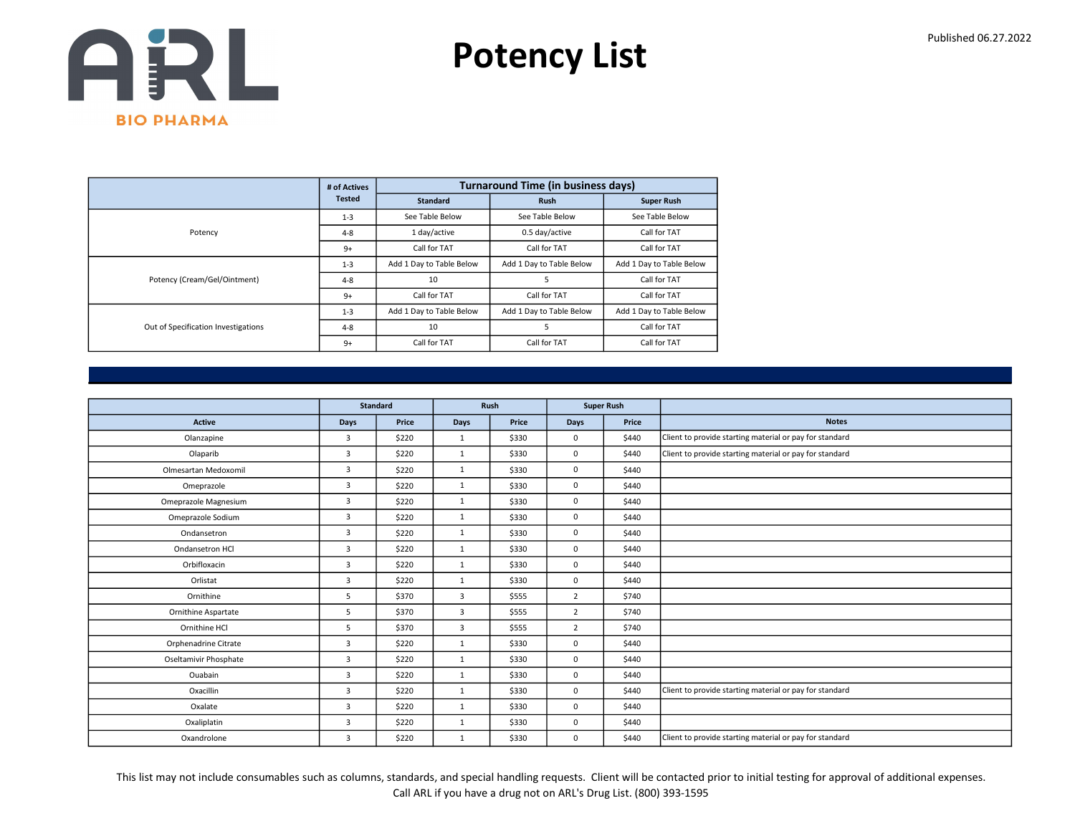

|                                     | # of Actives  |                          | <b>Turnaround Time (in business days)</b> |                          |
|-------------------------------------|---------------|--------------------------|-------------------------------------------|--------------------------|
|                                     | <b>Tested</b> | <b>Standard</b>          | <b>Rush</b>                               | <b>Super Rush</b>        |
|                                     | $1 - 3$       | See Table Below          | See Table Below                           | See Table Below          |
| Potency                             | $4 - 8$       | 1 day/active             | 0.5 day/active                            | Call for TAT             |
|                                     | $9+$          | Call for TAT             | Call for TAT                              | Call for TAT             |
|                                     | $1 - 3$       | Add 1 Day to Table Below | Add 1 Day to Table Below                  | Add 1 Day to Table Below |
| Potency (Cream/Gel/Ointment)        | $4 - 8$       | 10                       | 5                                         | Call for TAT             |
|                                     | $9+$          | Call for TAT             | Call for TAT                              | Call for TAT             |
|                                     | $1 - 3$       | Add 1 Day to Table Below | Add 1 Day to Table Below                  | Add 1 Day to Table Below |
| Out of Specification Investigations | $4 - 8$       | 10                       | 5                                         | Call for TAT             |
|                                     | $9+$          | Call for TAT             | Call for TAT                              | Call for TAT             |

|                       |                | <b>Standard</b> |              | Rush  | <b>Super Rush</b> |       |                                                         |
|-----------------------|----------------|-----------------|--------------|-------|-------------------|-------|---------------------------------------------------------|
| <b>Active</b>         | Days           | Price           | Days         | Price | Days              | Price | <b>Notes</b>                                            |
| Olanzapine            | $\overline{3}$ | \$220           | $\mathbf{1}$ | \$330 | 0                 | \$440 | Client to provide starting material or pay for standard |
| Olaparib              | 3              | \$220           | $\mathbf{1}$ | \$330 | 0                 | \$440 | Client to provide starting material or pay for standard |
| Olmesartan Medoxomil  | $\overline{3}$ | \$220           | $\mathbf{1}$ | \$330 | 0                 | \$440 |                                                         |
| Omeprazole            | $\overline{3}$ | \$220           | $\mathbf{1}$ | \$330 | 0                 | \$440 |                                                         |
| Omeprazole Magnesium  | $\overline{3}$ | \$220           | $\mathbf{1}$ | \$330 | 0                 | \$440 |                                                         |
| Omeprazole Sodium     | $\overline{3}$ | \$220           | $\mathbf{1}$ | \$330 | 0                 | \$440 |                                                         |
| Ondansetron           | $\overline{3}$ | \$220           | $\mathbf{1}$ | \$330 | 0                 | \$440 |                                                         |
| Ondansetron HCl       | $\overline{3}$ | \$220           | $\mathbf{1}$ | \$330 | 0                 | \$440 |                                                         |
| Orbifloxacin          | $\overline{3}$ | \$220           | $\mathbf{1}$ | \$330 | 0                 | \$440 |                                                         |
| Orlistat              | $\overline{3}$ | \$220           | $\mathbf{1}$ | \$330 | 0                 | \$440 |                                                         |
| Ornithine             | 5              | \$370           | 3            | \$555 | $\overline{2}$    | \$740 |                                                         |
| Ornithine Aspartate   | 5              | \$370           | 3            | \$555 | $\overline{2}$    | \$740 |                                                         |
| Ornithine HCl         | 5              | \$370           | 3            | \$555 | $\overline{2}$    | \$740 |                                                         |
| Orphenadrine Citrate  | 3              | \$220           | $\mathbf{1}$ | \$330 | 0                 | \$440 |                                                         |
| Oseltamivir Phosphate | $\overline{3}$ | \$220           | $\mathbf{1}$ | \$330 | 0                 | \$440 |                                                         |
| Ouabain               | $\overline{3}$ | \$220           | $\mathbf{1}$ | \$330 | 0                 | \$440 |                                                         |
| Oxacillin             | $\overline{3}$ | \$220           | $\mathbf{1}$ | \$330 | 0                 | \$440 | Client to provide starting material or pay for standard |
| Oxalate               | $\overline{3}$ | \$220           | $\mathbf{1}$ | \$330 | 0                 | \$440 |                                                         |
| Oxaliplatin           | $\overline{3}$ | \$220           | $\mathbf{1}$ | \$330 | 0                 | \$440 |                                                         |
| Oxandrolone           | 3              | \$220           | $\mathbf{1}$ | \$330 | 0                 | \$440 | Client to provide starting material or pay for standard |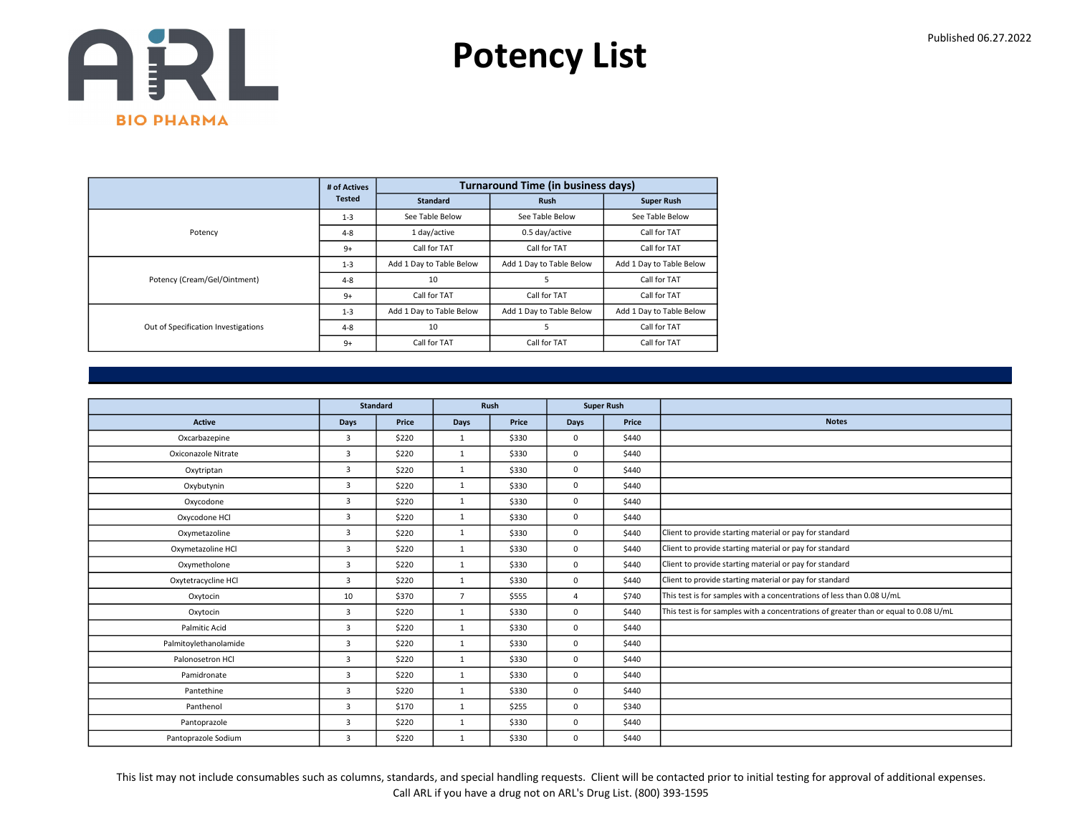

|                                     | # of Actives  |                          | <b>Turnaround Time (in business days)</b> |                          |
|-------------------------------------|---------------|--------------------------|-------------------------------------------|--------------------------|
|                                     | <b>Tested</b> | <b>Standard</b>          | <b>Rush</b>                               | <b>Super Rush</b>        |
|                                     | $1 - 3$       | See Table Below          | See Table Below                           | See Table Below          |
| Potency                             | $4 - 8$       | 1 day/active             | 0.5 day/active                            | Call for TAT             |
|                                     | $9+$          | Call for TAT             | Call for TAT                              | Call for TAT             |
|                                     | $1 - 3$       | Add 1 Day to Table Below | Add 1 Day to Table Below                  | Add 1 Day to Table Below |
| Potency (Cream/Gel/Ointment)        | $4 - 8$       | 10                       | 5                                         | Call for TAT             |
|                                     | $9+$          | Call for TAT             | Call for TAT                              | Call for TAT             |
|                                     | $1 - 3$       | Add 1 Day to Table Below | Add 1 Day to Table Below                  | Add 1 Day to Table Below |
| Out of Specification Investigations | $4 - 8$       | 10                       | 5                                         | Call for TAT             |
|                                     | $9+$          | Call for TAT             | Call for TAT                              | Call for TAT             |

|                       |                | <b>Standard</b> | Rush           |       |                | <b>Super Rush</b> |                                                                                      |
|-----------------------|----------------|-----------------|----------------|-------|----------------|-------------------|--------------------------------------------------------------------------------------|
| <b>Active</b>         | <b>Days</b>    | Price           | Days           | Price | <b>Days</b>    | Price             | <b>Notes</b>                                                                         |
| Oxcarbazepine         | $\overline{3}$ | \$220           | 1              | \$330 | $\mathbf 0$    | \$440             |                                                                                      |
| Oxiconazole Nitrate   | 3              | \$220           | $\mathbf{1}$   | \$330 | $\mathbf 0$    | \$440             |                                                                                      |
| Oxytriptan            | 3              | \$220           | $\mathbf{1}$   | \$330 | $\mathbf 0$    | \$440             |                                                                                      |
| Oxybutynin            | 3              | \$220           | 1              | \$330 | $\mathbf 0$    | \$440             |                                                                                      |
| Oxycodone             | $\overline{3}$ | \$220           | $\mathbf{1}$   | \$330 | $\mathbf 0$    | \$440             |                                                                                      |
| Oxycodone HCl         | 3              | \$220           | $\mathbf{1}$   | \$330 | $\mathbf 0$    | \$440             |                                                                                      |
| Oxymetazoline         | $\overline{3}$ | \$220           | $\mathbf{1}$   | \$330 | $\mathbf 0$    | \$440             | Client to provide starting material or pay for standard                              |
| Oxymetazoline HCl     | $\overline{3}$ | \$220           | $\mathbf{1}$   | \$330 | $\mathbf 0$    | \$440             | Client to provide starting material or pay for standard                              |
| Oxymetholone          | 3              | \$220           | $\mathbf{1}$   | \$330 | 0              | \$440             | Client to provide starting material or pay for standard                              |
| Oxytetracycline HCl   | $\overline{3}$ | \$220           | 1              | \$330 | $\mathbf 0$    | \$440             | Client to provide starting material or pay for standard                              |
| Oxytocin              | 10             | \$370           | $\overline{7}$ | \$555 | $\overline{a}$ | \$740             | This test is for samples with a concentrations of less than 0.08 U/mL                |
| Oxytocin              | 3              | \$220           | $\mathbf{1}$   | \$330 | $\mathbf 0$    | \$440             | This test is for samples with a concentrations of greater than or equal to 0.08 U/mL |
| Palmitic Acid         | 3              | \$220           | 1              | \$330 | $\mathbf 0$    | \$440             |                                                                                      |
| Palmitoylethanolamide | 3              | \$220           | $\mathbf{1}$   | \$330 | $\mathbf 0$    | \$440             |                                                                                      |
| Palonosetron HCl      | 3              | \$220           | $\mathbf{1}$   | \$330 | $\mathbf 0$    | \$440             |                                                                                      |
| Pamidronate           | 3              | \$220           | $\mathbf{1}$   | \$330 | $\mathbf 0$    | \$440             |                                                                                      |
| Pantethine            | 3              | \$220           | $\mathbf{1}$   | \$330 | $\mathbf 0$    | \$440             |                                                                                      |
| Panthenol             | 3              | \$170           | 1              | \$255 | $\mathbf 0$    | \$340             |                                                                                      |
| Pantoprazole          | 3              | \$220           | 1              | \$330 | $\mathbf 0$    | \$440             |                                                                                      |
| Pantoprazole Sodium   | 3              | \$220           | $\mathbf{1}$   | \$330 | 0              | \$440             |                                                                                      |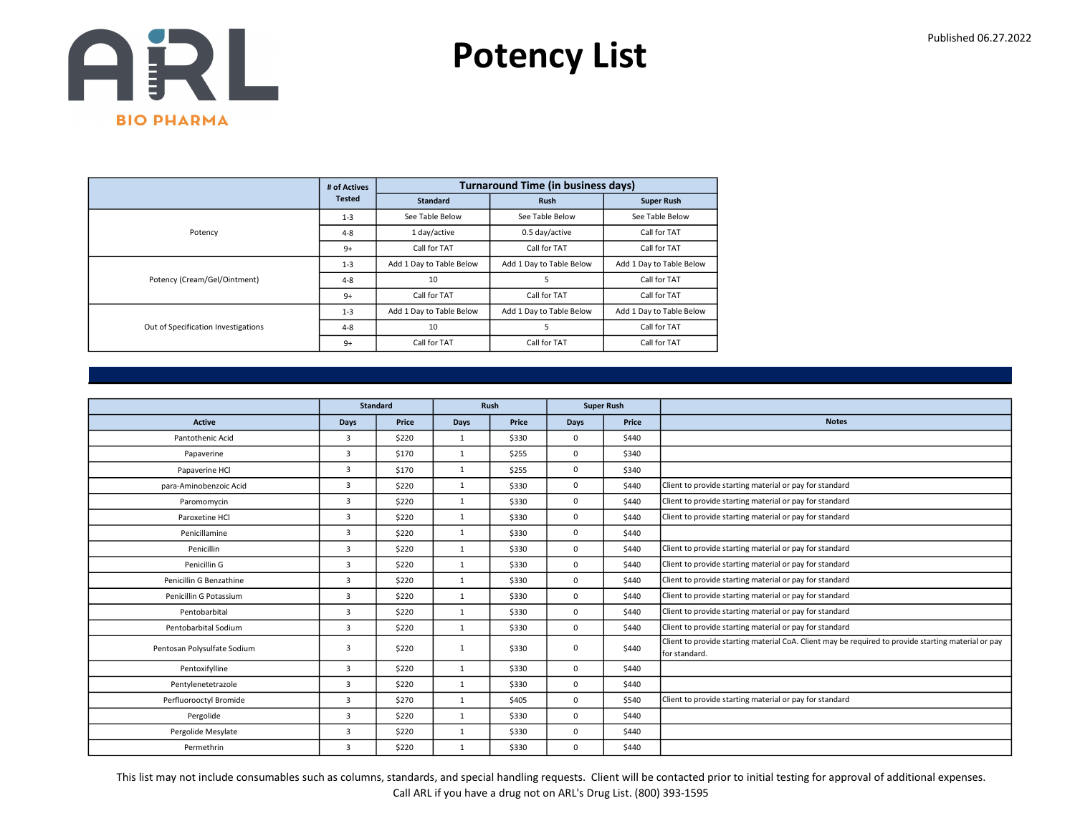

|                                     | # of Actives  |                          | <b>Turnaround Time (in business days)</b> |                          |
|-------------------------------------|---------------|--------------------------|-------------------------------------------|--------------------------|
|                                     | <b>Tested</b> | <b>Standard</b>          | <b>Rush</b>                               | <b>Super Rush</b>        |
|                                     | $1 - 3$       | See Table Below          | See Table Below                           | See Table Below          |
| Potency                             | $4 - 8$       | 1 day/active             | 0.5 day/active                            | Call for TAT             |
|                                     | $9+$          | Call for TAT             | Call for TAT                              | Call for TAT             |
|                                     | $1 - 3$       | Add 1 Day to Table Below | Add 1 Day to Table Below                  | Add 1 Day to Table Below |
| Potency (Cream/Gel/Ointment)        | $4 - 8$       | 10                       | 5                                         | Call for TAT             |
|                                     | $9+$          | Call for TAT             | Call for TAT                              | Call for TAT             |
|                                     | $1 - 3$       | Add 1 Day to Table Below | Add 1 Day to Table Below                  | Add 1 Day to Table Below |
| Out of Specification Investigations | $4 - 8$       | 10                       | 5                                         | Call for TAT             |
|                                     | $9+$          | Call for TAT             | Call for TAT                              | Call for TAT             |

|                             |                | <b>Standard</b> |              | Rush  |             | <b>Super Rush</b> |                                                                                                                      |
|-----------------------------|----------------|-----------------|--------------|-------|-------------|-------------------|----------------------------------------------------------------------------------------------------------------------|
| Active                      | Days           | Price           | Days         | Price | <b>Days</b> | Price             | <b>Notes</b>                                                                                                         |
| Pantothenic Acid            | 3              | \$220           | $\mathbf{1}$ | \$330 | 0           | \$440             |                                                                                                                      |
| Papaverine                  | 3              | \$170           | $\mathbf{1}$ | \$255 | 0           | \$340             |                                                                                                                      |
| Papaverine HCl              | $\overline{3}$ | \$170           | $\mathbf{1}$ | \$255 | 0           | \$340             |                                                                                                                      |
| para-Aminobenzoic Acid      | $\overline{3}$ | \$220           | $\mathbf{1}$ | \$330 | 0           | \$440             | Client to provide starting material or pay for standard                                                              |
| Paromomycin                 | $\overline{3}$ | \$220           | $\mathbf{1}$ | \$330 | 0           | \$440             | Client to provide starting material or pay for standard                                                              |
| Paroxetine HCI              | $\overline{3}$ | \$220           | $\mathbf{1}$ | \$330 | 0           | \$440             | Client to provide starting material or pay for standard                                                              |
| Penicillamine               | $\overline{3}$ | \$220           | $\mathbf{1}$ | \$330 | 0           | \$440             |                                                                                                                      |
| Penicillin                  | $\overline{3}$ | \$220           | $\mathbf{1}$ | \$330 | 0           | \$440             | Client to provide starting material or pay for standard                                                              |
| Penicillin G                | $\overline{3}$ | \$220           | $\mathbf{1}$ | \$330 | 0           | \$440             | Client to provide starting material or pay for standard                                                              |
| Penicillin G Benzathine     | $\overline{3}$ | \$220           | $\mathbf{1}$ | \$330 | 0           | \$440             | Client to provide starting material or pay for standard                                                              |
| Penicillin G Potassium      | 3              | \$220           | $\mathbf{1}$ | \$330 | 0           | \$440             | Client to provide starting material or pay for standard                                                              |
| Pentobarbital               | $\overline{3}$ | \$220           | $\mathbf{1}$ | \$330 | 0           | \$440             | Client to provide starting material or pay for standard                                                              |
| Pentobarbital Sodium        | $\overline{3}$ | \$220           | $\mathbf{1}$ | \$330 | 0           | \$440             | Client to provide starting material or pay for standard                                                              |
| Pentosan Polysulfate Sodium | 3              | \$220           | 1            | \$330 | 0           | \$440             | Client to provide starting material CoA. Client may be required to provide starting material or pay<br>for standard. |
| Pentoxifylline              | $\overline{3}$ | \$220           | 1            | \$330 | 0           | \$440             |                                                                                                                      |
| Pentylenetetrazole          | $\overline{3}$ | \$220           | $\mathbf{1}$ | \$330 | 0           | \$440             |                                                                                                                      |
| Perfluorooctyl Bromide      | $\overline{3}$ | \$270           | $\mathbf{1}$ | \$405 | 0           | \$540             | Client to provide starting material or pay for standard                                                              |
| Pergolide                   | $\overline{3}$ | \$220           | $\mathbf{1}$ | \$330 | 0           | \$440             |                                                                                                                      |
| Pergolide Mesylate          | $\overline{3}$ | \$220           | $\mathbf{1}$ | \$330 | 0           | \$440             |                                                                                                                      |
| Permethrin                  | $\overline{3}$ | \$220           | $\mathbf{1}$ | \$330 | 0           | \$440             |                                                                                                                      |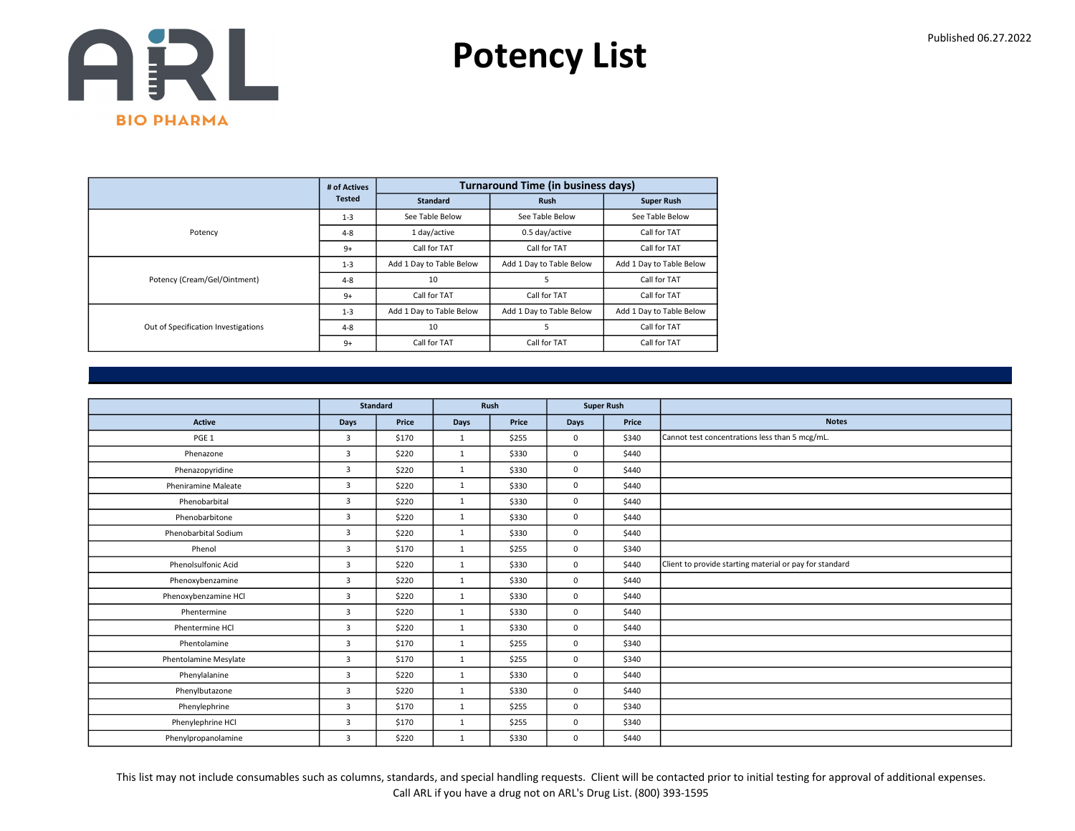

|                                     | # of Actives  |                          | <b>Turnaround Time (in business days)</b> |                          |
|-------------------------------------|---------------|--------------------------|-------------------------------------------|--------------------------|
|                                     | <b>Tested</b> | <b>Standard</b>          | <b>Rush</b>                               | <b>Super Rush</b>        |
|                                     | $1 - 3$       | See Table Below          | See Table Below                           | See Table Below          |
| Potency                             | $4 - 8$       | 1 day/active             | 0.5 day/active                            | Call for TAT             |
|                                     | $9+$          | Call for TAT             | Call for TAT                              | Call for TAT             |
|                                     | $1 - 3$       | Add 1 Day to Table Below | Add 1 Day to Table Below                  | Add 1 Day to Table Below |
| Potency (Cream/Gel/Ointment)        | $4 - 8$       | 10                       | 5                                         | Call for TAT             |
|                                     | $9+$          | Call for TAT             | Call for TAT                              | Call for TAT             |
|                                     | $1 - 3$       | Add 1 Day to Table Below | Add 1 Day to Table Below                  | Add 1 Day to Table Below |
| Out of Specification Investigations | $4 - 8$       | 10                       | 5                                         | Call for TAT             |
|                                     | $9+$          | Call for TAT             | Call for TAT                              | Call for TAT             |

|                            |                | <b>Standard</b> | <b>Super Rush</b><br>Rush |       |             |       |                                                         |
|----------------------------|----------------|-----------------|---------------------------|-------|-------------|-------|---------------------------------------------------------|
|                            |                |                 |                           |       |             |       |                                                         |
| <b>Active</b>              | Days           | Price           | Days                      | Price | <b>Days</b> | Price | <b>Notes</b>                                            |
| PGE <sub>1</sub>           | $\overline{3}$ | \$170           | 1                         | \$255 | $\mathbf 0$ | \$340 | Cannot test concentrations less than 5 mcg/mL.          |
| Phenazone                  | $\overline{3}$ | \$220           | 1                         | \$330 | $\mathbf 0$ | \$440 |                                                         |
| Phenazopyridine            | 3              | \$220           | 1                         | \$330 | $\mathbf 0$ | \$440 |                                                         |
| <b>Pheniramine Maleate</b> | $\overline{3}$ | \$220           | $\mathbf{1}$              | \$330 | $\Omega$    | \$440 |                                                         |
| Phenobarbital              | $\overline{3}$ | \$220           | 1                         | \$330 | $\mathbf 0$ | \$440 |                                                         |
| Phenobarbitone             | $\overline{3}$ | \$220           | $\mathbf{1}$              | \$330 | $\mathbf 0$ | \$440 |                                                         |
| Phenobarbital Sodium       | 3              | \$220           | $\mathbf{1}$              | \$330 | $\mathbf 0$ | \$440 |                                                         |
| Phenol                     | $\overline{3}$ | \$170           | 1                         | \$255 | $\mathbf 0$ | \$340 |                                                         |
| Phenolsulfonic Acid        | 3              | \$220           | $\mathbf{1}$              | \$330 | $\mathbf 0$ | \$440 | Client to provide starting material or pay for standard |
| Phenoxybenzamine           | $\overline{3}$ | \$220           | 1                         | \$330 | $\mathbf 0$ | \$440 |                                                         |
| Phenoxybenzamine HCl       | $\overline{3}$ | \$220           | $\mathbf{1}$              | \$330 | $\mathbf 0$ | \$440 |                                                         |
| Phentermine                | 3              | \$220           | 1                         | \$330 | $\mathbf 0$ | \$440 |                                                         |
| Phentermine HCl            | $\overline{3}$ | \$220           | $\mathbf{1}$              | \$330 | $\mathbf 0$ | \$440 |                                                         |
| Phentolamine               | 3              | \$170           | 1                         | \$255 | $\mathbf 0$ | \$340 |                                                         |
| Phentolamine Mesylate      | 3              | \$170           | 1                         | \$255 | $\mathbf 0$ | \$340 |                                                         |
| Phenylalanine              | $\overline{3}$ | \$220           | 1                         | \$330 | $\mathbf 0$ | \$440 |                                                         |
| Phenylbutazone             | $\overline{3}$ | \$220           | $\mathbf{1}$              | \$330 | $\mathbf 0$ | \$440 |                                                         |
| Phenylephrine              | 3              | \$170           | $\mathbf{1}$              | \$255 | $\mathbf 0$ | \$340 |                                                         |
| Phenylephrine HCl          | 3              | \$170           | 1                         | \$255 | $\mathbf 0$ | \$340 |                                                         |
| Phenylpropanolamine        | 3              | \$220           | 1                         | \$330 | $\mathbf 0$ | \$440 |                                                         |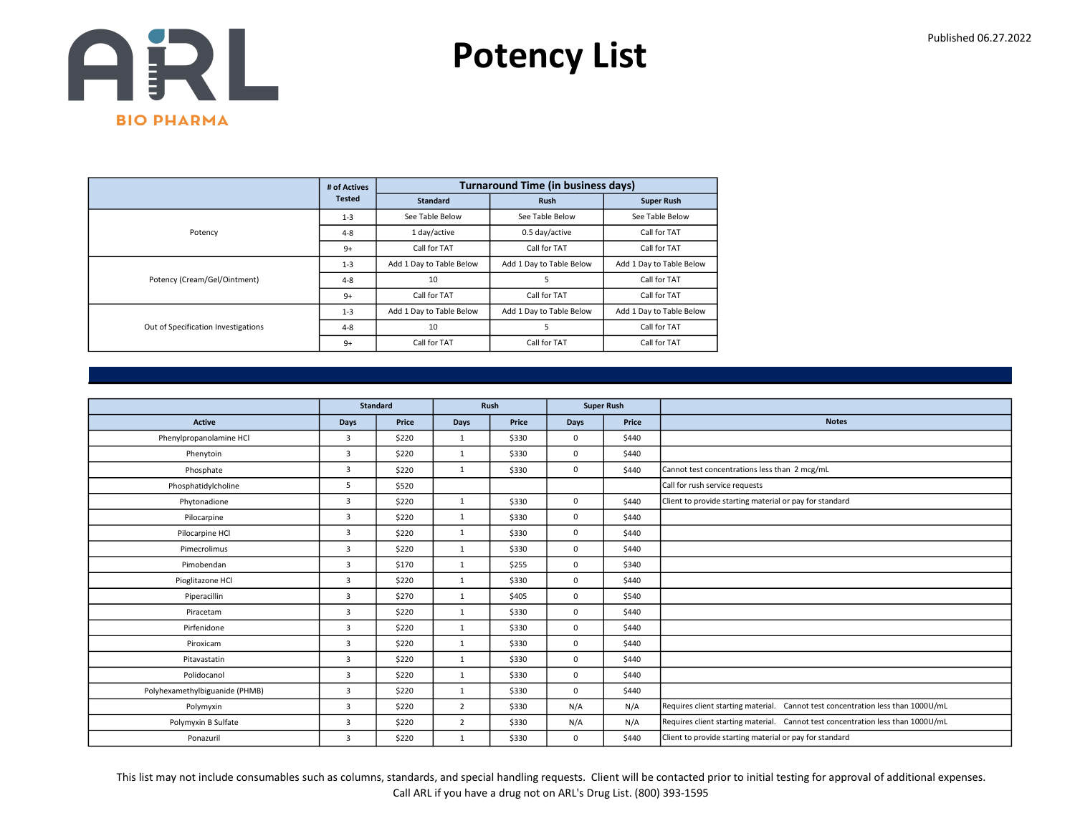

|                                     | # of Actives  |                          | <b>Turnaround Time (in business days)</b> |                          |
|-------------------------------------|---------------|--------------------------|-------------------------------------------|--------------------------|
|                                     | <b>Tested</b> | <b>Standard</b>          | <b>Rush</b>                               | <b>Super Rush</b>        |
|                                     | $1 - 3$       | See Table Below          | See Table Below                           | See Table Below          |
| Potency                             | $4 - 8$       | 1 day/active             | 0.5 day/active                            | Call for TAT             |
|                                     | $9+$          | Call for TAT             | Call for TAT                              | Call for TAT             |
|                                     | $1 - 3$       | Add 1 Day to Table Below | Add 1 Day to Table Below                  | Add 1 Day to Table Below |
| Potency (Cream/Gel/Ointment)        | $4 - 8$       | 10                       | 5                                         | Call for TAT             |
|                                     | $9+$          | Call for TAT             | Call for TAT                              | Call for TAT             |
|                                     | $1 - 3$       | Add 1 Day to Table Below | Add 1 Day to Table Below                  | Add 1 Day to Table Below |
| Out of Specification Investigations | $4 - 8$       | 10                       | 5                                         | Call for TAT             |
|                                     | $9+$          | Call for TAT             | Call for TAT                              | Call for TAT             |

|                                |                | <b>Standard</b> |                | Rush<br><b>Super Rush</b> |             |       |                                                                                 |
|--------------------------------|----------------|-----------------|----------------|---------------------------|-------------|-------|---------------------------------------------------------------------------------|
| <b>Active</b>                  | <b>Days</b>    | Price           | Days           | Price                     | <b>Days</b> | Price | <b>Notes</b>                                                                    |
| Phenylpropanolamine HCl        | $\overline{3}$ | \$220           | $\mathbf{1}$   | \$330                     | $\Omega$    | \$440 |                                                                                 |
| Phenytoin                      | 3              | \$220           | 1              | \$330                     | $\mathbf 0$ | \$440 |                                                                                 |
| Phosphate                      | 3              | \$220           | $\mathbf{1}$   | \$330                     | $\mathbf 0$ | \$440 | Cannot test concentrations less than 2 mcg/mL                                   |
| Phosphatidylcholine            | 5              | \$520           |                |                           |             |       | Call for rush service requests                                                  |
| Phytonadione                   | 3              | \$220           | $\mathbf{1}$   | \$330                     | $\mathbf 0$ | \$440 | Client to provide starting material or pay for standard                         |
| Pilocarpine                    | $\overline{3}$ | \$220           | 1              | \$330                     | $\mathbf 0$ | \$440 |                                                                                 |
| Pilocarpine HCl                | 3              | \$220           | 1              | \$330                     | $\mathbf 0$ | \$440 |                                                                                 |
| Pimecrolimus                   | 3              | \$220           | $\mathbf{1}$   | \$330                     | $\mathbf 0$ | \$440 |                                                                                 |
| Pimobendan                     | $\overline{3}$ | \$170           | $\mathbf{1}$   | \$255                     | $\mathbf 0$ | \$340 |                                                                                 |
| Pioglitazone HCl               | $\overline{3}$ | \$220           | 1              | \$330                     | $\mathbf 0$ | \$440 |                                                                                 |
| Piperacillin                   | $\overline{3}$ | \$270           | $\mathbf{1}$   | \$405                     | $\mathbf 0$ | \$540 |                                                                                 |
| Piracetam                      | 3              | \$220           | $\mathbf{1}$   | \$330                     | $\mathbf 0$ | \$440 |                                                                                 |
| Pirfenidone                    | $\overline{3}$ | \$220           | 1              | \$330                     | $\mathbf 0$ | \$440 |                                                                                 |
| Piroxicam                      | $\overline{3}$ | \$220           | 1              | \$330                     | $\mathbf 0$ | \$440 |                                                                                 |
| Pitavastatin                   | 3              | \$220           | 1              | \$330                     | 0           | \$440 |                                                                                 |
| Polidocanol                    | 3              | \$220           | $\mathbf{1}$   | \$330                     | $\mathbf 0$ | \$440 |                                                                                 |
| Polyhexamethylbiguanide (PHMB) | 3              | \$220           | $\mathbf{1}$   | \$330                     | $\mathbf 0$ | \$440 |                                                                                 |
| Polymyxin                      | 3              | \$220           | $\overline{2}$ | \$330                     | N/A         | N/A   | Requires client starting material. Cannot test concentration less than 1000U/mL |
| Polymyxin B Sulfate            | 3              | \$220           | $\overline{2}$ | \$330                     | N/A         | N/A   | Requires client starting material. Cannot test concentration less than 1000U/mL |
| Ponazuril                      | 3              | \$220           | $\mathbf{1}$   | \$330                     | $\mathbf 0$ | \$440 | Client to provide starting material or pay for standard                         |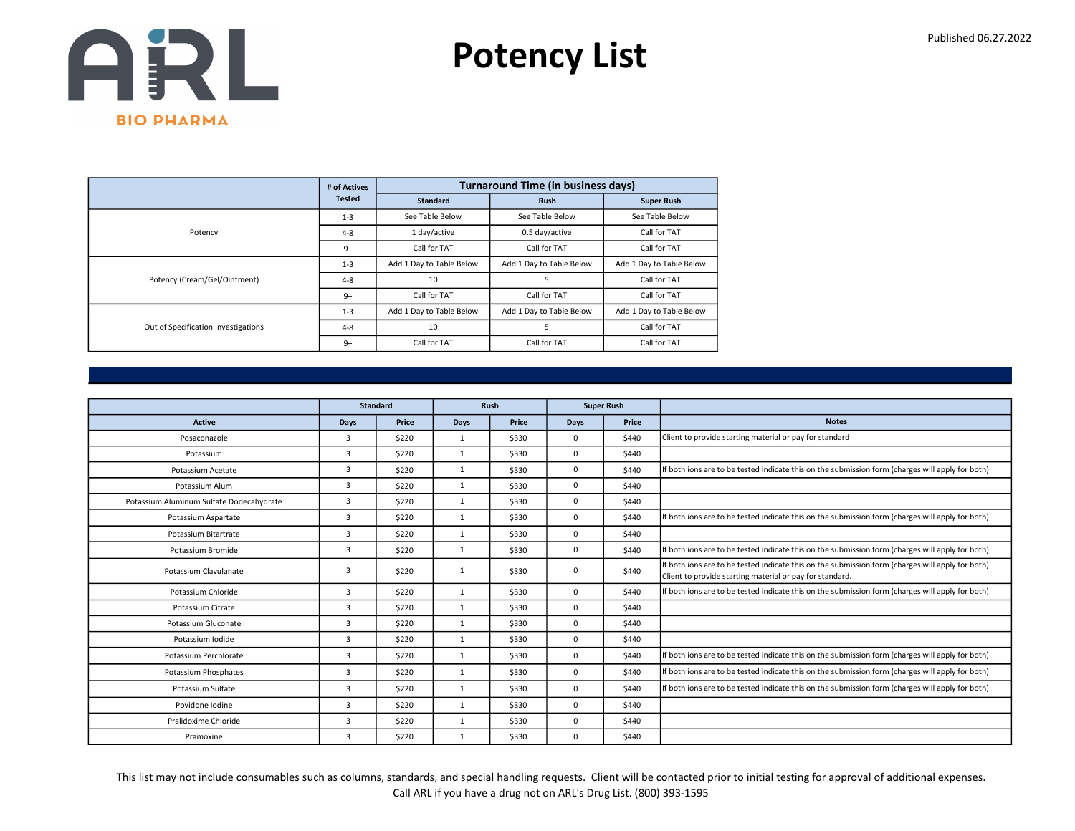

|                                     | # of Actives  |                          | <b>Turnaround Time (in business days)</b> |                          |
|-------------------------------------|---------------|--------------------------|-------------------------------------------|--------------------------|
|                                     | <b>Tested</b> | <b>Standard</b>          | <b>Rush</b>                               | <b>Super Rush</b>        |
|                                     | $1 - 3$       | See Table Below          | See Table Below                           | See Table Below          |
| Potency                             | $4 - 8$       | 1 day/active             | 0.5 day/active                            | Call for TAT             |
|                                     | $9+$          | Call for TAT             | Call for TAT                              | Call for TAT             |
|                                     | $1 - 3$       | Add 1 Day to Table Below | Add 1 Day to Table Below                  | Add 1 Day to Table Below |
| Potency (Cream/Gel/Ointment)        | $4 - 8$       | 10                       | 5                                         | Call for TAT             |
|                                     | $9+$          | Call for TAT             | Call for TAT                              | Call for TAT             |
|                                     | $1 - 3$       | Add 1 Day to Table Below | Add 1 Day to Table Below                  | Add 1 Day to Table Below |
| Out of Specification Investigations | $4 - 8$       | 10                       |                                           | Call for TAT             |
|                                     | $9+$          | Call for TAT             | Call for TAT                              | Call for TAT             |

|                                          |      | <b>Standard</b> |              | Rush  |             | <b>Super Rush</b> |                                                                                                                                                               |
|------------------------------------------|------|-----------------|--------------|-------|-------------|-------------------|---------------------------------------------------------------------------------------------------------------------------------------------------------------|
| <b>Active</b>                            | Days | Price           | <b>Days</b>  | Price | Days        | Price             | <b>Notes</b>                                                                                                                                                  |
| Posaconazole                             | 3    | \$220           | $\mathbf{1}$ | \$330 | $\Omega$    | \$440             | Client to provide starting material or pay for standard                                                                                                       |
| Potassium                                | 3    | \$220           | $\mathbf{1}$ | \$330 | $\Omega$    | \$440             |                                                                                                                                                               |
| Potassium Acetate                        | 3    | \$220           | $\mathbf{1}$ | \$330 | $\Omega$    | \$440             | If both ions are to be tested indicate this on the submission form (charges will apply for both)                                                              |
| Potassium Alum                           | 3    | \$220           | 1            | \$330 | $\mathbf 0$ | \$440             |                                                                                                                                                               |
| Potassium Aluminum Sulfate Dodecahydrate | 3    | \$220           | $\mathbf{1}$ | \$330 | $\Omega$    | \$440             |                                                                                                                                                               |
| Potassium Aspartate                      | 3    | \$220           | $\mathbf{1}$ | \$330 | $\Omega$    | \$440             | If both ions are to be tested indicate this on the submission form (charges will apply for both)                                                              |
| Potassium Bitartrate                     | 3    | \$220           | $\mathbf{1}$ | \$330 | $\Omega$    | \$440             |                                                                                                                                                               |
| Potassium Bromide                        | 3    | \$220           | $\mathbf{1}$ | \$330 | $\mathbf 0$ | \$440             | If both ions are to be tested indicate this on the submission form (charges will apply for both)                                                              |
| Potassium Clavulanate                    | 3    | \$220           | 1            | \$330 | $\mathbf 0$ | \$440             | If both ions are to be tested indicate this on the submission form (charges will apply for both).<br>Client to provide starting material or pay for standard. |
| Potassium Chloride                       | 3    | \$220           | 1            | \$330 | $\mathbf 0$ | \$440             | If both ions are to be tested indicate this on the submission form (charges will apply for both)                                                              |
| Potassium Citrate                        | 3    | \$220           | 1            | \$330 | $\mathbf 0$ | \$440             |                                                                                                                                                               |
| Potassium Gluconate                      | 3    | \$220           | $\mathbf{1}$ | \$330 | $\mathbf 0$ | \$440             |                                                                                                                                                               |
| Potassium Iodide                         | 3    | \$220           | $\mathbf{1}$ | \$330 | $\mathbf 0$ | \$440             |                                                                                                                                                               |
| Potassium Perchlorate                    | 3    | \$220           | $\mathbf{1}$ | \$330 | $\Omega$    | \$440             | If both ions are to be tested indicate this on the submission form (charges will apply for both)                                                              |
| Potassium Phosphates                     | 3    | \$220           | 1            | \$330 | $\Omega$    | \$440             | If both ions are to be tested indicate this on the submission form (charges will apply for both)                                                              |
| Potassium Sulfate                        | 3    | \$220           | $\mathbf{1}$ | \$330 | $\Omega$    | \$440             | If both ions are to be tested indicate this on the submission form (charges will apply for both)                                                              |
| Povidone Iodine                          | 3    | \$220           | 1            | \$330 | $\mathbf 0$ | \$440             |                                                                                                                                                               |
| Pralidoxime Chloride                     | 3    | \$220           | $\mathbf{1}$ | \$330 | $\Omega$    | \$440             |                                                                                                                                                               |
| Pramoxine                                | 3    | \$220           | $\mathbf{1}$ | \$330 | $\mathbf 0$ | \$440             |                                                                                                                                                               |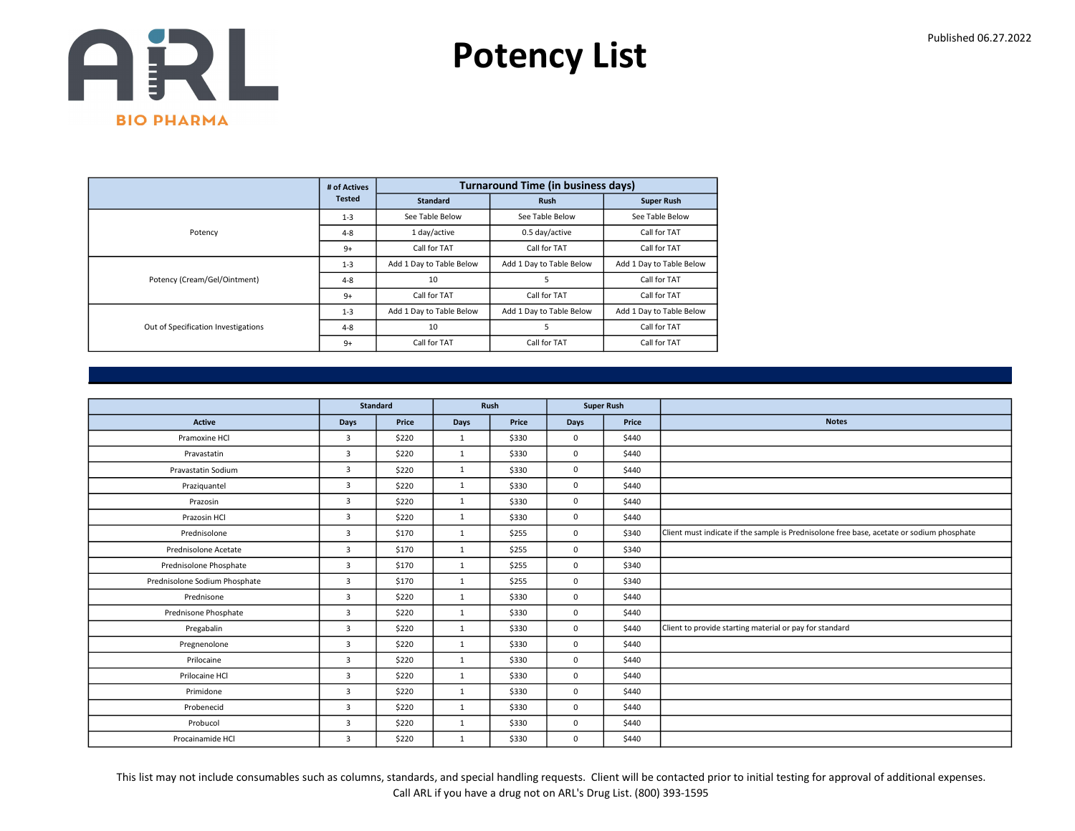

|                                     | # of Actives  |                          | <b>Turnaround Time (in business days)</b> |                          |
|-------------------------------------|---------------|--------------------------|-------------------------------------------|--------------------------|
|                                     | <b>Tested</b> | <b>Standard</b>          | <b>Rush</b>                               | <b>Super Rush</b>        |
|                                     | $1 - 3$       | See Table Below          | See Table Below                           | See Table Below          |
| Potency                             | $4 - 8$       | 1 day/active             | 0.5 day/active                            | Call for TAT             |
|                                     | $9+$          | Call for TAT             | Call for TAT                              | Call for TAT             |
|                                     | $1 - 3$       | Add 1 Day to Table Below | Add 1 Day to Table Below                  | Add 1 Day to Table Below |
| Potency (Cream/Gel/Ointment)        | $4 - 8$       | 10                       | 5                                         | Call for TAT             |
|                                     | $9+$          | Call for TAT             | Call for TAT                              | Call for TAT             |
|                                     | $1 - 3$       | Add 1 Day to Table Below | Add 1 Day to Table Below                  | Add 1 Day to Table Below |
| Out of Specification Investigations | $4 - 8$       | 10                       | 5                                         | Call for TAT             |
|                                     | $9+$          | Call for TAT             | Call for TAT                              | Call for TAT             |

|                               |                | <b>Standard</b> |              | Rush  |             | <b>Super Rush</b> |                                                                                           |
|-------------------------------|----------------|-----------------|--------------|-------|-------------|-------------------|-------------------------------------------------------------------------------------------|
| Active                        | Days           | Price           | Days         | Price | Days        | Price             | <b>Notes</b>                                                                              |
| Pramoxine HCl                 | 3              | \$220           | 1            | \$330 | $^{\circ}$  | \$440             |                                                                                           |
| Pravastatin                   | $\overline{3}$ | \$220           | $\mathbf{1}$ | \$330 | $\mathbf 0$ | \$440             |                                                                                           |
| Pravastatin Sodium            | $\overline{3}$ | \$220           | $\mathbf{1}$ | \$330 | $\mathbf 0$ | \$440             |                                                                                           |
| Praziquantel                  | 3              | \$220           | 1            | \$330 | $\mathbf 0$ | \$440             |                                                                                           |
| Prazosin                      | $\overline{3}$ | \$220           | $\mathbf{1}$ | \$330 | $\mathbf 0$ | \$440             |                                                                                           |
| Prazosin HCl                  | $\overline{3}$ | \$220           | $\mathbf{1}$ | \$330 | $\mathbf 0$ | \$440             |                                                                                           |
| Prednisolone                  | 3              | \$170           | 1            | \$255 | $^{\circ}$  | \$340             | Client must indicate if the sample is Prednisolone free base, acetate or sodium phosphate |
| Prednisolone Acetate          | 3              | \$170           | 1            | \$255 | $\mathbf 0$ | \$340             |                                                                                           |
| Prednisolone Phosphate        | $\overline{3}$ | \$170           | 1            | \$255 | $\mathbf 0$ | \$340             |                                                                                           |
| Prednisolone Sodium Phosphate | $\overline{3}$ | \$170           | 1            | \$255 | $\mathbf 0$ | \$340             |                                                                                           |
| Prednisone                    | 3              | \$220           | $\mathbf{1}$ | \$330 | $\mathbf 0$ | \$440             |                                                                                           |
| Prednisone Phosphate          | 3              | \$220           | 1            | \$330 | $\mathbf 0$ | \$440             |                                                                                           |
| Pregabalin                    | $\overline{3}$ | \$220           | 1            | \$330 | $\mathbf 0$ | \$440             | Client to provide starting material or pay for standard                                   |
| Pregnenolone                  | 3              | \$220           | $\mathbf{1}$ | \$330 | $\mathbf 0$ | \$440             |                                                                                           |
| Prilocaine                    | $\overline{3}$ | \$220           | $\mathbf{1}$ | \$330 | $\mathbf 0$ | \$440             |                                                                                           |
| Prilocaine HCl                | $\overline{3}$ | \$220           | 1            | \$330 | $\mathbf 0$ | \$440             |                                                                                           |
| Primidone                     | $\overline{3}$ | \$220           | $\mathbf{1}$ | \$330 | $\mathbf 0$ | \$440             |                                                                                           |
| Probenecid                    | 3              | \$220           | $\mathbf{1}$ | \$330 | $\mathbf 0$ | \$440             |                                                                                           |
| Probucol                      | 3              | \$220           | $\mathbf{1}$ | \$330 | $\mathbf 0$ | \$440             |                                                                                           |
| Procainamide HCl              | $\overline{3}$ | \$220           | 1            | \$330 | $\mathbf 0$ | \$440             |                                                                                           |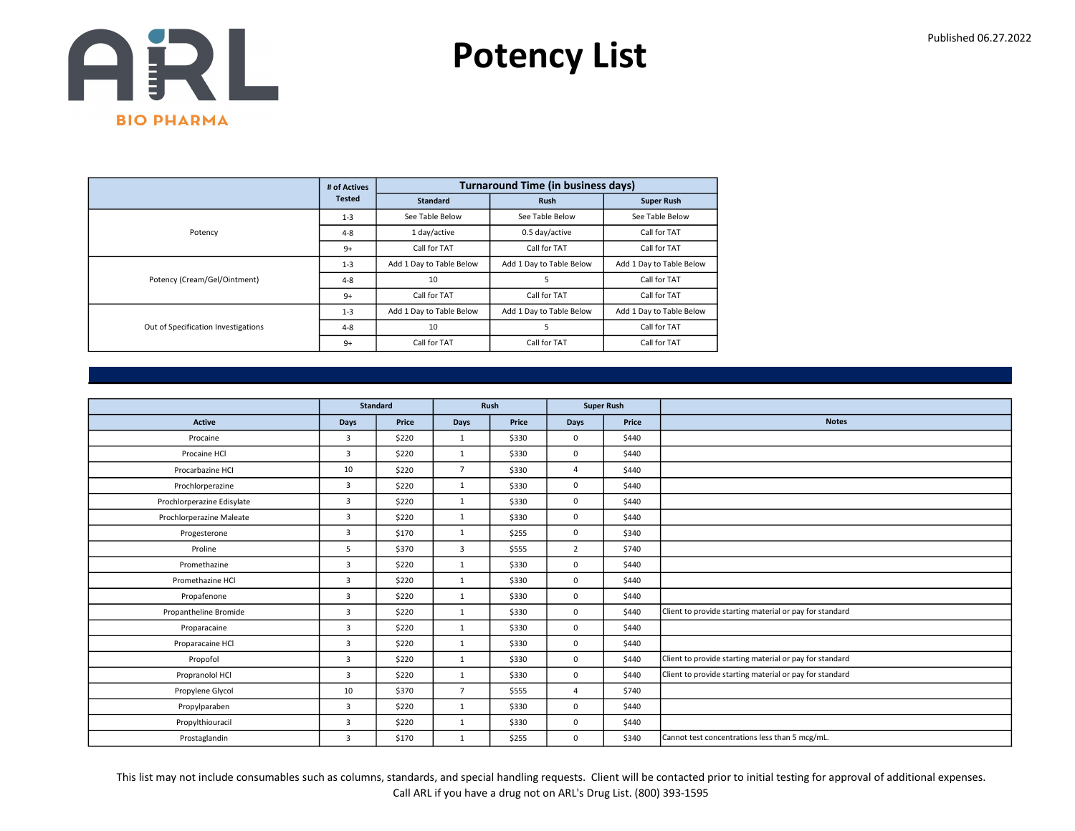

|                                     | # of Actives  |                          | <b>Turnaround Time (in business days)</b> |                          |
|-------------------------------------|---------------|--------------------------|-------------------------------------------|--------------------------|
|                                     | <b>Tested</b> | <b>Standard</b>          | <b>Rush</b>                               | <b>Super Rush</b>        |
|                                     | $1 - 3$       | See Table Below          | See Table Below                           | See Table Below          |
| Potency                             | $4 - 8$       | 1 day/active             | 0.5 day/active                            | Call for TAT             |
|                                     | $9+$          | Call for TAT             | Call for TAT                              | Call for TAT             |
|                                     | $1 - 3$       | Add 1 Day to Table Below | Add 1 Day to Table Below                  | Add 1 Day to Table Below |
| Potency (Cream/Gel/Ointment)        | $4 - 8$       | 10                       | 5                                         | Call for TAT             |
|                                     | $9+$          | Call for TAT             | Call for TAT                              | Call for TAT             |
|                                     | $1 - 3$       | Add 1 Day to Table Below | Add 1 Day to Table Below                  | Add 1 Day to Table Below |
| Out of Specification Investigations | $4 - 8$       | 10                       | 5                                         | Call for TAT             |
|                                     | $9+$          | Call for TAT             | Call for TAT                              | Call for TAT             |

|                            |                | <b>Standard</b> |                | Rush  |                | <b>Super Rush</b> |                                                         |
|----------------------------|----------------|-----------------|----------------|-------|----------------|-------------------|---------------------------------------------------------|
| <b>Active</b>              | Days           | Price           | Days           | Price | Days           | Price             | <b>Notes</b>                                            |
| Procaine                   | 3              | \$220           | $\mathbf{1}$   | \$330 | $\mathbf 0$    | \$440             |                                                         |
| Procaine HCl               | $\overline{3}$ | \$220           | 1              | \$330 | $\mathbf{0}$   | \$440             |                                                         |
| Procarbazine HCI           | 10             | \$220           | $\overline{7}$ | \$330 | $\overline{a}$ | \$440             |                                                         |
| Prochlorperazine           | 3              | \$220           | $\mathbf{1}$   | \$330 | $\mathbf 0$    | \$440             |                                                         |
| Prochlorperazine Edisylate | $\overline{3}$ | \$220           | 1              | \$330 | $\mathbf 0$    | \$440             |                                                         |
| Prochlorperazine Maleate   | 3              | \$220           | $\mathbf{1}$   | \$330 | $\mathbf 0$    | \$440             |                                                         |
| Progesterone               | 3              | \$170           | $\mathbf{1}$   | \$255 | $\Omega$       | \$340             |                                                         |
| Proline                    | 5              | \$370           | 3              | \$555 | $\overline{2}$ | \$740             |                                                         |
| Promethazine               | 3              | \$220           | 1              | \$330 | $\mathbf 0$    | \$440             |                                                         |
| Promethazine HCl           | $\overline{3}$ | \$220           | 1              | \$330 | $\mathbf 0$    | \$440             |                                                         |
| Propafenone                | 3              | \$220           | 1              | \$330 | $\mathbf 0$    | \$440             |                                                         |
| Propantheline Bromide      | $\overline{3}$ | \$220           | 1              | \$330 | $\mathbf 0$    | \$440             | Client to provide starting material or pay for standard |
| Proparacaine               | $\overline{3}$ | \$220           | 1              | \$330 | $\mathbf 0$    | \$440             |                                                         |
| Proparacaine HCl           | 3              | \$220           | $\mathbf{1}$   | \$330 | $\mathbf 0$    | \$440             |                                                         |
| Propofol                   | $\overline{3}$ | \$220           | $\mathbf{1}$   | \$330 | $\mathbf 0$    | \$440             | Client to provide starting material or pay for standard |
| Propranolol HCl            | $\overline{3}$ | \$220           | $\mathbf{1}$   | \$330 | $\mathbf 0$    | \$440             | Client to provide starting material or pay for standard |
| Propylene Glycol           | 10             | \$370           | $\overline{7}$ | \$555 | $\overline{a}$ | \$740             |                                                         |
| Propylparaben              | $\overline{3}$ | \$220           | $\mathbf{1}$   | \$330 | $\mathbf 0$    | \$440             |                                                         |
| Propylthiouracil           | $\overline{3}$ | \$220           | 1              | \$330 | $\mathbf 0$    | \$440             |                                                         |
| Prostaglandin              | 3              | \$170           | $\mathbf{1}$   | \$255 | $\mathbf 0$    | \$340             | Cannot test concentrations less than 5 mcg/mL.          |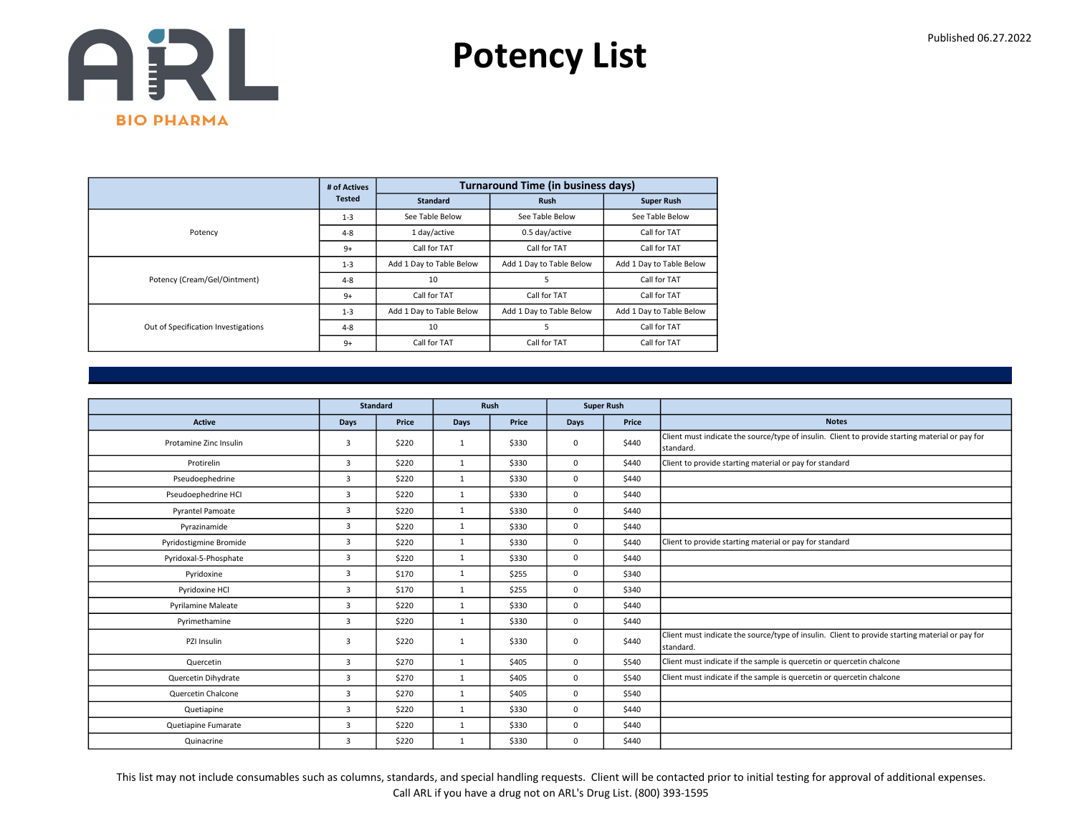

|                                     | # of Actives  |                          | <b>Turnaround Time (in business days)</b> |                          |
|-------------------------------------|---------------|--------------------------|-------------------------------------------|--------------------------|
|                                     | <b>Tested</b> | <b>Standard</b>          | <b>Rush</b>                               | <b>Super Rush</b>        |
|                                     | $1 - 3$       | See Table Below          | See Table Below                           | See Table Below          |
| Potency                             | $4 - 8$       | 1 day/active             | 0.5 day/active                            | Call for TAT             |
|                                     | $9+$          | Call for TAT             | Call for TAT                              | Call for TAT             |
|                                     | $1 - 3$       | Add 1 Day to Table Below | Add 1 Day to Table Below                  | Add 1 Day to Table Below |
| Potency (Cream/Gel/Ointment)        | $4 - 8$       | 10                       | 5                                         | Call for TAT             |
|                                     | $9+$          | Call for TAT             | Call for TAT                              | Call for TAT             |
|                                     | $1 - 3$       | Add 1 Day to Table Below | Add 1 Day to Table Below                  | Add 1 Day to Table Below |
| Out of Specification Investigations | $4 - 8$       | 10                       | 5                                         | Call for TAT             |
|                                     | $9+$          | Call for TAT             | Call for TAT                              | Call for TAT             |

|                           |                | <b>Standard</b> |              | Rush  |             | <b>Super Rush</b> |                                                                                                               |
|---------------------------|----------------|-----------------|--------------|-------|-------------|-------------------|---------------------------------------------------------------------------------------------------------------|
| <b>Active</b>             | Days           | Price           | <b>Days</b>  | Price | <b>Days</b> | Price             | <b>Notes</b>                                                                                                  |
| Protamine Zinc Insulin    | $\overline{3}$ | \$220           | 1            | \$330 | 0           | \$440             | Client must indicate the source/type of insulin. Client to provide starting material or pay for<br>Istandard. |
| Protirelin                | $\overline{3}$ | \$220           | 1            | \$330 | 0           | \$440             | Client to provide starting material or pay for standard                                                       |
| Pseudoephedrine           | $\overline{3}$ | \$220           | $\mathbf{1}$ | \$330 | 0           | \$440             |                                                                                                               |
| Pseudoephedrine HCI       | $\overline{3}$ | \$220           | $\mathbf{1}$ | \$330 | 0           | \$440             |                                                                                                               |
| <b>Pyrantel Pamoate</b>   | $\overline{3}$ | \$220           | $\mathbf{1}$ | \$330 | 0           | \$440             |                                                                                                               |
| Pyrazinamide              | $\overline{3}$ | \$220           | $\mathbf{1}$ | \$330 | 0           | \$440             |                                                                                                               |
| Pyridostigmine Bromide    | $\overline{3}$ | \$220           | $\mathbf{1}$ | \$330 | 0           | \$440             | Client to provide starting material or pay for standard                                                       |
| Pyridoxal-5-Phosphate     | $\overline{3}$ | \$220           | $\mathbf{1}$ | \$330 | 0           | \$440             |                                                                                                               |
| Pyridoxine                | $\overline{3}$ | \$170           | $\mathbf{1}$ | \$255 | 0           | \$340             |                                                                                                               |
| Pyridoxine HCl            | $\overline{3}$ | \$170           | $\mathbf{1}$ | \$255 | 0           | \$340             |                                                                                                               |
| <b>Pyrilamine Maleate</b> | $\overline{3}$ | \$220           | $\mathbf{1}$ | \$330 | 0           | \$440             |                                                                                                               |
| Pyrimethamine             | $\overline{3}$ | \$220           | $\mathbf{1}$ | \$330 | 0           | \$440             |                                                                                                               |
| PZI Insulin               | $\overline{3}$ | \$220           | $\mathbf{1}$ | \$330 | 0           | \$440             | Client must indicate the source/type of insulin. Client to provide starting material or pay for<br>standard.  |
| Quercetin                 | $\overline{3}$ | \$270           | $\mathbf{1}$ | \$405 | 0           | \$540             | Client must indicate if the sample is quercetin or quercetin chalcone                                         |
| Quercetin Dihydrate       | $\overline{3}$ | \$270           | $\mathbf{1}$ | \$405 | 0           | \$540             | Client must indicate if the sample is quercetin or quercetin chalcone                                         |
| Quercetin Chalcone        | $\overline{3}$ | \$270           | $\mathbf{1}$ | \$405 | 0           | \$540             |                                                                                                               |
| Quetiapine                | $\overline{3}$ | \$220           | $\mathbf{1}$ | \$330 | 0           | \$440             |                                                                                                               |
| Quetiapine Fumarate       | $\overline{3}$ | \$220           | $\mathbf{1}$ | \$330 | 0           | \$440             |                                                                                                               |
| Quinacrine                | $\overline{3}$ | \$220           | $\mathbf{1}$ | \$330 | 0           | \$440             |                                                                                                               |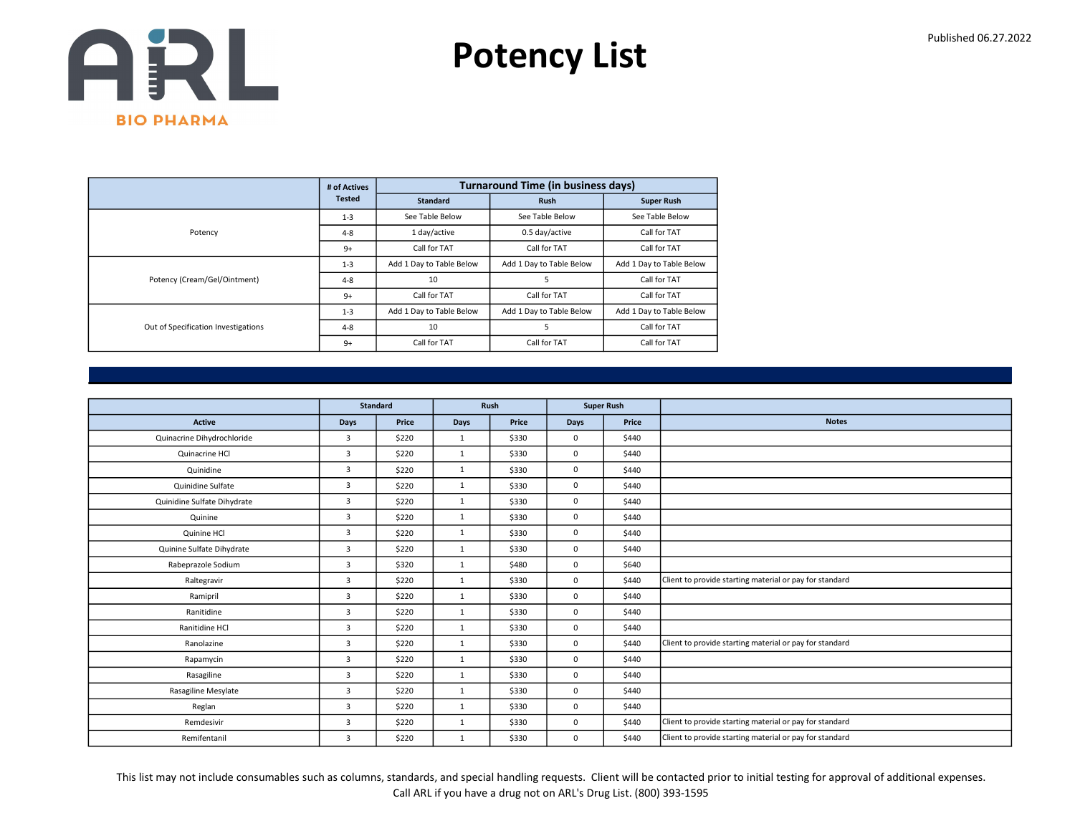

|                                     | # of Actives  |                          | <b>Turnaround Time (in business days)</b> |                          |
|-------------------------------------|---------------|--------------------------|-------------------------------------------|--------------------------|
|                                     | <b>Tested</b> | <b>Standard</b>          | <b>Rush</b>                               | <b>Super Rush</b>        |
|                                     | $1 - 3$       | See Table Below          | See Table Below                           | See Table Below          |
| Potency                             | $4 - 8$       | 1 day/active             | 0.5 day/active                            | Call for TAT             |
|                                     | $9+$          | Call for TAT             | Call for TAT                              | Call for TAT             |
|                                     | $1 - 3$       | Add 1 Day to Table Below | Add 1 Day to Table Below                  | Add 1 Day to Table Below |
| Potency (Cream/Gel/Ointment)        | $4 - 8$       | 10                       | 5                                         | Call for TAT             |
|                                     | $9+$          | Call for TAT             | Call for TAT                              | Call for TAT             |
|                                     | $1 - 3$       | Add 1 Day to Table Below | Add 1 Day to Table Below                  | Add 1 Day to Table Below |
| Out of Specification Investigations | $4 - 8$       | 10                       | 5                                         | Call for TAT             |
|                                     | $9+$          | Call for TAT             | Call for TAT                              | Call for TAT             |

|                             | <b>Standard</b><br>Rush<br><b>Super Rush</b> |       |              |       |             |       |                                                         |
|-----------------------------|----------------------------------------------|-------|--------------|-------|-------------|-------|---------------------------------------------------------|
|                             |                                              |       |              |       |             |       |                                                         |
| <b>Active</b>               | Days                                         | Price | Days         | Price | <b>Days</b> | Price | <b>Notes</b>                                            |
| Quinacrine Dihydrochloride  | 3                                            | \$220 | 1            | \$330 | $\mathbf 0$ | \$440 |                                                         |
| Quinacrine HCl              | $\overline{3}$                               | \$220 | 1            | \$330 | 0           | \$440 |                                                         |
| Quinidine                   | 3                                            | \$220 | $\mathbf{1}$ | \$330 | $\mathbf 0$ | \$440 |                                                         |
| Quinidine Sulfate           | $\overline{3}$                               | \$220 | $\mathbf{1}$ | \$330 | $\Omega$    | \$440 |                                                         |
| Quinidine Sulfate Dihydrate | 3                                            | \$220 | 1            | \$330 | $\mathbf 0$ | \$440 |                                                         |
| Quinine                     | 3                                            | \$220 | 1            | \$330 | $\mathbf 0$ | \$440 |                                                         |
| Quinine HCl                 | $\overline{3}$                               | \$220 | 1            | \$330 | $\mathbf 0$ | \$440 |                                                         |
| Quinine Sulfate Dihydrate   | 3                                            | \$220 | $\mathbf{1}$ | \$330 | $\mathbf 0$ | \$440 |                                                         |
| Rabeprazole Sodium          | 3                                            | \$320 | $\mathbf{1}$ | \$480 | $\mathbf 0$ | \$640 |                                                         |
| Raltegravir                 | $\overline{3}$                               | \$220 | 1            | \$330 | $\mathbf 0$ | \$440 | Client to provide starting material or pay for standard |
| Ramipril                    | $\overline{3}$                               | \$220 | 1            | \$330 | $\mathbf 0$ | \$440 |                                                         |
| Ranitidine                  | 3                                            | \$220 | 1            | \$330 | $\mathbf 0$ | \$440 |                                                         |
| Ranitidine HCl              | 3                                            | \$220 | 1            | \$330 | $\mathbf 0$ | \$440 |                                                         |
| Ranolazine                  | 3                                            | \$220 | $\mathbf{1}$ | \$330 | $\mathbf 0$ | \$440 | Client to provide starting material or pay for standard |
| Rapamycin                   | 3                                            | \$220 | $\mathbf{1}$ | \$330 | $\mathbf 0$ | \$440 |                                                         |
| Rasagiline                  | $\overline{3}$                               | \$220 | 1            | \$330 | $\mathbf 0$ | \$440 |                                                         |
| Rasagiline Mesylate         | $\overline{3}$                               | \$220 | $\mathbf{1}$ | \$330 | $\mathbf 0$ | \$440 |                                                         |
| Reglan                      | $\overline{3}$                               | \$220 | 1            | \$330 | $\mathbf 0$ | \$440 |                                                         |
| Remdesivir                  | 3                                            | \$220 | 1            | \$330 | $\mathbf 0$ | \$440 | Client to provide starting material or pay for standard |
| Remifentanil                | 3                                            | \$220 | 1            | \$330 | $\mathbf 0$ | \$440 | Client to provide starting material or pay for standard |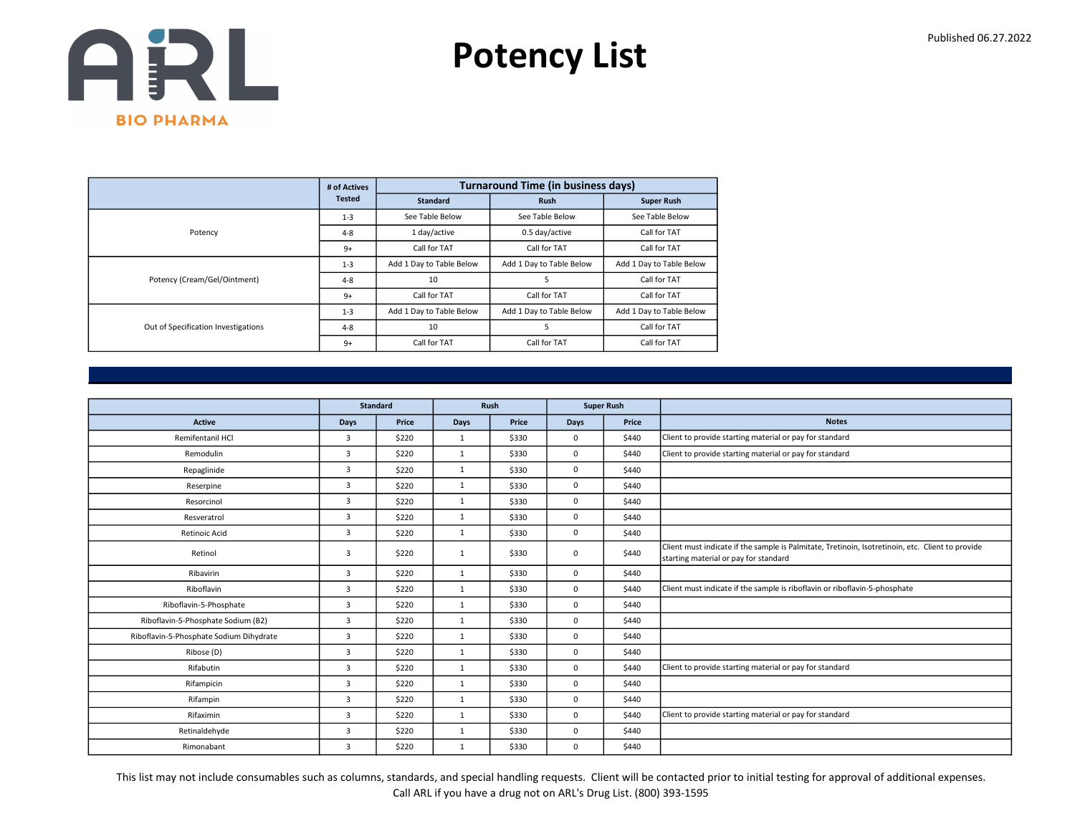

|                                     | # of Actives  |                          | <b>Turnaround Time (in business days)</b> |                          |
|-------------------------------------|---------------|--------------------------|-------------------------------------------|--------------------------|
|                                     | <b>Tested</b> | <b>Standard</b>          | <b>Rush</b>                               | <b>Super Rush</b>        |
|                                     | $1 - 3$       | See Table Below          | See Table Below                           | See Table Below          |
| Potency                             | $4 - 8$       | 1 day/active             | 0.5 day/active                            | Call for TAT             |
|                                     | $9+$          | Call for TAT             | Call for TAT                              | Call for TAT             |
|                                     | $1 - 3$       | Add 1 Day to Table Below | Add 1 Day to Table Below                  | Add 1 Day to Table Below |
| Potency (Cream/Gel/Ointment)        | $4 - 8$       | 10                       | 5                                         | Call for TAT             |
|                                     | $9+$          | Call for TAT             | Call for TAT                              | Call for TAT             |
|                                     | $1 - 3$       | Add 1 Day to Table Below | Add 1 Day to Table Below                  | Add 1 Day to Table Below |
| Out of Specification Investigations | $4 - 8$       | 10                       | 5                                         | Call for TAT             |
|                                     | $9+$          | Call for TAT             | Call for TAT                              | Call for TAT             |

|                                         |                | <b>Standard</b> |              | Rush  |             | <b>Super Rush</b> |                                                                                                                                           |
|-----------------------------------------|----------------|-----------------|--------------|-------|-------------|-------------------|-------------------------------------------------------------------------------------------------------------------------------------------|
| Active                                  | Days           | Price           | Days         | Price | <b>Days</b> | Price             | <b>Notes</b>                                                                                                                              |
| Remifentanil HCl                        | $\overline{3}$ | \$220           | 1            | \$330 | $\mathbf 0$ | \$440             | Client to provide starting material or pay for standard                                                                                   |
| Remodulin                               | 3              | \$220           | $\mathbf{1}$ | \$330 | $\mathbf 0$ | \$440             | Client to provide starting material or pay for standard                                                                                   |
| Repaglinide                             | 3              | \$220           | $\mathbf{1}$ | \$330 | $\Omega$    | \$440             |                                                                                                                                           |
| Reserpine                               | 3              | \$220           | $\mathbf{1}$ | \$330 | $\mathbf 0$ | \$440             |                                                                                                                                           |
| Resorcinol                              | 3              | \$220           | $\mathbf{1}$ | \$330 | 0           | \$440             |                                                                                                                                           |
| Resveratrol                             | $\overline{3}$ | \$220           | 1            | \$330 | $\mathbf 0$ | \$440             |                                                                                                                                           |
| Retinoic Acid                           | 3              | \$220           | $\mathbf{1}$ | \$330 | $\mathbf 0$ | \$440             |                                                                                                                                           |
| Retinol                                 | $\overline{3}$ | \$220           | $\mathbf{1}$ | \$330 | $\mathbf 0$ | \$440             | Client must indicate if the sample is Palmitate, Tretinoin, Isotretinoin, etc. Client to provide<br>starting material or pay for standard |
| Ribavirin                               | 3              | \$220           | $\mathbf{1}$ | \$330 | 0           | \$440             |                                                                                                                                           |
| Riboflavin                              | 3              | \$220           | $\mathbf{1}$ | \$330 | $\mathbf 0$ | \$440             | Client must indicate if the sample is riboflavin or riboflavin-5-phosphate                                                                |
| Riboflavin-5-Phosphate                  | $\overline{3}$ | \$220           | $\mathbf{1}$ | \$330 | $\mathbf 0$ | \$440             |                                                                                                                                           |
| Riboflavin-5-Phosphate Sodium (B2)      | $\overline{3}$ | \$220           | $\mathbf{1}$ | \$330 | $\mathbf 0$ | \$440             |                                                                                                                                           |
| Riboflavin-5-Phosphate Sodium Dihydrate | $\overline{3}$ | \$220           | 1            | \$330 | $\mathbf 0$ | \$440             |                                                                                                                                           |
| Ribose (D)                              | 3              | \$220           | $\mathbf{1}$ | \$330 | $\mathbf 0$ | \$440             |                                                                                                                                           |
| Rifabutin                               | $\overline{3}$ | \$220           | $\mathbf{1}$ | \$330 | $\mathbf 0$ | \$440             | Client to provide starting material or pay for standard                                                                                   |
| Rifampicin                              | 3              | \$220           | 1            | \$330 | $\mathbf 0$ | \$440             |                                                                                                                                           |
| Rifampin                                | 3              | \$220           | $\mathbf{1}$ | \$330 | $\mathbf 0$ | \$440             |                                                                                                                                           |
| Rifaximin                               | $\overline{3}$ | \$220           | $\mathbf{1}$ | \$330 | $\mathbf 0$ | \$440             | Client to provide starting material or pay for standard                                                                                   |
| Retinaldehyde                           | $\overline{3}$ | \$220           | 1            | \$330 | $\mathbf 0$ | \$440             |                                                                                                                                           |
| Rimonabant                              | 3              | \$220           | $\mathbf{1}$ | \$330 | 0           | \$440             |                                                                                                                                           |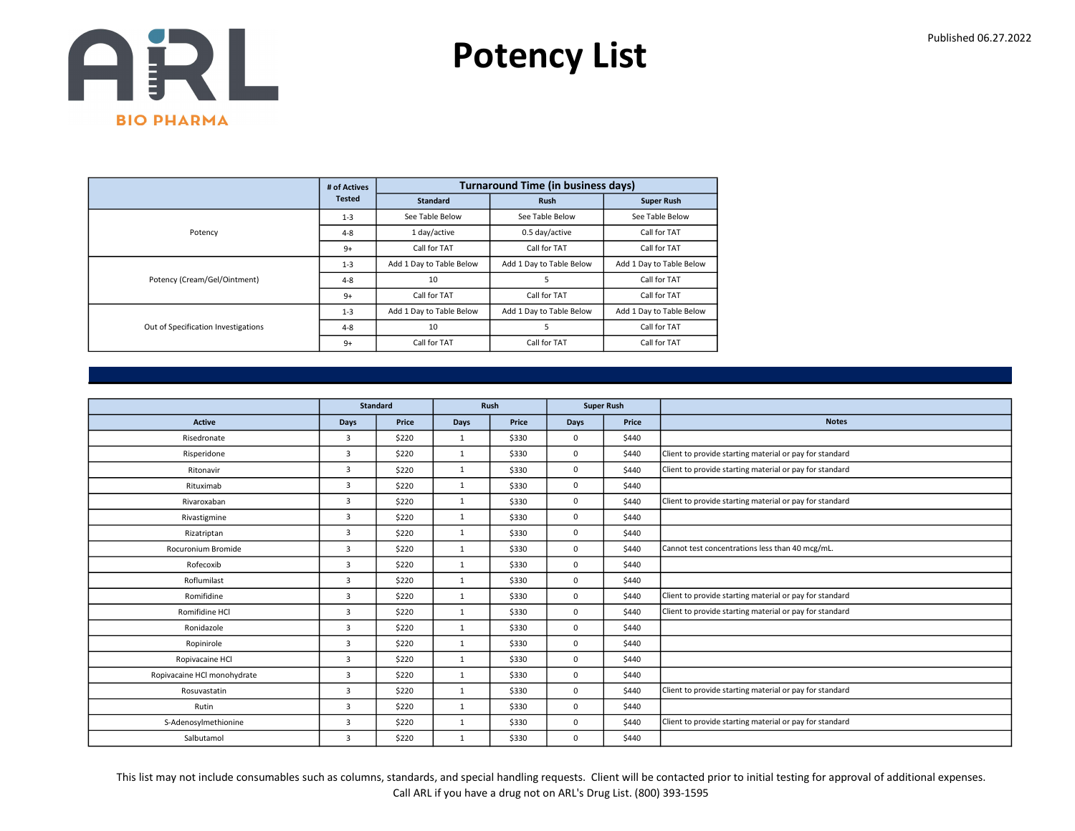

|                                     | # of Actives  |                          | <b>Turnaround Time (in business days)</b> |                          |
|-------------------------------------|---------------|--------------------------|-------------------------------------------|--------------------------|
|                                     | <b>Tested</b> | <b>Standard</b>          | <b>Rush</b>                               | <b>Super Rush</b>        |
|                                     | $1 - 3$       | See Table Below          | See Table Below                           | See Table Below          |
| Potency                             | $4 - 8$       | 1 day/active             | 0.5 day/active                            | Call for TAT             |
|                                     | $9+$          | Call for TAT             | Call for TAT                              | Call for TAT             |
|                                     | $1 - 3$       | Add 1 Day to Table Below | Add 1 Day to Table Below                  | Add 1 Day to Table Below |
| Potency (Cream/Gel/Ointment)        | $4 - 8$       | 10                       | 5                                         | Call for TAT             |
|                                     | $9+$          | Call for TAT             | Call for TAT                              | Call for TAT             |
|                                     | $1 - 3$       | Add 1 Day to Table Below | Add 1 Day to Table Below                  | Add 1 Day to Table Below |
| Out of Specification Investigations | $4 - 8$       | 10                       | 5                                         | Call for TAT             |
|                                     | $9+$          | Call for TAT             | Call for TAT                              | Call for TAT             |

|                             |                | <b>Standard</b> | Rush         |       |      | <b>Super Rush</b> |                                                         |
|-----------------------------|----------------|-----------------|--------------|-------|------|-------------------|---------------------------------------------------------|
| <b>Active</b>               | <b>Days</b>    | Price           | <b>Days</b>  | Price | Days | Price             | <b>Notes</b>                                            |
| Risedronate                 | $\overline{3}$ | \$220           | 1            | \$330 | 0    | \$440             |                                                         |
| Risperidone                 | $\overline{3}$ | \$220           | $\mathbf{1}$ | \$330 | 0    | \$440             | Client to provide starting material or pay for standard |
| Ritonavir                   | 3              | \$220           | $\mathbf{1}$ | \$330 | 0    | \$440             | Client to provide starting material or pay for standard |
| Rituximab                   | $\overline{3}$ | \$220           | $\mathbf{1}$ | \$330 | 0    | \$440             |                                                         |
| Rivaroxaban                 | $\overline{3}$ | \$220           | $\mathbf{1}$ | \$330 | 0    | \$440             | Client to provide starting material or pay for standard |
| Rivastigmine                | $\overline{3}$ | \$220           | $\mathbf{1}$ | \$330 | 0    | \$440             |                                                         |
| Rizatriptan                 | $\overline{3}$ | \$220           | $\mathbf{1}$ | \$330 | 0    | \$440             |                                                         |
| Rocuronium Bromide          | 3              | \$220           | $\mathbf{1}$ | \$330 | 0    | \$440             | Cannot test concentrations less than 40 mcg/mL.         |
| Rofecoxib                   | $\overline{3}$ | \$220           | $\mathbf{1}$ | \$330 | 0    | \$440             |                                                         |
| Roflumilast                 | $\overline{3}$ | \$220           | 1            | \$330 | 0    | \$440             |                                                         |
| Romifidine                  | 3              | \$220           | $\mathbf{1}$ | \$330 | 0    | \$440             | Client to provide starting material or pay for standard |
| Romifidine HCl              | 3              | \$220           | $\mathbf{1}$ | \$330 | 0    | \$440             | Client to provide starting material or pay for standard |
| Ronidazole                  | $\overline{3}$ | \$220           | 1            | \$330 | 0    | \$440             |                                                         |
| Ropinirole                  | $\overline{3}$ | \$220           | $\mathbf{1}$ | \$330 | 0    | \$440             |                                                         |
| Ropivacaine HCl             | $\overline{3}$ | \$220           | $\mathbf{1}$ | \$330 | 0    | \$440             |                                                         |
| Ropivacaine HCl monohydrate | $\overline{3}$ | \$220           | $\mathbf{1}$ | \$330 | 0    | \$440             |                                                         |
| Rosuvastatin                | $\overline{3}$ | \$220           | $\mathbf{1}$ | \$330 | 0    | \$440             | Client to provide starting material or pay for standard |
| Rutin                       | 3              | \$220           | $\mathbf{1}$ | \$330 | 0    | \$440             |                                                         |
| S-Adenosylmethionine        | $\overline{3}$ | \$220           | 1            | \$330 | 0    | \$440             | Client to provide starting material or pay for standard |
| Salbutamol                  | 3              | \$220           | $\mathbf{1}$ | \$330 | 0    | \$440             |                                                         |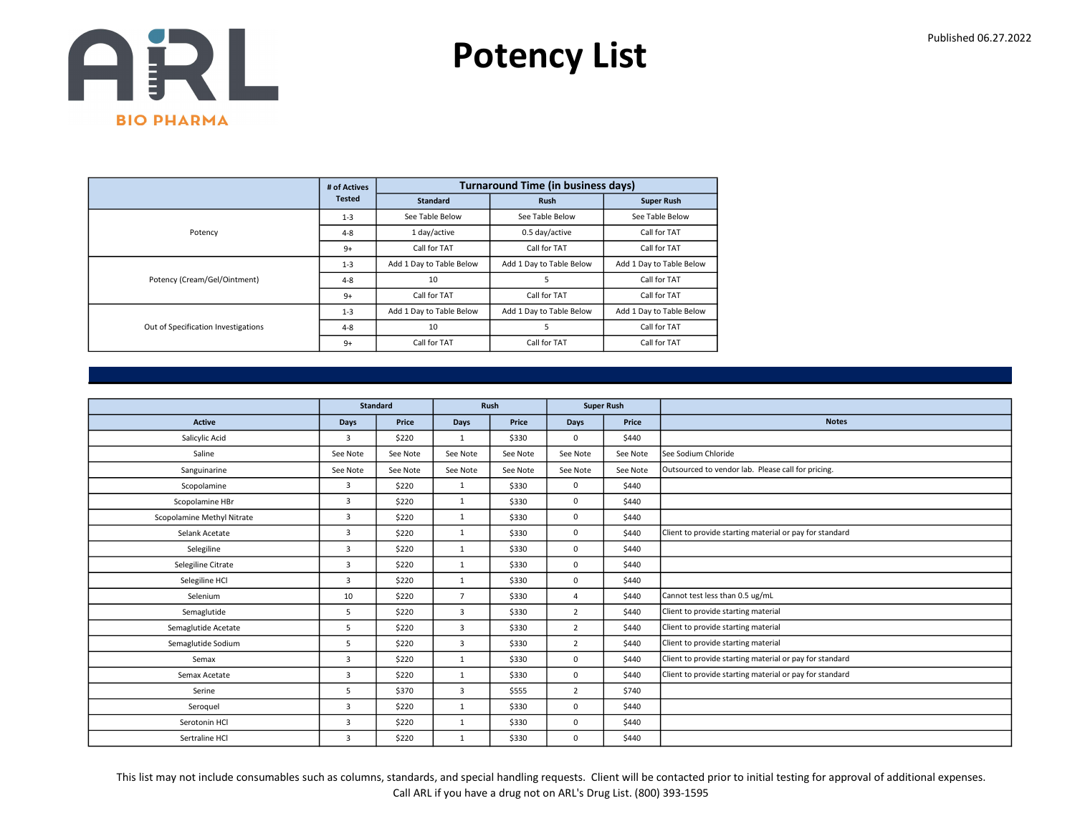

|                                     | # of Actives  |                          | <b>Turnaround Time (in business days)</b> |                          |
|-------------------------------------|---------------|--------------------------|-------------------------------------------|--------------------------|
|                                     | <b>Tested</b> | <b>Standard</b>          | <b>Rush</b>                               | <b>Super Rush</b>        |
|                                     | $1 - 3$       | See Table Below          | See Table Below                           | See Table Below          |
| Potency                             | $4 - 8$       | 1 day/active             | 0.5 day/active                            | Call for TAT             |
|                                     | $9+$          | Call for TAT             | Call for TAT                              | Call for TAT             |
|                                     | $1 - 3$       | Add 1 Day to Table Below | Add 1 Day to Table Below                  | Add 1 Day to Table Below |
| Potency (Cream/Gel/Ointment)        | $4 - 8$       | 10                       | 5                                         | Call for TAT             |
|                                     | $9+$          | Call for TAT             | Call for TAT                              | Call for TAT             |
|                                     | $1 - 3$       | Add 1 Day to Table Below | Add 1 Day to Table Below                  | Add 1 Day to Table Below |
| Out of Specification Investigations | $4 - 8$       | 10                       | 5                                         | Call for TAT             |
|                                     | $9+$          | Call for TAT             | Call for TAT                              | Call for TAT             |

|                            |                | <b>Standard</b> |                | Rush     | <b>Super Rush</b> |          |                                                         |
|----------------------------|----------------|-----------------|----------------|----------|-------------------|----------|---------------------------------------------------------|
| <b>Active</b>              | <b>Days</b>    | Price           | Days           | Price    | Days              | Price    | <b>Notes</b>                                            |
| Salicylic Acid             | 3              | \$220           | $\mathbf{1}$   | \$330    | $\mathbf 0$       | \$440    |                                                         |
| Saline                     | See Note       | See Note        | See Note       | See Note | See Note          | See Note | See Sodium Chloride                                     |
| Sanguinarine               | See Note       | See Note        | See Note       | See Note | See Note          | See Note | Outsourced to vendor lab. Please call for pricing.      |
| Scopolamine                | 3              | \$220           | $\mathbf{1}$   | \$330    | $\mathbf 0$       | \$440    |                                                         |
| Scopolamine HBr            | $\overline{3}$ | \$220           | 1              | \$330    | $\mathbf 0$       | \$440    |                                                         |
| Scopolamine Methyl Nitrate | 3              | \$220           | $\mathbf{1}$   | \$330    | $\mathbf 0$       | \$440    |                                                         |
| Selank Acetate             | $\overline{3}$ | \$220           | $\mathbf{1}$   | \$330    | $\mathbf 0$       | \$440    | Client to provide starting material or pay for standard |
| Selegiline                 | 3              | \$220           | $\mathbf{1}$   | \$330    | $^{\circ}$        | \$440    |                                                         |
| Selegiline Citrate         | 3              | \$220           | $\mathbf{1}$   | \$330    | $^{\circ}$        | \$440    |                                                         |
| Selegiline HCl             | 3              | \$220           | $\mathbf{1}$   | \$330    | 0                 | \$440    |                                                         |
| Selenium                   | 10             | \$220           | $\overline{7}$ | \$330    | 4                 | \$440    | Cannot test less than 0.5 ug/mL                         |
| Semaglutide                | 5              | \$220           | 3              | \$330    | $\overline{2}$    | \$440    | Client to provide starting material                     |
| Semaglutide Acetate        | 5              | \$220           | 3              | \$330    | $\overline{2}$    | \$440    | Client to provide starting material                     |
| Semaglutide Sodium         | 5              | \$220           | 3              | \$330    | $\overline{2}$    | \$440    | Client to provide starting material                     |
| Semax                      | 3              | \$220           | $\mathbf{1}$   | \$330    | $\mathbf 0$       | \$440    | Client to provide starting material or pay for standard |
| Semax Acetate              | $\overline{3}$ | \$220           | 1              | \$330    | $\mathbf 0$       | \$440    | Client to provide starting material or pay for standard |
| Serine                     | 5              | \$370           | 3              | \$555    | $\overline{2}$    | \$740    |                                                         |
| Seroquel                   | 3              | \$220           | $\mathbf{1}$   | \$330    | $\mathbf 0$       | \$440    |                                                         |
| Serotonin HCl              | 3              | \$220           | $\mathbf{1}$   | \$330    | $^{\circ}$        | \$440    |                                                         |
| Sertraline HCl             | 3              | \$220           | $\mathbf{1}$   | \$330    | $\mathbf 0$       | \$440    |                                                         |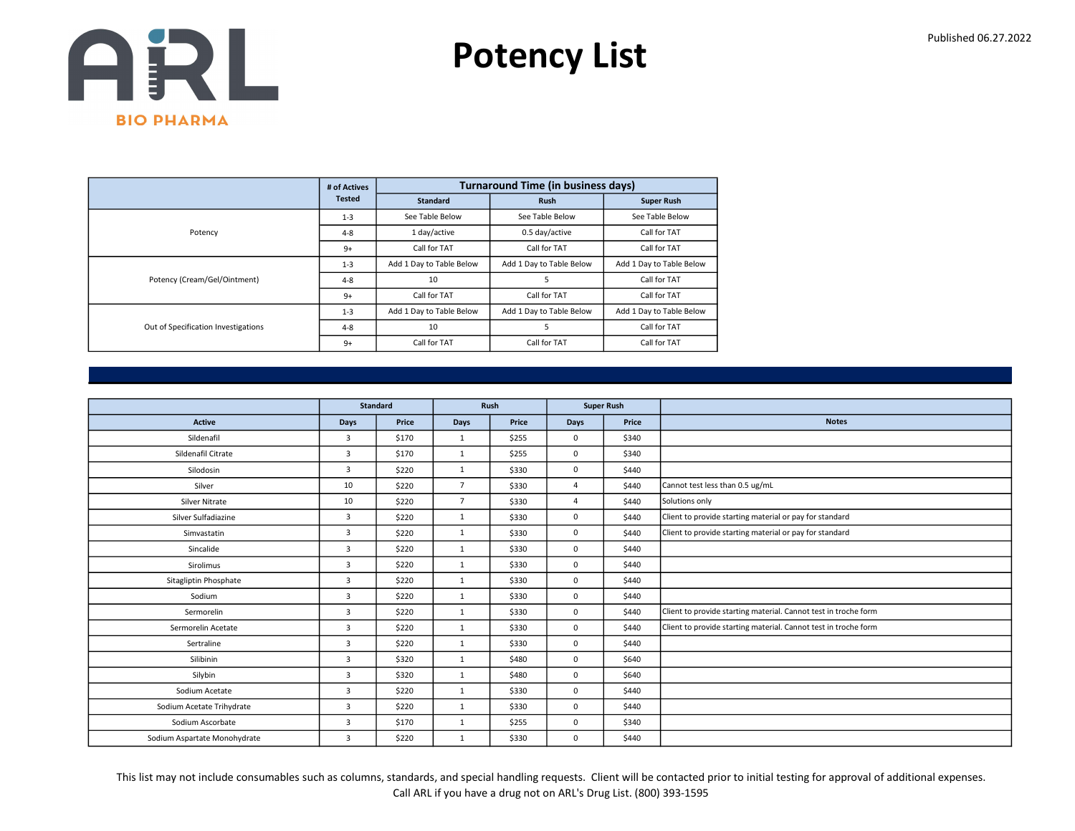

|                                     | # of Actives  |                          | <b>Turnaround Time (in business days)</b> |                          |
|-------------------------------------|---------------|--------------------------|-------------------------------------------|--------------------------|
|                                     | <b>Tested</b> | <b>Standard</b>          | <b>Rush</b>                               | <b>Super Rush</b>        |
|                                     | $1 - 3$       | See Table Below          | See Table Below                           | See Table Below          |
| Potency                             | $4 - 8$       | 1 day/active             | 0.5 day/active                            | Call for TAT             |
|                                     | $9+$          | Call for TAT             | Call for TAT                              | Call for TAT             |
|                                     | $1 - 3$       | Add 1 Day to Table Below | Add 1 Day to Table Below                  | Add 1 Day to Table Below |
| Potency (Cream/Gel/Ointment)        | $4 - 8$       | 10                       | 5                                         | Call for TAT             |
|                                     | $9+$          | Call for TAT             | Call for TAT                              | Call for TAT             |
|                                     | $1 - 3$       | Add 1 Day to Table Below | Add 1 Day to Table Below                  | Add 1 Day to Table Below |
| Out of Specification Investigations | $4 - 8$       | 10                       | 5                                         | Call for TAT             |
|                                     | $9+$          | Call for TAT             | Call for TAT                              | Call for TAT             |

|                              |                | <b>Standard</b> | Rush           |       |                | <b>Super Rush</b> |                                                                 |
|------------------------------|----------------|-----------------|----------------|-------|----------------|-------------------|-----------------------------------------------------------------|
| Active                       | Days           | Price           | Days           | Price | <b>Days</b>    | Price             | <b>Notes</b>                                                    |
| Sildenafil                   | $\overline{3}$ | \$170           | 1              | \$255 | $\Omega$       | \$340             |                                                                 |
| Sildenafil Citrate           | 3              | \$170           | $\mathbf{1}$   | \$255 | $\mathbf 0$    | \$340             |                                                                 |
| Silodosin                    | $\overline{3}$ | \$220           | 1              | \$330 | $\mathbf 0$    | \$440             |                                                                 |
| Silver                       | 10             | \$220           | $\overline{7}$ | \$330 | $\overline{4}$ | \$440             | Cannot test less than 0.5 ug/mL                                 |
| Silver Nitrate               | 10             | \$220           | $\overline{7}$ | \$330 | $\overline{4}$ | \$440             | Solutions only                                                  |
| Silver Sulfadiazine          | $\overline{3}$ | \$220           | 1              | \$330 | $\mathbf 0$    | \$440             | Client to provide starting material or pay for standard         |
| Simvastatin                  | $\overline{3}$ | \$220           | 1              | \$330 | $\mathbf 0$    | \$440             | Client to provide starting material or pay for standard         |
| Sincalide                    | $\overline{3}$ | \$220           | $\mathbf{1}$   | \$330 | $\mathbf 0$    | \$440             |                                                                 |
| Sirolimus                    | 3              | \$220           | 1              | \$330 | $\mathbf 0$    | \$440             |                                                                 |
| Sitagliptin Phosphate        | $\overline{3}$ | \$220           | 1              | \$330 | $\mathbf 0$    | \$440             |                                                                 |
| Sodium                       | 3              | \$220           | $\mathbf{1}$   | \$330 | $\mathbf 0$    | \$440             |                                                                 |
| Sermorelin                   | 3              | \$220           | 1              | \$330 | $\mathbf 0$    | \$440             | Client to provide starting material. Cannot test in troche form |
| Sermorelin Acetate           | $\overline{3}$ | \$220           | $\mathbf{1}$   | \$330 | $\mathbf 0$    | \$440             | Client to provide starting material. Cannot test in troche form |
| Sertraline                   | $\overline{3}$ | \$220           | 1              | \$330 | $\mathbf 0$    | \$440             |                                                                 |
| Silibinin                    | $\overline{3}$ | \$320           | $\mathbf{1}$   | \$480 | $\mathbf 0$    | \$640             |                                                                 |
| Silybin                      | 3              | \$320           | $\mathbf{1}$   | \$480 | $\mathbf 0$    | \$640             |                                                                 |
| Sodium Acetate               | 3              | \$220           | $\mathbf{1}$   | \$330 | $\mathbf 0$    | \$440             |                                                                 |
| Sodium Acetate Trihydrate    | 3              | \$220           | $\mathbf{1}$   | \$330 | $\mathbf 0$    | \$440             |                                                                 |
| Sodium Ascorbate             | 3              | \$170           | $\mathbf{1}$   | \$255 | $\mathbf 0$    | \$340             |                                                                 |
| Sodium Aspartate Monohydrate | $\overline{3}$ | \$220           | $\mathbf{1}$   | \$330 | $\mathbf 0$    | \$440             |                                                                 |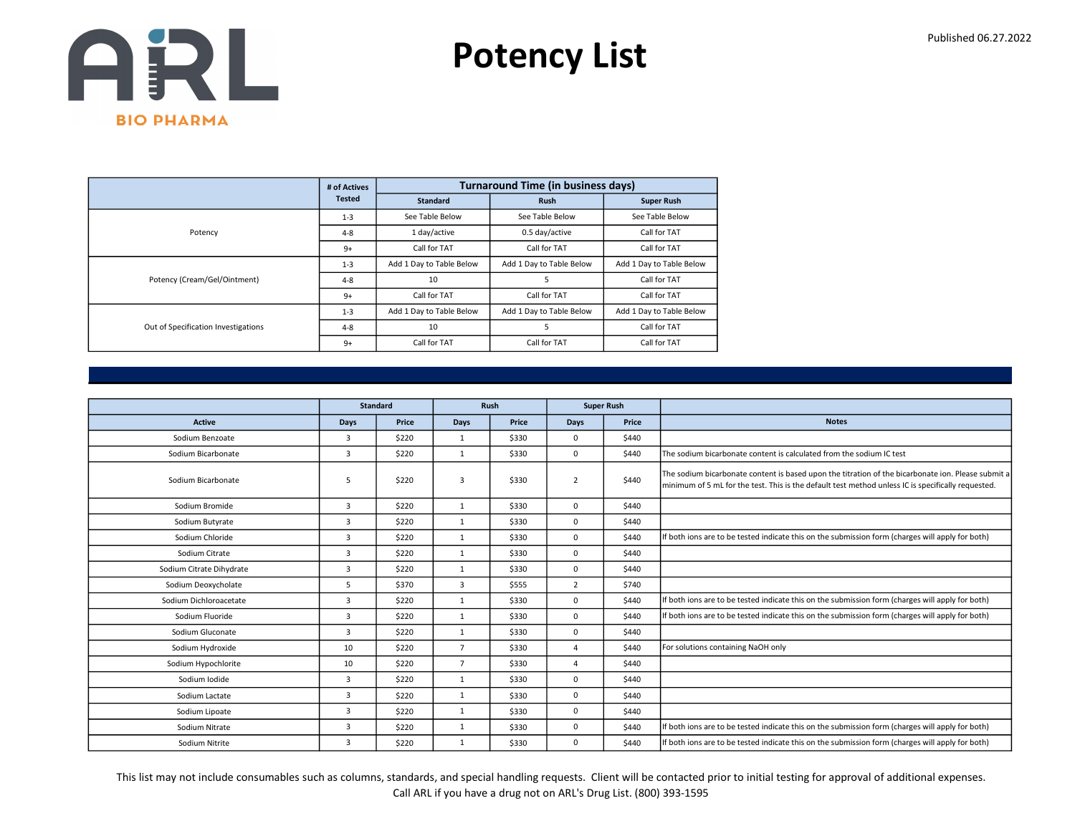

|                                     | # of Actives  |                          | <b>Turnaround Time (in business days)</b> |                          |
|-------------------------------------|---------------|--------------------------|-------------------------------------------|--------------------------|
|                                     | <b>Tested</b> | <b>Standard</b>          | <b>Rush</b>                               | <b>Super Rush</b>        |
|                                     | $1 - 3$       | See Table Below          | See Table Below                           | See Table Below          |
| Potency                             | $4 - 8$       | 1 day/active             | 0.5 day/active                            | Call for TAT             |
|                                     | $9+$          | Call for TAT             | Call for TAT                              | Call for TAT             |
|                                     | $1 - 3$       | Add 1 Day to Table Below | Add 1 Day to Table Below                  | Add 1 Day to Table Below |
| Potency (Cream/Gel/Ointment)        | $4 - 8$       | 10                       | 5                                         | Call for TAT             |
|                                     | $9+$          | Call for TAT             | Call for TAT                              | Call for TAT             |
|                                     | $1 - 3$       | Add 1 Day to Table Below | Add 1 Day to Table Below                  | Add 1 Day to Table Below |
| Out of Specification Investigations | $4 - 8$       | 10                       | 5                                         | Call for TAT             |
|                                     | $9+$          | Call for TAT             | Call for TAT                              | Call for TAT             |

|                          |      | <b>Standard</b> | Rush           |       |                | <b>Super Rush</b> |                                                                                                                                                                                                          |
|--------------------------|------|-----------------|----------------|-------|----------------|-------------------|----------------------------------------------------------------------------------------------------------------------------------------------------------------------------------------------------------|
| <b>Active</b>            | Days | Price           | <b>Days</b>    | Price | Days           | Price             | <b>Notes</b>                                                                                                                                                                                             |
| Sodium Benzoate          | 3    | \$220           | $\mathbf{1}$   | \$330 | $^{\circ}$     | \$440             |                                                                                                                                                                                                          |
| Sodium Bicarbonate       | 3    | \$220           | $\mathbf{1}$   | \$330 | $\mathbf 0$    | \$440             | The sodium bicarbonate content is calculated from the sodium IC test                                                                                                                                     |
| Sodium Bicarbonate       | 5    | \$220           | 3              | \$330 | $\overline{2}$ | \$440             | The sodium bicarbonate content is based upon the titration of the bicarbonate ion. Please submit a<br>minimum of 5 mL for the test. This is the default test method unless IC is specifically requested. |
| Sodium Bromide           | 3    | \$220           | $\mathbf{1}$   | \$330 | $\Omega$       | \$440             |                                                                                                                                                                                                          |
| Sodium Butyrate          | 3    | \$220           | $\mathbf{1}$   | \$330 | $\mathbf 0$    | \$440             |                                                                                                                                                                                                          |
| Sodium Chloride          | 3    | \$220           | $\mathbf{1}$   | \$330 | $\mathbf 0$    | \$440             | If both ions are to be tested indicate this on the submission form (charges will apply for both)                                                                                                         |
| Sodium Citrate           | 3    | \$220           | $\mathbf{1}$   | \$330 | $\mathbf 0$    | \$440             |                                                                                                                                                                                                          |
| Sodium Citrate Dihydrate | 3    | \$220           | $\mathbf{1}$   | \$330 | $\Omega$       | \$440             |                                                                                                                                                                                                          |
| Sodium Deoxycholate      | 5    | \$370           | $\overline{3}$ | \$555 | $\overline{2}$ | \$740             |                                                                                                                                                                                                          |
| Sodium Dichloroacetate   | 3    | \$220           | $\mathbf{1}$   | \$330 | $\mathbf 0$    | \$440             | If both ions are to be tested indicate this on the submission form (charges will apply for both)                                                                                                         |
| Sodium Fluoride          | 3    | \$220           | 1              | \$330 | $\mathbf 0$    | \$440             | If both ions are to be tested indicate this on the submission form (charges will apply for both)                                                                                                         |
| Sodium Gluconate         | 3    | \$220           | $\mathbf{1}$   | \$330 | $\mathbf 0$    | \$440             |                                                                                                                                                                                                          |
| Sodium Hydroxide         | 10   | \$220           | $\overline{7}$ | \$330 | $\overline{a}$ | \$440             | For solutions containing NaOH only                                                                                                                                                                       |
| Sodium Hypochlorite      | 10   | \$220           | $\overline{7}$ | \$330 | $\overline{4}$ | \$440             |                                                                                                                                                                                                          |
| Sodium Iodide            | 3    | \$220           | $\mathbf{1}$   | \$330 | $\Omega$       | \$440             |                                                                                                                                                                                                          |
| Sodium Lactate           | 3    | \$220           | 1              | \$330 | $\mathbf 0$    | \$440             |                                                                                                                                                                                                          |
| Sodium Lipoate           | 3    | \$220           | $\mathbf{1}$   | \$330 | $\mathbf 0$    | \$440             |                                                                                                                                                                                                          |
| Sodium Nitrate           | 3    | \$220           | $\mathbf{1}$   | \$330 | $\Omega$       | \$440             | If both ions are to be tested indicate this on the submission form (charges will apply for both)                                                                                                         |
| Sodium Nitrite           | 3    | \$220           | $\mathbf{1}$   | \$330 | $\mathbf 0$    | \$440             | If both ions are to be tested indicate this on the submission form (charges will apply for both)                                                                                                         |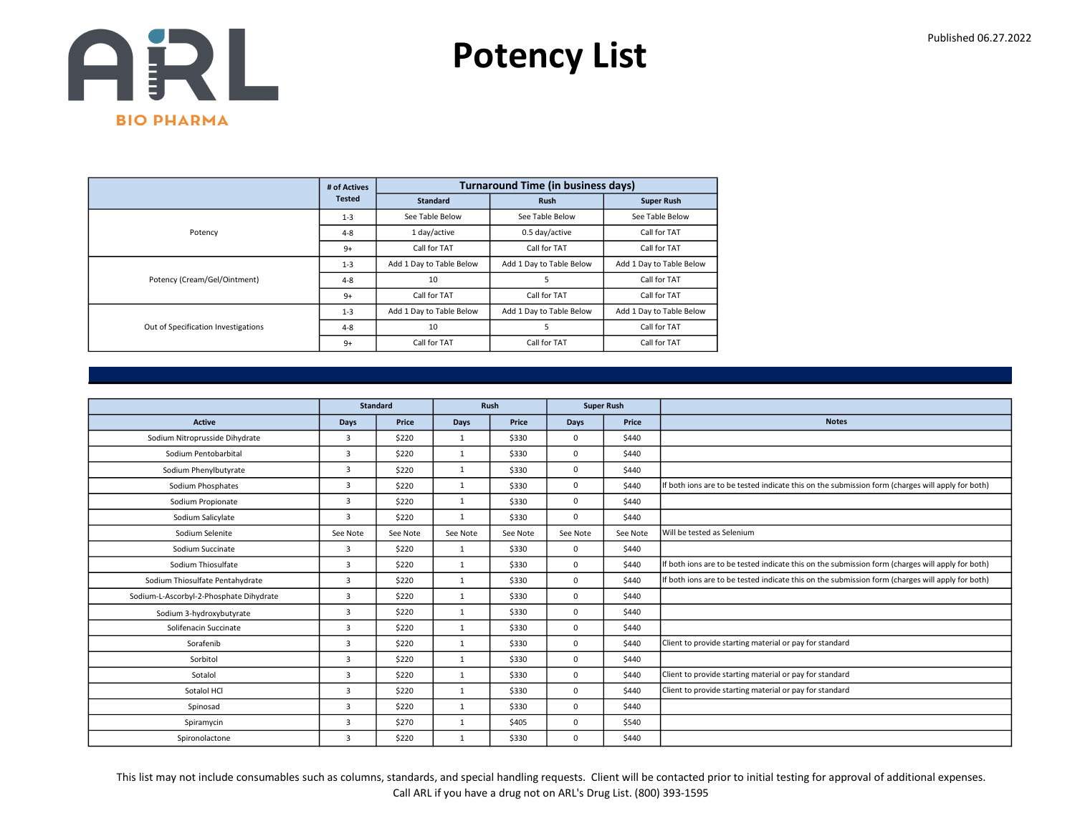

|                                     | # of Actives  |                          | <b>Turnaround Time (in business days)</b> |                          |
|-------------------------------------|---------------|--------------------------|-------------------------------------------|--------------------------|
|                                     | <b>Tested</b> | <b>Standard</b>          | <b>Rush</b>                               | <b>Super Rush</b>        |
|                                     | $1 - 3$       | See Table Below          | See Table Below                           | See Table Below          |
| Potency                             | $4 - 8$       | 1 day/active             | 0.5 day/active                            | Call for TAT             |
|                                     | $9+$          | Call for TAT             | Call for TAT                              | Call for TAT             |
|                                     | $1 - 3$       | Add 1 Day to Table Below | Add 1 Day to Table Below                  | Add 1 Day to Table Below |
| Potency (Cream/Gel/Ointment)        | $4 - 8$       | 10                       | 5                                         | Call for TAT             |
|                                     | $9+$          | Call for TAT             | Call for TAT                              | Call for TAT             |
|                                     | $1 - 3$       | Add 1 Day to Table Below | Add 1 Day to Table Below                  | Add 1 Day to Table Below |
| Out of Specification Investigations | $4 - 8$       | 10                       | 5                                         | Call for TAT             |
|                                     | $9+$          | Call for TAT             | Call for TAT                              | Call for TAT             |

|                                         |                         | <b>Standard</b> |              | <b>Rush</b> |             | <b>Super Rush</b> |                                                                                                  |
|-----------------------------------------|-------------------------|-----------------|--------------|-------------|-------------|-------------------|--------------------------------------------------------------------------------------------------|
| <b>Active</b>                           | <b>Days</b>             | Price           | <b>Days</b>  | Price       | Days        | Price             | <b>Notes</b>                                                                                     |
| Sodium Nitroprusside Dihydrate          | 3                       | \$220           | 1            | \$330       | $\mathbf 0$ | \$440             |                                                                                                  |
| Sodium Pentobarbital                    | 3                       | \$220           | $\mathbf{1}$ | \$330       | $\Omega$    | \$440             |                                                                                                  |
| Sodium Phenylbutyrate                   | $\overline{\mathbf{3}}$ | \$220           | $\mathbf{1}$ | \$330       | $\mathbf 0$ | \$440             |                                                                                                  |
| Sodium Phosphates                       | 3                       | \$220           | 1            | \$330       | $\mathbf 0$ | \$440             | If both ions are to be tested indicate this on the submission form (charges will apply for both) |
| Sodium Propionate                       | 3                       | \$220           | $\mathbf{1}$ | \$330       | $\mathbf 0$ | \$440             |                                                                                                  |
| Sodium Salicylate                       | 3                       | \$220           | $\mathbf{1}$ | \$330       | $\mathbf 0$ | \$440             |                                                                                                  |
| Sodium Selenite                         | See Note                | See Note        | See Note     | See Note    | See Note    | See Note          | Will be tested as Selenium                                                                       |
| Sodium Succinate                        | 3                       | \$220           | $\mathbf{1}$ | \$330       | $\mathbf 0$ | \$440             |                                                                                                  |
| Sodium Thiosulfate                      | 3                       | \$220           | $\mathbf{1}$ | \$330       | $\mathbf 0$ | \$440             | If both ions are to be tested indicate this on the submission form (charges will apply for both) |
| Sodium Thiosulfate Pentahydrate         | 3                       | \$220           | 1            | \$330       | $\mathbf 0$ | \$440             | If both ions are to be tested indicate this on the submission form (charges will apply for both) |
| Sodium-L-Ascorbyl-2-Phosphate Dihydrate | 3                       | \$220           | $\mathbf{1}$ | \$330       | $\mathbf 0$ | \$440             |                                                                                                  |
| Sodium 3-hydroxybutyrate                | 3                       | \$220           | $\mathbf{1}$ | \$330       | $\mathbf 0$ | \$440             |                                                                                                  |
| Solifenacin Succinate                   | 3                       | \$220           | 1            | \$330       | $\mathbf 0$ | \$440             |                                                                                                  |
| Sorafenib                               | 3                       | \$220           | $\mathbf{1}$ | \$330       | $\mathbf 0$ | \$440             | Client to provide starting material or pay for standard                                          |
| Sorbitol                                | 3                       | \$220           | $\mathbf{1}$ | \$330       | $\mathbf 0$ | \$440             |                                                                                                  |
| Sotalol                                 | 3                       | \$220           | $\mathbf{1}$ | \$330       | $\mathbf 0$ | \$440             | Client to provide starting material or pay for standard                                          |
| Sotalol HCl                             | 3                       | \$220           | $\mathbf{1}$ | \$330       | $\Omega$    | \$440             | Client to provide starting material or pay for standard                                          |
| Spinosad                                | 3                       | \$220           | $\mathbf{1}$ | \$330       | $\mathbf 0$ | \$440             |                                                                                                  |
| Spiramycin                              | 3                       | \$270           | 1            | \$405       | $\mathbf 0$ | \$540             |                                                                                                  |
| Spironolactone                          | 3                       | \$220           | $\mathbf{1}$ | \$330       | 0           | \$440             |                                                                                                  |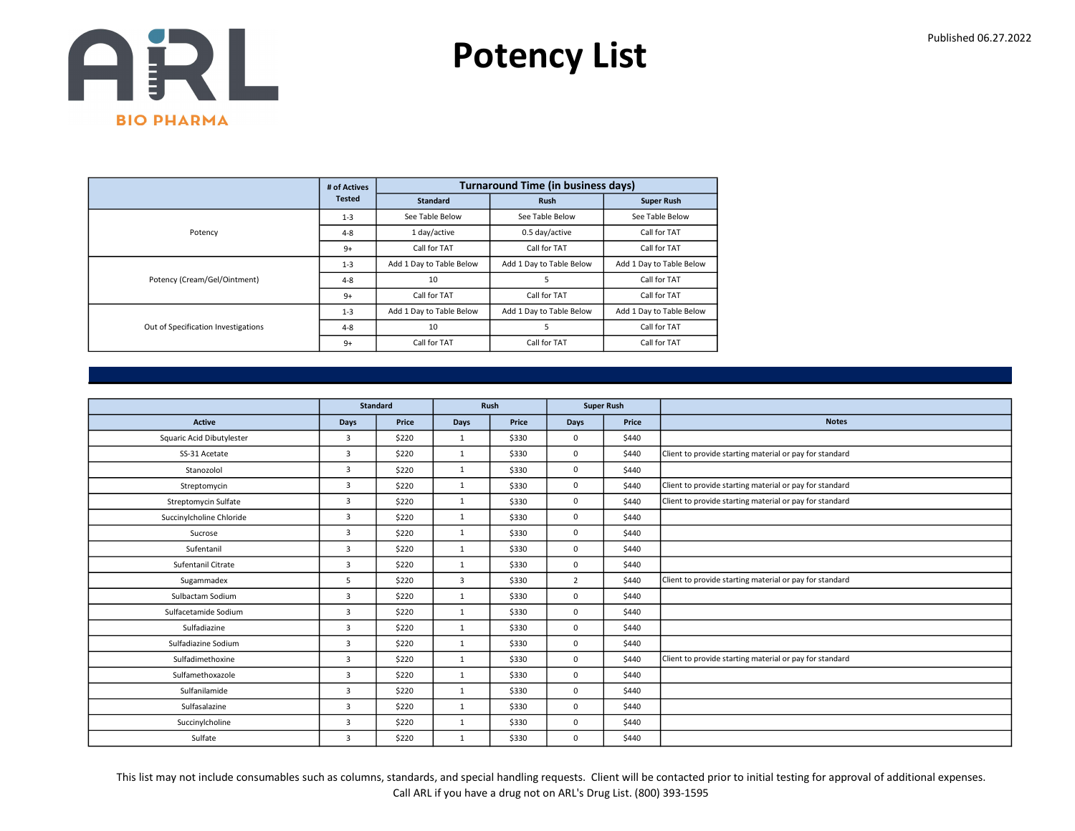

|                                     | # of Actives  |                          | <b>Turnaround Time (in business days)</b> |                          |
|-------------------------------------|---------------|--------------------------|-------------------------------------------|--------------------------|
|                                     | <b>Tested</b> | Standard                 | <b>Rush</b>                               | <b>Super Rush</b>        |
|                                     | $1 - 3$       | See Table Below          | See Table Below                           | See Table Below          |
| Potency                             | $4 - 8$       | 1 day/active             | 0.5 day/active                            | Call for TAT             |
|                                     | $9+$          | Call for TAT             | Call for TAT                              | Call for TAT             |
|                                     | $1 - 3$       | Add 1 Day to Table Below | Add 1 Day to Table Below                  | Add 1 Day to Table Below |
| Potency (Cream/Gel/Ointment)        | $4 - 8$       | 10                       | 5                                         | Call for TAT             |
|                                     | $9+$          | Call for TAT             | Call for TAT                              | Call for TAT             |
|                                     | $1 - 3$       | Add 1 Day to Table Below | Add 1 Day to Table Below                  | Add 1 Day to Table Below |
| Out of Specification Investigations | $4 - 8$       | 10                       | 5                                         | Call for TAT             |
|                                     | $9+$          | Call for TAT             | Call for TAT                              | Call for TAT             |

|                           |                | <b>Standard</b> |              | Rush  | <b>Super Rush</b> |       |                                                         |
|---------------------------|----------------|-----------------|--------------|-------|-------------------|-------|---------------------------------------------------------|
|                           |                |                 |              |       |                   |       |                                                         |
| <b>Active</b>             | Days           | Price           | Days         | Price | Days              | Price | <b>Notes</b>                                            |
| Squaric Acid Dibutylester | $\overline{3}$ | \$220           | 1            | \$330 | 0                 | \$440 |                                                         |
| SS-31 Acetate             | $\overline{3}$ | \$220           | $\mathbf{1}$ | \$330 | 0                 | \$440 | Client to provide starting material or pay for standard |
| Stanozolol                | $\overline{3}$ | \$220           | $\mathbf{1}$ | \$330 | 0                 | \$440 |                                                         |
| Streptomycin              | $\overline{3}$ | \$220           | $\mathbf{1}$ | \$330 | $\Omega$          | \$440 | Client to provide starting material or pay for standard |
| Streptomycin Sulfate      | 3              | \$220           | $\mathbf{1}$ | \$330 | 0                 | \$440 | Client to provide starting material or pay for standard |
| Succinylcholine Chloride  | $\overline{3}$ | \$220           | $\mathbf{1}$ | \$330 | 0                 | \$440 |                                                         |
| Sucrose                   | $\overline{3}$ | \$220           | $\mathbf{1}$ | \$330 | 0                 | \$440 |                                                         |
| Sufentanil                | $\overline{3}$ | \$220           | $\mathbf{1}$ | \$330 | 0                 | \$440 |                                                         |
| Sufentanil Citrate        | 3              | \$220           | $\mathbf{1}$ | \$330 | 0                 | \$440 |                                                         |
| Sugammadex                | 5              | \$220           | 3            | \$330 | $\overline{2}$    | \$440 | Client to provide starting material or pay for standard |
| Sulbactam Sodium          | $\overline{3}$ | \$220           | $\mathbf{1}$ | \$330 | 0                 | \$440 |                                                         |
| Sulfacetamide Sodium      | $\overline{3}$ | \$220           | $\mathbf{1}$ | \$330 | 0                 | \$440 |                                                         |
| Sulfadiazine              | $\overline{3}$ | \$220           | $\mathbf{1}$ | \$330 | 0                 | \$440 |                                                         |
| Sulfadiazine Sodium       | 3              | \$220           | $\mathbf{1}$ | \$330 | 0                 | \$440 |                                                         |
| Sulfadimethoxine          | 3              | \$220           | $\mathbf{1}$ | \$330 | 0                 | \$440 | Client to provide starting material or pay for standard |
| Sulfamethoxazole          | $\overline{3}$ | \$220           | 1            | \$330 | 0                 | \$440 |                                                         |
| Sulfanilamide             | $\overline{3}$ | \$220           | $\mathbf{1}$ | \$330 | 0                 | \$440 |                                                         |
| Sulfasalazine             | 3              | \$220           | $\mathbf{1}$ | \$330 | 0                 | \$440 |                                                         |
| Succinylcholine           | 3              | \$220           | $\mathbf{1}$ | \$330 | 0                 | \$440 |                                                         |
| Sulfate                   | 3              | \$220           | $\mathbf{1}$ | \$330 | 0                 | \$440 |                                                         |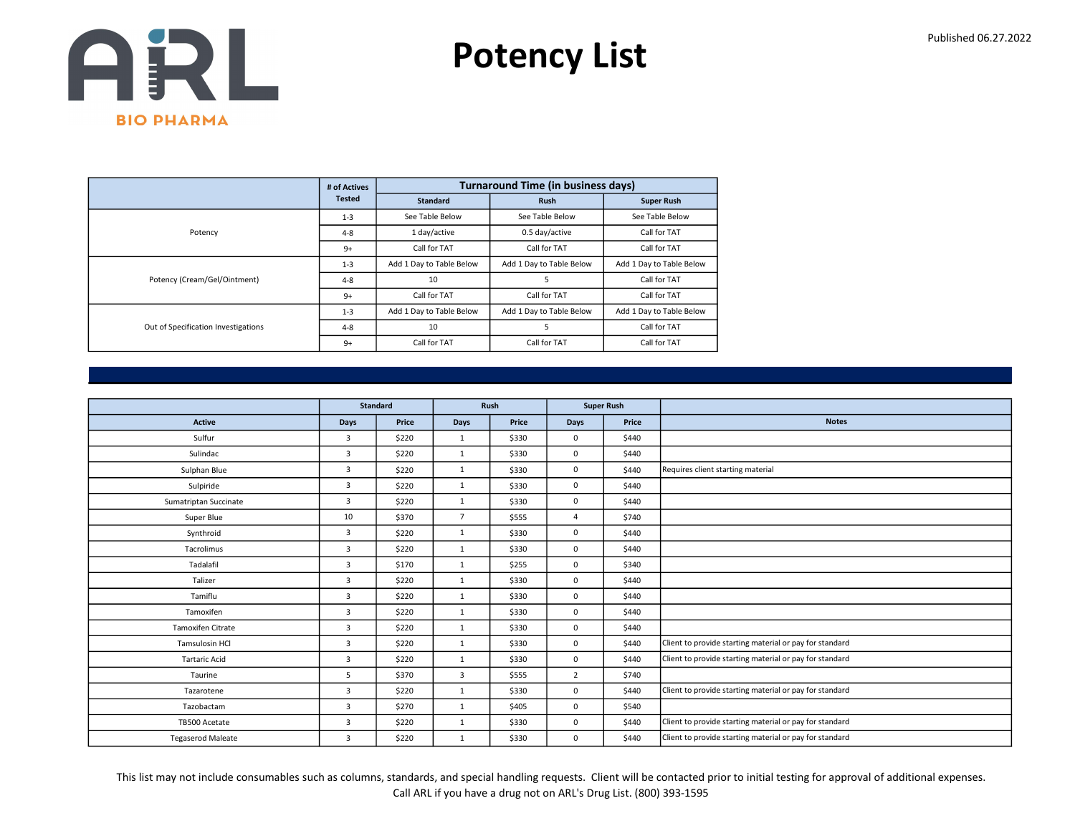

|                                     | # of Actives  |                          | <b>Turnaround Time (in business days)</b> |                          |
|-------------------------------------|---------------|--------------------------|-------------------------------------------|--------------------------|
|                                     | <b>Tested</b> | <b>Standard</b>          | <b>Rush</b>                               | <b>Super Rush</b>        |
|                                     | $1 - 3$       | See Table Below          | See Table Below                           | See Table Below          |
| Potency                             | $4 - 8$       | 1 day/active             | 0.5 day/active                            | Call for TAT             |
|                                     | $9+$          | Call for TAT             | Call for TAT                              | Call for TAT             |
|                                     | $1 - 3$       | Add 1 Day to Table Below | Add 1 Day to Table Below                  | Add 1 Day to Table Below |
| Potency (Cream/Gel/Ointment)        | $4 - 8$       | 10                       | 5                                         | Call for TAT             |
|                                     | $9+$          | Call for TAT             | Call for TAT                              | Call for TAT             |
|                                     | $1 - 3$       | Add 1 Day to Table Below | Add 1 Day to Table Below                  | Add 1 Day to Table Below |
| Out of Specification Investigations | $4 - 8$       | 10                       | 5                                         | Call for TAT             |
|                                     | $9+$          | Call for TAT             | Call for TAT                              | Call for TAT             |

|                          |                | <b>Standard</b> |                | Rush  |                | <b>Super Rush</b> |                                                         |
|--------------------------|----------------|-----------------|----------------|-------|----------------|-------------------|---------------------------------------------------------|
| <b>Active</b>            | Days           | Price           | Days           | Price | Days           | Price             | <b>Notes</b>                                            |
| Sulfur                   | $\overline{3}$ | \$220           | 1              | \$330 | $\mathbf 0$    | \$440             |                                                         |
| Sulindac                 | 3              | \$220           | $\mathbf{1}$   | \$330 | $\mathbf 0$    | \$440             |                                                         |
| Sulphan Blue             | $\overline{3}$ | \$220           | $\mathbf{1}$   | \$330 | $\mathbf 0$    | \$440             | Requires client starting material                       |
| Sulpiride                | 3              | \$220           | $\mathbf{1}$   | \$330 | $\mathbf 0$    | \$440             |                                                         |
| Sumatriptan Succinate    | $\overline{3}$ | \$220           | $\mathbf{1}$   | \$330 | $\mathsf 0$    | \$440             |                                                         |
| Super Blue               | 10             | \$370           | $\overline{7}$ | \$555 | $\overline{4}$ | \$740             |                                                         |
| Synthroid                | 3              | \$220           | $\mathbf{1}$   | \$330 | $\mathbf 0$    | \$440             |                                                         |
| Tacrolimus               | $\overline{3}$ | \$220           | $\mathbf{1}$   | \$330 | $\mathbf 0$    | \$440             |                                                         |
| Tadalafil                | 3              | \$170           | $\mathbf{1}$   | \$255 | 0              | \$340             |                                                         |
| Talizer                  | $\overline{3}$ | \$220           | $\mathbf{1}$   | \$330 | $\mathbf 0$    | \$440             |                                                         |
| Tamiflu                  | 3              | \$220           | $\mathbf{1}$   | \$330 | $\mathbf 0$    | \$440             |                                                         |
| Tamoxifen                | 3              | \$220           | $\mathbf{1}$   | \$330 | 0              | \$440             |                                                         |
| <b>Tamoxifen Citrate</b> | $\overline{3}$ | \$220           | $\mathbf{1}$   | \$330 | $\mathbf 0$    | \$440             |                                                         |
| Tamsulosin HCl           | 3              | \$220           | $\mathbf{1}$   | \$330 | $\mathbf 0$    | \$440             | Client to provide starting material or pay for standard |
| <b>Tartaric Acid</b>     | $\overline{3}$ | \$220           | $\mathbf{1}$   | \$330 | $\mathbf 0$    | \$440             | Client to provide starting material or pay for standard |
| Taurine                  | 5              | \$370           | 3              | \$555 | $\overline{2}$ | \$740             |                                                         |
| Tazarotene               | 3              | \$220           | $\mathbf{1}$   | \$330 | $\mathbf 0$    | \$440             | Client to provide starting material or pay for standard |
| Tazobactam               | 3              | \$270           | $\mathbf{1}$   | \$405 | $\mathbf 0$    | \$540             |                                                         |
| TB500 Acetate            | 3              | \$220           | $\mathbf{1}$   | \$330 | $\mathbf 0$    | \$440             | Client to provide starting material or pay for standard |
| <b>Tegaserod Maleate</b> | 3              | \$220           | 1              | \$330 | $\mathbf 0$    | \$440             | Client to provide starting material or pay for standard |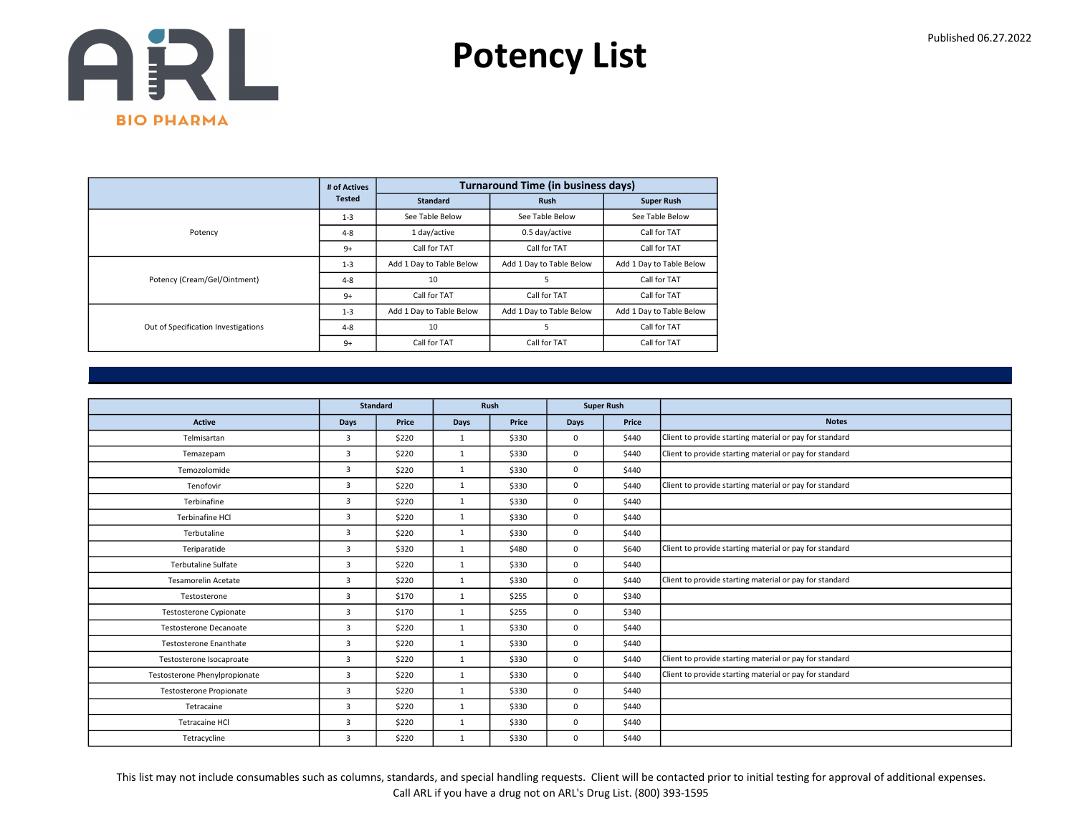

|                                     | # of Actives  |                          | <b>Turnaround Time (in business days)</b> |                          |
|-------------------------------------|---------------|--------------------------|-------------------------------------------|--------------------------|
|                                     | <b>Tested</b> | <b>Standard</b>          | <b>Rush</b>                               | <b>Super Rush</b>        |
|                                     | $1 - 3$       | See Table Below          | See Table Below                           | See Table Below          |
| Potency                             | $4 - 8$       | 1 day/active             | 0.5 day/active                            | Call for TAT             |
|                                     | $9+$          | Call for TAT             | Call for TAT                              | Call for TAT             |
|                                     | $1 - 3$       | Add 1 Day to Table Below | Add 1 Day to Table Below                  | Add 1 Day to Table Below |
| Potency (Cream/Gel/Ointment)        | $4 - 8$       | 10                       | 5                                         | Call for TAT             |
|                                     | $9+$          | Call for TAT             | Call for TAT                              | Call for TAT             |
|                                     | $1 - 3$       | Add 1 Day to Table Below | Add 1 Day to Table Below                  | Add 1 Day to Table Below |
| Out of Specification Investigations | $4 - 8$       | 10                       |                                           | Call for TAT             |
|                                     | $9+$          | Call for TAT             | Call for TAT                              | Call for TAT             |

|                               |                         | <b>Standard</b> |              | Rush  |          | <b>Super Rush</b> |                                                         |
|-------------------------------|-------------------------|-----------------|--------------|-------|----------|-------------------|---------------------------------------------------------|
| <b>Active</b>                 | <b>Days</b>             | Price           | Days         | Price | Days     | Price             | <b>Notes</b>                                            |
| Telmisartan                   | $\overline{3}$          | \$220           | $\mathbf{1}$ | \$330 | 0        | \$440             | Client to provide starting material or pay for standard |
| Temazepam                     | $\overline{3}$          | \$220           | 1            | \$330 | 0        | \$440             | Client to provide starting material or pay for standard |
| Temozolomide                  | 3                       | \$220           | $\mathbf{1}$ | \$330 | 0        | \$440             |                                                         |
| Tenofovir                     | $\overline{3}$          | \$220           | $\mathbf{1}$ | \$330 | $\Omega$ | \$440             | Client to provide starting material or pay for standard |
| Terbinafine                   | 3                       | \$220           | $\mathbf{1}$ | \$330 | 0        | \$440             |                                                         |
| Terbinafine HCI               | 3                       | \$220           | $\mathbf{1}$ | \$330 | 0        | \$440             |                                                         |
| Terbutaline                   | $\overline{3}$          | \$220           | $\mathbf{1}$ | \$330 | 0        | \$440             |                                                         |
| Teriparatide                  | $\overline{\mathbf{3}}$ | \$320           | $\mathbf{1}$ | \$480 | 0        | \$640             | Client to provide starting material or pay for standard |
| Terbutaline Sulfate           | 3                       | \$220           | $\mathbf{1}$ | \$330 | 0        | \$440             |                                                         |
| <b>Tesamorelin Acetate</b>    | $\overline{3}$          | \$220           | $\mathbf{1}$ | \$330 | 0        | \$440             | Client to provide starting material or pay for standard |
| Testosterone                  | $\overline{3}$          | \$170           | $\mathbf{1}$ | \$255 | 0        | \$340             |                                                         |
| <b>Testosterone Cypionate</b> | $\overline{3}$          | \$170           | $\mathbf{1}$ | \$255 | 0        | \$340             |                                                         |
| <b>Testosterone Decanoate</b> | $\overline{3}$          | \$220           | $\mathbf{1}$ | \$330 | 0        | \$440             |                                                         |
| <b>Testosterone Enanthate</b> | $\overline{3}$          | \$220           | $\mathbf{1}$ | \$330 | 0        | \$440             |                                                         |
| Testosterone Isocaproate      | $\overline{\mathbf{3}}$ | \$220           | $\mathbf{1}$ | \$330 | 0        | \$440             | Client to provide starting material or pay for standard |
| Testosterone Phenylpropionate | $\overline{3}$          | \$220           | 1            | \$330 | 0        | \$440             | Client to provide starting material or pay for standard |
| Testosterone Propionate       | $\overline{3}$          | \$220           | $\mathbf{1}$ | \$330 | 0        | \$440             |                                                         |
| Tetracaine                    | 3                       | \$220           | $\mathbf{1}$ | \$330 | 0        | \$440             |                                                         |
| Tetracaine HCl                | $\overline{3}$          | \$220           | $\mathbf{1}$ | \$330 | 0        | \$440             |                                                         |
| Tetracycline                  | 3                       | \$220           | $\mathbf{1}$ | \$330 | 0        | \$440             |                                                         |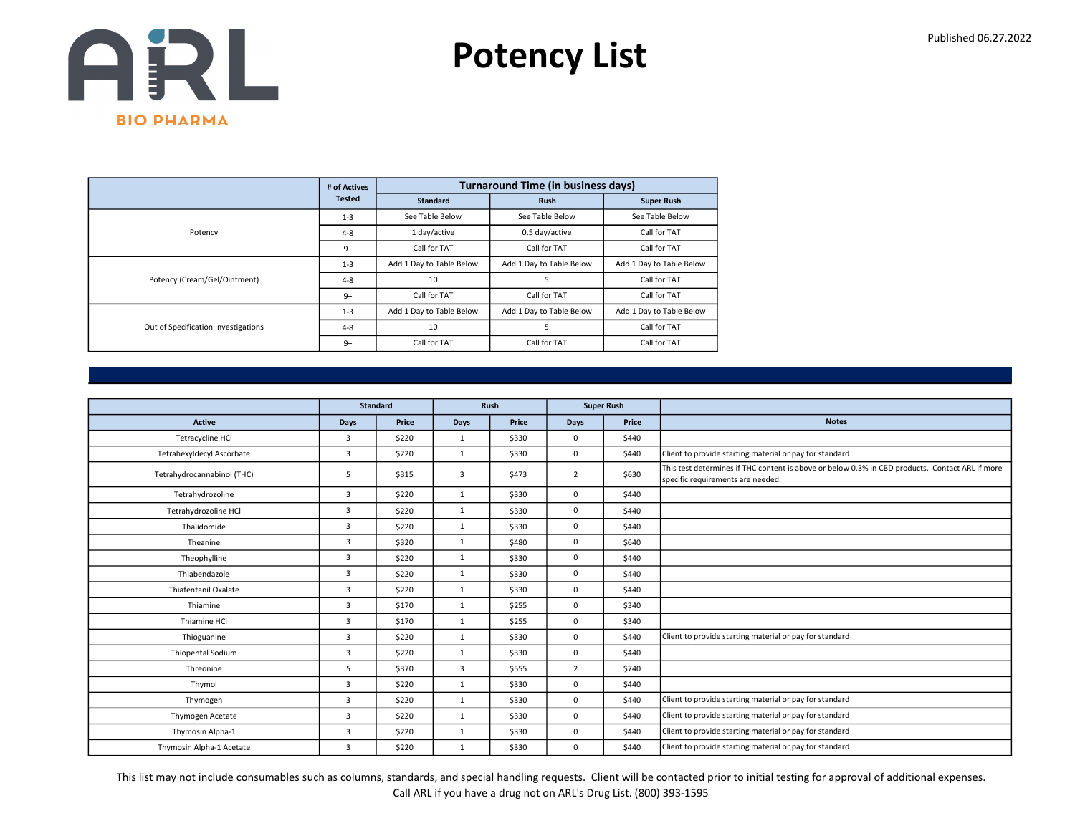

|                                     | # of Actives  |                          | <b>Turnaround Time (in business days)</b> |                          |
|-------------------------------------|---------------|--------------------------|-------------------------------------------|--------------------------|
|                                     | <b>Tested</b> | <b>Standard</b>          | <b>Rush</b>                               | <b>Super Rush</b>        |
|                                     | $1 - 3$       | See Table Below          | See Table Below                           | See Table Below          |
| Potency                             | $4 - 8$       | 1 day/active             | 0.5 day/active                            | Call for TAT             |
|                                     | $9+$          | Call for TAT             | Call for TAT                              | Call for TAT             |
|                                     | $1 - 3$       | Add 1 Day to Table Below | Add 1 Day to Table Below                  | Add 1 Day to Table Below |
| Potency (Cream/Gel/Ointment)        | $4 - 8$       | 10                       | 5                                         | Call for TAT             |
|                                     | $9+$          | Call for TAT             | Call for TAT                              | Call for TAT             |
|                                     | $1 - 3$       | Add 1 Day to Table Below | Add 1 Day to Table Below                  | Add 1 Day to Table Below |
| Out of Specification Investigations | $4 - 8$       | 10                       | 5                                         | Call for TAT             |
|                                     | $9+$          | Call for TAT             | Call for TAT                              | Call for TAT             |

|                             |                | <b>Standard</b> | Rush<br><b>Super Rush</b> |       |                |       |                                                                                                                                      |
|-----------------------------|----------------|-----------------|---------------------------|-------|----------------|-------|--------------------------------------------------------------------------------------------------------------------------------------|
|                             |                |                 |                           |       |                |       |                                                                                                                                      |
| Active                      | Days           | Price           | <b>Days</b>               | Price | Days           | Price | <b>Notes</b>                                                                                                                         |
| Tetracycline HCl            | $\overline{3}$ | \$220           | 1                         | \$330 | 0              | \$440 |                                                                                                                                      |
| Tetrahexyldecyl Ascorbate   | $\overline{3}$ | \$220           | $\mathbf{1}$              | \$330 | 0              | \$440 | Client to provide starting material or pay for standard                                                                              |
| Tetrahydrocannabinol (THC)  | 5              | \$315           | 3                         | \$473 | $\overline{2}$ | \$630 | This test determines if THC content is above or below 0.3% in CBD products. Contact ARL if more<br>specific requirements are needed. |
| Tetrahydrozoline            | $\overline{3}$ | \$220           | $\mathbf{1}$              | \$330 | 0              | \$440 |                                                                                                                                      |
| Tetrahydrozoline HCl        | 3              | \$220           | $\mathbf{1}$              | \$330 | 0              | \$440 |                                                                                                                                      |
| Thalidomide                 | $\overline{3}$ | \$220           | $\mathbf{1}$              | \$330 | 0              | \$440 |                                                                                                                                      |
| Theanine                    | $\overline{3}$ | \$320           | $\mathbf{1}$              | \$480 | 0              | \$640 |                                                                                                                                      |
| Theophylline                | 3              | \$220           | $\mathbf{1}$              | \$330 | 0              | \$440 |                                                                                                                                      |
| Thiabendazole               | $\overline{3}$ | \$220           | $\mathbf{1}$              | \$330 | 0              | \$440 |                                                                                                                                      |
| <b>Thiafentanil Oxalate</b> | $\overline{3}$ | \$220           | $\mathbf{1}$              | \$330 | 0              | \$440 |                                                                                                                                      |
| Thiamine                    | $\overline{3}$ | \$170           | $\mathbf{1}$              | \$255 | 0              | \$340 |                                                                                                                                      |
| Thiamine HCl                | $\overline{3}$ | \$170           | 1                         | \$255 | 0              | \$340 |                                                                                                                                      |
| Thioguanine                 | 3              | \$220           | $\mathbf{1}$              | \$330 | 0              | \$440 | Client to provide starting material or pay for standard                                                                              |
| <b>Thiopental Sodium</b>    | $\overline{3}$ | \$220           | $\mathbf{1}$              | \$330 | 0              | \$440 |                                                                                                                                      |
| Threonine                   | 5              | \$370           | 3                         | \$555 | $\overline{2}$ | \$740 |                                                                                                                                      |
| Thymol                      | 3              | \$220           | $\mathbf{1}$              | \$330 | 0              | \$440 |                                                                                                                                      |
| Thymogen                    | $\overline{3}$ | \$220           | $\mathbf{1}$              | \$330 | 0              | \$440 | Client to provide starting material or pay for standard                                                                              |
| Thymogen Acetate            | $\overline{3}$ | \$220           | $\mathbf{1}$              | \$330 | 0              | \$440 | Client to provide starting material or pay for standard                                                                              |
| Thymosin Alpha-1            | 3              | \$220           | $\mathbf{1}$              | \$330 | 0              | \$440 | Client to provide starting material or pay for standard                                                                              |
| Thymosin Alpha-1 Acetate    | $\overline{3}$ | \$220           | $\mathbf{1}$              | \$330 | 0              | \$440 | Client to provide starting material or pay for standard                                                                              |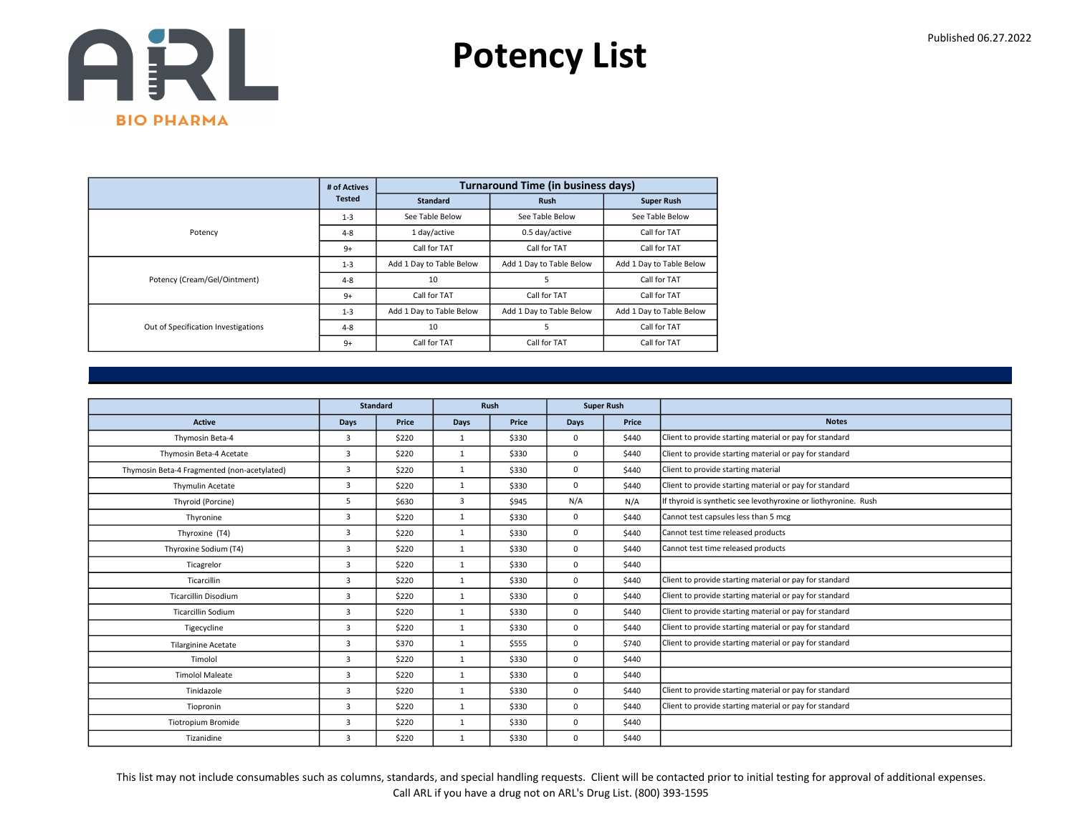

|                                     | # of Actives  |                          | <b>Turnaround Time (in business days)</b> |                          |
|-------------------------------------|---------------|--------------------------|-------------------------------------------|--------------------------|
|                                     | <b>Tested</b> | <b>Standard</b>          | <b>Rush</b>                               | <b>Super Rush</b>        |
|                                     | $1 - 3$       | See Table Below          | See Table Below                           | See Table Below          |
| Potency                             | $4 - 8$       | 1 day/active             | 0.5 day/active                            | Call for TAT             |
|                                     | $9+$          | Call for TAT             | Call for TAT                              | Call for TAT             |
|                                     | $1 - 3$       | Add 1 Day to Table Below | Add 1 Day to Table Below                  | Add 1 Day to Table Below |
| Potency (Cream/Gel/Ointment)        | $4 - 8$       | 10                       | 5                                         | Call for TAT             |
|                                     | $9+$          | Call for TAT             | Call for TAT                              | Call for TAT             |
|                                     | $1 - 3$       | Add 1 Day to Table Below | Add 1 Day to Table Below                  | Add 1 Day to Table Below |
| Out of Specification Investigations | $4 - 8$       | 10                       | 5                                         | Call for TAT             |
|                                     | $9+$          | Call for TAT             | Call for TAT                              | Call for TAT             |

|                                             |                | <b>Standard</b> |                | Rush  |             | <b>Super Rush</b> |                                                                 |
|---------------------------------------------|----------------|-----------------|----------------|-------|-------------|-------------------|-----------------------------------------------------------------|
| <b>Active</b>                               | <b>Days</b>    | Price           | <b>Days</b>    | Price | Days        | Price             | <b>Notes</b>                                                    |
| Thymosin Beta-4                             | $\overline{3}$ | \$220           | $\mathbf{1}$   | \$330 | 0           | \$440             | Client to provide starting material or pay for standard         |
| Thymosin Beta-4 Acetate                     | 3              | \$220           | 1              | \$330 | 0           | \$440             | Client to provide starting material or pay for standard         |
| Thymosin Beta-4 Fragmented (non-acetylated) | $\overline{3}$ | \$220           | 1              | \$330 | 0           | \$440             | Client to provide starting material                             |
| Thymulin Acetate                            | $\overline{3}$ | \$220           | $\mathbf{1}$   | \$330 | 0           | \$440             | Client to provide starting material or pay for standard         |
| Thyroid (Porcine)                           | 5              | \$630           | $\overline{3}$ | \$945 | N/A         | N/A               | If thyroid is synthetic see levothyroxine or liothyronine. Rush |
| Thyronine                                   | $\overline{3}$ | \$220           | 1              | \$330 | 0           | \$440             | Cannot test capsules less than 5 mcg                            |
| Thyroxine (T4)                              | $\overline{3}$ | \$220           | $\mathbf{1}$   | \$330 | $\mathbf 0$ | \$440             | Cannot test time released products                              |
| Thyroxine Sodium (T4)                       | $\overline{3}$ | \$220           | $\mathbf{1}$   | \$330 | 0           | \$440             | Cannot test time released products                              |
| Ticagrelor                                  | $\overline{3}$ | \$220           | $\mathbf{1}$   | \$330 | 0           | \$440             |                                                                 |
| Ticarcillin                                 | 3              | \$220           | $\mathbf{1}$   | \$330 | 0           | \$440             | Client to provide starting material or pay for standard         |
| <b>Ticarcillin Disodium</b>                 | $\overline{3}$ | \$220           | 1              | \$330 | 0           | \$440             | Client to provide starting material or pay for standard         |
| <b>Ticarcillin Sodium</b>                   | $\overline{3}$ | \$220           | $\mathbf{1}$   | \$330 | 0           | \$440             | Client to provide starting material or pay for standard         |
| Tigecycline                                 | 3              | \$220           | $\mathbf{1}$   | \$330 | 0           | \$440             | Client to provide starting material or pay for standard         |
| <b>Tilarginine Acetate</b>                  | $\overline{3}$ | \$370           | 1              | \$555 | 0           | \$740             | Client to provide starting material or pay for standard         |
| Timolol                                     | 3              | \$220           | $\mathbf{1}$   | \$330 | 0           | \$440             |                                                                 |
| <b>Timolol Maleate</b>                      | $\overline{3}$ | \$220           | 1              | \$330 | 0           | \$440             |                                                                 |
| Tinidazole                                  | $\overline{3}$ | \$220           | 1              | \$330 | 0           | \$440             | Client to provide starting material or pay for standard         |
| Tiopronin                                   | 3              | \$220           | $\mathbf{1}$   | \$330 | 0           | \$440             | Client to provide starting material or pay for standard         |
| <b>Tiotropium Bromide</b>                   | $\overline{3}$ | \$220           | $\mathbf{1}$   | \$330 | 0           | \$440             |                                                                 |
| Tizanidine                                  | 3              | \$220           | 1              | \$330 | 0           | \$440             |                                                                 |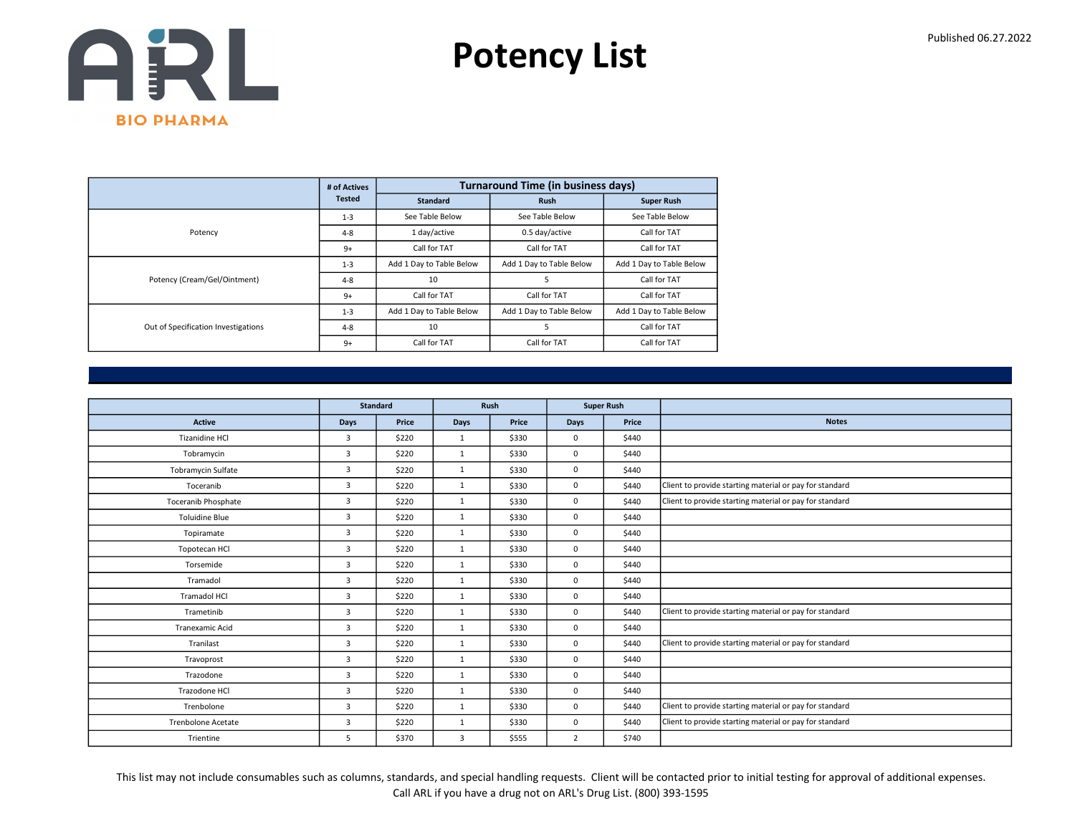

|                                     | # of Actives  |                          | <b>Turnaround Time (in business days)</b> |                          |
|-------------------------------------|---------------|--------------------------|-------------------------------------------|--------------------------|
|                                     | <b>Tested</b> | <b>Standard</b>          | <b>Rush</b>                               | <b>Super Rush</b>        |
|                                     | $1 - 3$       | See Table Below          | See Table Below                           | See Table Below          |
| Potency                             | $4 - 8$       | 1 day/active             | 0.5 day/active                            | Call for TAT             |
|                                     | $9+$          | Call for TAT             | Call for TAT                              | Call for TAT             |
|                                     | $1 - 3$       | Add 1 Day to Table Below | Add 1 Day to Table Below                  | Add 1 Day to Table Below |
| Potency (Cream/Gel/Ointment)        | $4 - 8$       | 10                       | 5                                         | Call for TAT             |
|                                     | $9+$          | Call for TAT             | Call for TAT                              | Call for TAT             |
|                                     | $1 - 3$       | Add 1 Day to Table Below | Add 1 Day to Table Below                  | Add 1 Day to Table Below |
| Out of Specification Investigations | $4 - 8$       | 10                       | 5                                         | Call for TAT             |
|                                     | $9+$          | Call for TAT             | Call for TAT                              | Call for TAT             |

|                            |                | <b>Standard</b> |              | Rush  |                | <b>Super Rush</b> |                                                         |
|----------------------------|----------------|-----------------|--------------|-------|----------------|-------------------|---------------------------------------------------------|
| Active                     | Days           | Price           | Days         | Price | Days           | Price             | <b>Notes</b>                                            |
| <b>Tizanidine HCI</b>      | $\overline{3}$ | \$220           | 1            | \$330 | 0              | \$440             |                                                         |
| Tobramycin                 | $\overline{3}$ | \$220           | $\mathbf{1}$ | \$330 | 0              | \$440             |                                                         |
| Tobramycin Sulfate         | $\overline{3}$ | \$220           | $\mathbf{1}$ | \$330 | 0              | \$440             |                                                         |
| Toceranib                  | $\overline{3}$ | \$220           | $\mathbf{1}$ | \$330 | 0              | \$440             | Client to provide starting material or pay for standard |
| <b>Toceranib Phosphate</b> | $\overline{3}$ | \$220           | $\mathbf{1}$ | \$330 | 0              | \$440             | Client to provide starting material or pay for standard |
| <b>Toluidine Blue</b>      | $\overline{3}$ | \$220           | $\mathbf{1}$ | \$330 | 0              | \$440             |                                                         |
| Topiramate                 | $\overline{3}$ | \$220           | $\mathbf{1}$ | \$330 | 0              | \$440             |                                                         |
| Topotecan HCl              | $\overline{3}$ | \$220           | $\mathbf{1}$ | \$330 | 0              | \$440             |                                                         |
| Torsemide                  | 3              | \$220           | $\mathbf{1}$ | \$330 | 0              | \$440             |                                                         |
| Tramadol                   | $\overline{3}$ | \$220           | 1            | \$330 | 0              | \$440             |                                                         |
| <b>Tramadol HCI</b>        | $\overline{3}$ | \$220           | $\mathbf{1}$ | \$330 | 0              | \$440             |                                                         |
| Trametinib                 | $\overline{3}$ | \$220           | $\mathbf{1}$ | \$330 | 0              | \$440             | Client to provide starting material or pay for standard |
| <b>Tranexamic Acid</b>     | $\overline{3}$ | \$220           | $\mathbf{1}$ | \$330 | 0              | \$440             |                                                         |
| Tranilast                  | $\overline{3}$ | \$220           | $\mathbf{1}$ | \$330 | 0              | \$440             | Client to provide starting material or pay for standard |
| Travoprost                 | $\overline{3}$ | \$220           | $\mathbf{1}$ | \$330 | 0              | \$440             |                                                         |
| Trazodone                  | $\overline{3}$ | \$220           | $\mathbf{1}$ | \$330 | 0              | \$440             |                                                         |
| Trazodone HCl              | $\overline{3}$ | \$220           | $\mathbf{1}$ | \$330 | 0              | \$440             |                                                         |
| Trenbolone                 | $\overline{3}$ | \$220           | $\mathbf{1}$ | \$330 | 0              | \$440             | Client to provide starting material or pay for standard |
| <b>Trenbolone Acetate</b>  | 3              | \$220           | 1            | \$330 | 0              | \$440             | Client to provide starting material or pay for standard |
| Trientine                  | 5              | \$370           | 3            | \$555 | $\overline{2}$ | \$740             |                                                         |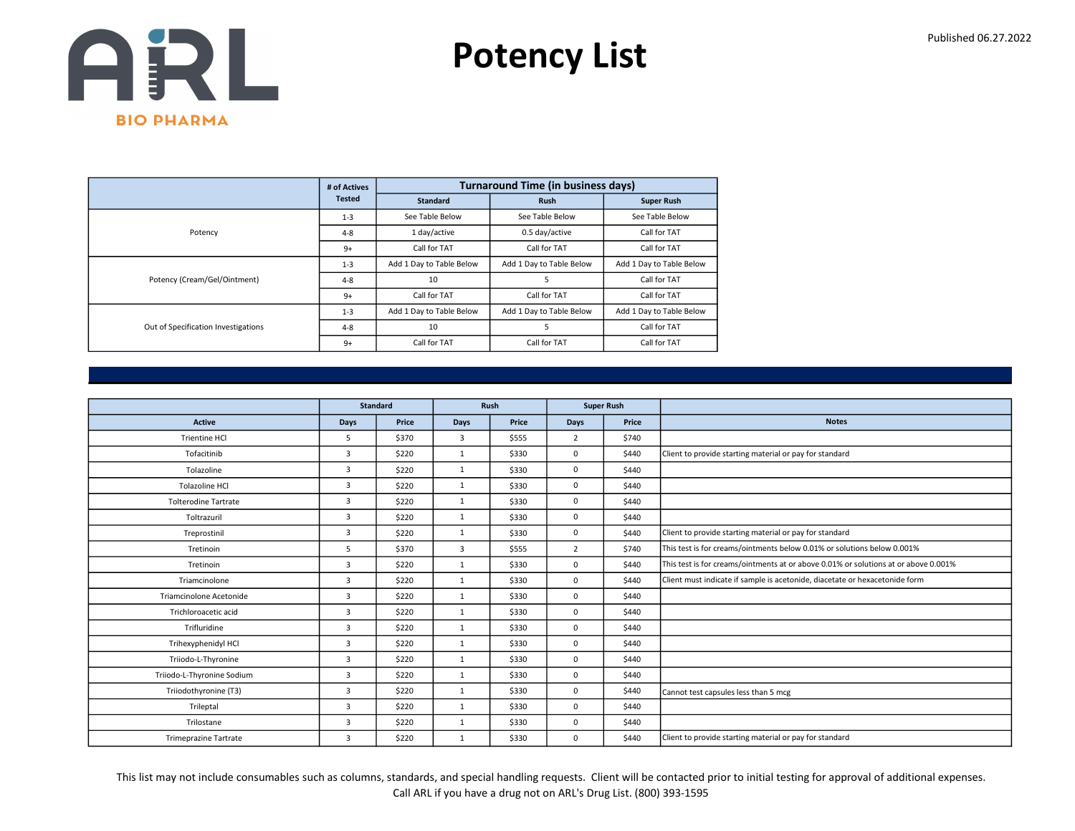

|                                     | # of Actives  |                          | <b>Turnaround Time (in business days)</b> |                          |
|-------------------------------------|---------------|--------------------------|-------------------------------------------|--------------------------|
|                                     | <b>Tested</b> | <b>Standard</b>          | <b>Rush</b>                               | <b>Super Rush</b>        |
|                                     | $1 - 3$       | See Table Below          | See Table Below                           | See Table Below          |
| Potency                             | $4 - 8$       | 1 day/active             | 0.5 day/active                            | Call for TAT             |
|                                     | $9+$          | Call for TAT             | Call for TAT                              | Call for TAT             |
|                                     | $1 - 3$       | Add 1 Day to Table Below | Add 1 Day to Table Below                  | Add 1 Day to Table Below |
| Potency (Cream/Gel/Ointment)        | $4 - 8$       | 10                       | 5                                         | Call for TAT             |
|                                     | $9+$          | Call for TAT             | Call for TAT                              | Call for TAT             |
|                                     | $1 - 3$       | Add 1 Day to Table Below | Add 1 Day to Table Below                  | Add 1 Day to Table Below |
| Out of Specification Investigations | $4 - 8$       | 10                       | 5                                         | Call for TAT             |
|                                     | $9+$          | Call for TAT             | Call for TAT                              | Call for TAT             |

|                              |                | <b>Standard</b> |              | Rush  |                | <b>Super Rush</b> |                                                                                     |
|------------------------------|----------------|-----------------|--------------|-------|----------------|-------------------|-------------------------------------------------------------------------------------|
| <b>Active</b>                | <b>Days</b>    | Price           | Days         | Price | Days           | Price             | <b>Notes</b>                                                                        |
| Trientine HCl                | 5              | \$370           | 3            | \$555 | $\overline{2}$ | \$740             |                                                                                     |
| Tofacitinib                  | 3              | \$220           | $\mathbf{1}$ | \$330 | 0              | \$440             | Client to provide starting material or pay for standard                             |
| Tolazoline                   | $\overline{3}$ | \$220           | $\mathbf{1}$ | \$330 | 0              | \$440             |                                                                                     |
| <b>Tolazoline HCI</b>        | 3              | \$220           | 1            | \$330 | 0              | \$440             |                                                                                     |
| <b>Tolterodine Tartrate</b>  | $\overline{3}$ | \$220           | $\mathbf{1}$ | \$330 | 0              | \$440             |                                                                                     |
| Toltrazuril                  | 3              | \$220           | $\mathbf{1}$ | \$330 | 0              | \$440             |                                                                                     |
| Treprostinil                 | 3              | \$220           | 1            | \$330 | 0              | \$440             | Client to provide starting material or pay for standard                             |
| Tretinoin                    | 5              | \$370           | 3            | \$555 | $\overline{2}$ | \$740             | This test is for creams/ointments below 0.01% or solutions below 0.001%             |
| Tretinoin                    | 3              | \$220           | $\mathbf{1}$ | \$330 | 0              | \$440             | This test is for creams/ointments at or above 0.01% or solutions at or above 0.001% |
| Triamcinolone                | $\overline{3}$ | \$220           | 1            | \$330 | 0              | \$440             | Client must indicate if sample is acetonide, diacetate or hexacetonide form         |
| Triamcinolone Acetonide      | 3              | \$220           | $\mathbf{1}$ | \$330 | 0              | \$440             |                                                                                     |
| Trichloroacetic acid         | 3              | \$220           | 1            | \$330 | 0              | \$440             |                                                                                     |
| Trifluridine                 | 3              | \$220           | 1            | \$330 | 0              | \$440             |                                                                                     |
| Trihexyphenidyl HCl          | $\overline{3}$ | \$220           | $\mathbf{1}$ | \$330 | 0              | \$440             |                                                                                     |
| Triiodo-L-Thyronine          | 3              | \$220           | $\mathbf{1}$ | \$330 | 0              | \$440             |                                                                                     |
| Triiodo-L-Thyronine Sodium   | $\overline{3}$ | \$220           | 1            | \$330 | 0              | \$440             |                                                                                     |
| Triiodothyronine (T3)        | $\overline{3}$ | \$220           | 1            | \$330 | 0              | \$440             | Cannot test capsules less than 5 mcg                                                |
| Trileptal                    | 3              | \$220           | $\mathbf{1}$ | \$330 | 0              | \$440             |                                                                                     |
| Trilostane                   | 3              | \$220           | $\mathbf{1}$ | \$330 | $\Omega$       | \$440             |                                                                                     |
| <b>Trimeprazine Tartrate</b> | 3              | \$220           | $\mathbf{1}$ | \$330 | 0              | \$440             | Client to provide starting material or pay for standard                             |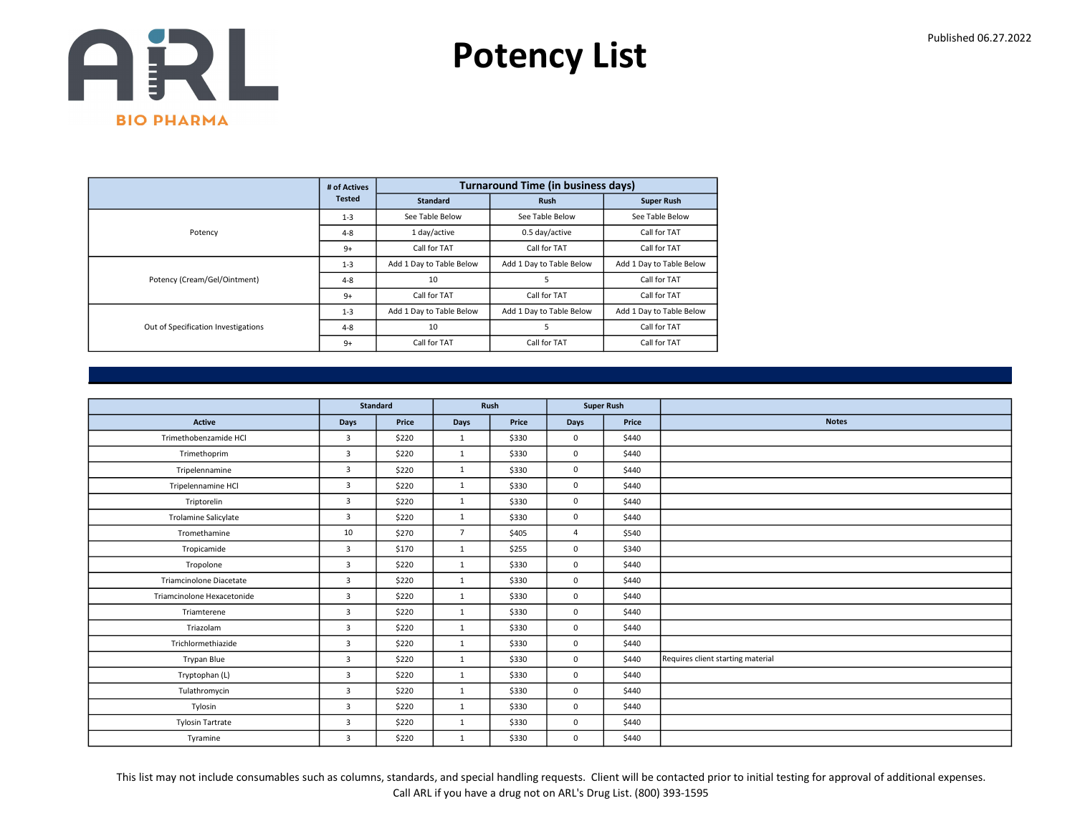

|                                     | # of Actives  |                          | <b>Turnaround Time (in business days)</b> |                          |
|-------------------------------------|---------------|--------------------------|-------------------------------------------|--------------------------|
|                                     | <b>Tested</b> | <b>Standard</b>          | <b>Rush</b>                               | <b>Super Rush</b>        |
|                                     | $1 - 3$       | See Table Below          | See Table Below                           | See Table Below          |
| Potency                             | $4 - 8$       | 1 day/active             | 0.5 day/active                            | Call for TAT             |
|                                     | $9+$          | Call for TAT             | Call for TAT                              | Call for TAT             |
|                                     | $1 - 3$       | Add 1 Day to Table Below | Add 1 Day to Table Below                  | Add 1 Day to Table Below |
| Potency (Cream/Gel/Ointment)        | $4 - 8$       | 10                       | 5                                         | Call for TAT             |
|                                     | $9+$          | Call for TAT             | Call for TAT                              | Call for TAT             |
|                                     | $1 - 3$       | Add 1 Day to Table Below | Add 1 Day to Table Below                  | Add 1 Day to Table Below |
| Out of Specification Investigations | $4 - 8$       | 10                       | 5                                         | Call for TAT             |
|                                     | $9+$          | Call for TAT             | Call for TAT                              | Call for TAT             |

|                             |                | Standard | Rush           |       | <b>Super Rush</b> |       |                                   |
|-----------------------------|----------------|----------|----------------|-------|-------------------|-------|-----------------------------------|
| <b>Active</b>               | Days           | Price    | Days           | Price | Days              | Price | <b>Notes</b>                      |
| Trimethobenzamide HCl       | $\overline{3}$ | \$220    | $\mathbf{1}$   | \$330 | $\mathbf 0$       | \$440 |                                   |
| Trimethoprim                | $\overline{3}$ | \$220    | 1              | \$330 | $\mathbf 0$       | \$440 |                                   |
| Tripelennamine              | 3              | \$220    | $\mathbf{1}$   | \$330 | $\mathbf 0$       | \$440 |                                   |
| Tripelennamine HCl          | $\overline{3}$ | \$220    | 1              | \$330 | $\mathbf 0$       | \$440 |                                   |
| Triptorelin                 | $\overline{3}$ | \$220    | $\mathbf{1}$   | \$330 | $\mathbf 0$       | \$440 |                                   |
| <b>Trolamine Salicylate</b> | 3              | \$220    | $\mathbf{1}$   | \$330 | $\mathbf 0$       | \$440 |                                   |
| Tromethamine                | 10             | \$270    | $\overline{7}$ | \$405 | $\overline{4}$    | \$540 |                                   |
| Tropicamide                 | 3              | \$170    | $\mathbf{1}$   | \$255 | $\mathbf 0$       | \$340 |                                   |
| Tropolone                   | $\overline{3}$ | \$220    | $\mathbf{1}$   | \$330 | $\mathbf 0$       | \$440 |                                   |
| Triamcinolone Diacetate     | $\overline{3}$ | \$220    | $\mathbf{1}$   | \$330 | $\mathbf 0$       | \$440 |                                   |
| Triamcinolone Hexacetonide  | 3              | \$220    | $\mathbf{1}$   | \$330 | $\mathbf 0$       | \$440 |                                   |
| Triamterene                 | $\overline{3}$ | \$220    | $\mathbf{1}$   | \$330 | $\mathbf 0$       | \$440 |                                   |
| Triazolam                   | $\overline{3}$ | \$220    | $\mathbf{1}$   | \$330 | $\mathbf 0$       | \$440 |                                   |
| Trichlormethiazide          | $\overline{3}$ | \$220    | $\mathbf{1}$   | \$330 | $\mathbf 0$       | \$440 |                                   |
| Trypan Blue                 | 3              | \$220    | $\mathbf{1}$   | \$330 | $\mathbf 0$       | \$440 | Requires client starting material |
| Tryptophan (L)              | 3              | \$220    | $\mathbf{1}$   | \$330 | $\mathbf 0$       | \$440 |                                   |
| Tulathromycin               | 3              | \$220    | $\mathbf{1}$   | \$330 | 0                 | \$440 |                                   |
| Tylosin                     | 3              | \$220    | $\mathbf{1}$   | \$330 | 0                 | \$440 |                                   |
| <b>Tylosin Tartrate</b>     | 3              | \$220    | $\mathbf{1}$   | \$330 | 0                 | \$440 |                                   |
| Tyramine                    | $\overline{3}$ | \$220    | $\mathbf{1}$   | \$330 | 0                 | \$440 |                                   |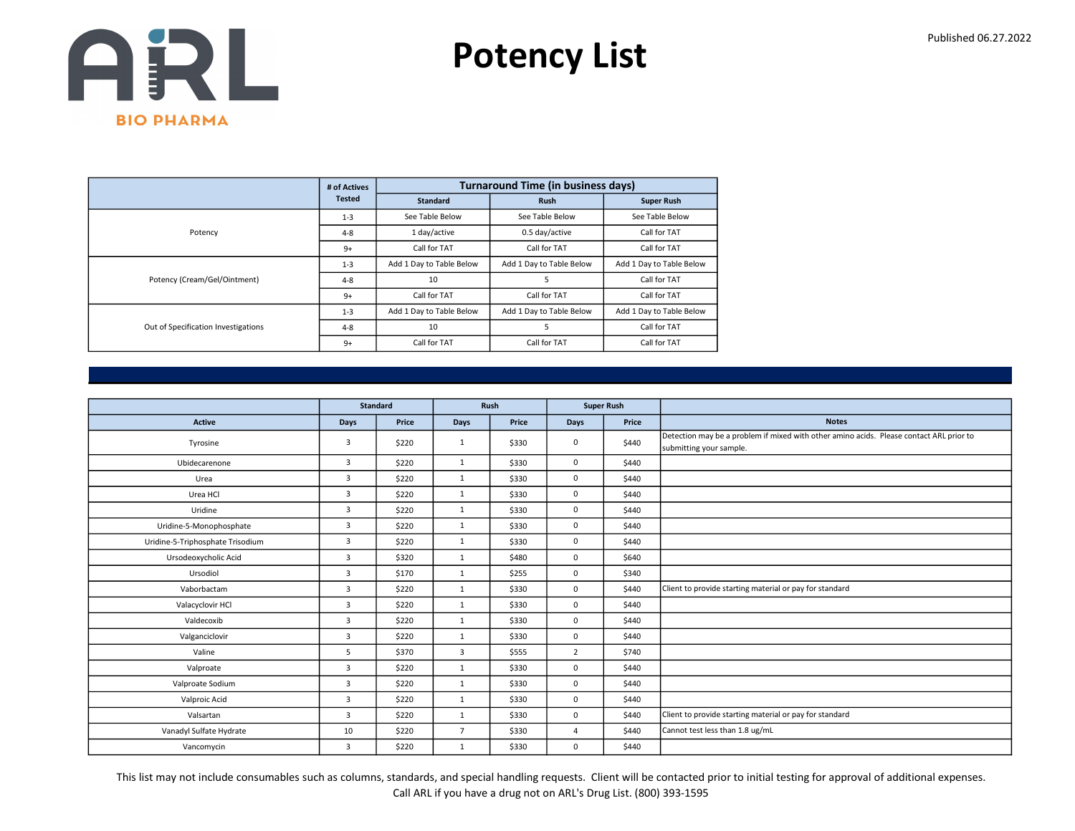

|                                     | # of Actives  |                          | <b>Turnaround Time (in business days)</b> |                          |
|-------------------------------------|---------------|--------------------------|-------------------------------------------|--------------------------|
|                                     | <b>Tested</b> | <b>Standard</b>          | <b>Rush</b>                               | <b>Super Rush</b>        |
|                                     | $1 - 3$       | See Table Below          | See Table Below                           | See Table Below          |
| Potency                             | $4 - 8$       | 1 day/active             | 0.5 day/active                            | Call for TAT             |
|                                     | $9+$          | Call for TAT             | Call for TAT                              | Call for TAT             |
|                                     | $1 - 3$       | Add 1 Day to Table Below | Add 1 Day to Table Below                  | Add 1 Day to Table Below |
| Potency (Cream/Gel/Ointment)        | $4 - 8$       | 10                       | 5                                         | Call for TAT             |
|                                     | $9+$          | Call for TAT             | Call for TAT                              | Call for TAT             |
|                                     | $1 - 3$       | Add 1 Day to Table Below | Add 1 Day to Table Below                  | Add 1 Day to Table Below |
| Out of Specification Investigations | $4 - 8$       | 10                       | 5                                         | Call for TAT             |
|                                     | $9+$          | Call for TAT             | Call for TAT                              | Call for TAT             |

|                                  |                | <b>Standard</b> |                | Rush  | <b>Super Rush</b> |       |                                                                                                                    |
|----------------------------------|----------------|-----------------|----------------|-------|-------------------|-------|--------------------------------------------------------------------------------------------------------------------|
| <b>Active</b>                    | <b>Days</b>    | Price           | Days           | Price | Days              | Price | <b>Notes</b>                                                                                                       |
| Tyrosine                         | 3              | \$220           | $\mathbf{1}$   | \$330 | $\mathbf{0}$      | \$440 | Detection may be a problem if mixed with other amino acids. Please contact ARL prior to<br>submitting your sample. |
| Ubidecarenone                    | $\overline{3}$ | \$220           | $\mathbf{1}$   | \$330 | $\mathbf 0$       | \$440 |                                                                                                                    |
| Urea                             | $\overline{3}$ | \$220           | $\mathbf{1}$   | \$330 | $\mathbf 0$       | \$440 |                                                                                                                    |
| Urea HCl                         | $\overline{3}$ | \$220           | $\mathbf{1}$   | \$330 | $\mathbf 0$       | \$440 |                                                                                                                    |
| Uridine                          | $\overline{3}$ | \$220           | $\mathbf{1}$   | \$330 | $\mathbf 0$       | \$440 |                                                                                                                    |
| Uridine-5-Monophosphate          | $\overline{3}$ | \$220           | $\mathbf{1}$   | \$330 | $\mathbf 0$       | \$440 |                                                                                                                    |
| Uridine-5-Triphosphate Trisodium | $\overline{3}$ | \$220           | 1              | \$330 | $\mathbf 0$       | \$440 |                                                                                                                    |
| Ursodeoxycholic Acid             | $\overline{3}$ | \$320           | $\mathbf{1}$   | \$480 | $\mathbf 0$       | \$640 |                                                                                                                    |
| Ursodiol                         | $\overline{3}$ | \$170           | 1              | \$255 | $\mathbf 0$       | \$340 |                                                                                                                    |
| Vaborbactam                      | 3              | \$220           | $\mathbf{1}$   | \$330 | $\mathbf 0$       | \$440 | Client to provide starting material or pay for standard                                                            |
| Valacyclovir HCl                 | $\overline{3}$ | \$220           | $\mathbf{1}$   | \$330 | $\mathbf 0$       | \$440 |                                                                                                                    |
| Valdecoxib                       | $\overline{3}$ | \$220           | $\mathbf{1}$   | \$330 | $\mathbf 0$       | \$440 |                                                                                                                    |
| Valganciclovir                   | $\overline{3}$ | \$220           | $\mathbf{1}$   | \$330 | $\mathbf 0$       | \$440 |                                                                                                                    |
| Valine                           | 5              | \$370           | 3              | \$555 | $\overline{2}$    | \$740 |                                                                                                                    |
| Valproate                        | $\overline{3}$ | \$220           | $\mathbf{1}$   | \$330 | $\mathbf 0$       | \$440 |                                                                                                                    |
| Valproate Sodium                 | $\overline{3}$ | \$220           | $\mathbf{1}$   | \$330 | $\mathbf 0$       | \$440 |                                                                                                                    |
| Valproic Acid                    | $\overline{3}$ | \$220           | 1              | \$330 | $\mathbf 0$       | \$440 |                                                                                                                    |
| Valsartan                        | $\overline{3}$ | \$220           | $\mathbf{1}$   | \$330 | $\mathbf 0$       | \$440 | Client to provide starting material or pay for standard                                                            |
| Vanadyl Sulfate Hydrate          | 10             | \$220           | $\overline{7}$ | \$330 | $\overline{4}$    | \$440 | Cannot test less than 1.8 ug/mL                                                                                    |
| Vancomycin                       | $\overline{3}$ | \$220           | $\mathbf{1}$   | \$330 | $\mathbf 0$       | \$440 |                                                                                                                    |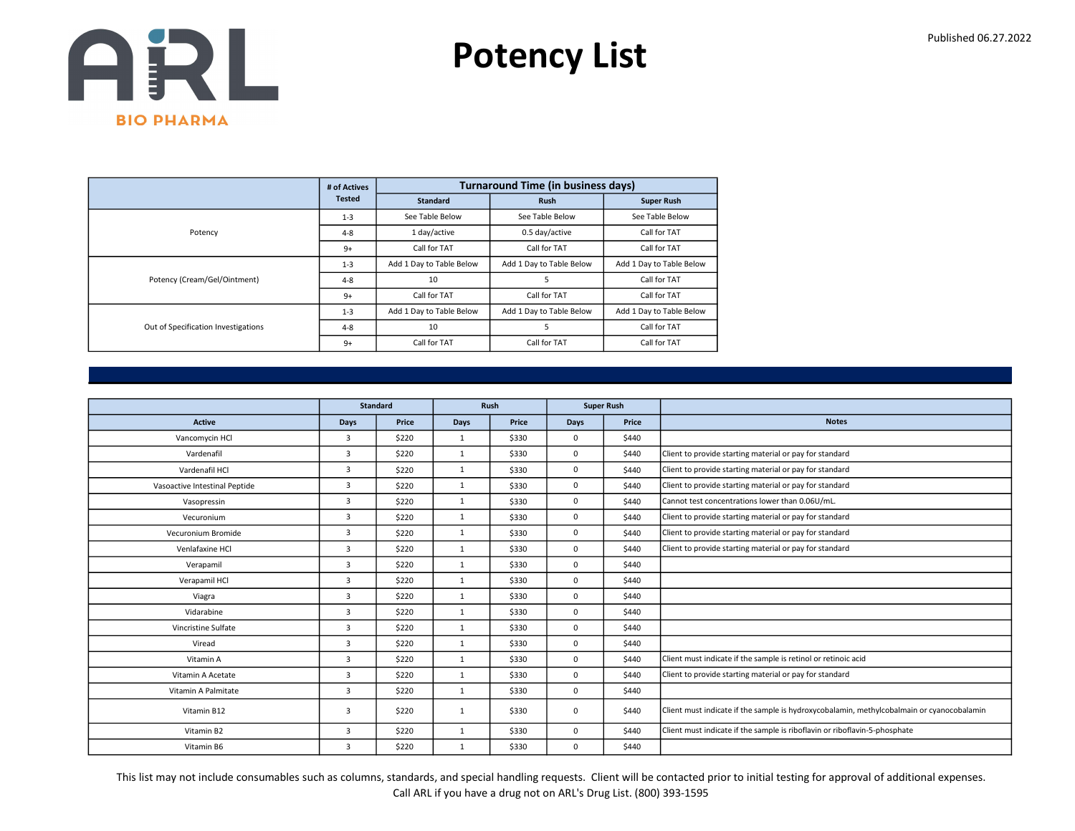

|                                     | # of Actives  |                          | <b>Turnaround Time (in business days)</b> |                          |
|-------------------------------------|---------------|--------------------------|-------------------------------------------|--------------------------|
|                                     | <b>Tested</b> | <b>Standard</b>          | <b>Rush</b>                               | <b>Super Rush</b>        |
|                                     | $1 - 3$       | See Table Below          | See Table Below                           | See Table Below          |
| Potency                             | $4 - 8$       | 1 day/active             | 0.5 day/active                            | Call for TAT             |
|                                     | $9+$          | Call for TAT             | Call for TAT                              | Call for TAT             |
|                                     | $1 - 3$       | Add 1 Day to Table Below | Add 1 Day to Table Below                  | Add 1 Day to Table Below |
| Potency (Cream/Gel/Ointment)        | $4 - 8$       | 10                       | 5                                         | Call for TAT             |
|                                     | $9+$          | Call for TAT             | Call for TAT                              | Call for TAT             |
|                                     | $1 - 3$       | Add 1 Day to Table Below | Add 1 Day to Table Below                  | Add 1 Day to Table Below |
| Out of Specification Investigations | $4 - 8$       | 10                       | 5                                         | Call for TAT             |
|                                     | $9+$          | Call for TAT             | Call for TAT                              | Call for TAT             |

|                               |                | <b>Standard</b> |              | Rush  | <b>Super Rush</b> |       |                                                                                           |
|-------------------------------|----------------|-----------------|--------------|-------|-------------------|-------|-------------------------------------------------------------------------------------------|
| Active                        | Days           | Price           | Days         | Price | Days              | Price | <b>Notes</b>                                                                              |
| Vancomycin HCl                | 3              | \$220           | $\mathbf{1}$ | \$330 | 0                 | \$440 |                                                                                           |
| Vardenafil                    | 3              | \$220           | $\mathbf{1}$ | \$330 | 0                 | \$440 | Client to provide starting material or pay for standard                                   |
| Vardenafil HCl                | $\overline{3}$ | \$220           | $\mathbf{1}$ | \$330 | 0                 | \$440 | Client to provide starting material or pay for standard                                   |
| Vasoactive Intestinal Peptide | 3              | \$220           | $\mathbf{1}$ | \$330 | 0                 | \$440 | Client to provide starting material or pay for standard                                   |
| Vasopressin                   | $\overline{3}$ | \$220           | $\mathbf{1}$ | \$330 | 0                 | \$440 | Cannot test concentrations lower than 0.06U/mL.                                           |
| Vecuronium                    | $\overline{3}$ | \$220           | $\mathbf{1}$ | \$330 | $\Omega$          | \$440 | Client to provide starting material or pay for standard                                   |
| Vecuronium Bromide            | $\overline{3}$ | \$220           | $\mathbf{1}$ | \$330 | 0                 | \$440 | Client to provide starting material or pay for standard                                   |
| Venlafaxine HCl               | $\overline{3}$ | \$220           | $\mathbf{1}$ | \$330 | 0                 | \$440 | Client to provide starting material or pay for standard                                   |
| Verapamil                     | 3              | \$220           | $\mathbf{1}$ | \$330 | 0                 | \$440 |                                                                                           |
| Verapamil HCl                 | $\overline{3}$ | \$220           | 1            | \$330 | 0                 | \$440 |                                                                                           |
| Viagra                        | 3              | \$220           | 1            | \$330 | 0                 | \$440 |                                                                                           |
| Vidarabine                    | $\overline{3}$ | \$220           | $\mathbf{1}$ | \$330 | 0                 | \$440 |                                                                                           |
| Vincristine Sulfate           | 3              | \$220           | $\mathbf{1}$ | \$330 | 0                 | \$440 |                                                                                           |
| Viread                        | $\overline{3}$ | \$220           | $\mathbf{1}$ | \$330 | 0                 | \$440 |                                                                                           |
| Vitamin A                     | $\overline{3}$ | \$220           | $\mathbf{1}$ | \$330 | 0                 | \$440 | Client must indicate if the sample is retinol or retinoic acid                            |
| Vitamin A Acetate             | $\overline{3}$ | \$220           | $\mathbf{1}$ | \$330 | 0                 | \$440 | Client to provide starting material or pay for standard                                   |
| Vitamin A Palmitate           | 3              | \$220           | $\mathbf{1}$ | \$330 | 0                 | \$440 |                                                                                           |
| Vitamin B12                   | 3              | \$220           | $\mathbf{1}$ | \$330 | 0                 | \$440 | Client must indicate if the sample is hydroxycobalamin, methylcobalmain or cyanocobalamin |
| Vitamin B2                    | 3              | \$220           | $\mathbf{1}$ | \$330 | 0                 | \$440 | Client must indicate if the sample is riboflavin or riboflavin-5-phosphate                |
| Vitamin B6                    | 3              | \$220           | $\mathbf{1}$ | \$330 | 0                 | \$440 |                                                                                           |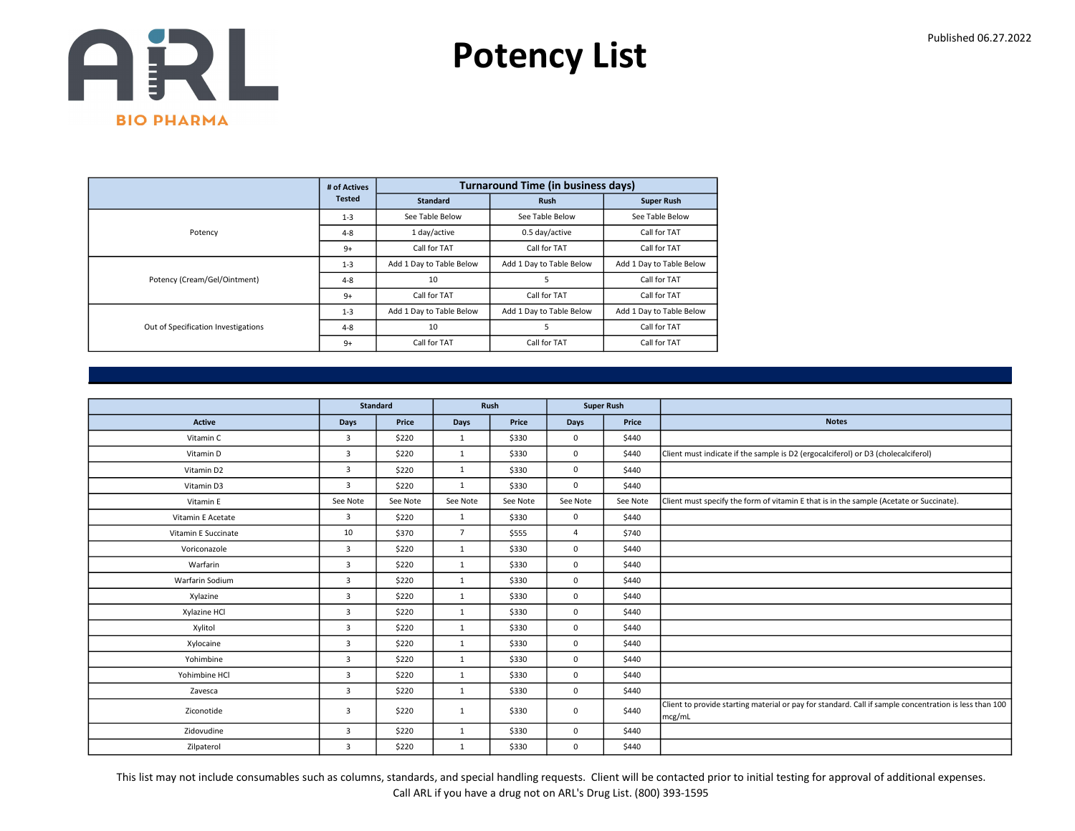

|                                     | # of Actives  |                          | <b>Turnaround Time (in business days)</b> |                          |
|-------------------------------------|---------------|--------------------------|-------------------------------------------|--------------------------|
|                                     | <b>Tested</b> | <b>Standard</b>          | <b>Rush</b>                               | <b>Super Rush</b>        |
|                                     | $1 - 3$       | See Table Below          | See Table Below                           | See Table Below          |
| Potency                             | $4 - 8$       | 1 day/active             | 0.5 day/active                            | Call for TAT             |
|                                     | $9+$          | Call for TAT             | Call for TAT                              | Call for TAT             |
|                                     | $1 - 3$       | Add 1 Day to Table Below | Add 1 Day to Table Below                  | Add 1 Day to Table Below |
| Potency (Cream/Gel/Ointment)        | $4 - 8$       | 10                       | 5                                         | Call for TAT             |
|                                     | $9+$          | Call for TAT             | Call for TAT                              | Call for TAT             |
|                                     | $1 - 3$       | Add 1 Day to Table Below | Add 1 Day to Table Below                  | Add 1 Day to Table Below |
| Out of Specification Investigations | $4 - 8$       | 10                       | 5                                         | Call for TAT             |
|                                     | $9+$          | Call for TAT             | Call for TAT                              | Call for TAT             |

|                     | <b>Standard</b> |          |                | Rush     | <b>Super Rush</b> |          |                                                                                                                  |
|---------------------|-----------------|----------|----------------|----------|-------------------|----------|------------------------------------------------------------------------------------------------------------------|
| Active              | <b>Days</b>     | Price    | Days           | Price    | <b>Days</b>       | Price    | <b>Notes</b>                                                                                                     |
| Vitamin C           | 3               | \$220    | 1              | \$330    | $\mathbf 0$       | \$440    |                                                                                                                  |
| Vitamin D           | $\overline{3}$  | \$220    | 1              | \$330    | 0                 | \$440    | Client must indicate if the sample is D2 (ergocalciferol) or D3 (cholecalciferol)                                |
| Vitamin D2          | 3               | \$220    | $\mathbf{1}$   | \$330    | $\mathbf 0$       | \$440    |                                                                                                                  |
| Vitamin D3          | 3               | \$220    | 1              | \$330    | $\mathbf 0$       | \$440    |                                                                                                                  |
| Vitamin E           | See Note        | See Note | See Note       | See Note | See Note          | See Note | Client must specify the form of vitamin E that is in the sample (Acetate or Succinate).                          |
| Vitamin E Acetate   | $\overline{3}$  | \$220    | 1              | \$330    | $\mathbf 0$       | \$440    |                                                                                                                  |
| Vitamin E Succinate | 10              | \$370    | $\overline{7}$ | \$555    | $\overline{4}$    | \$740    |                                                                                                                  |
| Voriconazole        | 3               | \$220    | 1              | \$330    | $\mathsf 0$       | \$440    |                                                                                                                  |
| Warfarin            | 3               | \$220    | 1              | \$330    | $\mathbf 0$       | \$440    |                                                                                                                  |
| Warfarin Sodium     | $\overline{3}$  | \$220    | 1              | \$330    | $\mathbf 0$       | \$440    |                                                                                                                  |
| Xylazine            | 3               | \$220    | 1              | \$330    | $\mathbf 0$       | \$440    |                                                                                                                  |
| Xylazine HCl        | 3               | \$220    | 1              | \$330    | $\mathbf 0$       | \$440    |                                                                                                                  |
| Xylitol             | 3               | \$220    | 1              | \$330    | $\mathbf 0$       | \$440    |                                                                                                                  |
| Xylocaine           | 3               | \$220    | 1              | \$330    | $\mathbf 0$       | \$440    |                                                                                                                  |
| Yohimbine           | $\overline{3}$  | \$220    | $\mathbf{1}$   | \$330    | $\mathbf 0$       | \$440    |                                                                                                                  |
| Yohimbine HCl       | $\overline{3}$  | \$220    | 1              | \$330    | $\mathsf 0$       | \$440    |                                                                                                                  |
| Zavesca             | 3               | \$220    | $\mathbf{1}$   | \$330    | $\mathbf 0$       | \$440    |                                                                                                                  |
| Ziconotide          | 3               | \$220    | $\mathbf{1}$   | \$330    | $\mathbf 0$       | \$440    | Client to provide starting material or pay for standard. Call if sample concentration is less than 100<br>mcg/mL |
| Zidovudine          | $\overline{3}$  | \$220    | 1              | \$330    | $\mathbf 0$       | \$440    |                                                                                                                  |
| Zilpaterol          | 3               | \$220    | $\mathbf{1}$   | \$330    | $\mathbf 0$       | \$440    |                                                                                                                  |